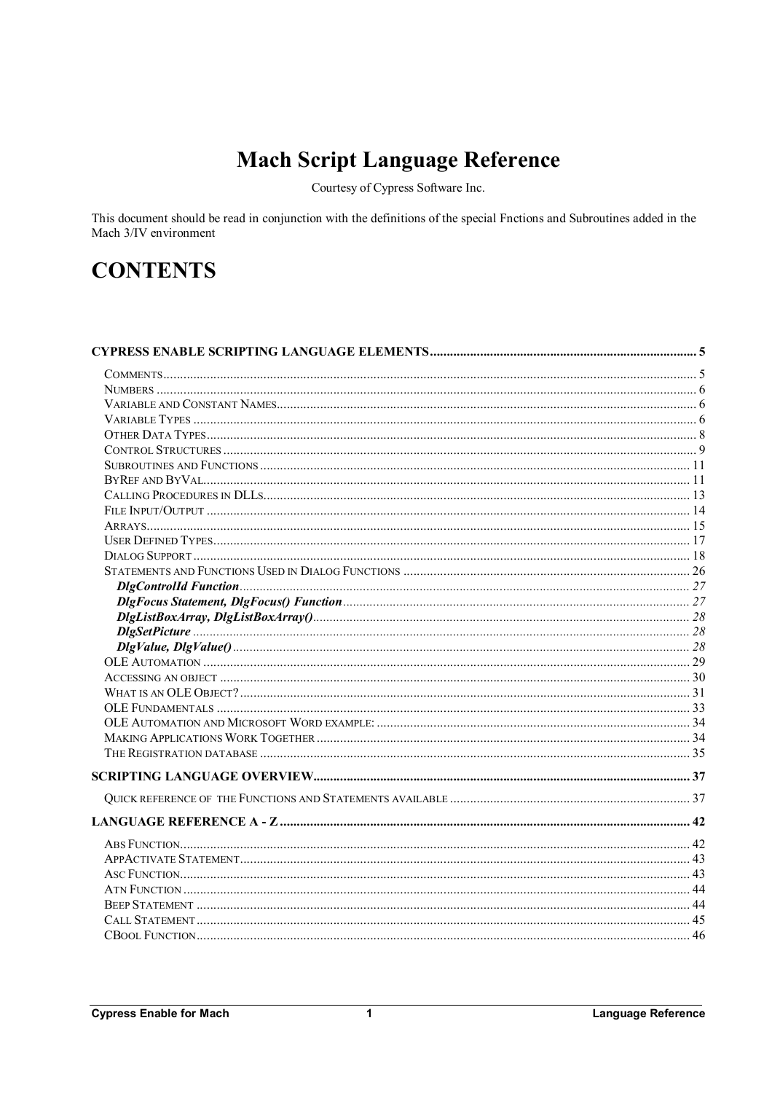# **Mach Script Language Reference**

Courtesy of Cypress Software Inc.

This document should be read in conjunction with the definitions of the special Fnctions and Subroutines added in the Mach 3/IV environment

# **CONTENTS**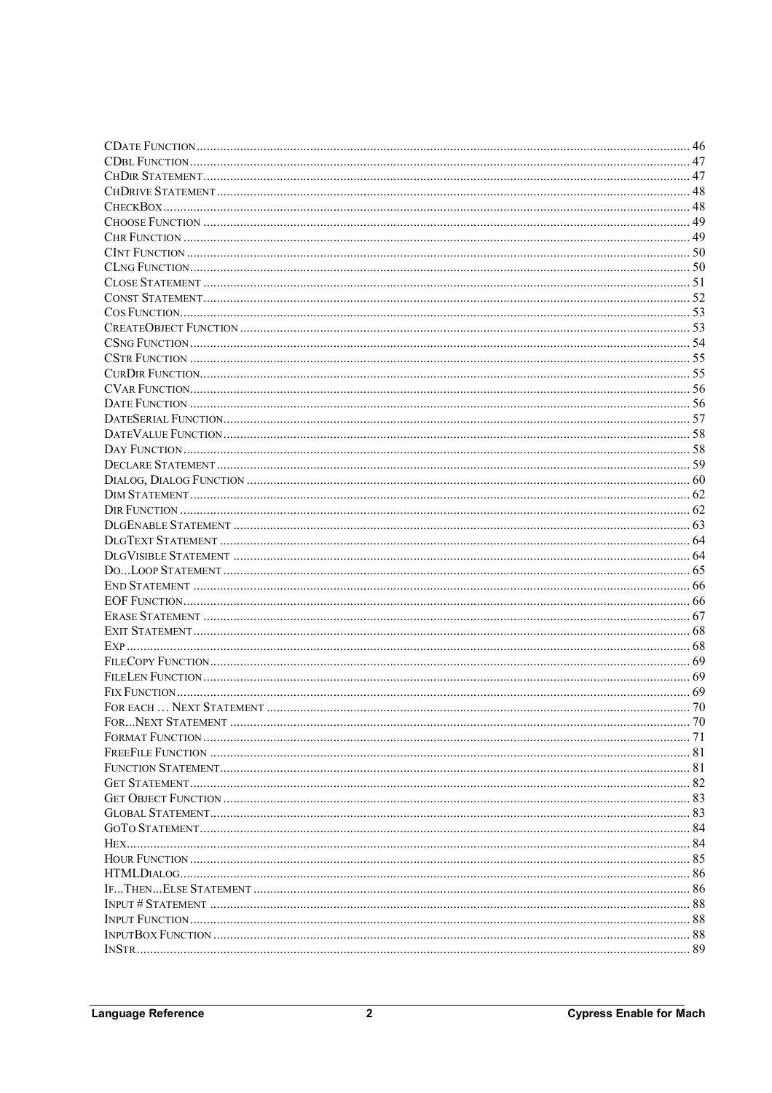| .70 |
|-----|
|     |
|     |
|     |
|     |
|     |
|     |
|     |
|     |
|     |
|     |
|     |
|     |
|     |
|     |
|     |
|     |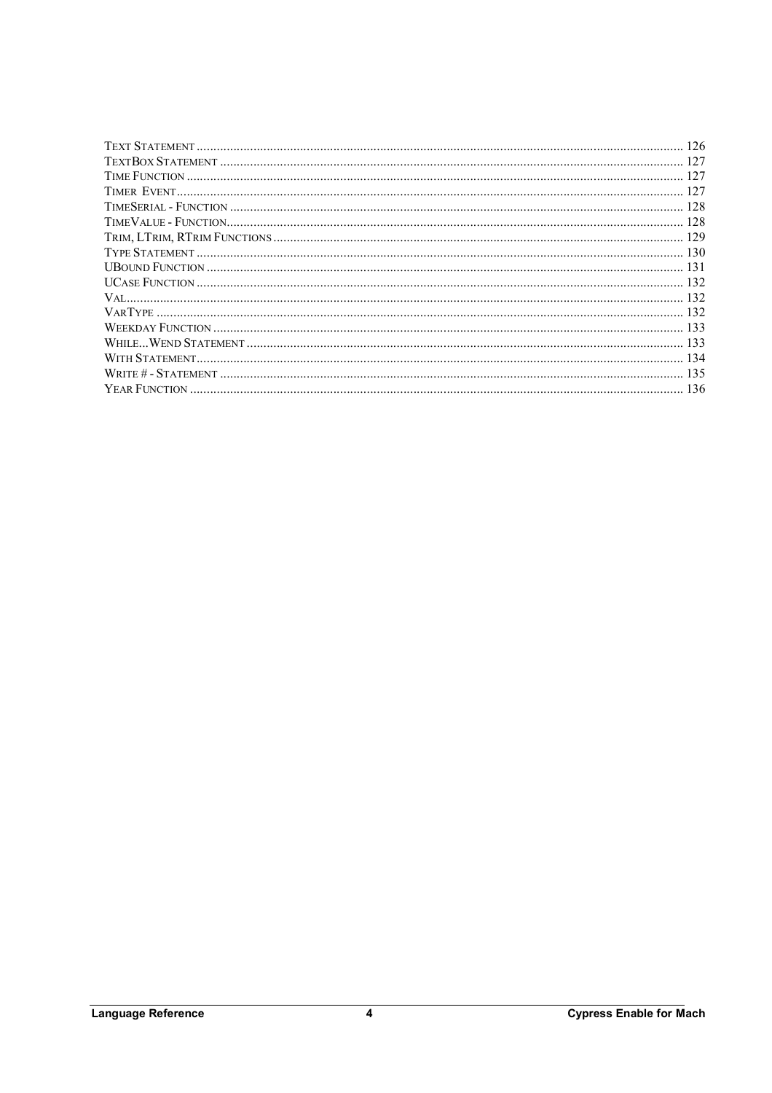| 127<br>127 |
|------------|
|            |
|            |
|            |
|            |
|            |
|            |
|            |
|            |
|            |
|            |
|            |
| 133        |
|            |
|            |
| 135        |
| 136        |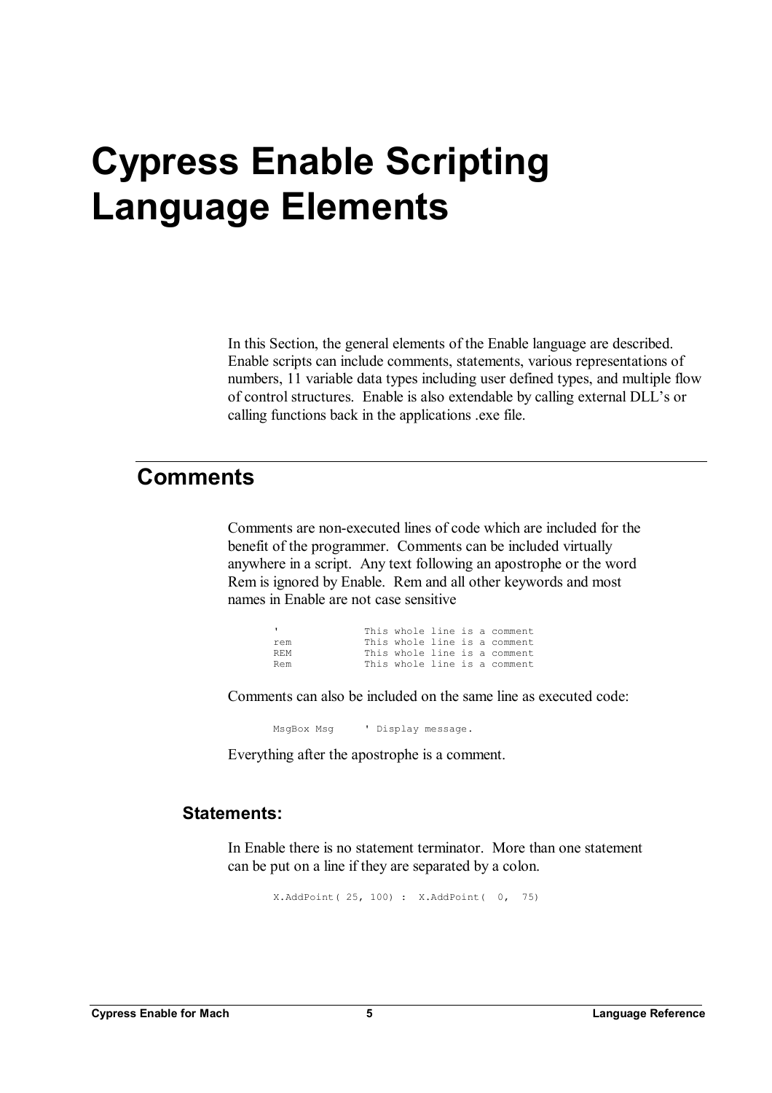# **Cypress Enable Scripting Language Elements**

In this Section, the general elements of the Enable language are described. Enable scripts can include comments, statements, various representations of numbers, 11 variable data types including user defined types, and multiple flow of control structures. Enable is also extendable by calling external DLL's or calling functions back in the applications .exe file.

### **Comments**

Comments are non-executed lines of code which are included for the benefit of the programmer. Comments can be included virtually anywhere in a script. Any text following an apostrophe or the word Rem is ignored by Enable. Rem and all other keywords and most names in Enable are not case sensitive

|     |  |  | This whole line is a comment |
|-----|--|--|------------------------------|
| rem |  |  | This whole line is a comment |
| RFM |  |  | This whole line is a comment |
| Rem |  |  | This whole line is a comment |

Comments can also be included on the same line as executed code:

MsgBox Msg ' Display message.

Everything after the apostrophe is a comment.

#### **Statements:**

In Enable there is no statement terminator. More than one statement can be put on a line if they are separated by a colon.

X.AddPoint( 25, 100) : X.AddPoint( 0, 75)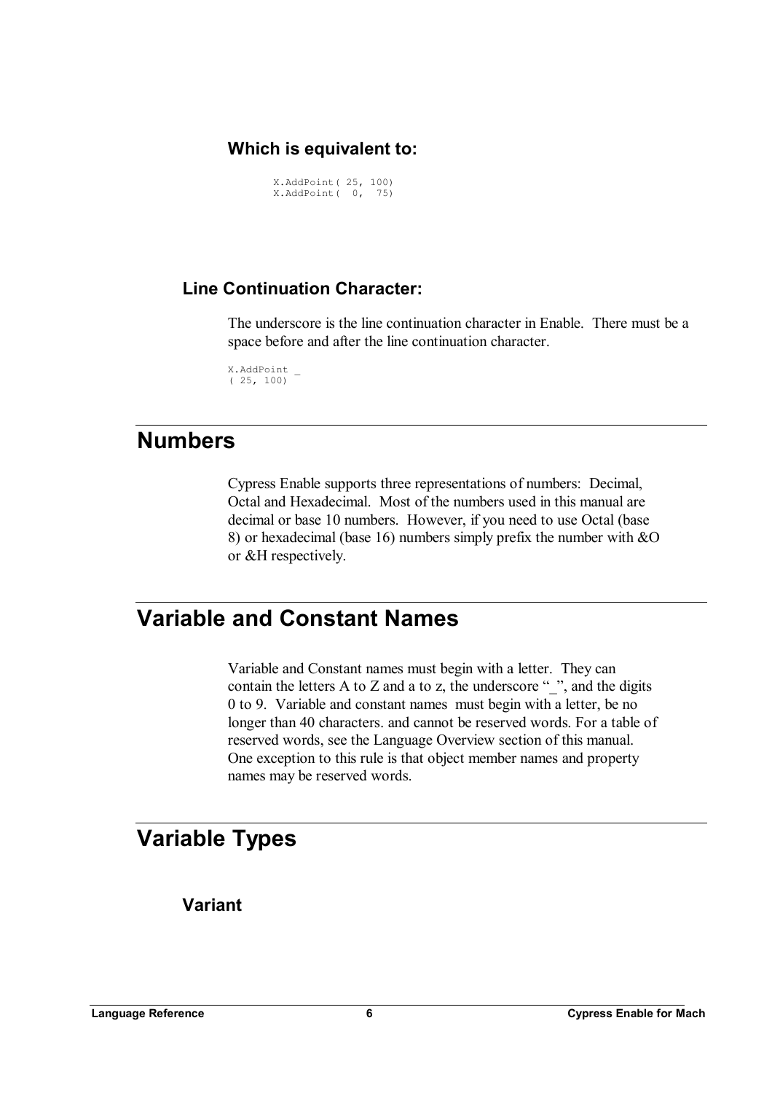#### **Which is equivalent to:**

X.AddPoint( 25, 100) X.AddPoint( 0, 75)

#### **Line Continuation Character:**

The underscore is the line continuation character in Enable. There must be a space before and after the line continuation character.

```
X.AddPoint _ 
(25, 100)
```
### **Numbers**

Cypress Enable supports three representations of numbers: Decimal, Octal and Hexadecimal. Most of the numbers used in this manual are decimal or base 10 numbers. However, if you need to use Octal (base 8) or hexadecimal (base 16) numbers simply prefix the number with &O or &H respectively.

### **Variable and Constant Names**

Variable and Constant names must begin with a letter. They can contain the letters A to Z and a to z, the underscore " $\degree$ ", and the digits 0 to 9. Variable and constant names must begin with a letter, be no longer than 40 characters. and cannot be reserved words. For a table of reserved words, see the Language Overview section of this manual. One exception to this rule is that object member names and property names may be reserved words.

## **Variable Types**

**Variant**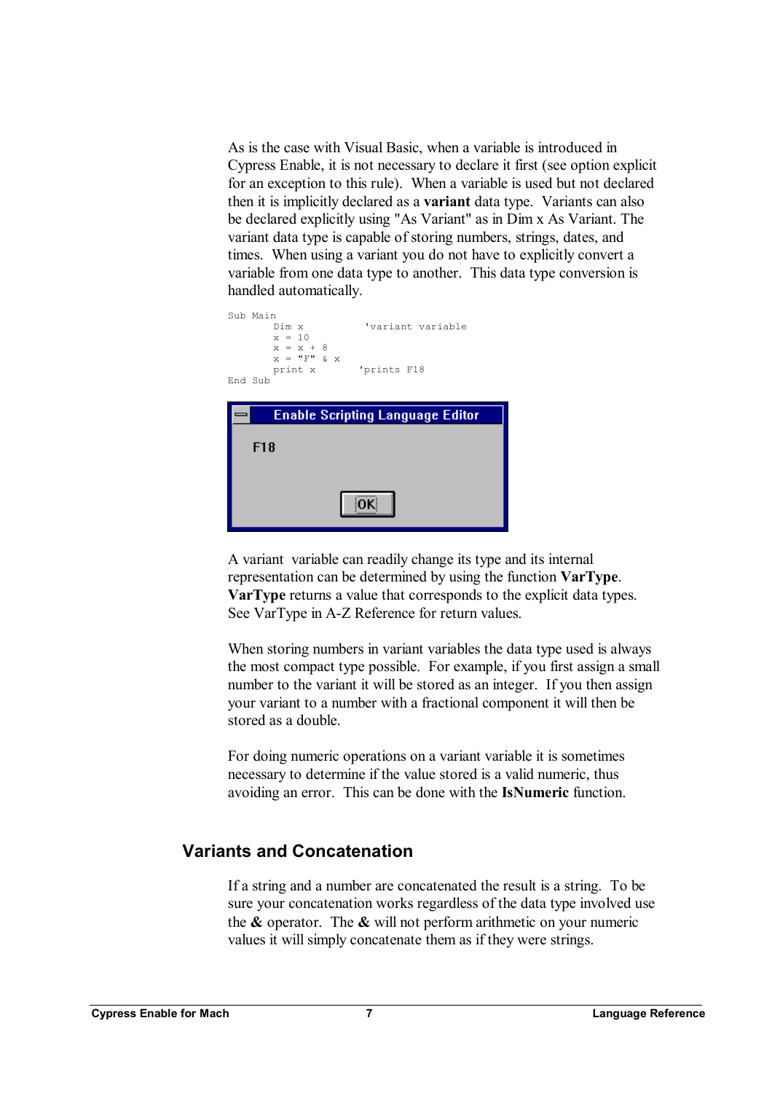As is the case with Visual Basic, when a variable is introduced in Cypress Enable, it is not necessary to declare it first (see option explicit for an exception to this rule). When a variable is used but not declared then it is implicitly declared as a **variant** data type. Variants can also be declared explicitly using "As Variant" as in Dim x As Variant. The variant data type is capable of storing numbers, strings, dates, and times. When using a variant you do not have to explicitly convert a variable from one data type to another. This data type conversion is handled automatically.

| Sub Main<br>Dim x<br>$x = 10$<br>$x = x + 8$<br>$X = "F" \& X$<br>print x<br>End Sub | 'variant variable<br>prints F18         |
|--------------------------------------------------------------------------------------|-----------------------------------------|
| F18                                                                                  | <b>Enable Scripting Language Editor</b> |

A variant variable can readily change its type and its internal representation can be determined by using the function **VarType**. **VarType** returns a value that corresponds to the explicit data types. See VarType in A-Z Reference for return values.

When storing numbers in variant variables the data type used is always the most compact type possible. For example, if you first assign a small number to the variant it will be stored as an integer. If you then assign your variant to a number with a fractional component it will then be stored as a double.

For doing numeric operations on a variant variable it is sometimes necessary to determine if the value stored is a valid numeric, thus avoiding an error. This can be done with the **IsNumeric** function.

#### **Variants and Concatenation**

If a string and a number are concatenated the result is a string. To be sure your concatenation works regardless of the data type involved use the **&** operator. The **&** will not perform arithmetic on your numeric values it will simply concatenate them as if they were strings.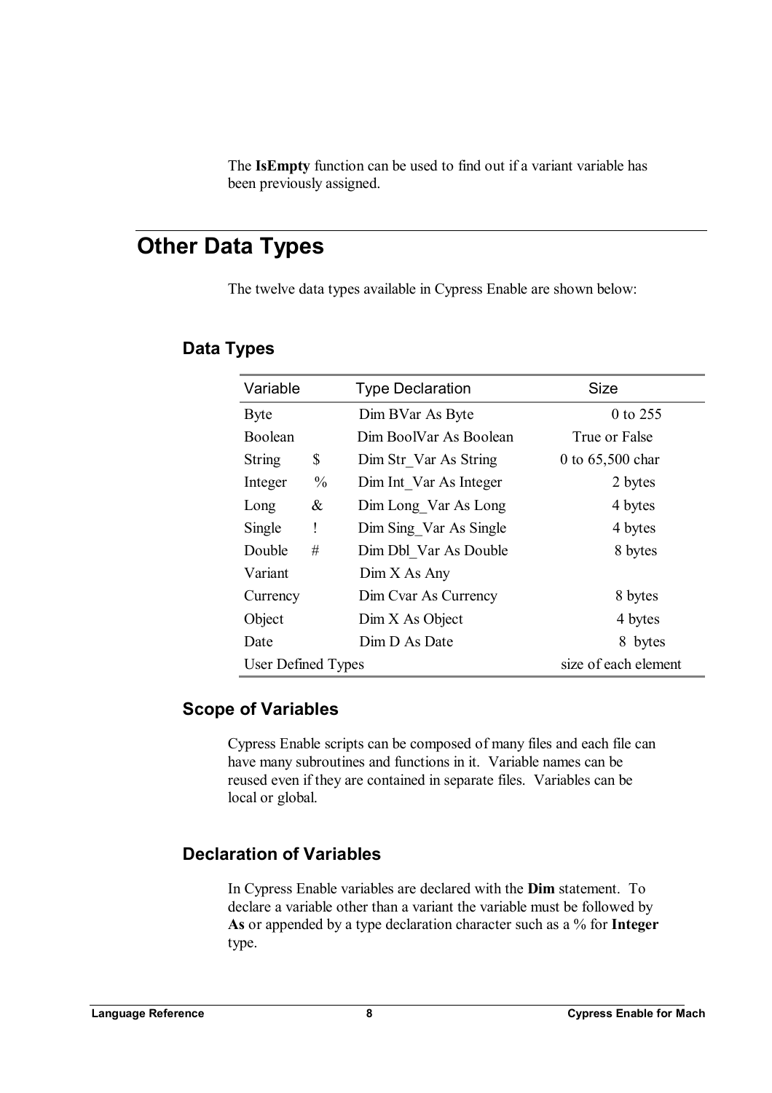The **IsEmpty** function can be used to find out if a variant variable has been previously assigned.

# **Other Data Types**

The twelve data types available in Cypress Enable are shown below:

| Variable           |               | <b>Type Declaration</b> | <b>Size</b>          |
|--------------------|---------------|-------------------------|----------------------|
| Byte               |               | Dim BVar As Byte        | 0 to 255             |
| Boolean            |               | Dim BoolVar As Boolean  | True or False        |
| <b>String</b>      | \$            | Dim Str Var As String   | 0 to $65,500$ char   |
| Integer            | $\frac{0}{0}$ | Dim Int Var As Integer  | 2 bytes              |
| Long               | &             | Dim Long Var As Long    | 4 bytes              |
| Single             | ļ             | Dim Sing Var As Single  | 4 bytes              |
| Double             | #             | Dim Dbl Var As Double   | 8 bytes              |
| Variant            |               | Dim X As Any            |                      |
| Currency           |               | Dim Cvar As Currency    | 8 bytes              |
| Object             |               | Dim X As Object         | 4 bytes              |
| Date               |               | Dim D As Date           | 8 bytes              |
| User Defined Types |               |                         | size of each element |

#### **Data Types**

### **Scope of Variables**

Cypress Enable scripts can be composed of many files and each file can have many subroutines and functions in it. Variable names can be reused even if they are contained in separate files. Variables can be local or global.

### **Declaration of Variables**

In Cypress Enable variables are declared with the **Dim** statement. To declare a variable other than a variant the variable must be followed by **As** or appended by a type declaration character such as a % for **Integer** type.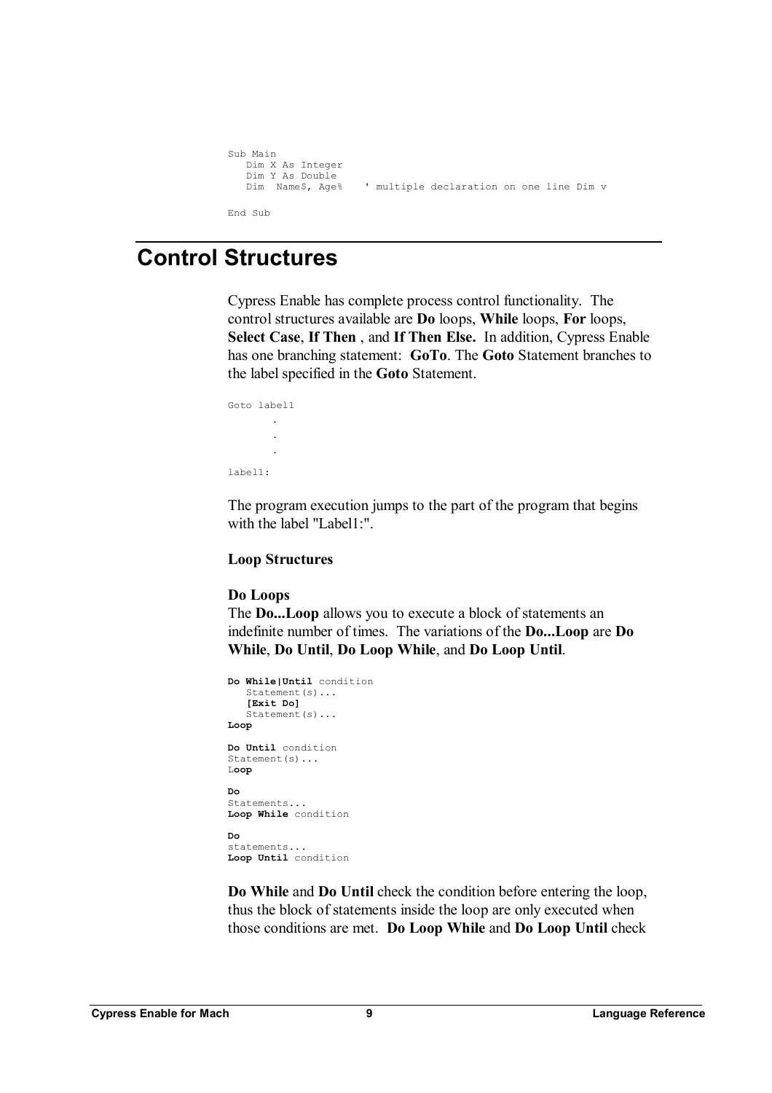```
Sub Main
   Dim X As Integer 
   Dim Y As Double<br>Dim Name$, Age%
                            ' multiple declaration on one line Dim v
End Sub
```
### **Control Structures**

Cypress Enable has complete process control functionality. The control structures available are **Do** loops, **While** loops, **For** loops, **Select Case**, **If Then** , and **If Then Else.** In addition, Cypress Enable has one branching statement: **GoTo**. The **Goto** Statement branches to the label specified in the **Goto** Statement.

```
Goto label1 
           . 
          . 
           . 
label1:
```
The program execution jumps to the part of the program that begins with the label "Label1:".

#### **Loop Structures**

#### **Do Loops**

The **Do...Loop** allows you to execute a block of statements an indefinite number of times. The variations of the **Do...Loop** are **Do While**, **Do Until**, **Do Loop While**, and **Do Loop Until**.

```
Do While|Until condition 
   Statement(s)... 
   [Exit Do] 
   Statement(s)...
Loop
Do Until condition 
Statement(s)... 
Loop 
Do 
Statements... 
Loop While condition
Do 
statements... 
Loop Until condition
```
**Do While** and **Do Until** check the condition before entering the loop, thus the block of statements inside the loop are only executed when those conditions are met. **Do Loop While** and **Do Loop Until** check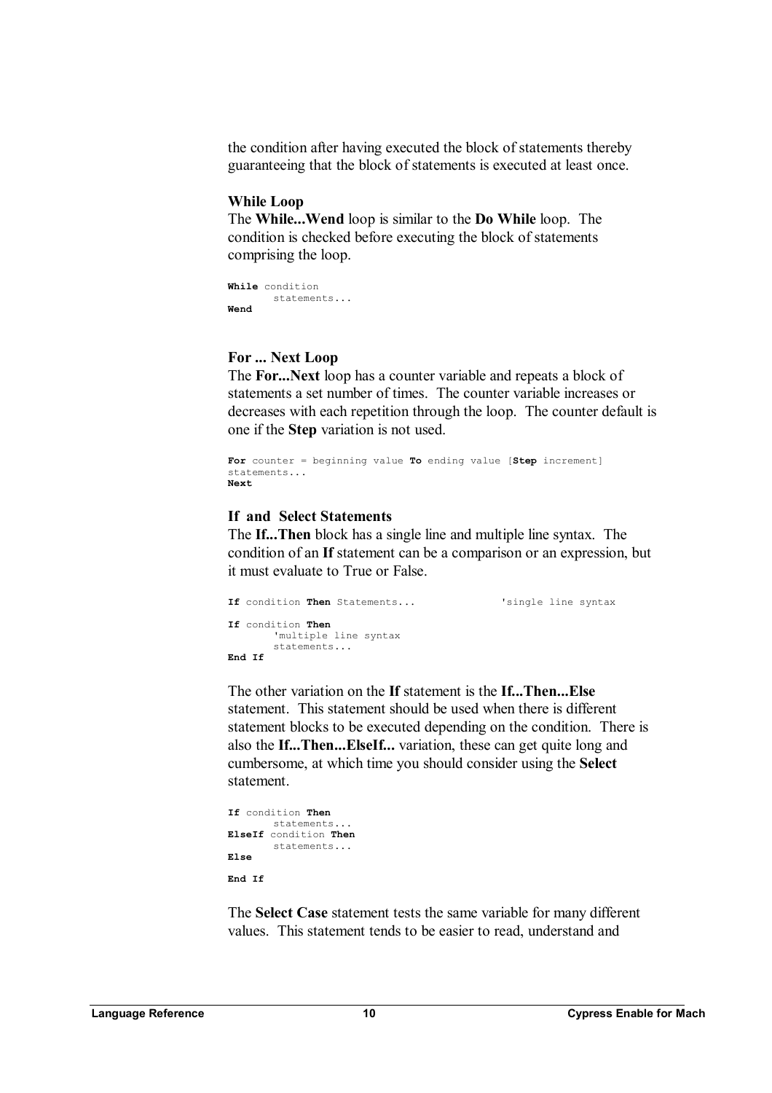the condition after having executed the block of statements thereby guaranteeing that the block of statements is executed at least once.

#### **While Loop**

The **While...Wend** loop is similar to the **Do While** loop. The condition is checked before executing the block of statements comprising the loop.

```
While condition 
        statements... 
Wend
```
#### **For ... Next Loop**

The **For...Next** loop has a counter variable and repeats a block of statements a set number of times. The counter variable increases or decreases with each repetition through the loop. The counter default is one if the **Step** variation is not used.

```
For counter = beginning value To ending value [Step increment] 
statements... 
Next
```
#### **If and Select Statements**

The **If...Then** block has a single line and multiple line syntax. The condition of an **If** statement can be a comparison or an expression, but it must evaluate to True or False.

```
If condition Then Statements... 'single line syntax 
If condition Then 
       'multiple line syntax 
       statements... 
End If
```
The other variation on the **If** statement is the **If...Then...Else** statement. This statement should be used when there is different statement blocks to be executed depending on the condition. There is also the **If...Then...ElseIf...** variation, these can get quite long and cumbersome, at which time you should consider using the **Select** statement.

```
If condition Then
       statements.
ElseIf condition Then
       statements... 
Else
End If
```
The **Select Case** statement tests the same variable for many different values. This statement tends to be easier to read, understand and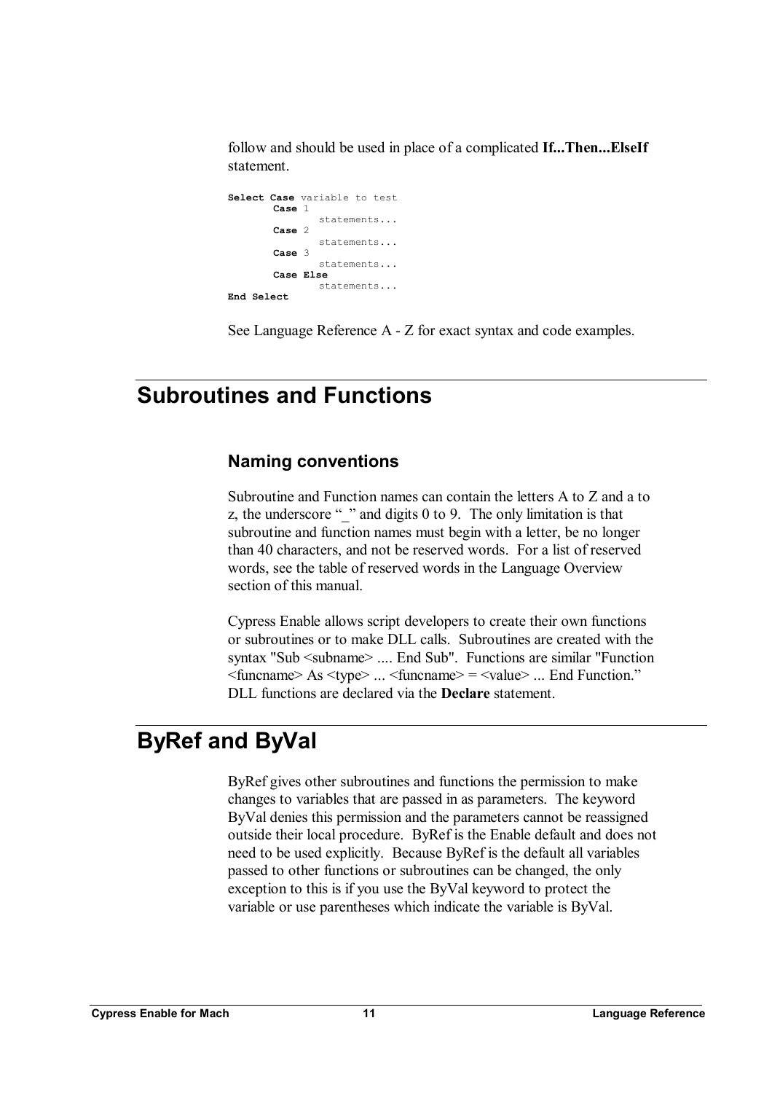follow and should be used in place of a complicated **If...Then...ElseIf** statement.

```
Select Case variable to test 
        Case 1 
                 statements... 
        Case 2 
                 statements... 
        Case 3 
                  statements... 
        Case Else
                  statements... 
End Select
```
See Language Reference A - Z for exact syntax and code examples.

## **Subroutines and Functions**

#### **Naming conventions**

Subroutine and Function names can contain the letters A to Z and a to z, the underscore " $\degree$ " and digits 0 to 9. The only limitation is that subroutine and function names must begin with a letter, be no longer than 40 characters, and not be reserved words. For a list of reserved words, see the table of reserved words in the Language Overview section of this manual.

Cypress Enable allows script developers to create their own functions or subroutines or to make DLL calls. Subroutines are created with the syntax "Sub <subname> .... End Sub". Functions are similar "Function  $\langle$  funcname> As  $\langle$  type> ...  $\langle$  funcname> =  $\langle$   $\rangle$   $\langle$  and Function." DLL functions are declared via the **Declare** statement.

# **ByRef and ByVal**

ByRef gives other subroutines and functions the permission to make changes to variables that are passed in as parameters. The keyword ByVal denies this permission and the parameters cannot be reassigned outside their local procedure. ByRef is the Enable default and does not need to be used explicitly. Because ByRef is the default all variables passed to other functions or subroutines can be changed, the only exception to this is if you use the ByVal keyword to protect the variable or use parentheses which indicate the variable is ByVal.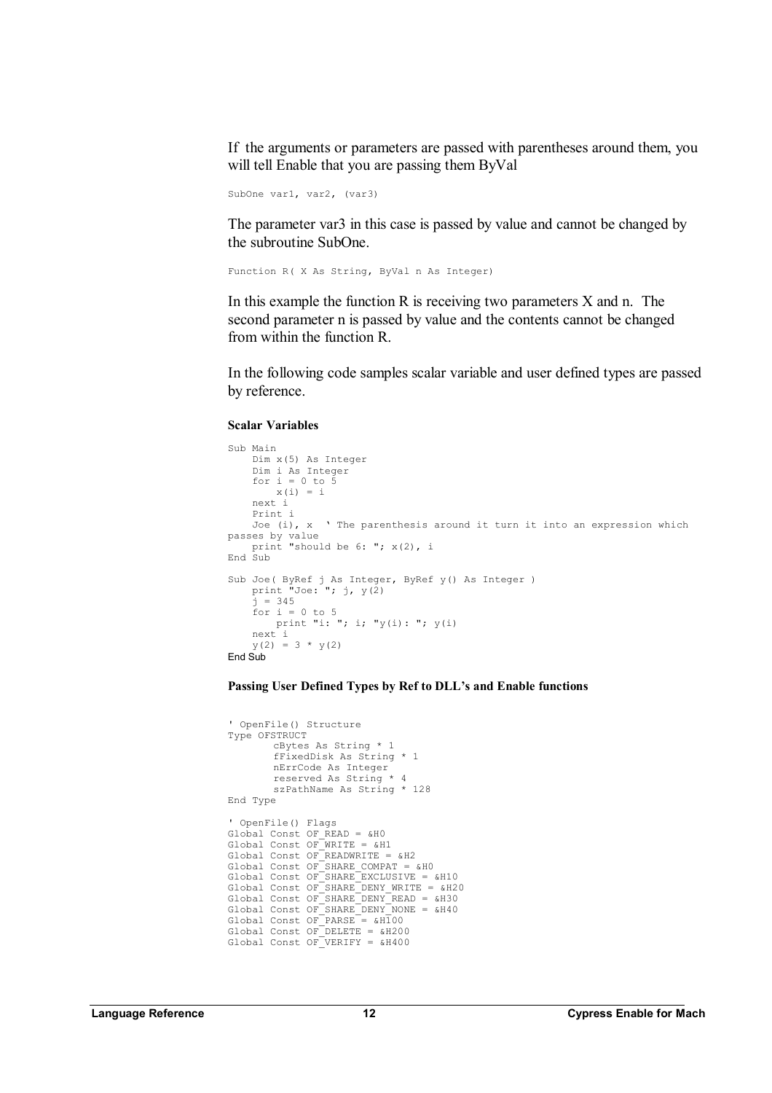If the arguments or parameters are passed with parentheses around them, you will tell Enable that you are passing them ByVal

```
SubOne var1, var2, (var3)
```
The parameter var3 in this case is passed by value and cannot be changed by the subroutine SubOne.

Function R( X As String, ByVal n As Integer)

In this example the function  $R$  is receiving two parameters  $X$  and  $n$ . The second parameter n is passed by value and the contents cannot be changed from within the function R.

In the following code samples scalar variable and user defined types are passed by reference.

#### **Scalar Variables**

```
Sub Main 
    Dim x(5) As Integer 
    Dim i As Integer 
    for i = 0 to 5
       x(i) = inext i 
    Print i<br>Joe (i), x
                 ' The parenthesis around it turn it into an expression which
passes by value 
   print "should be 6: "; x(2), i
End Sub 
Sub Joe( ByRef j As Integer, ByRef y() As Integer ) 
    print "Joe: "; j, y(2) 
    j = 345for i = 0 to 5
       print "i: "; i; "y(i): "; y(i) 
    next i 
    y(2) = 3 * y(2)End Sub
```
#### **Passing User Defined Types by Ref to DLL's and Enable functions**

```
' OpenFile() Structure 
Type OFSTRUCT 
       cBytes As String * 1 
        fFixedDisk As String * 1 
        nErrCode As Integer 
        reserved As String * 4 
       szPathName As String * 128 
End Type 
' OpenFile() Flags 
Global Const OF READ = &H0
Global Const OF\overline{W}RITE = \&H1Global Const OF<sup>READWRITE = &H2</sub></sup>
Global Const OF_SHARE_COMPAT = &H0 
Global Const OF_SHARE_EXCLUSIVE = &H10 
Global Const OF SHARE DENY WRITE = &H20Global Const OF SHARE DENY READ = &H30
Global Const OF_SHARE_DENY_NONE = &H40 
Global Const OF_PARSE = &H100 
Global Const OF_DELETE = &H200 
Global Const OF_VERIFY = &H400
```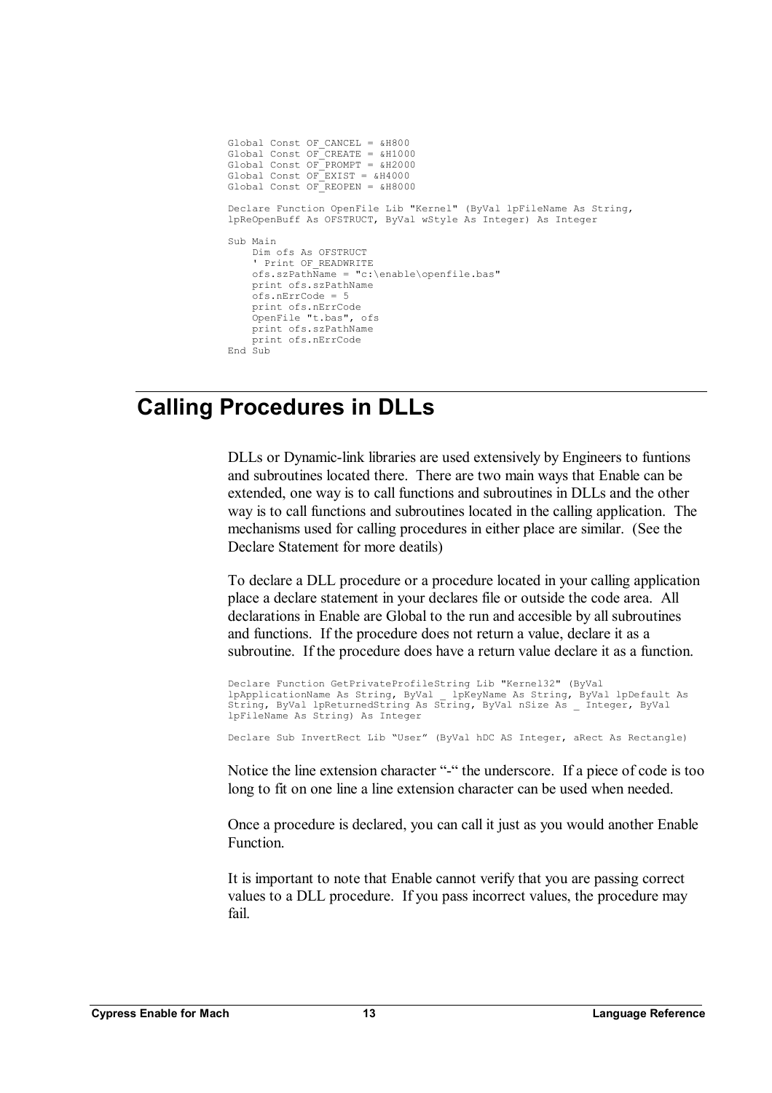```
Global Const OF_CANCEL = &H800 
Global Const OF_CREATE = &H1000 
Global Const OF_PROMPT = &H2000 
Global Const OF_EXIST = &H4000 
Global Const OF_REOPEN = &H8000 
Declare Function OpenFile Lib "Kernel" (ByVal lpFileName As String, 
lpReOpenBuff As OFSTRUCT, ByVal wStyle As Integer) As Integer 
Sub Main 
    Dim ofs As OFSTRUCT 
     'Print OF READWRITE
    ofs.szPath\overline{N}ame = "c:\enable\openfile.bas"
    print ofs.szPathName 
    ofs.nErrCode = 5 
    print ofs.nErrCode 
    OpenFile "t.bas", ofs 
    print ofs.szPathName 
    print ofs.nErrCode 
End Sub
```
### **Calling Procedures in DLLs**

DLLs or Dynamic-link libraries are used extensively by Engineers to funtions and subroutines located there. There are two main ways that Enable can be extended, one way is to call functions and subroutines in DLLs and the other way is to call functions and subroutines located in the calling application. The mechanisms used for calling procedures in either place are similar. (See the Declare Statement for more deatils)

To declare a DLL procedure or a procedure located in your calling application place a declare statement in your declares file or outside the code area. All declarations in Enable are Global to the run and accesible by all subroutines and functions. If the procedure does not return a value, declare it as a subroutine. If the procedure does have a return value declare it as a function.

Declare Function GetPrivateProfileString Lib "Kernel32" (ByVal lpApplicationName As String, ByVal \_ lpKeyName As String, ByVal lpDefault As String, ByVal lpReturnedString As String, ByVal nSize As \_ Integer, ByVal lpFileName As String) As Integer

Declare Sub InvertRect Lib "User" (ByVal hDC AS Integer, aRect As Rectangle)

Notice the line extension character "-" the underscore. If a piece of code is too long to fit on one line a line extension character can be used when needed.

Once a procedure is declared, you can call it just as you would another Enable Function.

It is important to note that Enable cannot verify that you are passing correct values to a DLL procedure. If you pass incorrect values, the procedure may fail.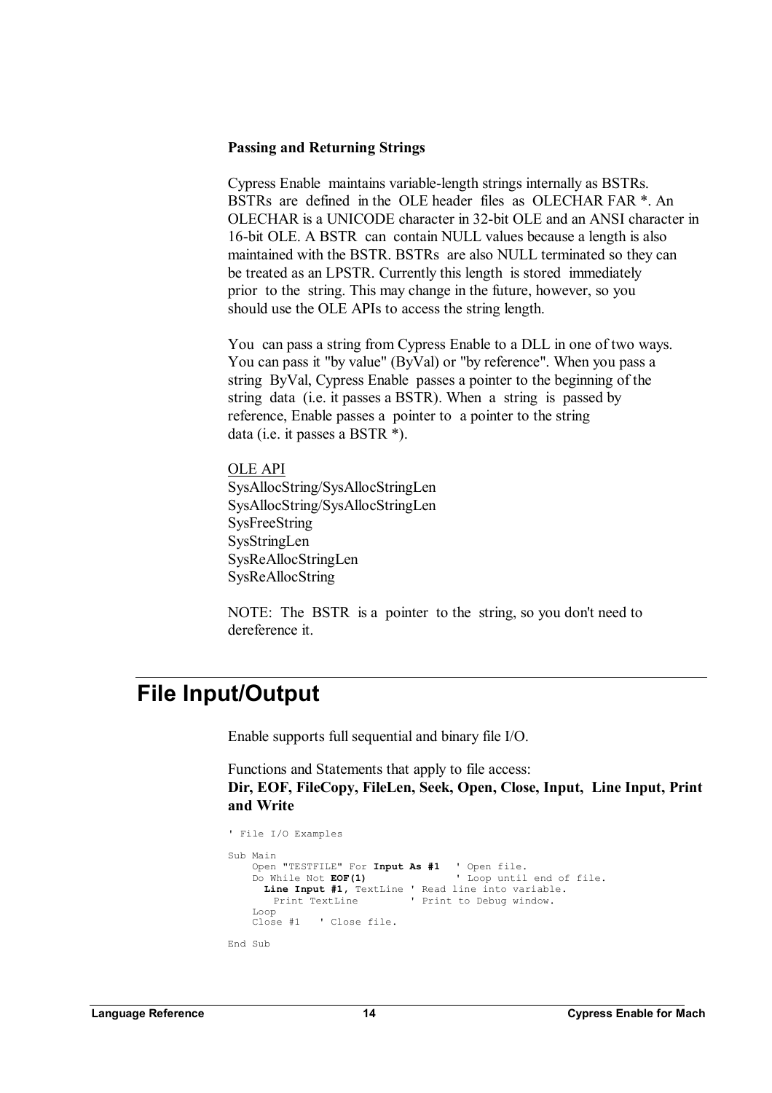#### **Passing and Returning Strings**

Cypress Enable maintains variable-length strings internally as BSTRs. BSTRs are defined in the OLE header files as OLECHAR FAR \*. An OLECHAR is a UNICODE character in 32-bit OLE and an ANSI character in 16-bit OLE. A BSTR can contain NULL values because a length is also maintained with the BSTR. BSTRs are also NULL terminated so they can be treated as an LPSTR. Currently this length is stored immediately prior to the string. This may change in the future, however, so you should use the OLE APIs to access the string length.

You can pass a string from Cypress Enable to a DLL in one of two ways. You can pass it "by value" (ByVal) or "by reference". When you pass a string ByVal, Cypress Enable passes a pointer to the beginning of the string data (i.e. it passes a BSTR). When a string is passed by reference, Enable passes a pointer to a pointer to the string data (i.e. it passes a BSTR \*).

OLE API SysAllocString/SysAllocStringLen SysAllocString/SysAllocStringLen **SysFreeString** SysStringLen SysReAllocStringLen SysReAllocString

NOTE: The BSTR is a pointer to the string, so you don't need to dereference it.

### **File Input/Output**

Enable supports full sequential and binary file I/O.

 Functions and Statements that apply to file access: **Dir, EOF, FileCopy, FileLen, Seek, Open, Close, Input, Line Input, Print and Write**

```
' File I/O Examples 
Sub Main 
    Open "TESTFILE" For Input As #1 ' Open file. 
    Do While Not EOF(1) ' Loop until end of file. 
      Line Input #1, TextLine ' Read line into variable.<br>Print TextLine ' Print to Debug window.
                                 Print to Debug window.
    Loop 
    Close #1 ' Close file. 
End Sub
```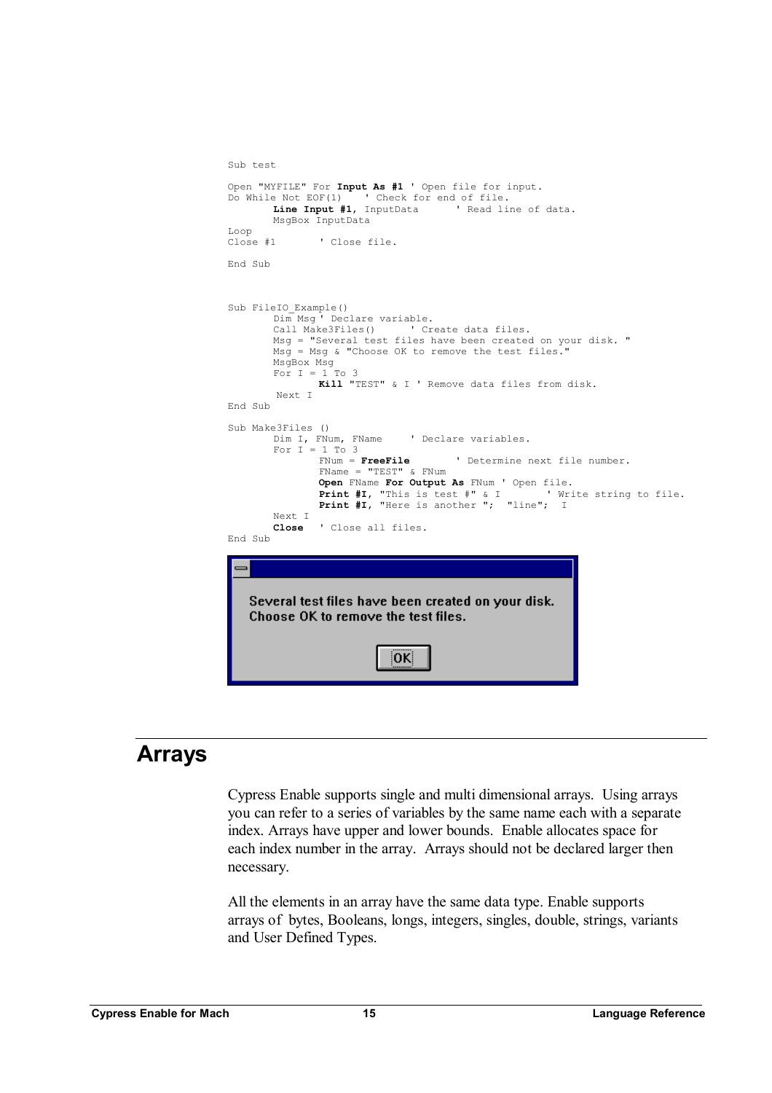```
Sub test 
Open "MYFILE" For Input As #1 ' Open file for input. 
Do While Not EOF(1) ' Check for end of file. 
       Line Input #1, InputData ' Read line of data. 
      MsgBox InputData 
Loop<br>Close #1
             ' Close file.
End Sub 
Sub FileIO Example()
      Dim Msg ' Declare variable. 
       Call Make3Files() ' Create data files. 
       Msg = "Several test files have been created on your disk. " 
       Msg = Msg & "Choose OK to remove the test files." 
       MsgBox Msg 
       For I = 1 To 3
              Kill "TEST" & I ' Remove data files from disk. 
       Next I 
End Sub 
Sub Make3Files () 
       Dim I, FNum, FName ' Declare variables. 
       For I = 1 To 3
               FNum = FreeFile ' Determine next file number. 
               FName = "TEST" & FNum 
 Open FName For Output As FNum ' Open file. 
 Print #I, "This is test #" & I ' Write string to file. 
 Print #I, "Here is another "; "line"; I 
      Next I<br>Close
             Close ' Close all files.
End Sub 
   Several test files have been created on your disk.
   Choose OK to remove the test files.
                          ioki
```
### **Arrays**

Cypress Enable supports single and multi dimensional arrays. Using arrays you can refer to a series of variables by the same name each with a separate index. Arrays have upper and lower bounds. Enable allocates space for each index number in the array. Arrays should not be declared larger then necessary.

All the elements in an array have the same data type. Enable supports arrays of bytes, Booleans, longs, integers, singles, double, strings, variants and User Defined Types.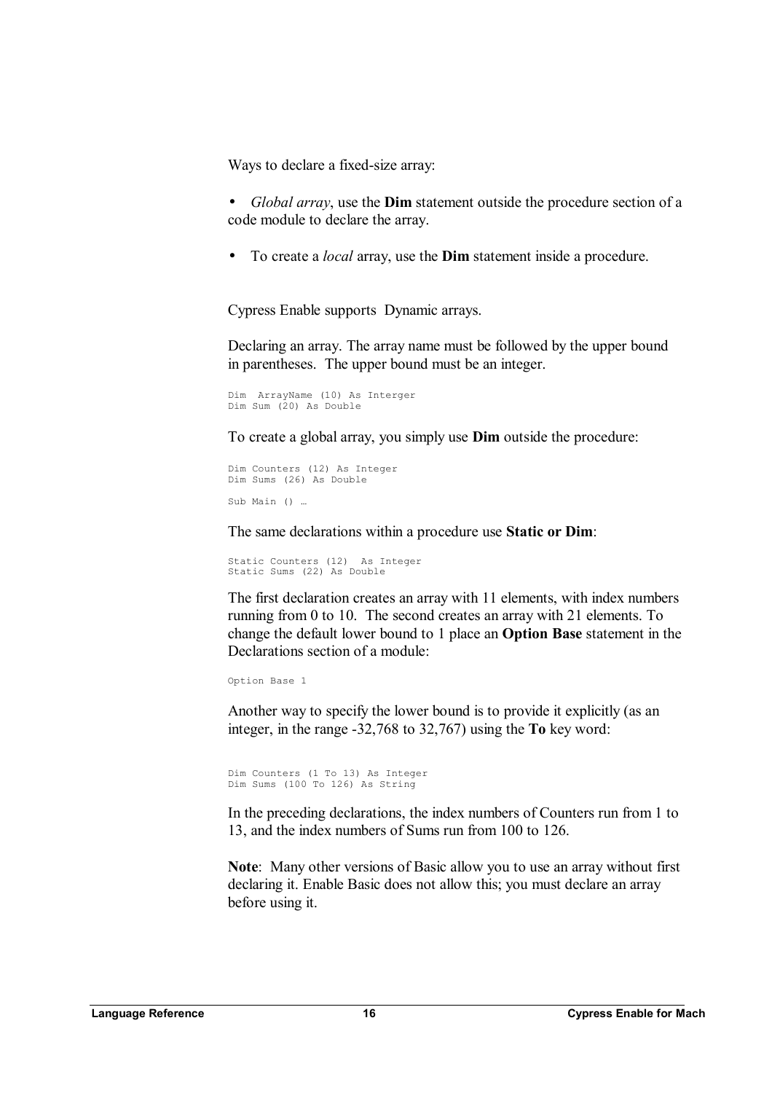Ways to declare a fixed-size array:

- *Global array*, use the **Dim** statement outside the procedure section of a code module to declare the array.
- To create a *local* array, use the **Dim** statement inside a procedure.

Cypress Enable supports Dynamic arrays.

Declaring an array. The array name must be followed by the upper bound in parentheses. The upper bound must be an integer.

```
Dim ArrayName (10) As Interger 
Dim Sum (20) As Double
```
To create a global array, you simply use **Dim** outside the procedure:

```
Dim Counters (12) As Integer 
Dim Sums (26) As Double 
Sub Main () …
```
The same declarations within a procedure use **Static or Dim**:

```
Static Counters (12) As Integer 
Static Sums (22) As Double
```
The first declaration creates an array with 11 elements, with index numbers running from 0 to 10. The second creates an array with 21 elements. To change the default lower bound to 1 place an **Option Base** statement in the Declarations section of a module:

Option Base 1

Another way to specify the lower bound is to provide it explicitly (as an integer, in the range -32,768 to 32,767) using the **To** key word:

```
Dim Counters (1 To 13) As Integer 
Dim Sums (100 To 126) As String
```
In the preceding declarations, the index numbers of Counters run from 1 to 13, and the index numbers of Sums run from 100 to 126.

**Note**: Many other versions of Basic allow you to use an array without first declaring it. Enable Basic does not allow this; you must declare an array before using it.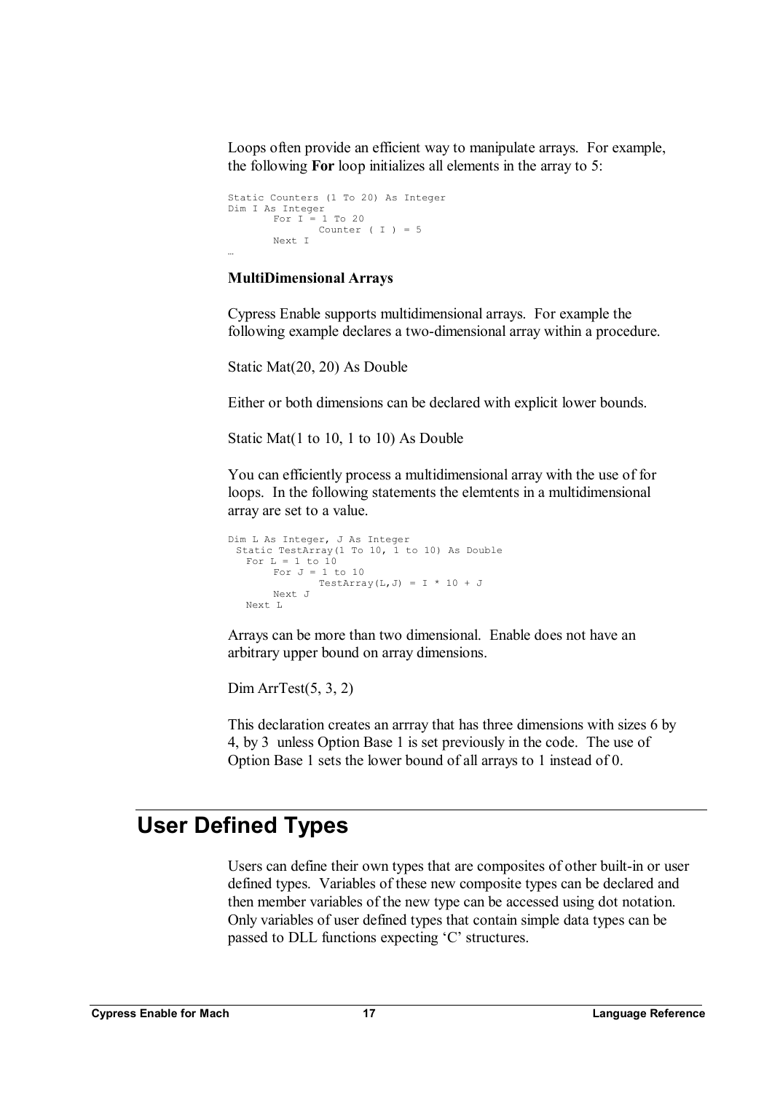Loops often provide an efficient way to manipulate arrays. For example, the following **For** loop initializes all elements in the array to 5:

```
Static Counters (1 To 20) As Integer 
Dim I As Integer 
      For I = 1 To 20
              Counter (I) = 5Next I 
…
```
#### **MultiDimensional Arrays**

Cypress Enable supports multidimensional arrays. For example the following example declares a two-dimensional array within a procedure.

Static Mat(20, 20) As Double

Either or both dimensions can be declared with explicit lower bounds.

Static Mat(1 to 10, 1 to 10) As Double

You can efficiently process a multidimensional array with the use of for loops. In the following statements the elemtents in a multidimensional array are set to a value.

```
Dim L As Integer, J As Integer 
  Static TestArray(1 To 10, 1 to 10) As Double 
  For L = 1 to 10For J = 1 to 10
              TestArray(L, J) = I * 10 + JNext J 
  Next L
```
Arrays can be more than two dimensional. Enable does not have an arbitrary upper bound on array dimensions.

Dim ArrTest $(5, 3, 2)$ 

This declaration creates an arrray that has three dimensions with sizes 6 by 4, by 3 unless Option Base 1 is set previously in the code. The use of Option Base 1 sets the lower bound of all arrays to 1 instead of 0.

### **User Defined Types**

Users can define their own types that are composites of other built-in or user defined types. Variables of these new composite types can be declared and then member variables of the new type can be accessed using dot notation. Only variables of user defined types that contain simple data types can be passed to DLL functions expecting 'C' structures.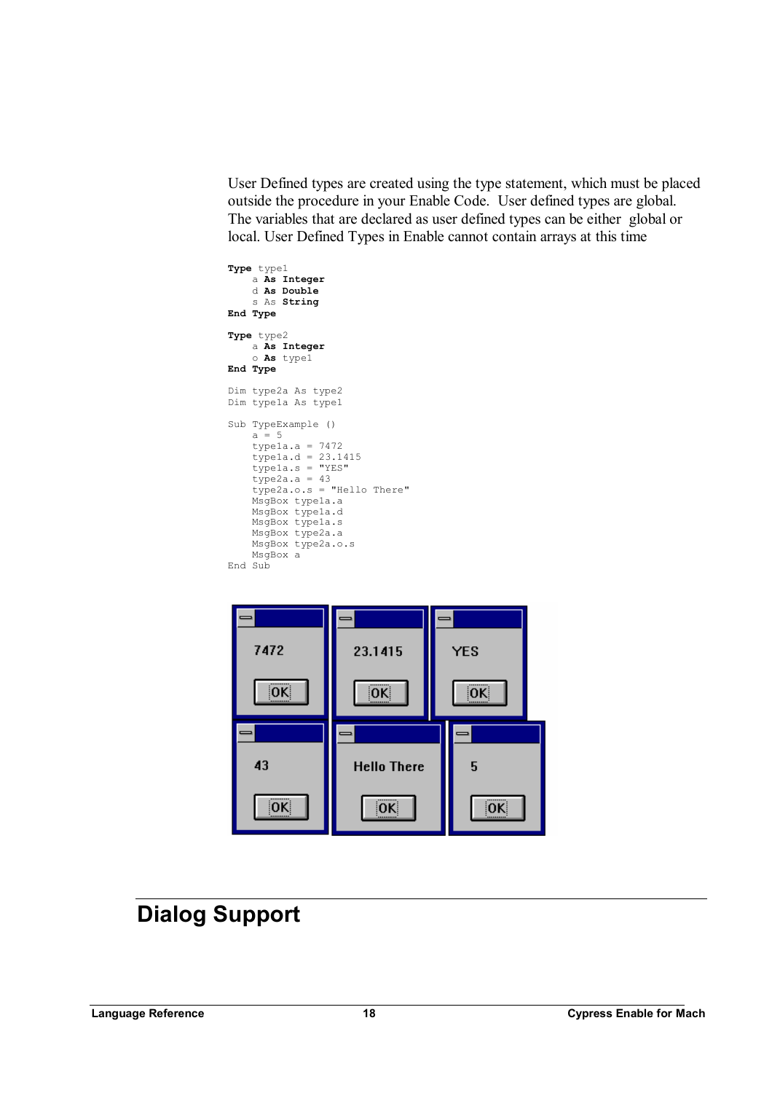User Defined types are created using the type statement, which must be placed outside the procedure in your Enable Code. User defined types are global. The variables that are declared as user defined types can be either global or local. User Defined Types in Enable cannot contain arrays at this time

```
Type type1 
    a As Integer
    d As Double
    s As String
End Type
Type type2 
   a As Integer
    o As type1 
End Type 
Dim type2a As type2 
Dim type1a As type1 
Sub TypeExample () 
    a = 5type1a.a = 7472type1a.d = 23.1415type1a.s = "YES" 
    type2a.a = 43 
    type2a.o.s = "Hello There" 
    MsgBox type1a.a 
    MsgBox type1a.d 
    MsgBox type1a.s 
    MsgBox type2a.a
    MsgBox type2a.o.s
    MsgBox a 
End Sub
```


# **Dialog Support**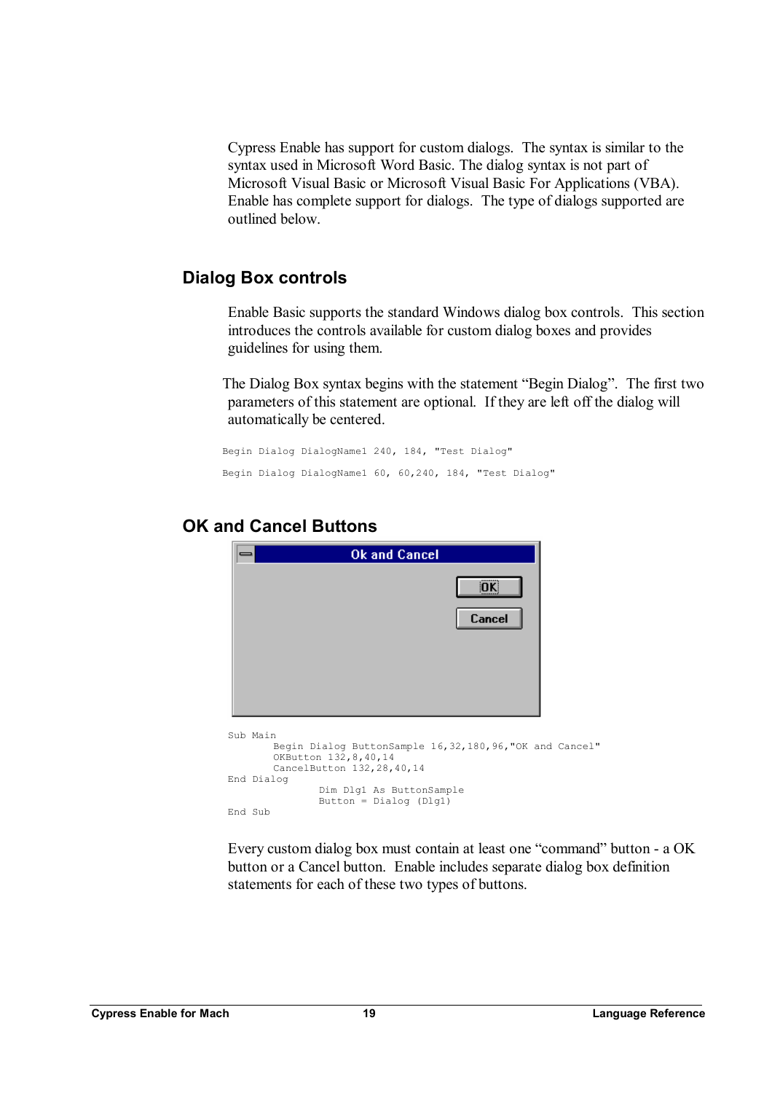Cypress Enable has support for custom dialogs. The syntax is similar to the syntax used in Microsoft Word Basic. The dialog syntax is not part of Microsoft Visual Basic or Microsoft Visual Basic For Applications (VBA). Enable has complete support for dialogs. The type of dialogs supported are outlined below.

#### **Dialog Box controls**

Enable Basic supports the standard Windows dialog box controls. This section introduces the controls available for custom dialog boxes and provides guidelines for using them.

The Dialog Box syntax begins with the statement "Begin Dialog". The first two parameters of this statement are optional. If they are left off the dialog will automatically be centered.

Begin Dialog DialogName1 240, 184, "Test Dialog" Begin Dialog DialogName1 60, 60,240, 184, "Test Dialog"



#### **OK and Cancel Buttons**

Every custom dialog box must contain at least one "command" button - a OK button or a Cancel button. Enable includes separate dialog box definition statements for each of these two types of buttons.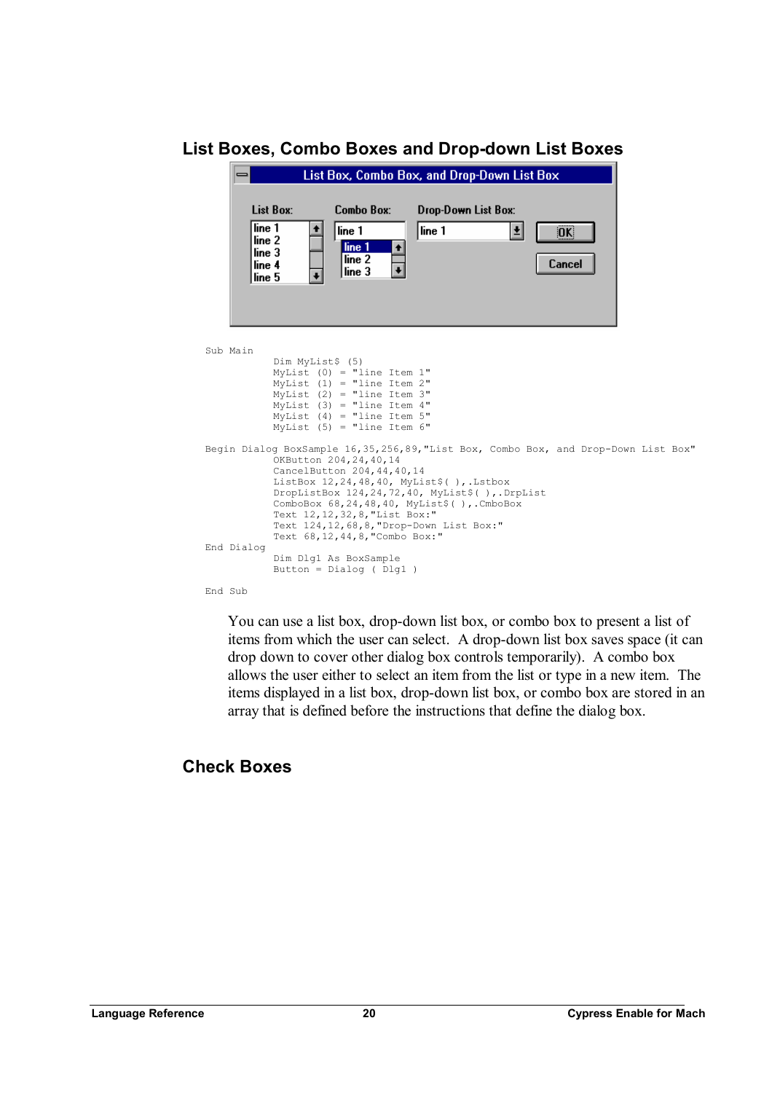

**List Boxes, Combo Boxes and Drop-down List Boxes** 

End Sub

You can use a list box, drop-down list box, or combo box to present a list of items from which the user can select. A drop-down list box saves space (it can drop down to cover other dialog box controls temporarily). A combo box allows the user either to select an item from the list or type in a new item. The items displayed in a list box, drop-down list box, or combo box are stored in an array that is defined before the instructions that define the dialog box.

#### **Check Boxes**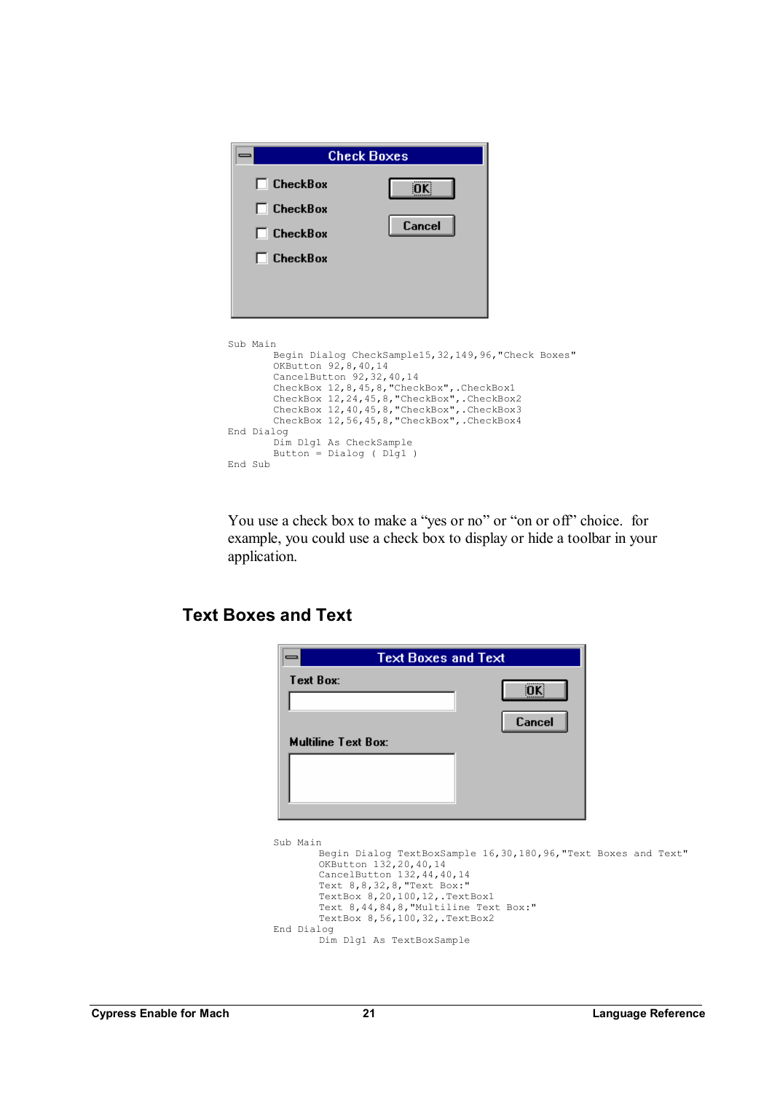

You use a check box to make a "yes or no" or "on or off" choice. for example, you could use a check box to display or hide a toolbar in your application.

#### **Text Boxes and Text**

| ᆖ                                                                                         | <b>Text Boxes and Text</b>                                                     |            |                                                                |
|-------------------------------------------------------------------------------------------|--------------------------------------------------------------------------------|------------|----------------------------------------------------------------|
| Text Box:                                                                                 |                                                                                | <b>OK:</b> |                                                                |
| <b>Multiline Text Box:</b>                                                                |                                                                                | Cancel     |                                                                |
| Sub Main                                                                                  |                                                                                |            |                                                                |
| OKButton 132, 20, 40, 14<br>CancelButton 132, 44, 40, 14<br>Text 8, 8, 32, 8, "Text Box:" | TextBox 8, 20, 100, 12, . TextBox1<br>Text 8, 44, 84, 8, "Multiline Text Box:" |            | Begin Dialog TextBoxSample 16,30,180,96, "Text Boxes and Text" |
| End Dialog                                                                                | TextBox 8,56,100,32, .TextBox2                                                 |            |                                                                |
| Dim Dlg1 As TextBoxSample                                                                 |                                                                                |            |                                                                |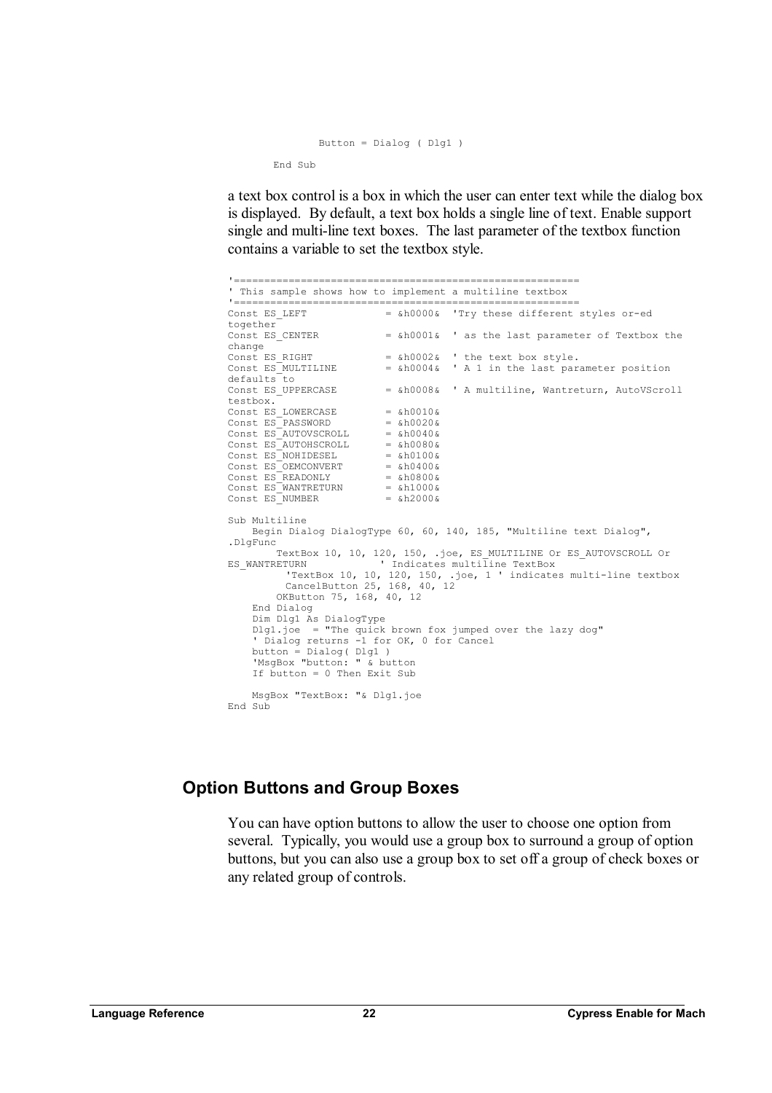```
 Button = Dialog ( Dlg1 ) 
End Sub
```
a text box control is a box in which the user can enter text while the dialog box is displayed. By default, a text box holds a single line of text. Enable support single and multi-line text boxes. The last parameter of the textbox function contains a variable to set the textbox style.

```
'========================================================= 
' This sample shows how to implement a multiline textbox 
'========================================================= 
                                  = &h0000& 'Try these different styles or-ed
together<br>Const ES CENTER
                                  = &h0001& ' as the last parameter of Textbox the
change 
Const ES_RIGHT = \&h0002\& ' the text box style.
Const ES_MULTILINE = \&h0004\& ' A 1 in the last parameter position
defaults to<br>Const ES UPPERCASE
                                   = &h0008& ' A multiline, Wantreturn, AutoVScroll
testbox. 
Const ES_LOWERCASE = \&h0010\&<br>Const ES_PASSWORD = \&h0020\&Const ES<sup>D</sup>RSSWORD = \&h0020\&h<br>Const ES<sup>-</sup>AUTOVSCROLL = \&h0040\&hConst ES<sup>-</sup>AUTOVSCROLL = \&h0040\&<br>Const ES-AUTOHSCROLL = \&h0080\&Const ES<sup>-</sup>AUTOHSCROLL = \&h0080\&<br>Const ES-NOHIDESEL = \&h0100\&Const ES-NOHIDESEL = \&h0100\&<br>Const ES OEMCONVERT = \&h0400\&Const ES OEMCONVERT = \&h0400\&<br>Const ES READONLY = \&h0800\&Const ESREADONLY = \&h0800\&<br>Const ES WANTRETURN = \&h1000\&Const ESWANTRETURN = \frac{6 \text{h}1000 \delta}{\text{h}1000 \delta}<br>Const ES NUMBER = \frac{6 \text{h}1000 \delta}{\text{h}1000 \delta}Const ES_NUMBER
Sub Multiline 
     Begin Dialog DialogType 60, 60, 140, 185, "Multiline text Dialog", 
.DlgFunc 
TextBox 10, 10, 120, 150, .joe, ES_MULTILINE Or ES_AUTOVSCROLL Or<br>Indicates multiline TextBox
ES_WANTRETURN ' Indicates multiline TextBox 
              'TextBox 10, 10, 120, 150, .joe, 1 ' indicates multi-line textbox 
            CancelButton 25, 168, 40, 12 
          OKButton 75, 168, 40, 12 
     End Dialog 
     Dim Dlg1 As DialogType 
     Dlg1.joe = "The quick brown fox jumped over the lazy dog"
     ' Dialog returns
                             -1 for OK, 0 for Cancel
     button = Dialog( Dlg1 ) 
     'MsgBox "button: " & button 
     If button = 0 Then Exit Sub 
     MsgBox "TextBox: "& Dlg1.joe 
End Sub
```
#### **Option Buttons and Group Boxes**

You can have option buttons to allow the user to choose one option from several. Typically, you would use a group box to surround a group of option buttons, but you can also use a group box to set off a group of check boxes or any related group of controls.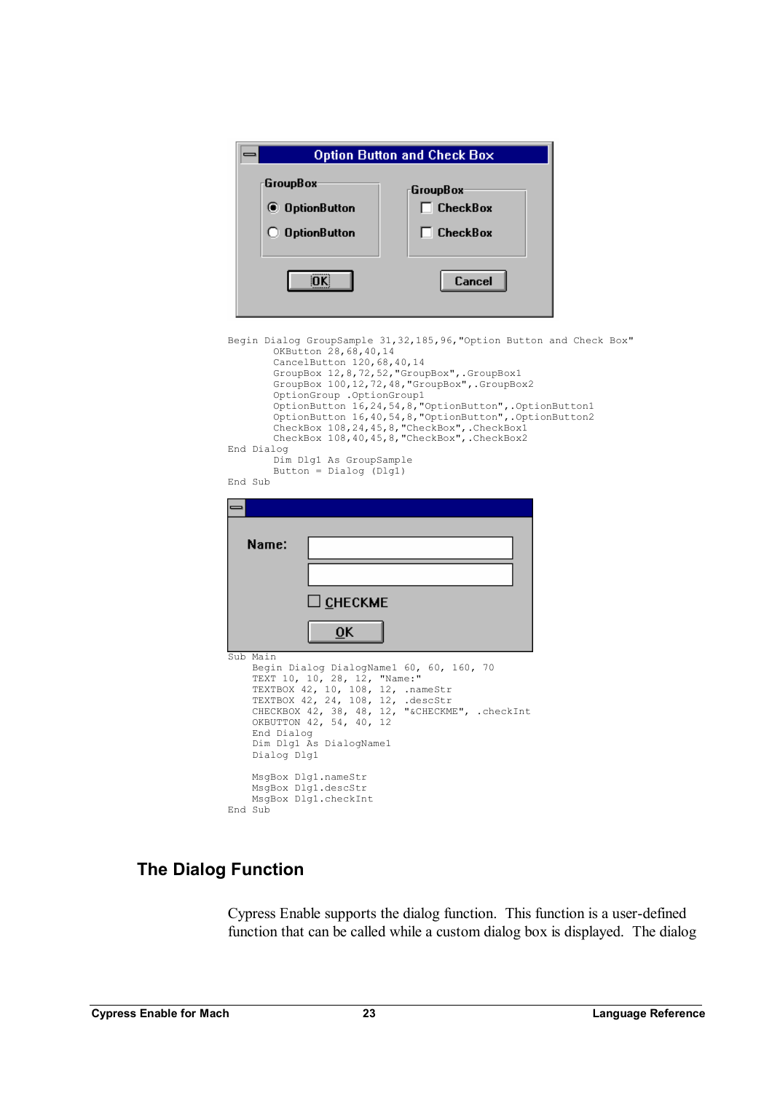

| Begin Dialog GroupSample 31, 32, 185, 96, "Option Button and Check Box" |
|-------------------------------------------------------------------------|
| OKButton 28,68,40,14                                                    |
| CancelButton 120, 68, 40, 14                                            |
| GroupBox 12, 8, 72, 52, "GroupBox", . GroupBox1                         |
| GroupBox 100, 12, 72, 48, "GroupBox", . GroupBox2                       |
| OptionGroup .OptionGroup1                                               |
| OptionButton 16, 24, 54, 8, "OptionButton", . OptionButton1             |
| OptionButton 16,40,54,8,"OptionButton",.OptionButton2                   |
| CheckBox 108, 24, 45, 8, "CheckBox", . CheckBox1                        |
| CheckBox 108, 40, 45, 8, "CheckBox", . CheckBox2                        |
| End Dialog                                                              |
| Dim Dlg1 As GroupSample                                                 |
| Button = $Dialog (Dlq1)$                                                |
| End Sub                                                                 |

|         | Name:                                                                                                                                                                                                                                                                                               |
|---------|-----------------------------------------------------------------------------------------------------------------------------------------------------------------------------------------------------------------------------------------------------------------------------------------------------|
|         | $\Box$ CHECKME<br><b>OK</b>                                                                                                                                                                                                                                                                         |
|         | Sub Main<br>Begin Dialog DialogName1 60, 60, 160, 70<br>TEXT 10, 10, 28, 12, "Name:"<br>TEXTBOX 42, 10, 108, 12, .nameStr<br>TEXTBOX 42, 24, 108, 12, .descStr<br>CHECKBOX 42, 38, 48, 12, "&CHECKME", .checkInt<br>OKBUTTON 42, 54, 40, 12<br>End Dialog<br>Dim Dlg1 As DialogName1<br>Dialog Dlg1 |
| End Sub | MsqBox Dlq1.nameStr<br>MsqBox Dlq1.descStr<br>MsqBox Dlg1.checkInt                                                                                                                                                                                                                                  |

### **The Dialog Function**

Cypress Enable supports the dialog function. This function is a user-defined function that can be called while a custom dialog box is displayed. The dialog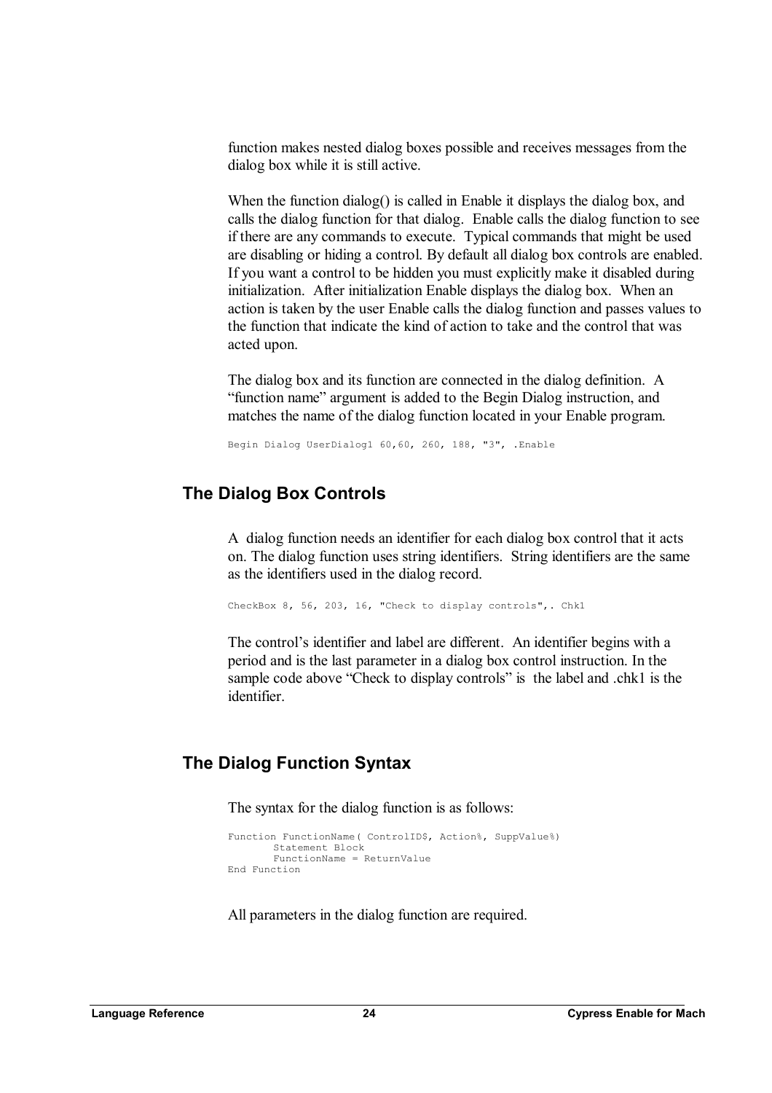function makes nested dialog boxes possible and receives messages from the dialog box while it is still active.

When the function dialog() is called in Enable it displays the dialog box, and calls the dialog function for that dialog. Enable calls the dialog function to see if there are any commands to execute. Typical commands that might be used are disabling or hiding a control. By default all dialog box controls are enabled. If you want a control to be hidden you must explicitly make it disabled during initialization. After initialization Enable displays the dialog box. When an action is taken by the user Enable calls the dialog function and passes values to the function that indicate the kind of action to take and the control that was acted upon.

The dialog box and its function are connected in the dialog definition. A "function name" argument is added to the Begin Dialog instruction, and matches the name of the dialog function located in your Enable program.

Begin Dialog UserDialog1 60,60, 260, 188, "3", .Enable

#### **The Dialog Box Controls**

A dialog function needs an identifier for each dialog box control that it acts on. The dialog function uses string identifiers. String identifiers are the same as the identifiers used in the dialog record.

CheckBox 8, 56, 203, 16, "Check to display controls",. Chk1

The control's identifier and label are different. An identifier begins with a period and is the last parameter in a dialog box control instruction. In the sample code above "Check to display controls" is the label and .chk1 is the identifier.

### **The Dialog Function Syntax**

The syntax for the dialog function is as follows:

```
Function FunctionName ( ControlID$, Action%, SuppValue%)
       Statement Block 
       FunctionName = ReturnValue 
End Function
```
All parameters in the dialog function are required.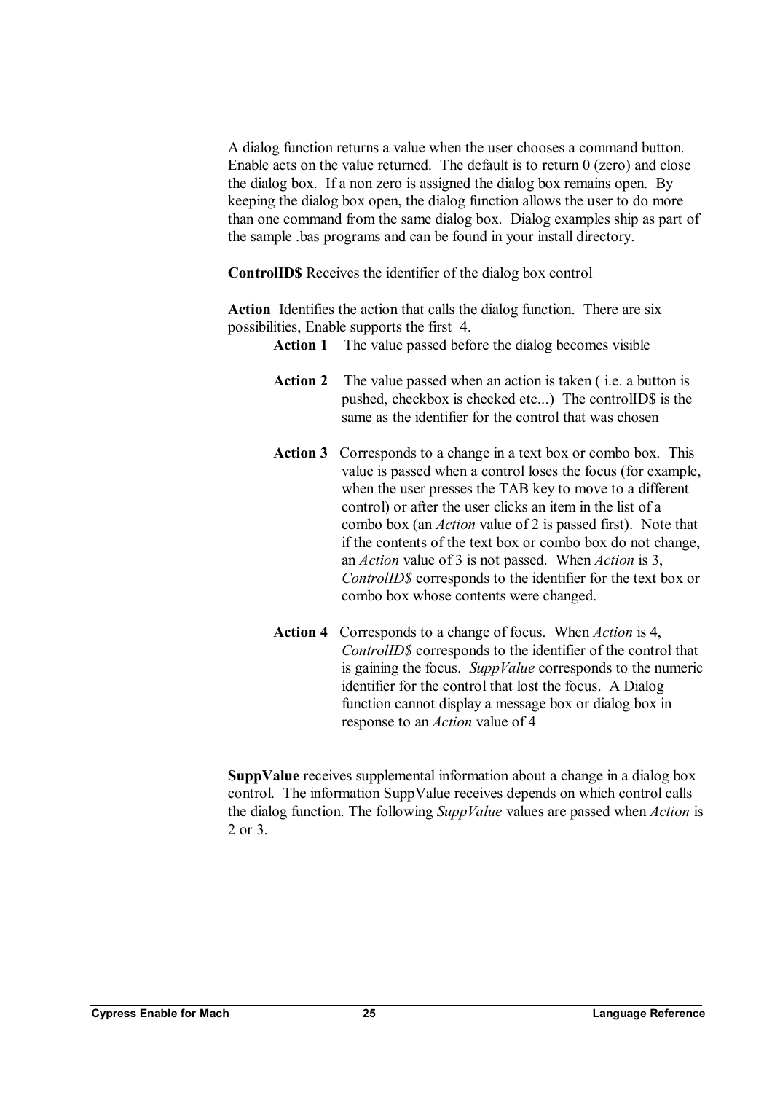A dialog function returns a value when the user chooses a command button. Enable acts on the value returned. The default is to return 0 (zero) and close the dialog box. If a non zero is assigned the dialog box remains open. By keeping the dialog box open, the dialog function allows the user to do more than one command from the same dialog box. Dialog examples ship as part of the sample .bas programs and can be found in your install directory.

**ControlID\$** Receives the identifier of the dialog box control

**Action** Identifies the action that calls the dialog function. There are six possibilities, Enable supports the first 4.

**Action 1** The value passed before the dialog becomes visible

- **Action 2** The value passed when an action is taken ( i.e. a button is pushed, checkbox is checked etc...) The controlID\$ is the same as the identifier for the control that was chosen
- **Action 3** Corresponds to a change in a text box or combo box. This value is passed when a control loses the focus (for example, when the user presses the TAB key to move to a different control) or after the user clicks an item in the list of a combo box (an *Action* value of 2 is passed first). Note that if the contents of the text box or combo box do not change, an *Action* value of 3 is not passed. When *Action* is 3, *ControlID\$* corresponds to the identifier for the text box or combo box whose contents were changed.
- **Action 4** Corresponds to a change of focus. When *Action* is 4, *ControlID\$* corresponds to the identifier of the control that is gaining the focus. *SuppValue* corresponds to the numeric identifier for the control that lost the focus. A Dialog function cannot display a message box or dialog box in response to an *Action* value of 4

**SuppValue** receives supplemental information about a change in a dialog box control. The information SuppValue receives depends on which control calls the dialog function. The following *SuppValue* values are passed when *Action* is 2 or 3.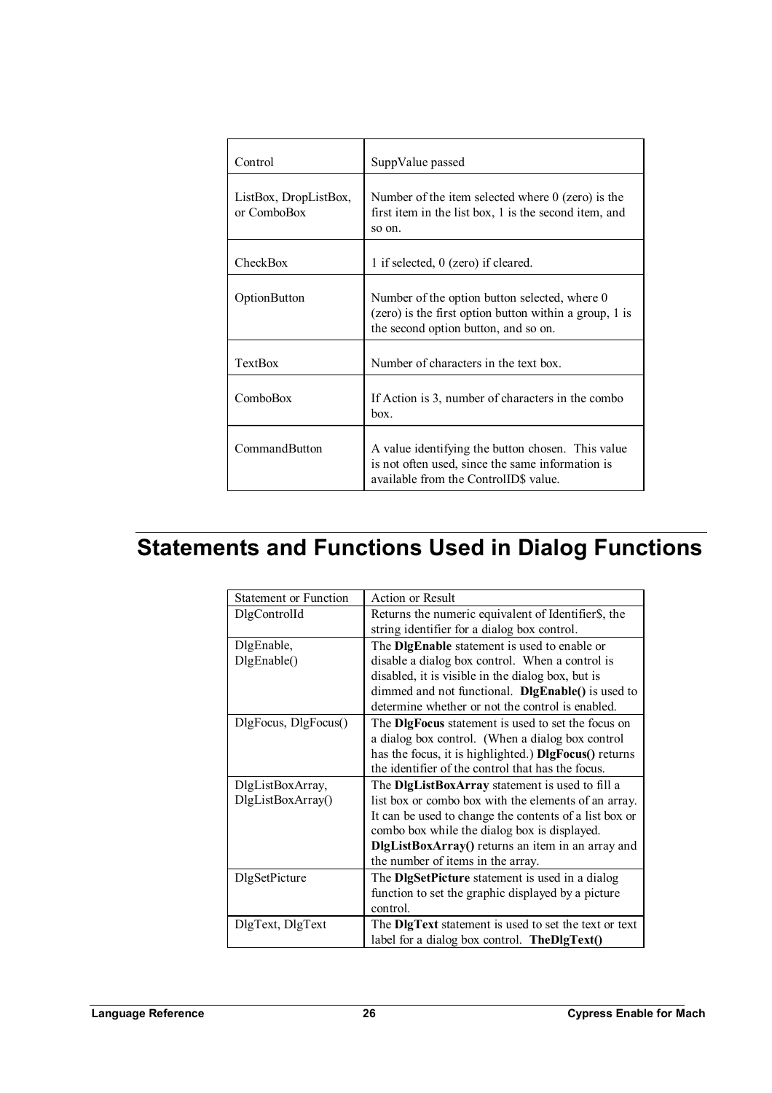| Control                              | SuppValue passed                                                                                                                                |
|--------------------------------------|-------------------------------------------------------------------------------------------------------------------------------------------------|
| ListBox, DropListBox,<br>or ComboBox | Number of the item selected where $0$ (zero) is the<br>first item in the list box, 1 is the second item, and<br>so on.                          |
| CheckBox                             | 1 if selected, 0 (zero) if cleared.                                                                                                             |
| OptionButton                         | Number of the option button selected, where 0<br>(zero) is the first option button within a group, 1 is<br>the second option button, and so on. |
| TextBox                              | Number of characters in the text box.                                                                                                           |
| ComboBox                             | If Action is 3, number of characters in the combo<br>box.                                                                                       |
| CommandButton                        | A value identifying the button chosen. This value<br>is not often used, since the same information is<br>available from the ControlID\$ value.  |

# **Statements and Functions Used in Dialog Functions**

| <b>Statement or Function</b> | <b>Action or Result</b>                                       |
|------------------------------|---------------------------------------------------------------|
| DlgControlId                 | Returns the numeric equivalent of Identifier\$, the           |
|                              | string identifier for a dialog box control.                   |
| DlgEnable,                   | The DigEnable statement is used to enable or                  |
| DlgEnable()                  | disable a dialog box control. When a control is               |
|                              | disabled, it is visible in the dialog box, but is             |
|                              | dimmed and not functional. <b>DigEnable()</b> is used to      |
|                              | determine whether or not the control is enabled.              |
| DlgFocus, DlgFocus()         | The DlgFocus statement is used to set the focus on            |
|                              | a dialog box control. (When a dialog box control              |
|                              | has the focus, it is highlighted.) <b>DigFocus</b> () returns |
|                              | the identifier of the control that has the focus.             |
| DlgListBoxArray,             | The DigListBoxArray statement is used to fill a               |
| DlgListBoxArray()            | list box or combo box with the elements of an array.          |
|                              | It can be used to change the contents of a list box or        |
|                              | combo box while the dialog box is displayed.                  |
|                              | <b>DigListBoxArray</b> () returns an item in an array and     |
|                              | the number of items in the array.                             |
| DlgSetPicture                | The <b>DigSetPicture</b> statement is used in a dialog        |
|                              | function to set the graphic displayed by a picture            |
|                              | control.                                                      |
| DlgText, DlgText             | The <b>DigText</b> statement is used to set the text or text  |
|                              | label for a dialog box control. <b>TheDlgText</b> ()          |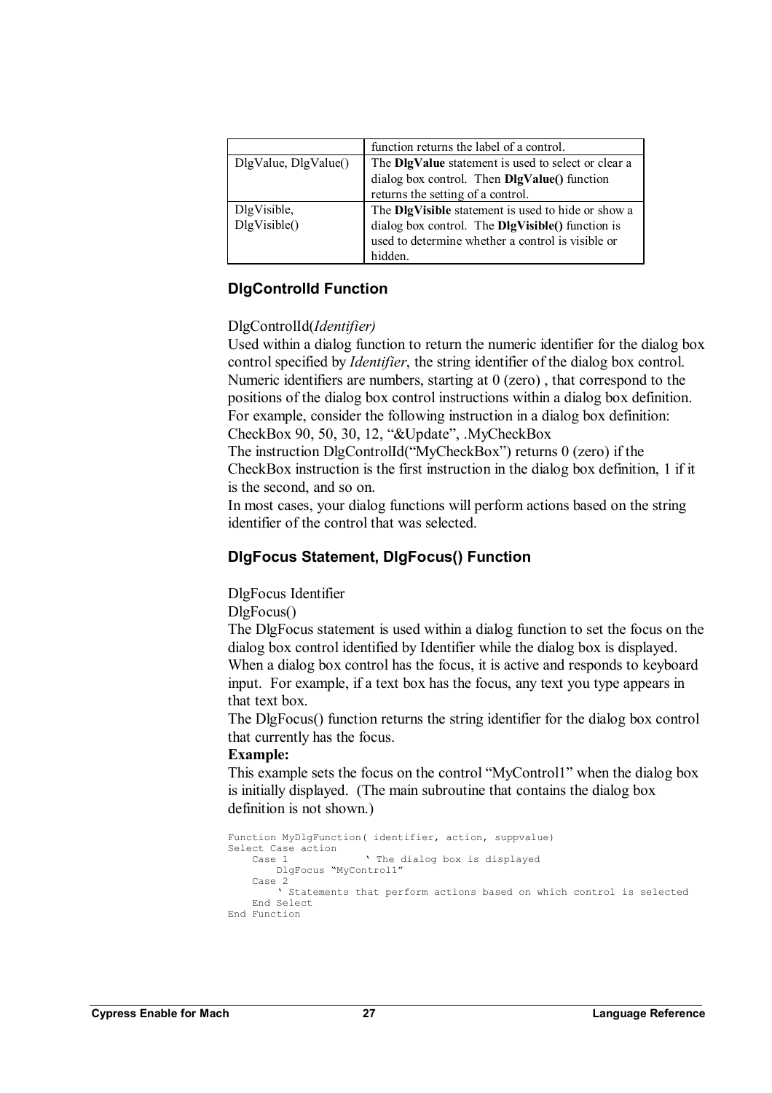|                      | function returns the label of a control.            |  |
|----------------------|-----------------------------------------------------|--|
| DlgValue, DlgValue() | The DlgValue statement is used to select or clear a |  |
|                      | dialog box control. Then DlgValue() function        |  |
|                      | returns the setting of a control.                   |  |
| DlgVisible,          | The DlgVisible statement is used to hide or show a  |  |
| DlgVisible()         | dialog box control. The DlgVisible() function is    |  |
|                      | used to determine whether a control is visible or   |  |
|                      | hidden.                                             |  |

#### **DlgControlId Function**

#### DlgControlId(*Identifier)*

Used within a dialog function to return the numeric identifier for the dialog box control specified by *Identifier*, the string identifier of the dialog box control. Numeric identifiers are numbers, starting at 0 (zero) , that correspond to the positions of the dialog box control instructions within a dialog box definition. For example, consider the following instruction in a dialog box definition: CheckBox 90, 50, 30, 12, "&Update", .MyCheckBox

The instruction DlgControlId("MyCheckBox") returns 0 (zero) if the CheckBox instruction is the first instruction in the dialog box definition, 1 if it is the second, and so on.

In most cases, your dialog functions will perform actions based on the string identifier of the control that was selected.

#### **DlgFocus Statement, DlgFocus() Function**

#### DlgFocus Identifier

DlgFocus()

The DlgFocus statement is used within a dialog function to set the focus on the dialog box control identified by Identifier while the dialog box is displayed. When a dialog box control has the focus, it is active and responds to keyboard input. For example, if a text box has the focus, any text you type appears in that text box.

The DlgFocus() function returns the string identifier for the dialog box control that currently has the focus.

#### **Example:**

This example sets the focus on the control "MyControl1" when the dialog box is initially displayed. (The main subroutine that contains the dialog box definition is not shown.)

```
Function MyDlgFunction( identifier, action, suppvalue) 
Select Case action<br>Case 1
                        ' The dialog box is displayed
        DlgFocus "MyControl1" 
    Case 2 
         ' Statements that perform actions based on which control is selected 
    End Select 
End Function
```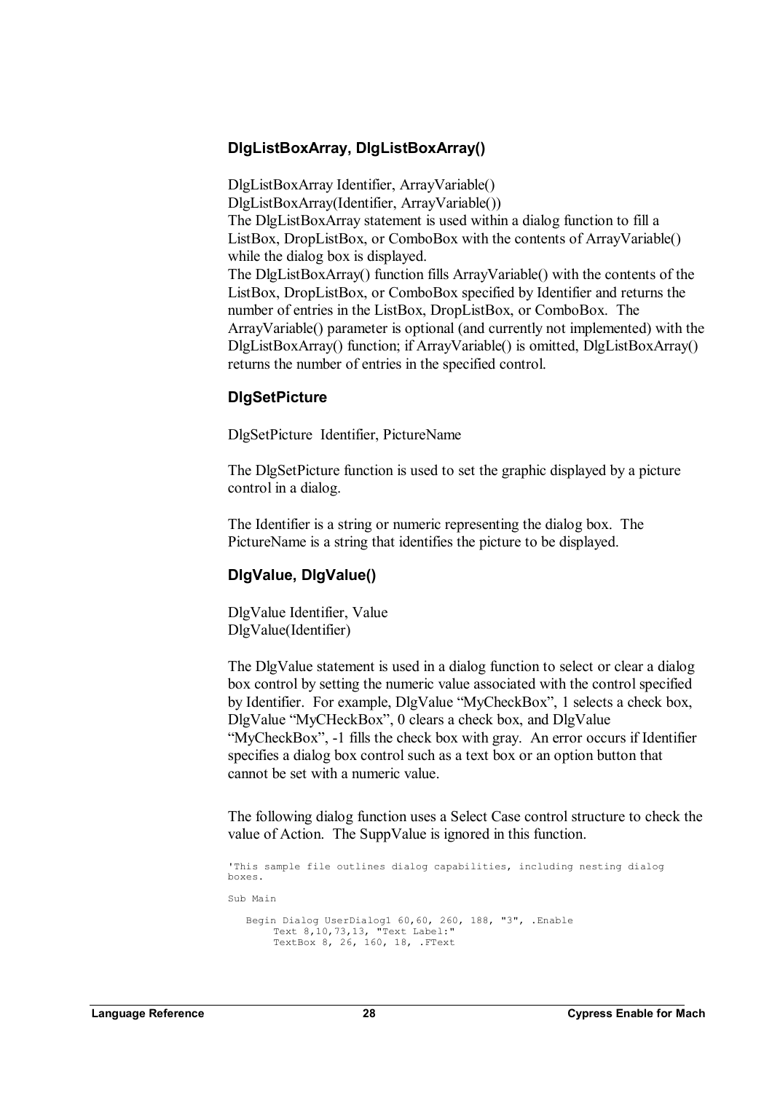#### **DlgListBoxArray, DlgListBoxArray()**

DlgListBoxArray Identifier, ArrayVariable() DlgListBoxArray(Identifier, ArrayVariable()) The DlgListBoxArray statement is used within a dialog function to fill a ListBox, DropListBox, or ComboBox with the contents of ArrayVariable() while the dialog box is displayed. The DlgListBoxArray() function fills ArrayVariable() with the contents of the ListBox, DropListBox, or ComboBox specified by Identifier and returns the number of entries in the ListBox, DropListBox, or ComboBox. The ArrayVariable() parameter is optional (and currently not implemented) with the DlgListBoxArray() function; if ArrayVariable() is omitted, DlgListBoxArray() returns the number of entries in the specified control.

#### **DlgSetPicture**

DlgSetPicture Identifier, PictureName

The DlgSetPicture function is used to set the graphic displayed by a picture control in a dialog.

The Identifier is a string or numeric representing the dialog box. The PictureName is a string that identifies the picture to be displayed.

#### **DlgValue, DlgValue()**

DlgValue Identifier, Value DlgValue(Identifier)

The DlgValue statement is used in a dialog function to select or clear a dialog box control by setting the numeric value associated with the control specified by Identifier. For example, DlgValue "MyCheckBox", 1 selects a check box, DlgValue "MyCHeckBox", 0 clears a check box, and DlgValue "MyCheckBox", -1 fills the check box with gray. An error occurs if Identifier specifies a dialog box control such as a text box or an option button that cannot be set with a numeric value.

The following dialog function uses a Select Case control structure to check the value of Action. The SuppValue is ignored in this function.

'This sample file outlines dialog capabilities, including nesting dialog boxes. Sub Main Begin Dialog UserDialog1 60,60, 260, 188, "3", .Enable Text 8,10,73,13, "Text Label:" TextBox 8, 26, 160, 18, .FText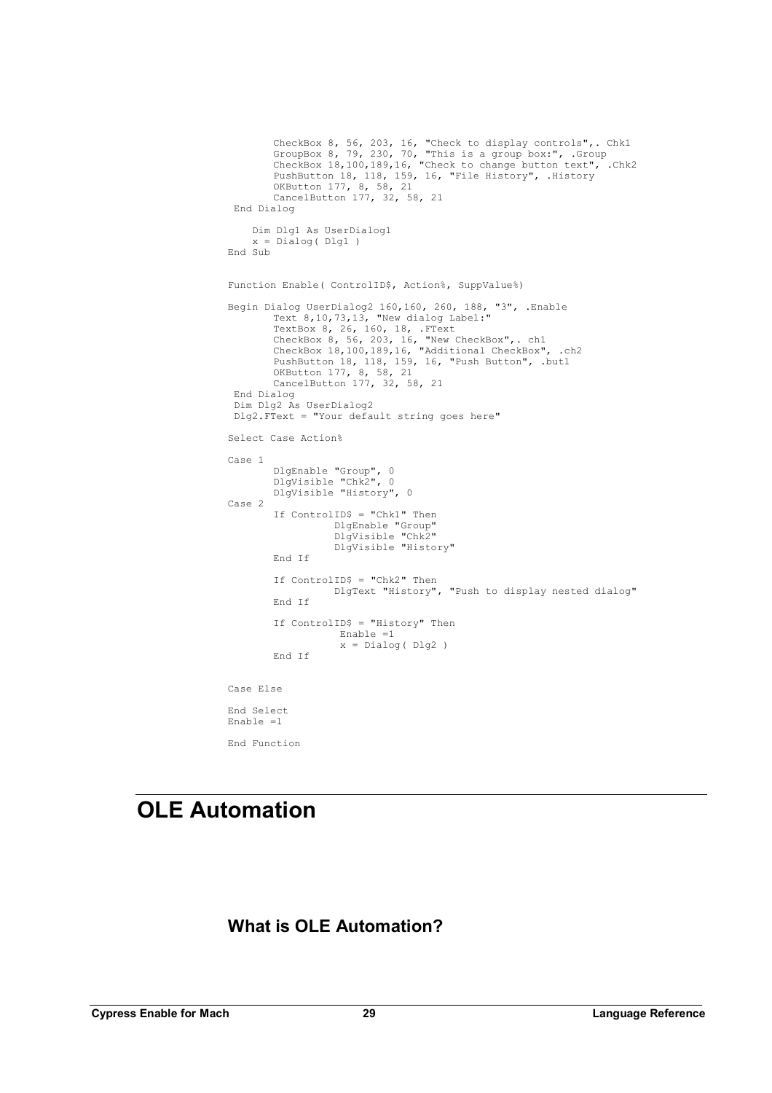```
CheckBox 8, 56, 203, 16, "Check to display controls",. Chk1 
        GroupBox 8, 79, 230, 70, "This is a group box:", .Group 
        CheckBox 18,100,189,16, "Check to change button text", .Chk2 
        PushButton 18, 118, 159, 16, "File History", .History 
        OKButton 177, 8, 58, 21 
        CancelButton 177, 32, 58, 21 
 End Dialog 
    Dim Dlg1 As UserDialog1 
   x = \overline{\text{Dialog}} \left( \text{Dlq1} \right)End Sub 
Function Enable( ControlID$, Action%, SuppValue%) 
Begin Dialog UserDialog2 160,160, 260, 188, "3", .Enable 
        Text 8,10,73,13, "New dialog Label:" 
        TextBox 8, 26, 160, 18, .FText 
        CheckBox 8, 56, 203, 16, "New CheckBox",. ch1 
        CheckBox 18,100,189,16, "Additional CheckBox", .ch2 
        PushButton 18, 118, 159, 16, "Push Button", .but1 
        OKButton 177, 8, 58, 21 
        CancelButton 177, 32, 58, 21 
 End Dialog 
 Dim Dlg2 As UserDialog2 
 Dlg2.FText = "Your default string goes here" 
Select Case Action% 
Case 1 
        DlgEnable "Group", 0 
        DlgVisible "Chk2", 0 
        DlgVisible "History", 0 
Case 2 
        If ControlID$ = "Chk1" Then 
                   DlgEnable "Group" 
                   DlgVisible "Chk2" 
                  DlgVisible "History" 
       End If 
        If ControlID$ = "Chk2" Then 
                  DlgText "History", "Push to display nested dialog" 
        End If 
        If ControlID$ = "History" Then 
                   Enable =1 
                   x = \text{Dialog}(\text{Dlg2})End If 
Case Else 
End Select 
Enable =1 
End Function
```
# **OLE Automation**

#### **What is OLE Automation?**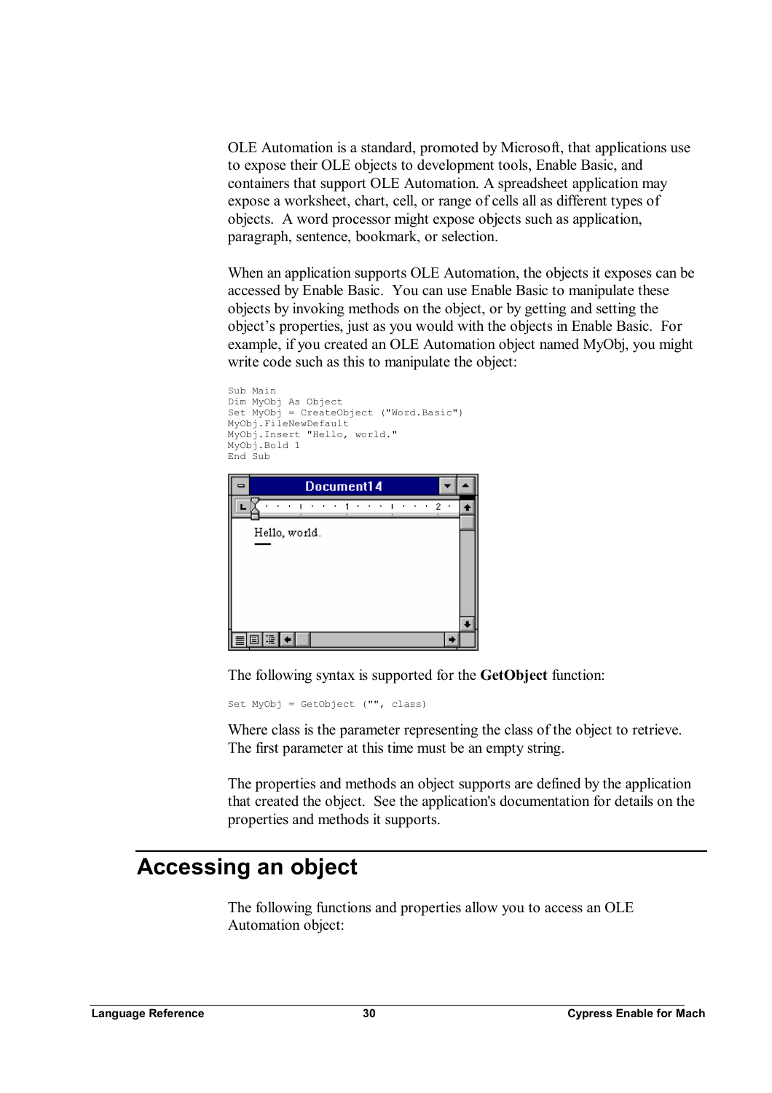OLE Automation is a standard, promoted by Microsoft, that applications use to expose their OLE objects to development tools, Enable Basic, and containers that support OLE Automation. A spreadsheet application may expose a worksheet, chart, cell, or range of cells all as different types of objects. A word processor might expose objects such as application, paragraph, sentence, bookmark, or selection.

When an application supports OLE Automation, the objects it exposes can be accessed by Enable Basic. You can use Enable Basic to manipulate these objects by invoking methods on the object, or by getting and setting the object's properties, just as you would with the objects in Enable Basic. For example, if you created an OLE Automation object named MyObj, you might write code such as this to manipulate the object:

| Sub Main<br>Dim MyObj As Object<br>Set MyObj = CreateObject ("Word.Basic")<br>MyObj.FileNewDefault<br>MyObj. Insert "Hello, world."<br>MyObj.Bold 1<br>End Sub |  |
|----------------------------------------------------------------------------------------------------------------------------------------------------------------|--|
| Document14<br>1.1<br>2<br>$\blacksquare$                                                                                                                       |  |
| Hello, world.                                                                                                                                                  |  |
|                                                                                                                                                                |  |

The following syntax is supported for the **GetObject** function:

Set MyObj = GetObject ("", class)

Where class is the parameter representing the class of the object to retrieve. The first parameter at this time must be an empty string.

The properties and methods an object supports are defined by the application that created the object. See the application's documentation for details on the properties and methods it supports.

# **Accessing an object**

The following functions and properties allow you to access an OLE Automation object: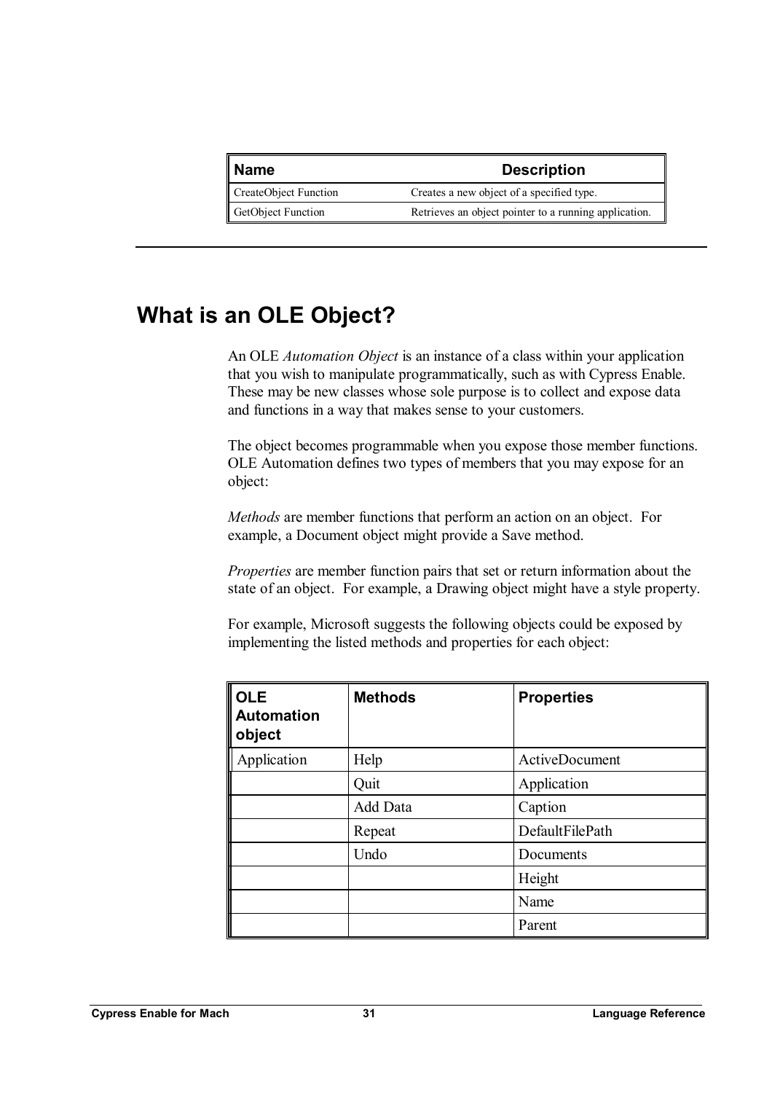| ∥ Name                | <b>Description</b>                                    |  |
|-----------------------|-------------------------------------------------------|--|
| CreateObject Function | Creates a new object of a specified type.             |  |
| GetObject Function    | Retrieves an object pointer to a running application. |  |

## **What is an OLE Object?**

An OLE *Automation Object* is an instance of a class within your application that you wish to manipulate programmatically, such as with Cypress Enable. These may be new classes whose sole purpose is to collect and expose data and functions in a way that makes sense to your customers.

The object becomes programmable when you expose those member functions. OLE Automation defines two types of members that you may expose for an object:

*Methods* are member functions that perform an action on an object. For example, a Document object might provide a Save method.

*Properties* are member function pairs that set or return information about the state of an object. For example, a Drawing object might have a style property.

For example, Microsoft suggests the following objects could be exposed by implementing the listed methods and properties for each object:

| <b>OLE</b><br><b>Automation</b><br>object | <b>Methods</b> | <b>Properties</b> |
|-------------------------------------------|----------------|-------------------|
| Application                               | Help           | ActiveDocument    |
|                                           | Quit           | Application       |
|                                           | Add Data       | Caption           |
|                                           | Repeat         | DefaultFilePath   |
|                                           | Undo           | Documents         |
|                                           |                | Height            |
|                                           |                | Name              |
|                                           |                | Parent            |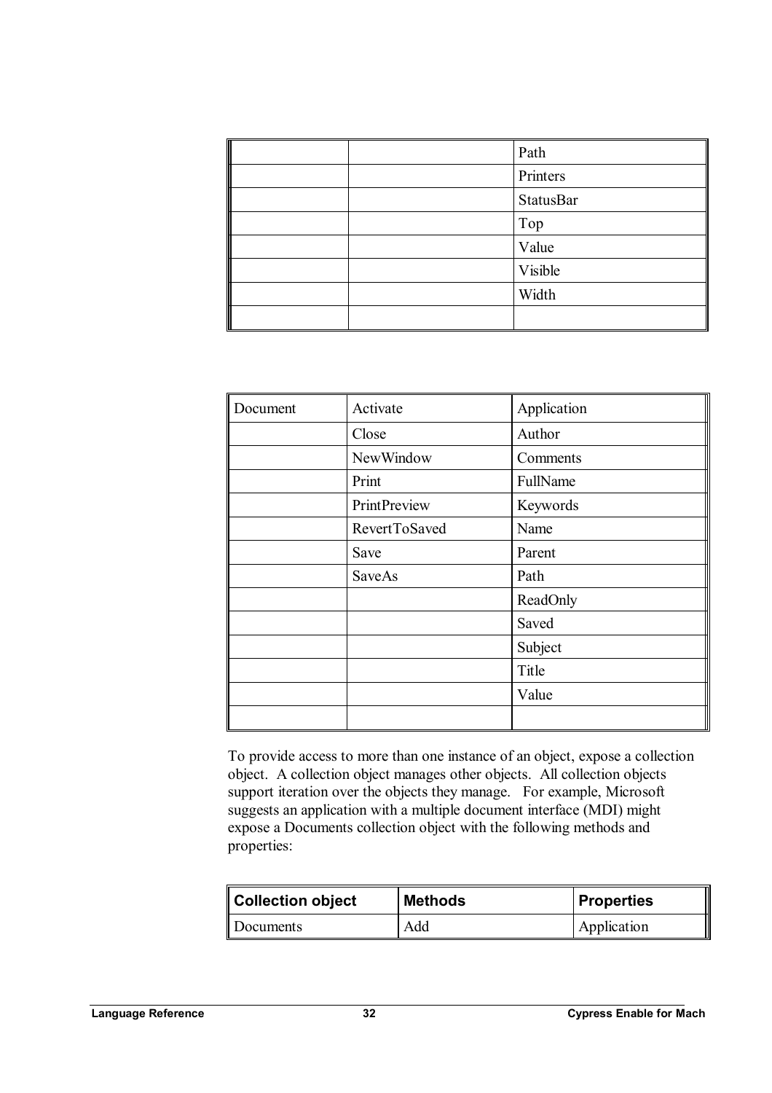| Path      |
|-----------|
| Printers  |
| StatusBar |
| Top       |
| Value     |
| Visible   |
| Width     |
|           |

| Document | Activate      | Application |
|----------|---------------|-------------|
|          | Close         | Author      |
|          | NewWindow     | Comments    |
|          | Print         | FullName    |
|          | PrintPreview  | Keywords    |
|          | RevertToSaved | Name        |
|          | Save          | Parent      |
|          | <b>SaveAs</b> | Path        |
|          |               | ReadOnly    |
|          |               | Saved       |
|          |               | Subject     |
|          |               | Title       |
|          |               | Value       |
|          |               |             |

To provide access to more than one instance of an object, expose a collection object. A collection object manages other objects. All collection objects support iteration over the objects they manage. For example, Microsoft suggests an application with a multiple document interface (MDI) might expose a Documents collection object with the following methods and properties:

| Collection object | <b>Methods</b> | <b>Properties</b> |
|-------------------|----------------|-------------------|
| Documents         | Add            | Application       |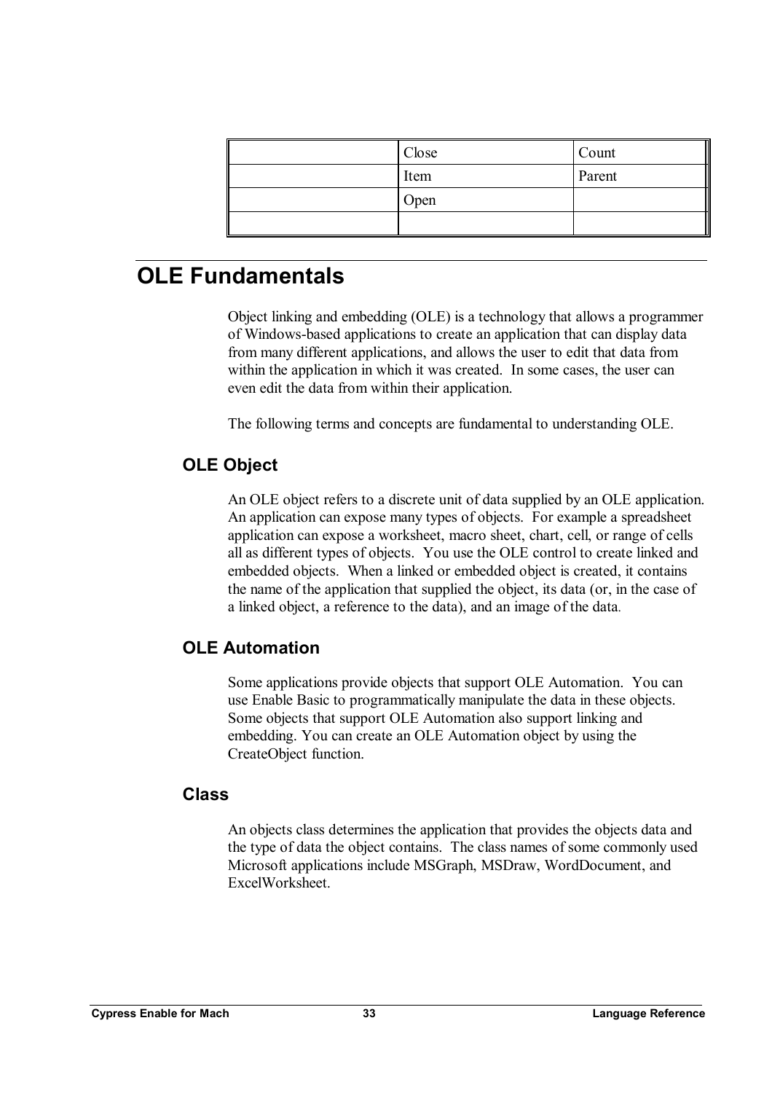| Close | Count  |
|-------|--------|
| Item  | Parent |
| Open  |        |
|       |        |

## **OLE Fundamentals**

Object linking and embedding (OLE) is a technology that allows a programmer of Windows-based applications to create an application that can display data from many different applications, and allows the user to edit that data from within the application in which it was created. In some cases, the user can even edit the data from within their application.

The following terms and concepts are fundamental to understanding OLE.

### **OLE Object**

An OLE object refers to a discrete unit of data supplied by an OLE application. An application can expose many types of objects. For example a spreadsheet application can expose a worksheet, macro sheet, chart, cell, or range of cells all as different types of objects. You use the OLE control to create linked and embedded objects. When a linked or embedded object is created, it contains the name of the application that supplied the object, its data (or, in the case of a linked object, a reference to the data), and an image of the data.

### **OLE Automation**

Some applications provide objects that support OLE Automation. You can use Enable Basic to programmatically manipulate the data in these objects. Some objects that support OLE Automation also support linking and embedding. You can create an OLE Automation object by using the CreateObject function.

#### **Class**

An objects class determines the application that provides the objects data and the type of data the object contains. The class names of some commonly used Microsoft applications include MSGraph, MSDraw, WordDocument, and ExcelWorksheet.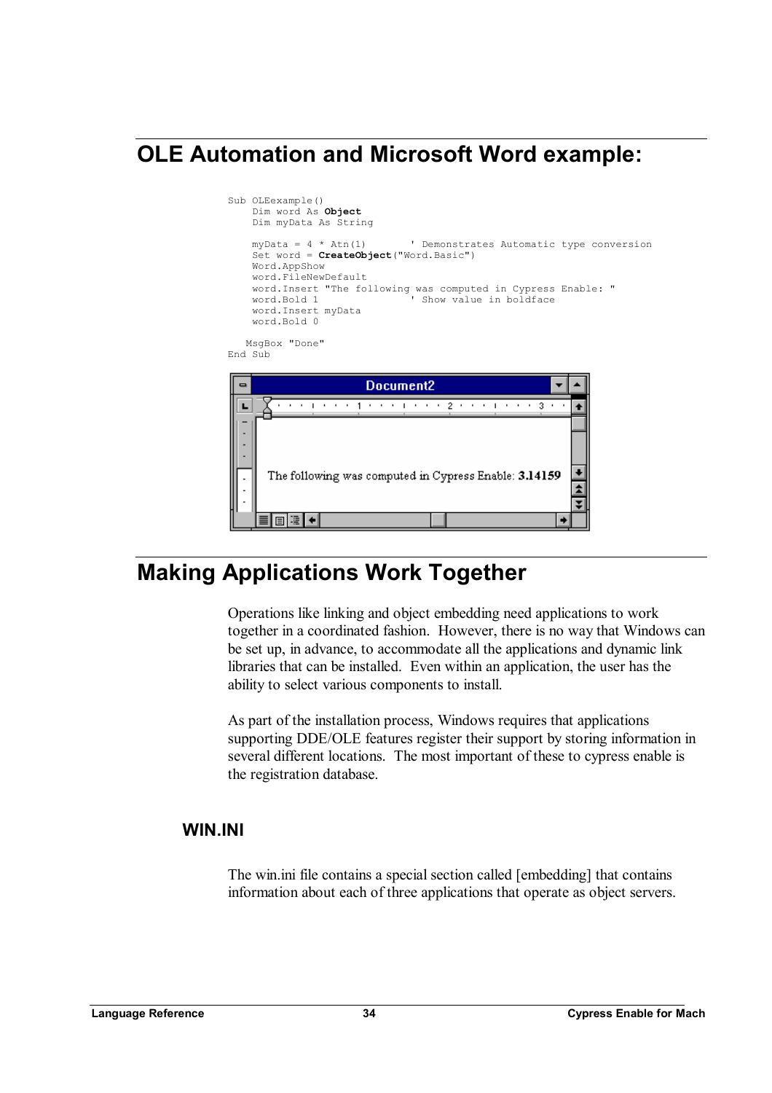# **OLE Automation and Microsoft Word example:**



# **Making Applications Work Together**

Operations like linking and object embedding need applications to work together in a coordinated fashion. However, there is no way that Windows can be set up, in advance, to accommodate all the applications and dynamic link libraries that can be installed. Even within an application, the user has the ability to select various components to install.

As part of the installation process, Windows requires that applications supporting DDE/OLE features register their support by storing information in several different locations. The most important of these to cypress enable is the registration database.

#### **WIN.INI**

The win.ini file contains a special section called [embedding] that contains information about each of three applications that operate as object servers.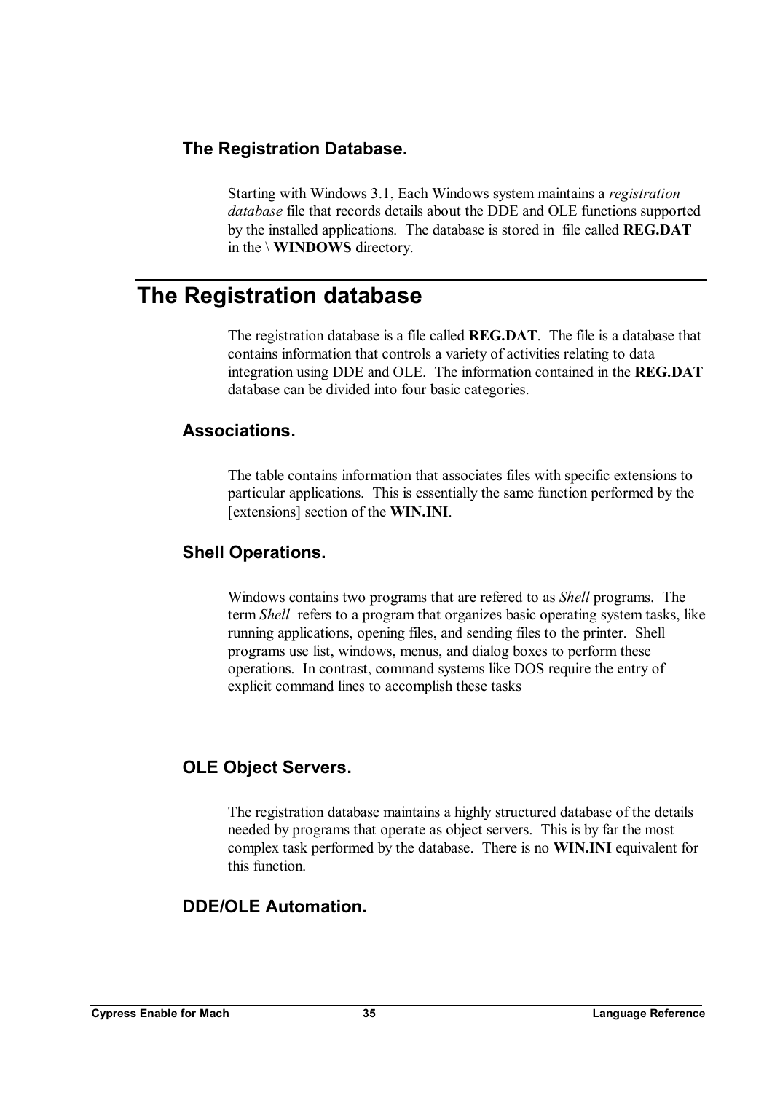### **The Registration Database.**

Starting with Windows 3.1, Each Windows system maintains a *registration database* file that records details about the DDE and OLE functions supported by the installed applications. The database is stored in file called **REG.DAT** in the \ **WINDOWS** directory.

### **The Registration database**

The registration database is a file called **REG.DAT**. The file is a database that contains information that controls a variety of activities relating to data integration using DDE and OLE. The information contained in the **REG.DAT** database can be divided into four basic categories.

#### **Associations.**

The table contains information that associates files with specific extensions to particular applications. This is essentially the same function performed by the [extensions] section of the **WIN.INI**.

### **Shell Operations.**

Windows contains two programs that are refered to as *Shell* programs. The term *Shell* refers to a program that organizes basic operating system tasks, like running applications, opening files, and sending files to the printer. Shell programs use list, windows, menus, and dialog boxes to perform these operations. In contrast, command systems like DOS require the entry of explicit command lines to accomplish these tasks

### **OLE Object Servers.**

The registration database maintains a highly structured database of the details needed by programs that operate as object servers. This is by far the most complex task performed by the database. There is no **WIN.INI** equivalent for this function.

### **DDE/OLE Automation.**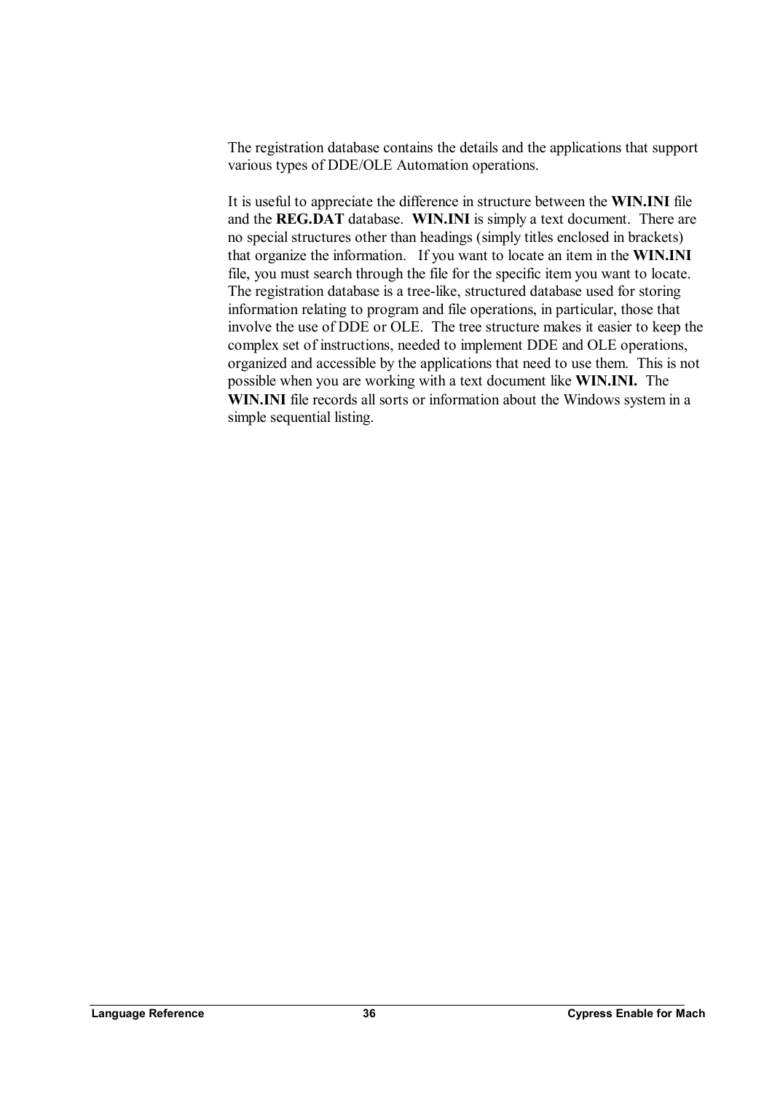The registration database contains the details and the applications that support various types of DDE/OLE Automation operations.

It is useful to appreciate the difference in structure between the **WIN.INI** file and the **REG.DAT** database. **WIN.INI** is simply a text document. There are no special structures other than headings (simply titles enclosed in brackets) that organize the information. If you want to locate an item in the **WIN.INI** file, you must search through the file for the specific item you want to locate. The registration database is a tree-like, structured database used for storing information relating to program and file operations, in particular, those that involve the use of DDE or OLE. The tree structure makes it easier to keep the complex set of instructions, needed to implement DDE and OLE operations, organized and accessible by the applications that need to use them. This is not possible when you are working with a text document like **WIN.INI.** The **WIN.INI** file records all sorts or information about the Windows system in a simple sequential listing.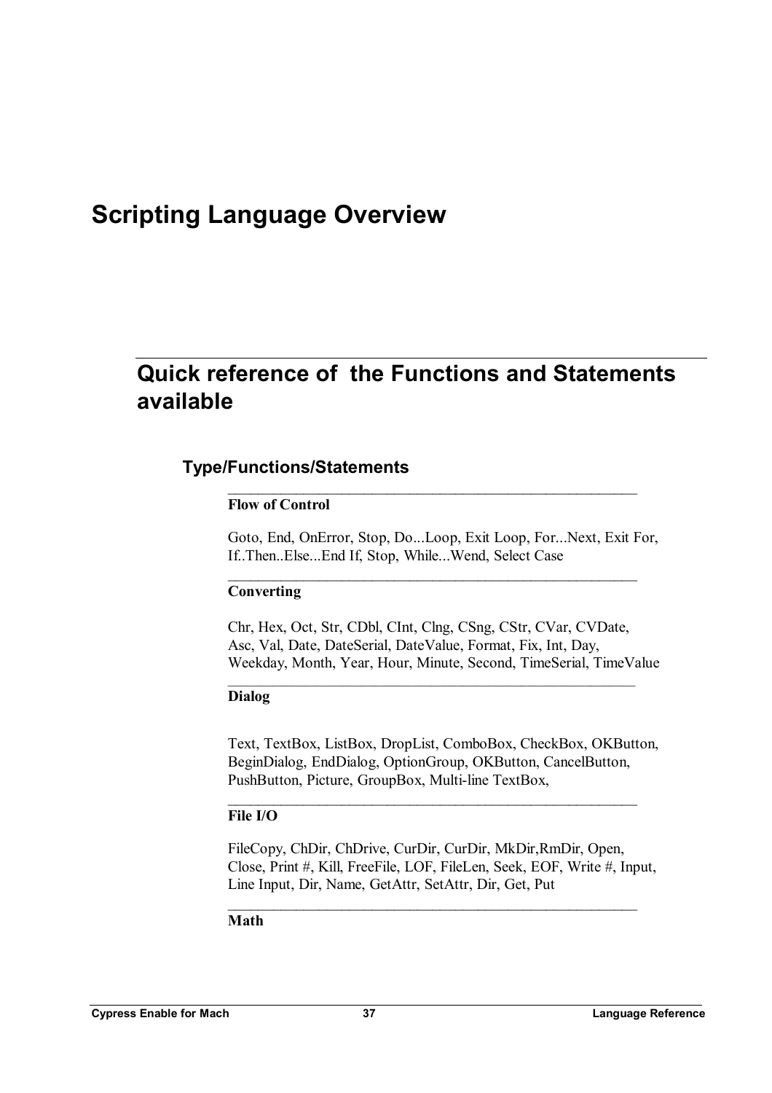## **Scripting Language Overview**

### **Quick reference of the Functions and Statements available**

### **Type/Functions/Statements**

### **Flow of Control**

Goto, End, OnError, Stop, Do...Loop, Exit Loop, For...Next, Exit For, If..Then..Else...End If, Stop, While...Wend, Select Case

 $\mathcal{L}_\text{max}$  , and the contribution of the contribution of  $\mathcal{L}_\text{max}$ 

 $\mathcal{L}_\text{max}$  , and the contribution of the contribution of  $\mathcal{L}_\text{max}$ 

### **Converting**

Chr, Hex, Oct, Str, CDbl, CInt, Clng, CSng, CStr, CVar, CVDate, Asc, Val, Date, DateSerial, DateValue, Format, Fix, Int, Day, Weekday, Month, Year, Hour, Minute, Second, TimeSerial, TimeValue

 $\mathcal{L}_\text{max} = \frac{1}{2} \sum_{i=1}^n \mathcal{L}_\text{max}(\mathbf{z}_i - \mathbf{z}_i)$ 

### **Dialog**

Text, TextBox, ListBox, DropList, ComboBox, CheckBox, OKButton, BeginDialog, EndDialog, OptionGroup, OKButton, CancelButton, PushButton, Picture, GroupBox, Multi-line TextBox,

 $\_$  , and the set of the set of the set of the set of the set of the set of the set of the set of the set of the set of the set of the set of the set of the set of the set of the set of the set of the set of the set of th

### **File I/O**

FileCopy, ChDir, ChDrive, CurDir, CurDir, MkDir,RmDir, Open, Close, Print #, Kill, FreeFile, LOF, FileLen, Seek, EOF, Write #, Input, Line Input, Dir, Name, GetAttr, SetAttr, Dir, Get, Put

 $\mathcal{L}_\text{max}$  , and the contribution of the contribution of  $\mathcal{L}_\text{max}$ 

### **Math**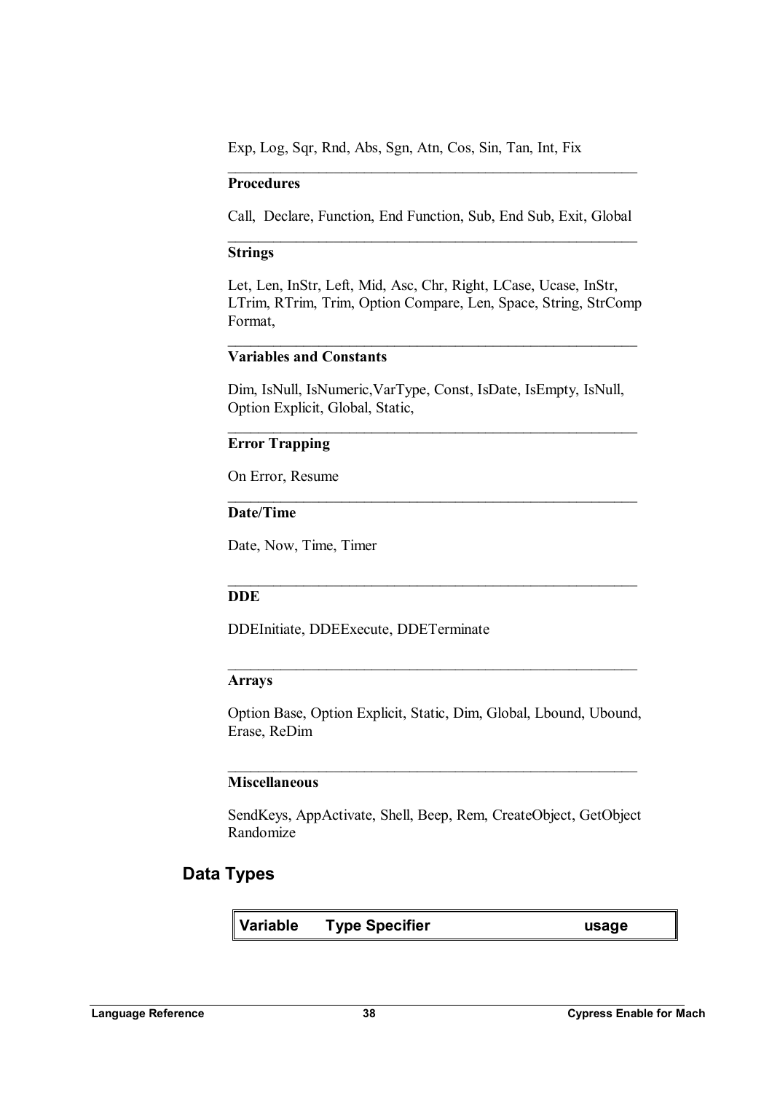Exp, Log, Sqr, Rnd, Abs, Sgn, Atn, Cos, Sin, Tan, Int, Fix

### **Procedures**

Call, Declare, Function, End Function, Sub, End Sub, Exit, Global  $\_$  , and the set of the set of the set of the set of the set of the set of the set of the set of the set of the set of the set of the set of the set of the set of the set of the set of the set of the set of the set of th

 $\mathcal{L}_\text{max}$  and the contract of the contract of the contract of the contract of the contract of the contract of the contract of the contract of the contract of the contract of the contract of the contract of the contrac

### **Strings**

Let, Len, InStr, Left, Mid, Asc, Chr, Right, LCase, Ucase, InStr, LTrim, RTrim, Trim, Option Compare, Len, Space, String, StrComp Format,

 $\mathcal{L}_\text{max}$  , and the contribution of the contribution of  $\mathcal{L}_\text{max}$ 

### **Variables and Constants**

Dim, IsNull, IsNumeric,VarType, Const, IsDate, IsEmpty, IsNull, Option Explicit, Global, Static,

 $\mathcal{L}_\text{max}$  , and the contribution of the contribution of  $\mathcal{L}_\text{max}$ 

 $\mathcal{L}_\text{max}$  and the contract of the contract of the contract of the contract of the contract of the contract of the contract of the contract of the contract of the contract of the contract of the contract of the contrac

 $\mathcal{L}_\text{max}$  and the contract of the contract of the contract of the contract of the contract of the contract of the contract of the contract of the contract of the contract of the contract of the contract of the contrac

### **Error Trapping**

On Error, Resume

### **Date/Time**

Date, Now, Time, Timer

### **DDE**

DDEInitiate, DDEExecute, DDETerminate

### **Arrays**

Option Base, Option Explicit, Static, Dim, Global, Lbound, Ubound, Erase, ReDim

 $\mathcal{L}_\text{max}$  and the contract of the contract of the contract of the contract of the contract of the contract of the contract of the contract of the contract of the contract of the contract of the contract of the contrac

 $\mathcal{L}_\text{max}$  and the contract of the contract of the contract of the contract of the contract of the contract of the contract of the contract of the contract of the contract of the contract of the contract of the contrac

### **Miscellaneous**

SendKeys, AppActivate, Shell, Beep, Rem, CreateObject, GetObject Randomize

### **Data Types**

**usage**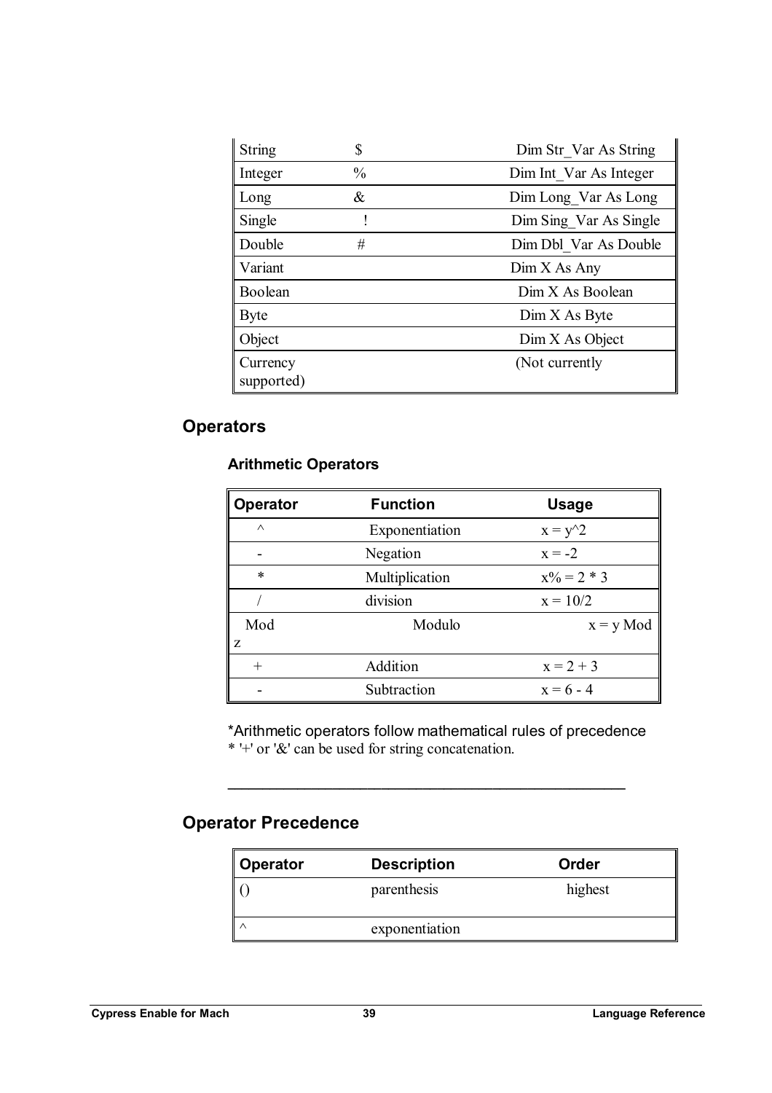| <b>String</b>          | S             | Dim Str Var As String  |
|------------------------|---------------|------------------------|
| Integer                | $\frac{0}{0}$ | Dim Int Var As Integer |
| Long                   | &             | Dim Long Var As Long   |
| Single                 |               | Dim Sing Var As Single |
| Double                 | #             | Dim Dbl Var As Double  |
| Variant                |               | Dim X As Any           |
| Boolean                |               | Dim X As Boolean       |
| <b>Byte</b>            |               | Dim X As B             |
| Object                 |               | Dim X As Object        |
| Currency<br>supported) |               | (Not currently         |

### **Operators**

### **Arithmetic Operators**

| <b>Operator</b> | <b>Function</b>        | <b>Usage</b>  |
|-----------------|------------------------|---------------|
| $\wedge$        | Exponentiation         | $x = y^2$     |
|                 | Negation               | $x = -2$      |
| $\ast$          | Multiplication         | $x\% = 2 * 3$ |
|                 | division<br>$x = 10/2$ |               |
| Mod             | Modulo<br>$x = y$ Mod  |               |
| Z               |                        |               |
| $^{+}$          | Addition               | $x = 2 + 3$   |
|                 | Subtraction            | $x = 6 - 4$   |

\*Arithmetic operators follow mathematical rules of precedence \* '+' or '&' can be used for string concatenation.

**\_\_\_\_\_\_\_\_\_\_\_\_\_\_\_\_\_\_\_\_\_\_\_\_\_\_\_\_\_\_\_\_\_\_\_\_\_\_\_\_\_\_\_\_\_\_\_\_\_\_\_\_\_\_\_\_\_**

### **Operator Precedence**

| ∥Operator | <b>Description</b> | Order   |
|-----------|--------------------|---------|
|           | parenthesis        | highest |
|           | exponentiation     |         |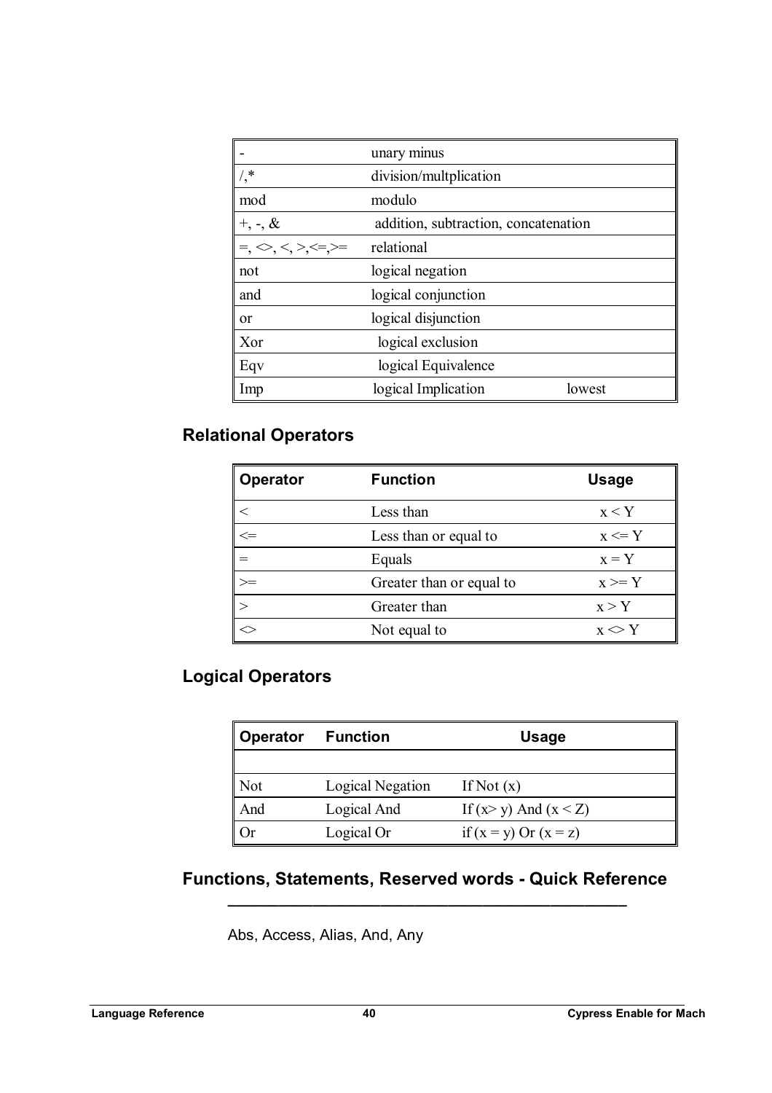|                                   | unary minus                          |        |
|-----------------------------------|--------------------------------------|--------|
| ′*,                               | division/multplication               |        |
| mod                               | modulo                               |        |
| $+, -, \&$                        | addition, subtraction, concatenation |        |
| $=, \leq, \leq, \geq, \leq, \geq$ | relational                           |        |
| not                               | logical negation                     |        |
| and                               | logical conjunction                  |        |
| <sub>or</sub>                     | logical disjunction                  |        |
| Xor                               | logical exclusion                    |        |
| Eqv                               | logical Equivalence                  |        |
| Imp                               | logical Implication                  | lowest |

### **Relational Operators**

| Operator | <b>Function</b>          | <b>Usage</b> |
|----------|--------------------------|--------------|
|          | Less than                | x < Y        |
| $\leq$   | Less than or equal to    | $x \leq Y$   |
|          | Equals                   | $x = Y$      |
| $=$      | Greater than or equal to | $x \geq Y$   |
|          | Greater than             | x > Y        |
|          | Not equal to             | $x \ll Y$    |

### **Logical Operators**

| ∥ Operator | <b>Function</b>  | <b>Usage</b>              |
|------------|------------------|---------------------------|
|            |                  |                           |
| Not        | Logical Negation | If Not $(x)$              |
| And        | Logical And      | If $(x> y)$ And $(x < Z)$ |
| <b>Or</b>  | Logical Or       | if $(x = y)$ Or $(x = z)$ |

### **Functions, Statements, Reserved words - Quick Reference \_\_\_\_\_\_\_\_\_\_\_\_\_\_\_\_\_\_\_\_\_\_\_\_\_\_\_\_\_\_\_\_\_\_\_\_\_\_\_\_\_\_\_\_\_\_\_**

Abs, Access, Alias, And, Any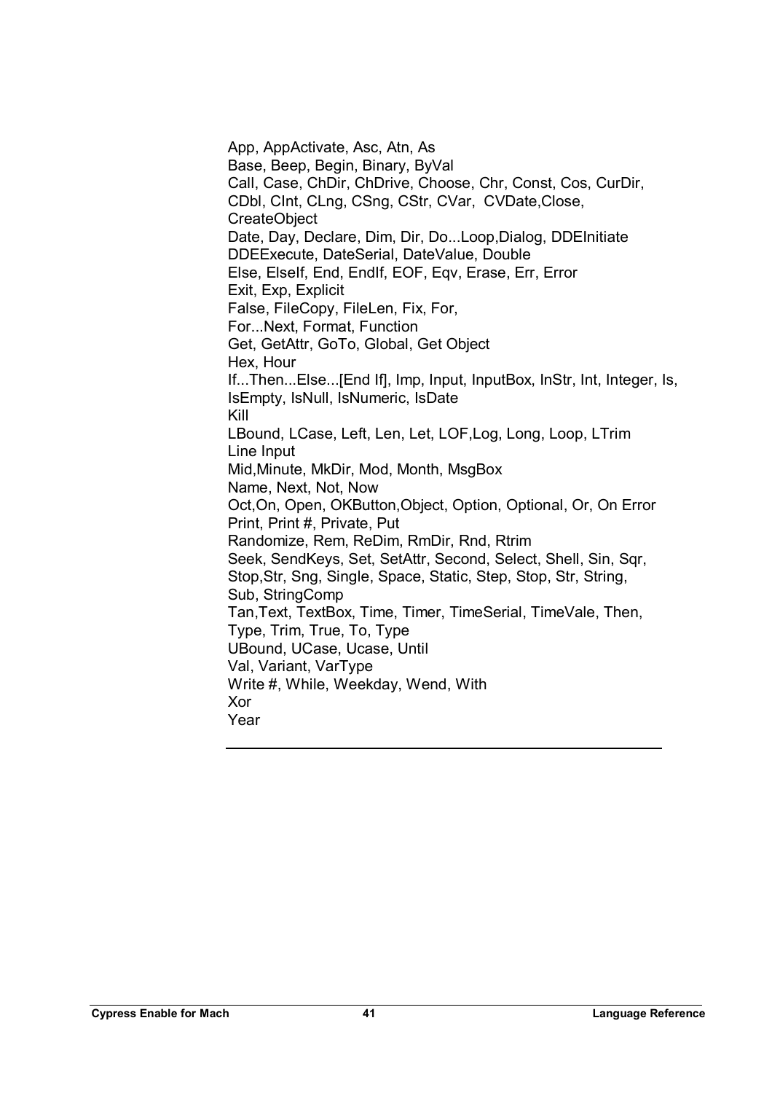App, AppActivate, Asc, Atn, As Base, Beep, Begin, Binary, ByVal Call, Case, ChDir, ChDrive, Choose, Chr, Const, Cos, CurDir, CDbl, CInt, CLng, CSng, CStr, CVar, CVDate,Close, CreateObject Date, Day, Declare, Dim, Dir, Do...Loop,Dialog, DDEInitiate DDEExecute, DateSerial, DateValue, Double Else, ElseIf, End, EndIf, EOF, Eqv, Erase, Err, Error Exit, Exp, Explicit False, FileCopy, FileLen, Fix, For, For...Next, Format, Function Get, GetAttr, GoTo, Global, Get Object Hex, Hour If...Then...Else...[End If], Imp, Input, InputBox, InStr, Int, Integer, Is, IsEmpty, IsNull, IsNumeric, IsDate Kill LBound, LCase, Left, Len, Let, LOF,Log, Long, Loop, LTrim Line Input Mid,Minute, MkDir, Mod, Month, MsgBox Name, Next, Not, Now Oct,On, Open, OKButton,Object, Option, Optional, Or, On Error Print, Print #, Private, Put Randomize, Rem, ReDim, RmDir, Rnd, Rtrim Seek, SendKeys, Set, SetAttr, Second, Select, Shell, Sin, Sqr, Stop,Str, Sng, Single, Space, Static, Step, Stop, Str, String, Sub, StringComp Tan,Text, TextBox, Time, Timer, TimeSerial, TimeVale, Then, Type, Trim, True, To, Type UBound, UCase, Ucase, Until Val, Variant, VarType Write #, While, Weekday, Wend, With Xor Year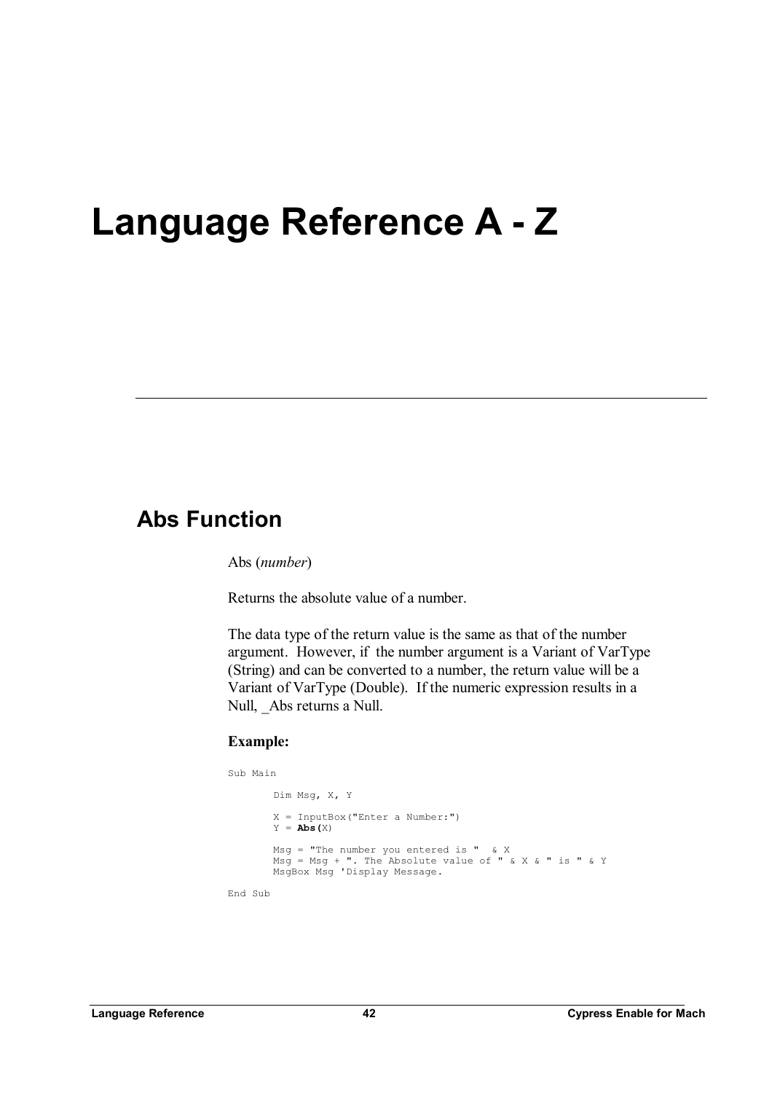# **Language Reference A - Z**

### **Abs Function**

Abs (*number*)

Returns the absolute value of a number.

The data type of the return value is the same as that of the number argument. However, if the number argument is a Variant of VarType (String) and can be converted to a number, the return value will be a Variant of VarType (Double). If the numeric expression results in a Null, Abs returns a Null.

#### **Example:**

```
Sub Main 
       Dim Msg, X, Y 
       X = InputBox("Enter a Number:") 
       Y = \text{Abs}(X)Msg = "The number you entered is " & X 
        Msg = Msg + ". The Absolute value of " & X & " is " & Y 
        MsgBox Msg 'Display Message.
```
End Sub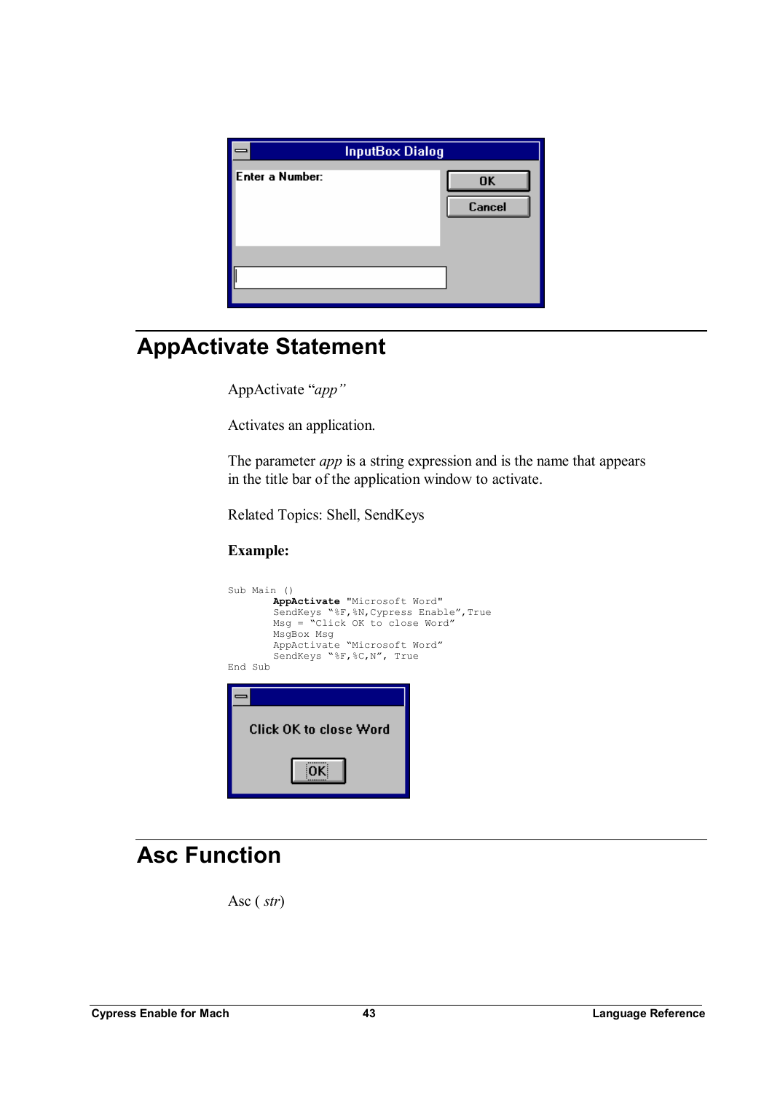|                 | <b>InputBox Dialog</b>     |
|-----------------|----------------------------|
| Enter a Number: | <b>OK</b><br><b>Cancel</b> |
|                 |                            |

## **AppActivate Statement**

AppActivate "*app"*

Activates an application.

The parameter *app* is a string expression and is the name that appears in the title bar of the application window to activate.

Related Topics: Shell, SendKeys

### **Example:**

| Sub Main ()<br>AppActivate "Microsoft Word"<br>SendKeys "%F,%N, Cypress Enable", True<br>$Msq = "Click OK to close Word"$<br>MsgBox Msg<br>AppActivate "Microsoft Word"<br>SendKeys "%F,%C,N", True |  |  |  |  |
|-----------------------------------------------------------------------------------------------------------------------------------------------------------------------------------------------------|--|--|--|--|
| End Sub                                                                                                                                                                                             |  |  |  |  |
| Click OK to close Word                                                                                                                                                                              |  |  |  |  |
|                                                                                                                                                                                                     |  |  |  |  |

## **Asc Function**

Asc ( *str*)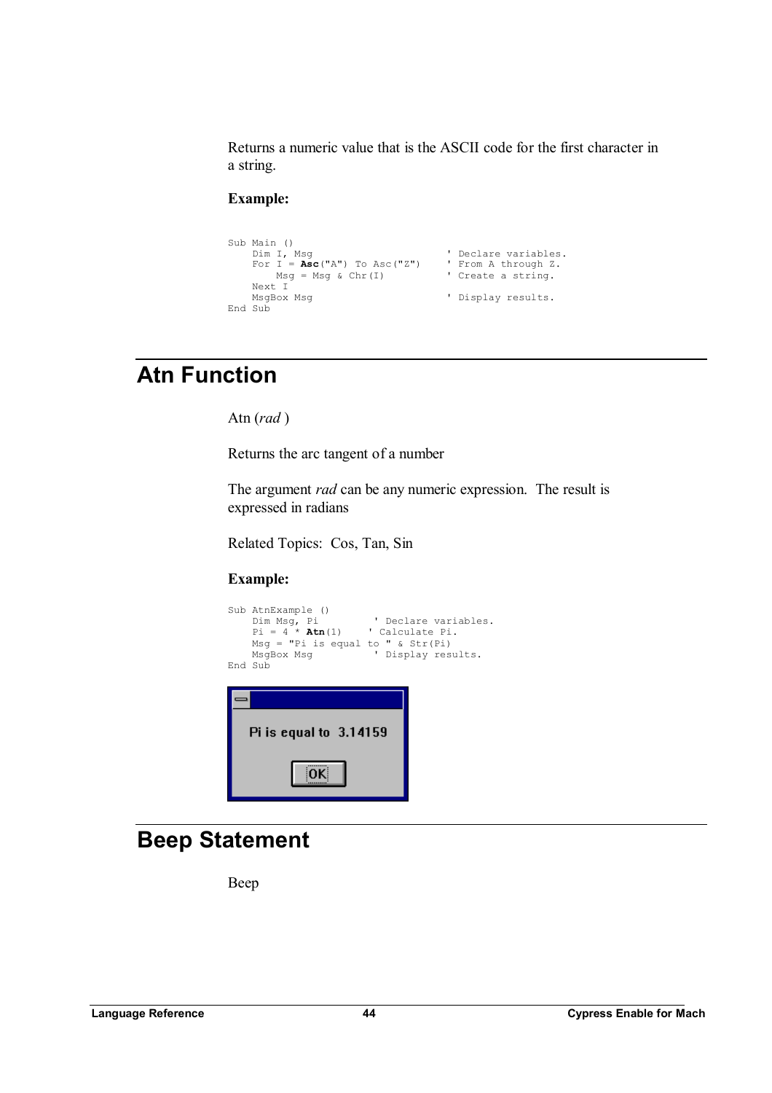Returns a numeric value that is the ASCII code for the first character in a string.

### **Example:**

```
Sub Main () 
    Dim I, Msg ' ' Declare variables.
    For I = Asc("A") To Asc("Z") ' From A through Z. 
       Msg = Msg & Chr(I) \qquad ' Create a string.
   Next I<br>MsgBox Msg
                                  ' Display results.
End Sub
```
## **Atn Function**

Atn (*rad* )

Returns the arc tangent of a number

The argument *rad* can be any numeric expression. The result is expressed in radians

Related Topics: Cos, Tan, Sin

### **Example:**

```
Sub AtnExample () 
    Dim Msg, Pi ' Declare variables. 
    Pi = 4 * Atn(1) ' Calculate Pi.
    Msg = "Pi is equal to " & Str(Pi) 
    MsgBox Msg \qquad \qquad ' Display results.
End Sub 
   Pi is equal to 3.14159
             OK
```
### **Beep Statement**

Beep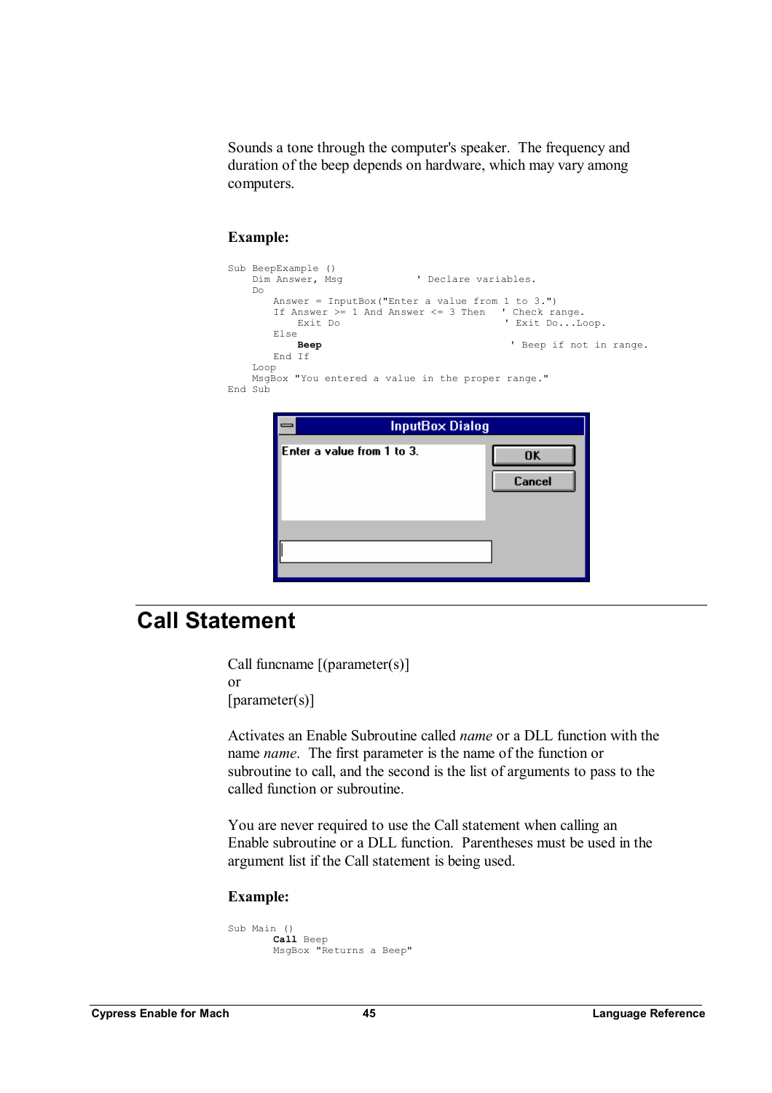Sounds a tone through the computer's speaker. The frequency and duration of the beep depends on hardware, which may vary among computers.

### **Example:**

| Sub BeepExample ()<br>Dim Answer, Msq<br>Do. |         |                                                        | ' Declare variables.   |                                                                          |  |
|----------------------------------------------|---------|--------------------------------------------------------|------------------------|--------------------------------------------------------------------------|--|
|                                              | Exit Do | Answer = InputBox ("Enter a value from $1$ to $3.'$ ") |                        | If Answer $>= 1$ And Answer $<= 3$ Then ' Check range.<br>' Exit DoLoop. |  |
| Else<br>End If                               | Beep    |                                                        |                        | ' Beep if not in range.                                                  |  |
| Loop<br>End Sub                              |         | MsgBox "You entered a value in the proper range."      |                        |                                                                          |  |
|                                              |         |                                                        | <b>InputBox Dialog</b> |                                                                          |  |
|                                              |         | Enter a value from 1 to 3.                             |                        | <b>OK</b><br>Cancel                                                      |  |
|                                              |         |                                                        |                        |                                                                          |  |

### **Call Statement**

Call funcname [(parameter(s)] or [parameter(s)]

Activates an Enable Subroutine called *name* or a DLL function with the name *name*. The first parameter is the name of the function or subroutine to call, and the second is the list of arguments to pass to the called function or subroutine.

You are never required to use the Call statement when calling an Enable subroutine or a DLL function. Parentheses must be used in the argument list if the Call statement is being used.

```
Sub Main () 
        Call Beep 
         MsgBox "Returns a Beep"
```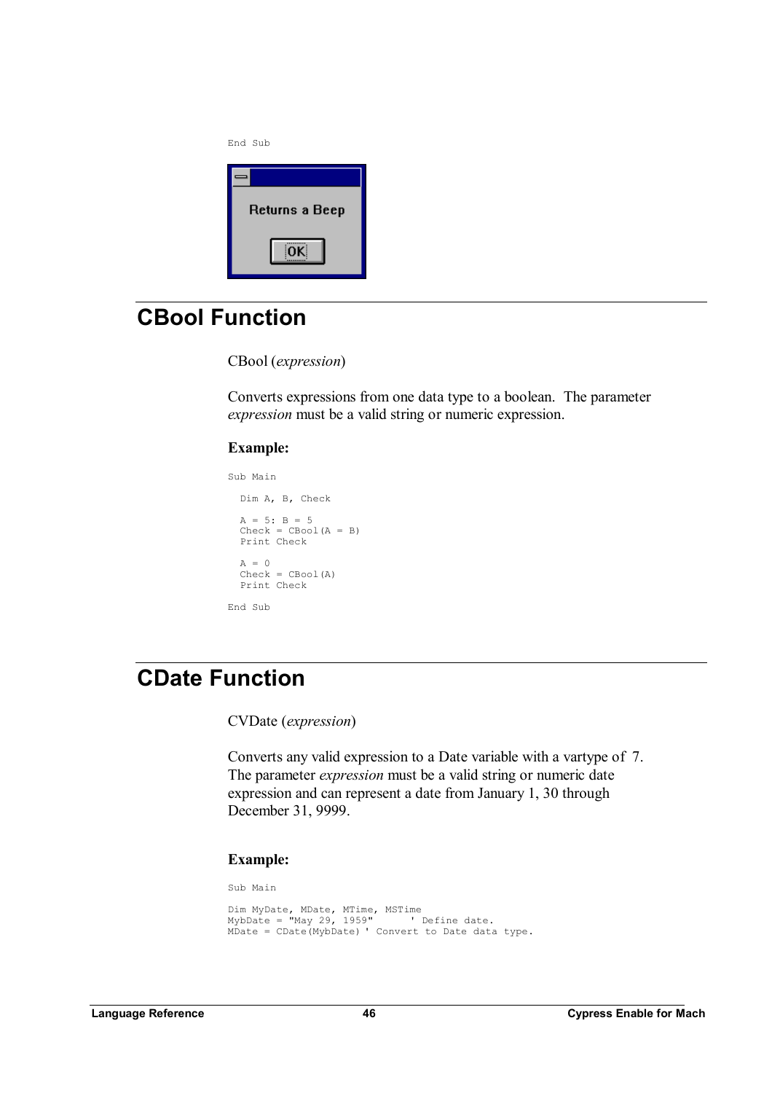| End Sub |                |
|---------|----------------|
|         |                |
|         | Returns a Beep |
|         |                |

### **CBool Function**

CBool (*expression*)

Converts expressions from one data type to a boolean. The parameter *expression* must be a valid string or numeric expression.

#### **Example:**

```
Sub Main 
 Dim A, B, Check 
  A = 5: B = 5 
  Check = CBool(A = B)Print Check 
  A = 0Check = CBool(A)Print Check 
End Sub
```
### **CDate Function**

CVDate (*expression*)

Converts any valid expression to a Date variable with a vartype of 7. The parameter *expression* must be a valid string or numeric date expression and can represent a date from January 1, 30 through December 31, 9999.

### **Example:**

Sub Main

```
Dim MyDate, MDate, MTime, MSTime 
MybDate = "May 29, 1959" ' Define date. 
MDate = CDate(MybDate) ' Convert to Date data type.
```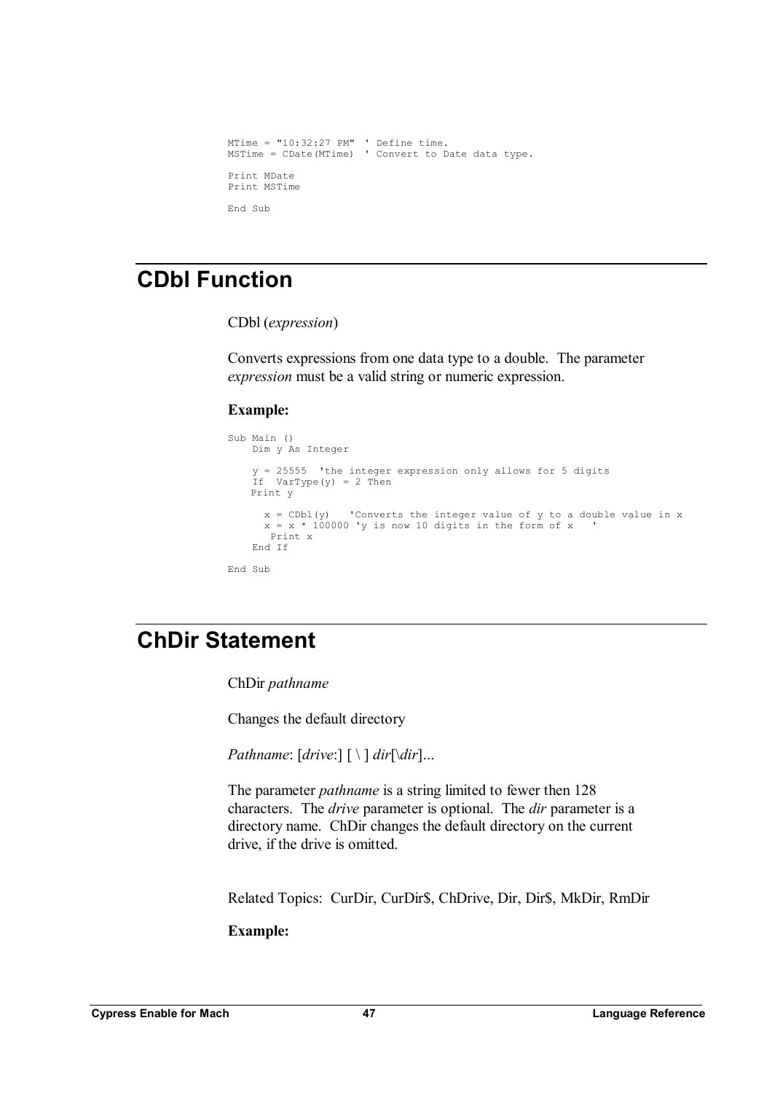```
MTime = "10:32:27 PM" ' Define time.
MSTime = CDate(MTime) ' Convert to Date data type. 
Print MDate 
Print MSTime 
End Sub
```
### **CDbl Function**

CDbl (*expression*)

Converts expressions from one data type to a double. The parameter *expression* must be a valid string or numeric expression.

### **Example:**

```
Sub Main () 
   Dim y As Integer 
    y = 25555 'the integer expression only allows for 5 digits 
    If VarType(y) = 2 Then 
   Print y 
      x = CDb1(y) 'Converts the integer value of y to a double value in x
      x = x * 100000 'y is now 10 digits in the form of x
      Print x 
    End If 
End Sub
```
### **ChDir Statement**

ChDir *pathname* 

Changes the default directory

*Pathname*: [*drive*:] [ \ ] *dir*[\*dir*]...

The parameter *pathname* is a string limited to fewer then 128 characters. The *drive* parameter is optional. The *dir* parameter is a directory name. ChDir changes the default directory on the current drive, if the drive is omitted.

Related Topics: CurDir, CurDir\$, ChDrive, Dir, Dir\$, MkDir, RmDir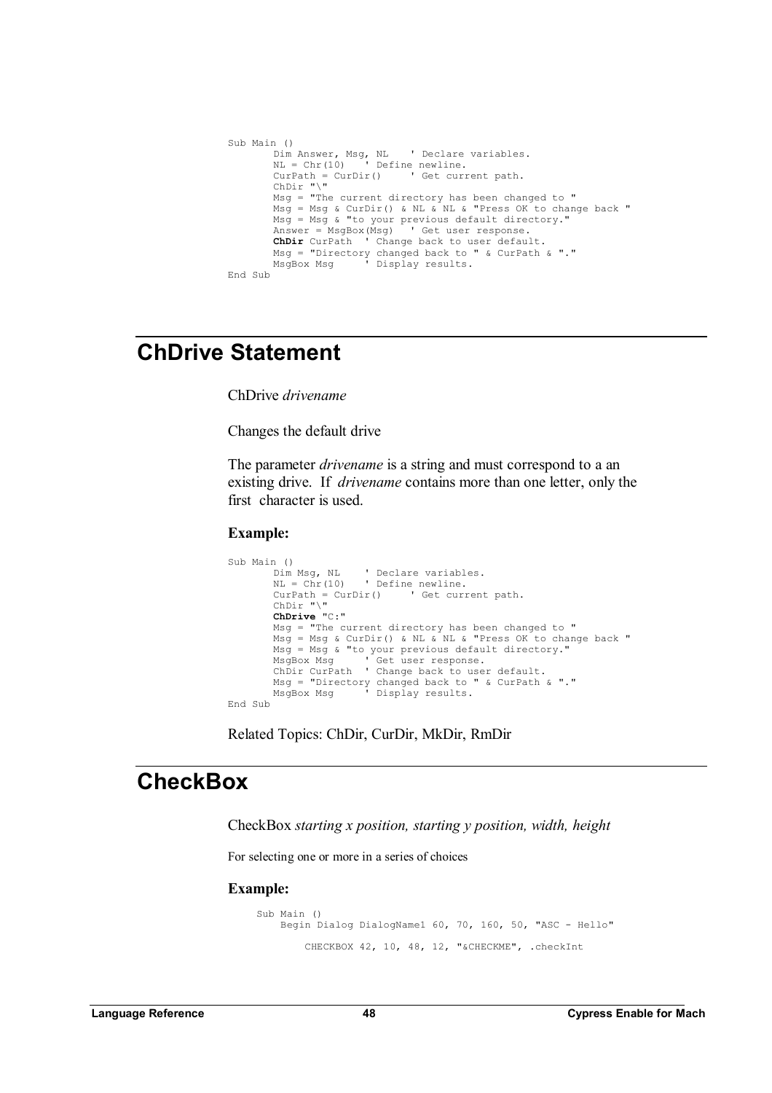```
Sub Main () 
        Dim Answer, Msg, NL ' Declare variables. 
        NL = Chr(10) ' Define newline. 
        CurPath = CurDir() ' Get current path. 
       CurPath = CurrDir()<br>ChDir "\"
        Msg = "The current directory has been changed to " 
        Msg = Msg & CurDir() & NL & NL & "Press OK to change back " 
        Msg = Msg & "to your previous default directory." 
        Answer = MsgBox(Msg) ' Get user response. 
       ChDir CurPath ' Change back to user default. 
        Msg = "Directory changed back to " & CurPath & "." 
        MsgBox Msg ' Display results. 
End Sub
```
### **ChDrive Statement**

ChDrive *drivename*

Changes the default drive

The parameter *drivename* is a string and must correspond to a an existing drive. If *drivename* contains more than one letter, only the first character is used.

#### **Example:**

```
Sub Main ()<br>Dim Msq, NL
       Dim Msg, NL ' Declare variables. 
       NL = Chr(10) ' Define newline. 
       CurPath = CurDir() ' Get current path. 
       ChDir "\" 
       ChDrive "C:" 
       Msg = "The current directory has been changed to " 
       Msg = Msg & CurDir() & NL & NL & "Press OK to change back " 
       Msg = Msg & "to your previous default directory." 
       MsgBox Msg ' Get user response. 
       ChDir CurPath ' Change back to user default. 
       Msg = "Directory changed back to " & CurPath & "." 
       MsgBox Msg ' Display results. 
End Sub
```
Related Topics: ChDir, CurDir, MkDir, RmDir

## **CheckBox**

CheckBox *starting x position, starting y position, width, height*

For selecting one or more in a series of choices

```
Sub Main () 
     Begin Dialog DialogName1 60, 70, 160, 50, "ASC - Hello" 
         CHECKBOX 42, 10, 48, 12, "&CHECKME", .checkInt
```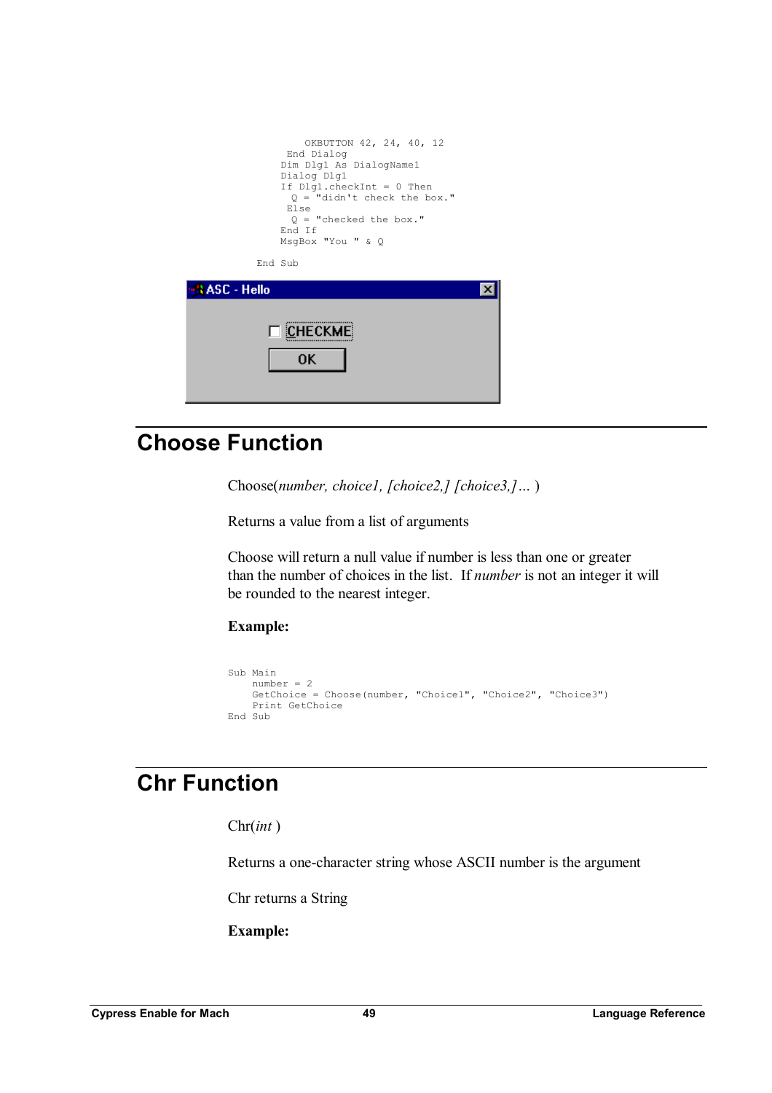| OKBUTTON 42, 24, 40, 12<br>End Dialog<br>Dim Dlg1 As DialogName1<br>Dialog Dlg1<br>If $Dlq1$ .checkInt = 0 Then<br>$Q = "didn't check the box."$<br>Else<br>$Q = "checked the box."$<br>End If<br>MsqBox "You " & Q |  |
|---------------------------------------------------------------------------------------------------------------------------------------------------------------------------------------------------------------------|--|
| End Sub                                                                                                                                                                                                             |  |
| <b>BASC - Hello</b>                                                                                                                                                                                                 |  |
| $\Box$ $C$ HECKME<br><b>OK</b>                                                                                                                                                                                      |  |

## **Choose Function**

Choose(*number, choice1, [choice2,] [choice3,]…* )

Returns a value from a list of arguments

Choose will return a null value if number is less than one or greater than the number of choices in the list. If *number* is not an integer it will be rounded to the nearest integer.

### **Example:**

```
Sub Main 
    number = 2 
    GetChoice = Choose(number, "Choice1", "Choice2", "Choice3") 
   Print GetChoice 
End Sub
```
## **Chr Function**

Chr(*int* )

Returns a one-character string whose ASCII number is the argument

Chr returns a String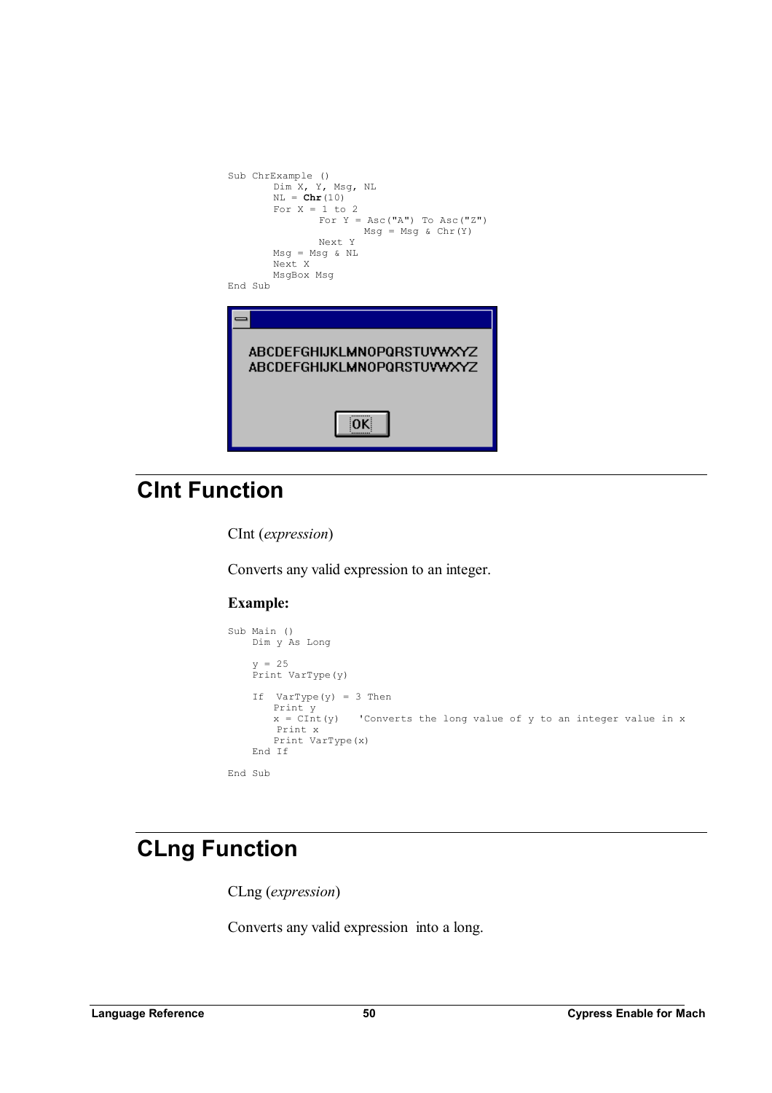```
Sub ChrExample () 
       Dim X, Y, Msg, NL 
      NL = Chr(10)
      For X = 1 to 2
For Y = \text{Asc}("A") To \text{Asc}("Z")Msg = Msg & \text{Chr}(Y) Next Y 
      Msg = Msg \& NLNext X 
      MsgBox Msg 
End Sub 
   ABCDEFGHIJKLMNOPQRSTUVWXYZ
   ABCDEFGHIJKLMNOPQRSTUVWXYZ
                 |OK|
```
## **CInt Function**

CInt (*expression*)

Converts any valid expression to an integer.

### **Example:**

```
Sub Main () 
    Dim y As Long 
    y = 25Print VarType(y) 
    If VarType(y) = 3 Then
       Print y<br>x = CInt(y)'Converts the long value of y to an integer value in x
         Print x 
        Print VarType(x) 
    End If 
End Sub
```
## **CLng Function**

CLng (*expression*)

Converts any valid expression into a long.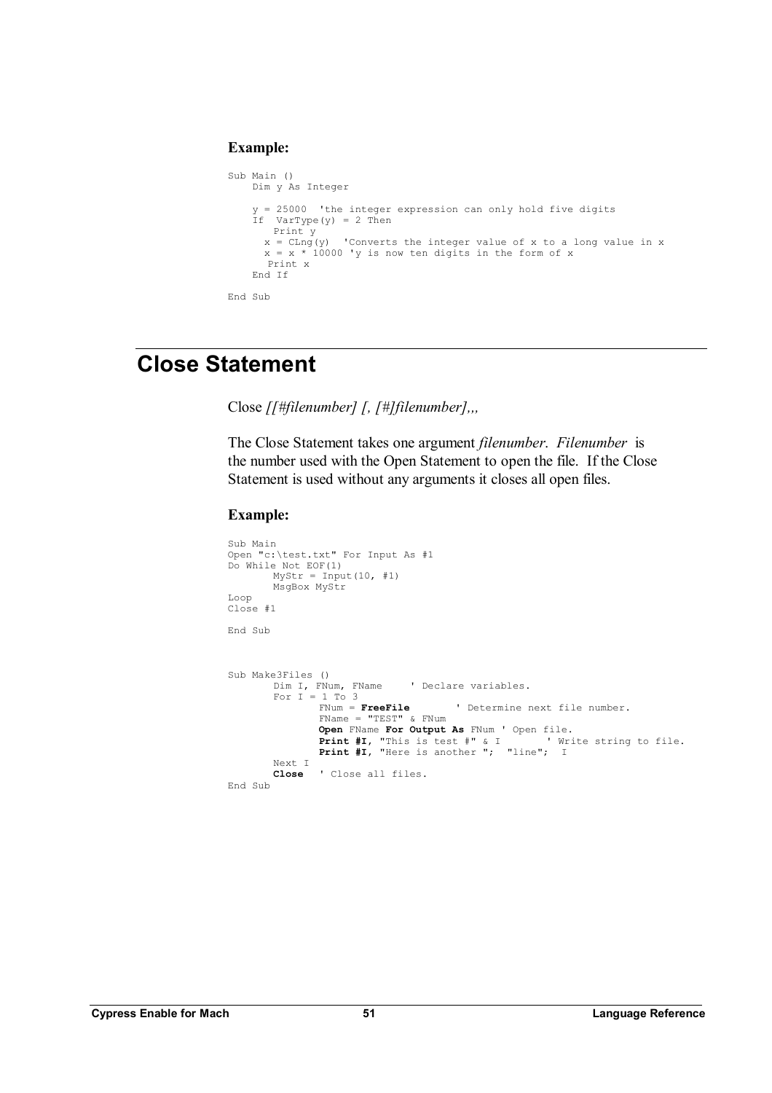### **Example:**

```
Sub Main () 
   Dim y As Integer 
    y = 25000 'the integer expression can only hold five digits 
    If VarType(y) = 2 Then
      Print y 
      x = CLng(y) 'Converts the integer value of x to a long value in x
      x = x * 10000 'y is now ten digits in the form of x 
       Print x 
    End If 
End Sub
```
### **Close Statement**

Close *[[#filenumber] [, [#]filenumber],,,*

The Close Statement takes one argument *filenumber*. *Filenumber* is the number used with the Open Statement to open the file. If the Close Statement is used without any arguments it closes all open files.

```
Sub Main 
Open "c:\test.txt" For Input As #1 
Do While Not EOF(1) 
      Mystr = Input(10, #1)MsgBox MyStr 
Loop 
Close #1 
End Sub 
Sub Make3Files () 
       Dim I, FNum, FName ' Declare variables. 
       For I = 1 To 3
              FNum = FreeFile ' Determine next file number. 
             FName = "TEST" & FNum Open FName For Output As FNum ' Open file. 
 Print #I, "This is test #" & I ' Write string to file. 
 Print #I, "Here is another "; "line"; I 
      Next I 
      Close ' Close all files. 
End Sub
```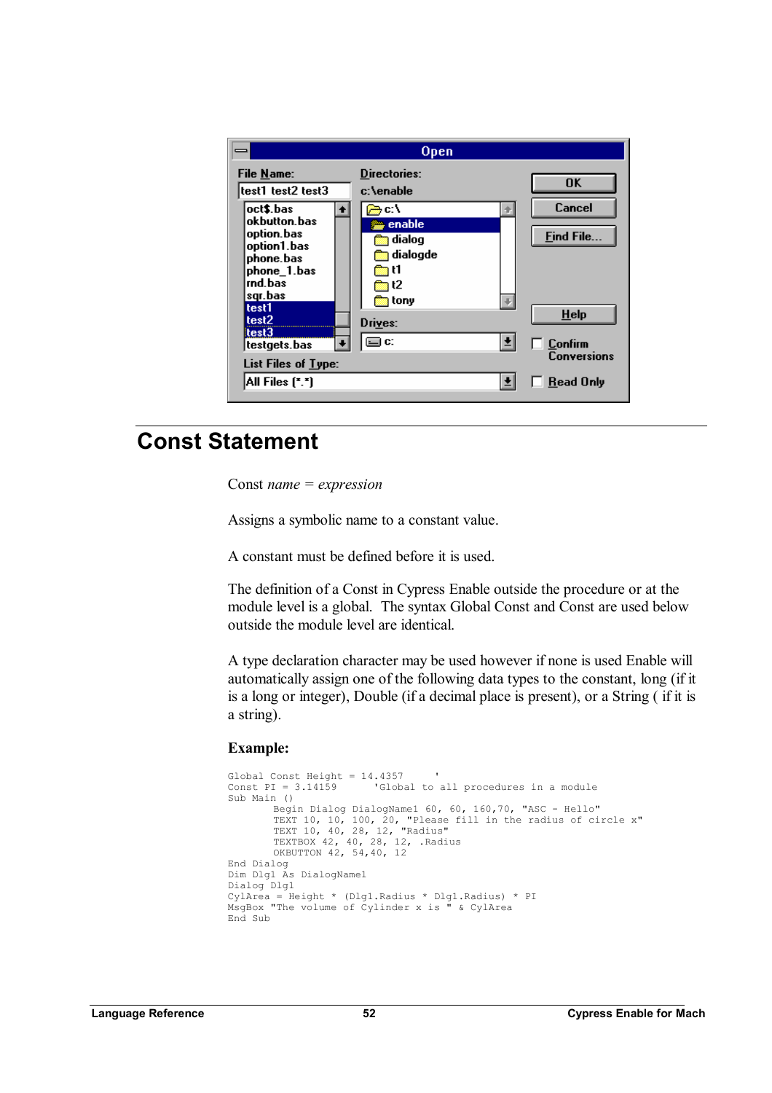

### **Const Statement**

Const *name = expression* 

Assigns a symbolic name to a constant value.

A constant must be defined before it is used.

The definition of a Const in Cypress Enable outside the procedure or at the module level is a global. The syntax Global Const and Const are used below outside the module level are identical.

A type declaration character may be used however if none is used Enable will automatically assign one of the following data types to the constant, long (if it is a long or integer), Double (if a decimal place is present), or a String ( if it is a string).

```
Global Const Height = 14.4357 '<br>Const PI = 3.14159 'Global to
                          'Global to all procedures in a module
Sub Main () 
        Begin Dialog DialogName1 60, 60, 160,70, "ASC - Hello" 
        TEXT 10, 10, 100, 20, "Please fill in the radius of circle x" 
        TEXT 10, 40, 28, 12, "Radius" 
        TEXTBOX 42, 40, 28, 12, .Radius 
        OKBUTTON 42, 54,40, 12 
End Dialog 
Dim Dlg1 As DialogName1 
Dialog Dlg1 
CylArea = Height * (Dlg1.Radius * Dlg1.Radius) * PI 
MsgBox "The volume of Cylinder x is " & CylArea 
End Sub
```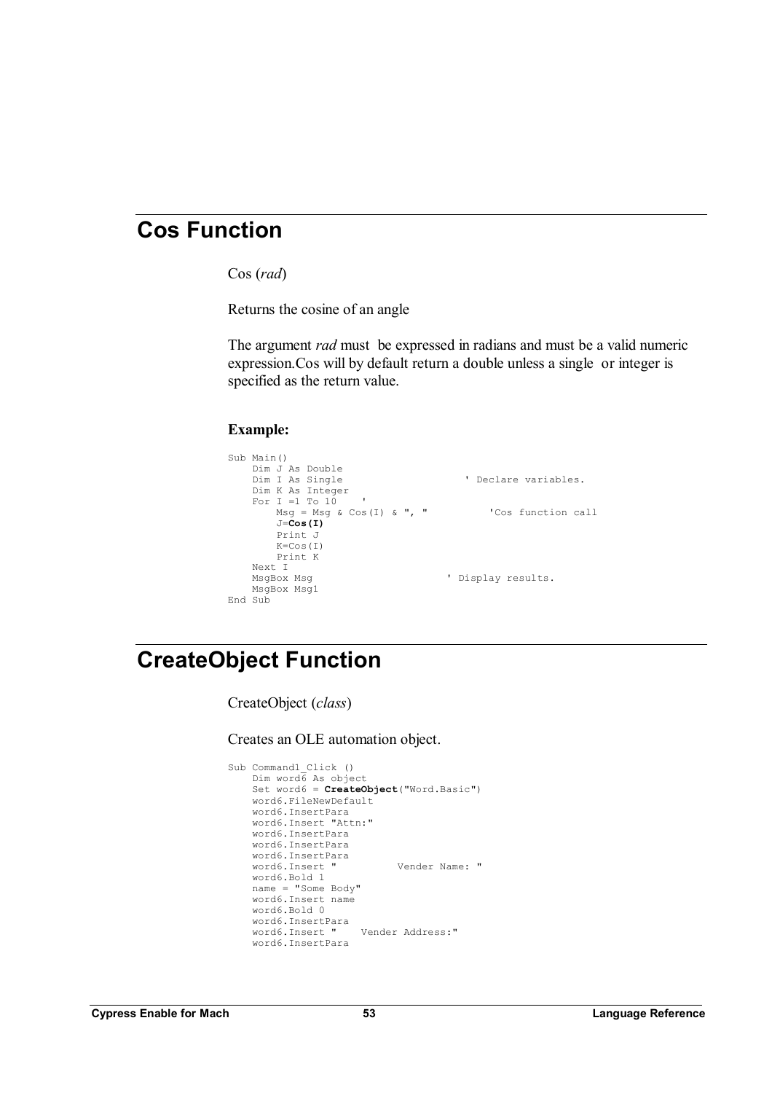## **Cos Function**

Cos (*rad*)

Returns the cosine of an angle

The argument *rad* must be expressed in radians and must be a valid numeric expression.Cos will by default return a double unless a single or integer is specified as the return value.

### **Example:**

```
Sub Main() 
    Dim J As Double<br>Dim I As Single
                                      ' Declare variables.
    Dim K As Integer 
    For I = 1 To 10Msg = Msg & Cos(I) & ", "J=Cos(I)
        Print J 
        K=Cos(I) 
       Print K 
   Next I<br>MsgBox Msg
                                     ' Display results.
    MsgBox Msg1 
End Sub
```
## **CreateObject Function**

CreateObject (*class*)

Creates an OLE automation object.

```
Sub Command1_Click () 
    Dim word6 As object 
    Set word6 = CreateObject("Word.Basic") 
    word6.FileNewDefault 
    word6.InsertPara 
    word6.Insert "Attn:" 
    word6.InsertPara 
    word6.InsertPara 
    word6.InsertPara<br>word6.Insert "
                              Vender Name: "
    word6.Bold 1 
    name = "Some Body" 
    word6.Insert name 
    word6.Bold 0 
    word6.InsertPara<br>word6.Insert "
                       Vender Address:"
    word6.InsertPara
```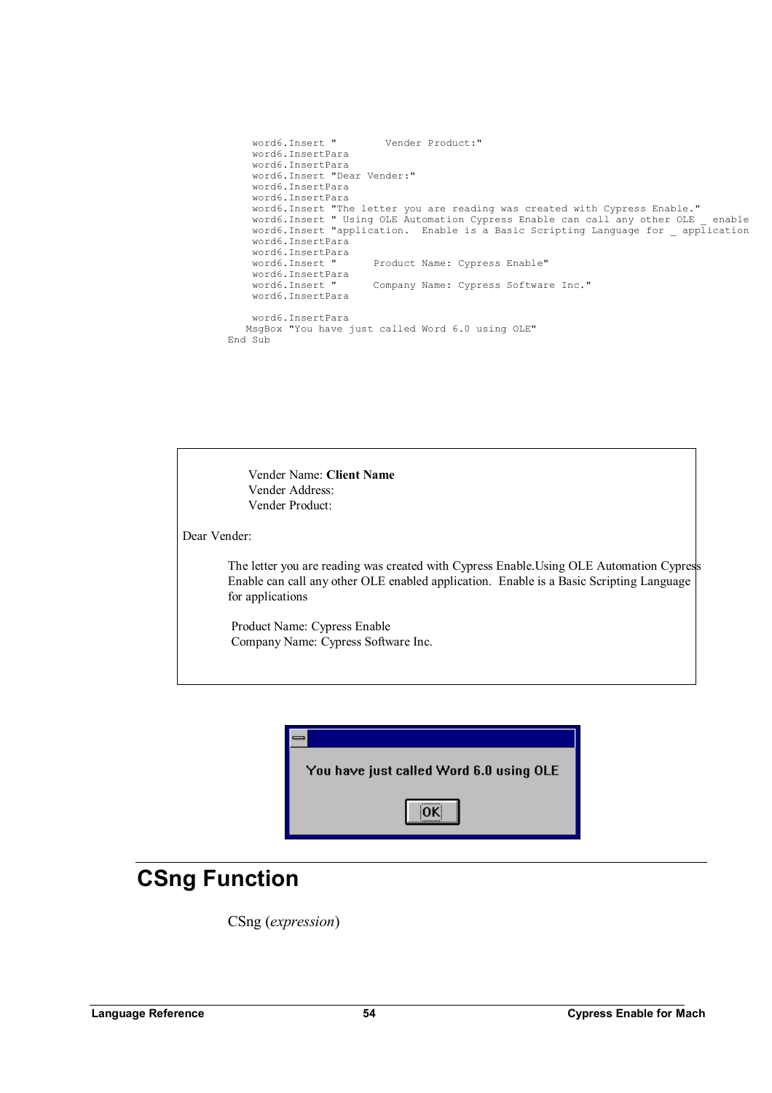```
word6.Insert " Vender Product:" 
    word6.InsertPara 
    word6.InsertPara
    word6.Insert "Dear Vender:" 
    word6.InsertPara 
    word6.InsertPara 
    word6.Insert "The letter you are reading was created with Cypress Enable." 
    word6.Insert " Using OLE Automation Cypress Enable can call any other OLE _ enable
    word6.Insert "application. Enable is a Basic Scripting Language for _ applications"
    word6.InsertPara 
    word6.InsertPara<br>word6.Insert "
                         Product Name: Cypress Enable"
    word6.InsertPara<br>word6.Insert "
                         Company Name: Cypress Software Inc."
    word6.InsertPara 
    word6.InsertPara 
   MsgBox "You have just called Word 6.0 using OLE" 
End Sub
```
 Vender Name: **Client Name** Vender Address: Vender Product:

Dear Vender:

The letter you are reading was created with Cypress Enable.Using OLE Automation Cypress Enable can call any other OLE enabled application. Enable is a Basic Scripting Language for applications

 Product Name: Cypress Enable Company Name: Cypress Software Inc.



## **CSng Function**

CSng (*expression*)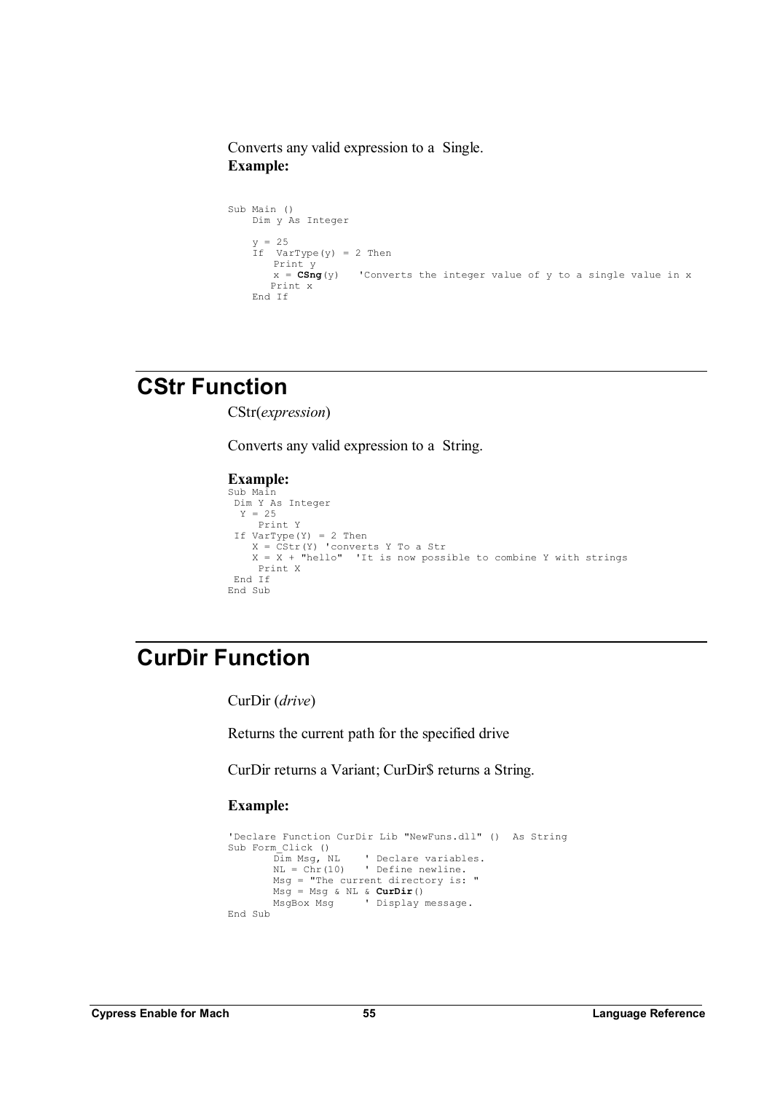Converts any valid expression to a Single. **Example:** 

```
Sub Main () 
   Dim y As Integer 
    y = 25 
    If VarType(y) = 2 Then 
       Print y<br>x = CSng(y)'Converts the integer value of y to a single value in x
      Print x 
    End If
```
## **CStr Function**

CStr(*expression*)

Converts any valid expression to a String.

#### **Example:**

```
Sub Main 
                    Dim Y As Integer 
                    Y = 25 Print Y 
 If VarType(Y) = 2 Then 
 X = CStr(Y) 'converts Y To a Str 
                     X = X + "hello" 'It is now possible to combine Y with strings
                       Print X 
                    End If 
                   End Sub
```
## **CurDir Function**

CurDir (*drive*)

Returns the current path for the specified drive

CurDir returns a Variant; CurDir\$ returns a String.

```
'Declare Function CurDir Lib "NewFuns.dll" () As String 
Sub Form_Click ()<br>Dim Msg, NL
                       ' Declare variables.
       NL = Chr(10) ' Define newline.
       Msg = "The current directory is: " 
        Msg = Msg & NL & CurDir() 
        MsgBox Msg ' Display message. 
End Sub
```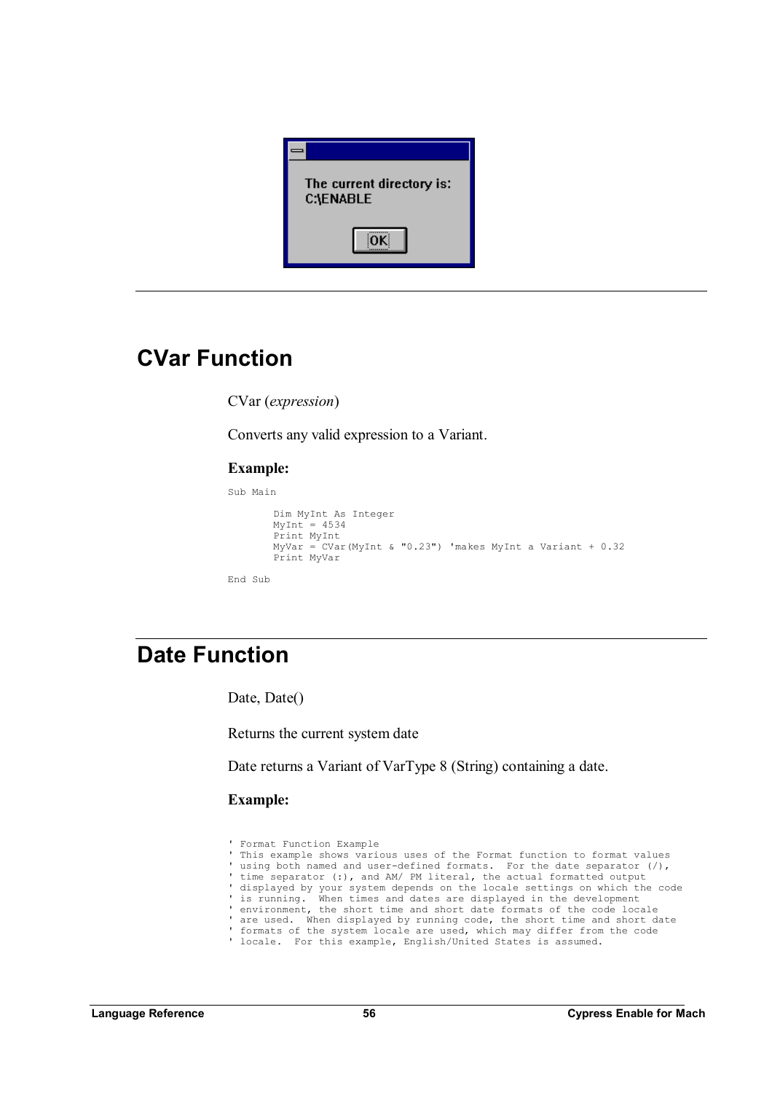

## **CVar Function**

CVar (*expression*)

Converts any valid expression to a Variant.

### **Example:**

Sub Main

```
Dim MyInt As Integer 
MyInt = 4534Print MyInt 
MyVar = CVar(MyInt & "0.23") 'makes MyInt a Variant + 0.32 
Print MyVar
```
End Sub

## **Date Function**

Date, Date()

Returns the current system date

Date returns a Variant of VarType 8 (String) containing a date.

| ' Format Function Example                                                            |
|--------------------------------------------------------------------------------------|
| ' This example shows various uses of the Format function to format values            |
| ' using both named and user-defined formats. For the date separator $\binom{7}{1}$ , |
| ' time separator (:), and AM/ PM literal, the actual formatted output                |
| ' displayed by your system depends on the locale settings on which the code          |
| ' is running. When times and dates are displayed in the development                  |
| ' environment, the short time and short date formats of the code locale              |
| ' are used. When displayed by running code, the short time and short date            |
| ' formats of the system locale are used, which may differ from the code              |
| ' locale. For this example, English/United States is assumed.                        |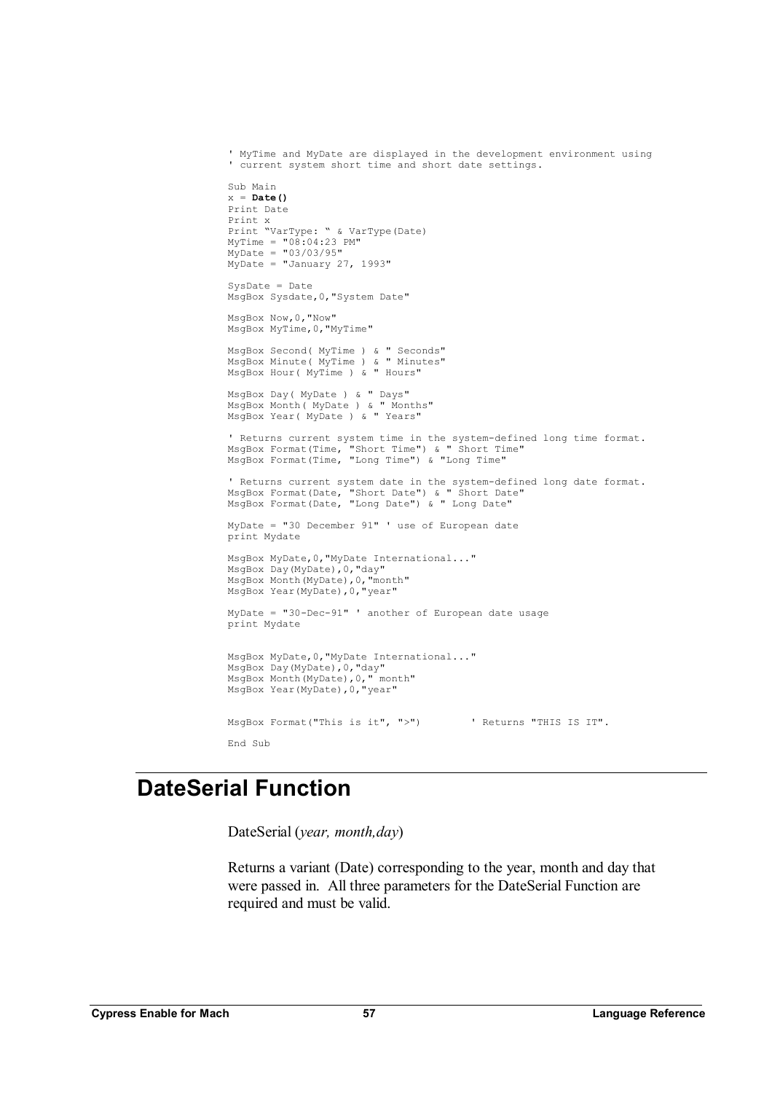```
' MyTime and MyDate are displayed in the development environment using 
' current system short time and short date settings. 
Sub Main 
x = \text{Data}()Print Date 
Print x 
Print "VarType: " & VarType(Date) 
MyTime = "08:04:23 PM"MyDate = "03/03/95" 
MyDate = "January 27, 1993"SysDate = Date 
MsgBox Sysdate,0,"System Date" 
MsgBox Now,0,"Now" 
MsgBox MyTime,0,"MyTime" 
MsgBox Second( MyTime ) & " Seconds" 
MsgBox Minute( MyTime ) & " Minutes" 
MsgBox Hour( MyTime ) & " Hours" 
MsgBox Day( MyDate ) & " Days" 
MsgBox Month( MyDate ) & " Months" 
MsgBox Year( MyDate ) & " Years" 
' Returns current system time in the system-defined long time format. 
MsgBox Format(Time, "Short Time") & " Short Time" 
MsgBox Format(Time, "Long Time") & "Long Time" 
' Returns current system date in the system-defined long date format. 
MsgBox Format(Date, "Short Date") & " Short Date" 
MsgBox Format(Date, "Long Date") & " Long Date" 
MyDate = "30 December 91" ' use of European date 
print Mydate 
MsgBox MyDate,0,"MyDate International..." 
MsgBox Day(MyDate),0,"day" 
MsgBox Month(MyDate),0,"month" 
MsgBox Year(MyDate),0,"year" 
MyDate = "30-Dec-91" ' another of European date usage 
print Mydate 
MsgBox MyDate,0,"MyDate International..." 
MsgBox Day(MyDate),0,"day" 
MsgBox Month(MyDate),0," month" 
MsgBox Year(MyDate),0,"year" 
MsgBox Format("This is it", ">") | Returns "THIS IS IT".
End Sub
```
### **DateSerial Function**

DateSerial (*year, month,day*)

Returns a variant (Date) corresponding to the year, month and day that were passed in. All three parameters for the DateSerial Function are required and must be valid.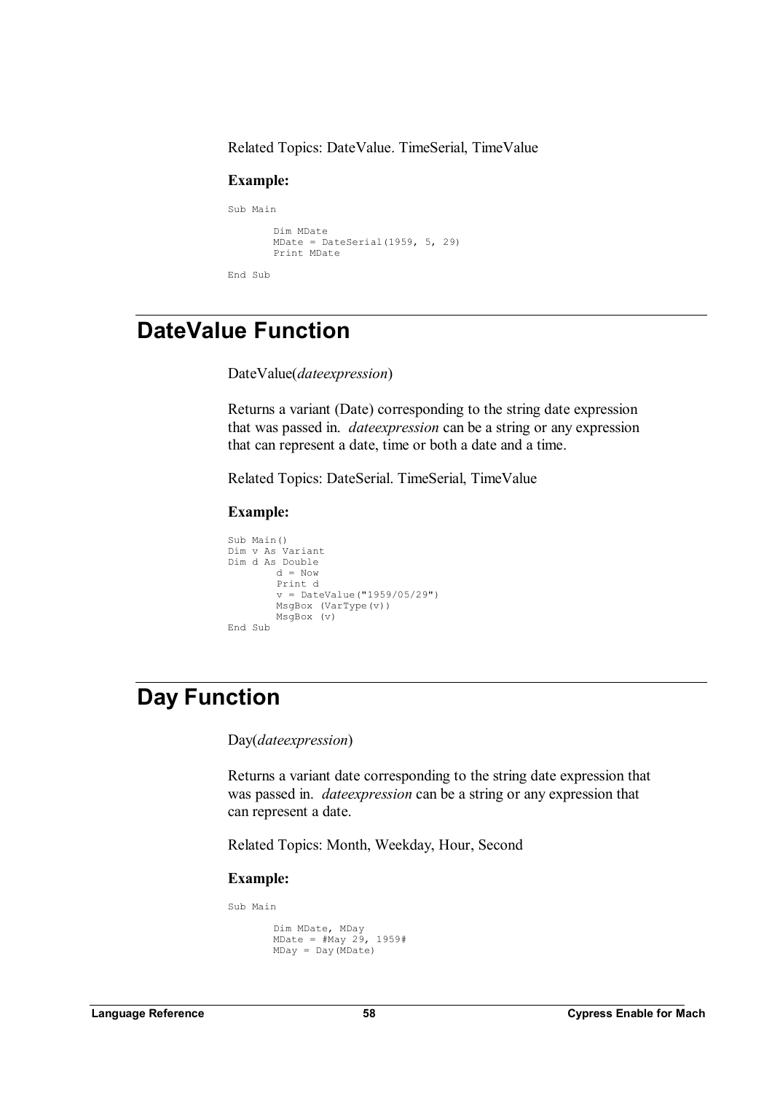Related Topics: DateValue. TimeSerial, TimeValue

#### **Example:**

```
Sub Main 
        Dim MDate 
        MDate = DateSerial(1959, 5, 29) 
        Print MDate 
End Sub
```
## **DateValue Function**

DateValue(*dateexpression*)

Returns a variant (Date) corresponding to the string date expression that was passed in. *dateexpression* can be a string or any expression that can represent a date, time or both a date and a time.

Related Topics: DateSerial. TimeSerial, TimeValue

#### **Example:**

```
Sub Main() 
Dim v As Variant 
Dim d As Double 
        d = NowPrint d 
        v = DateValue ("1959/05/29")
         MsgBox (VarType(v)) 
         MsgBox (v) 
End Sub
```
## **Day Function**

Day(*dateexpression*)

Returns a variant date corresponding to the string date expression that was passed in. *dateexpression* can be a string or any expression that can represent a date.

Related Topics: Month, Weekday, Hour, Second

#### **Example:**

Sub Main Dim MDate, MDay MDate =  $\frac{1}{4}$ May 29, 1959#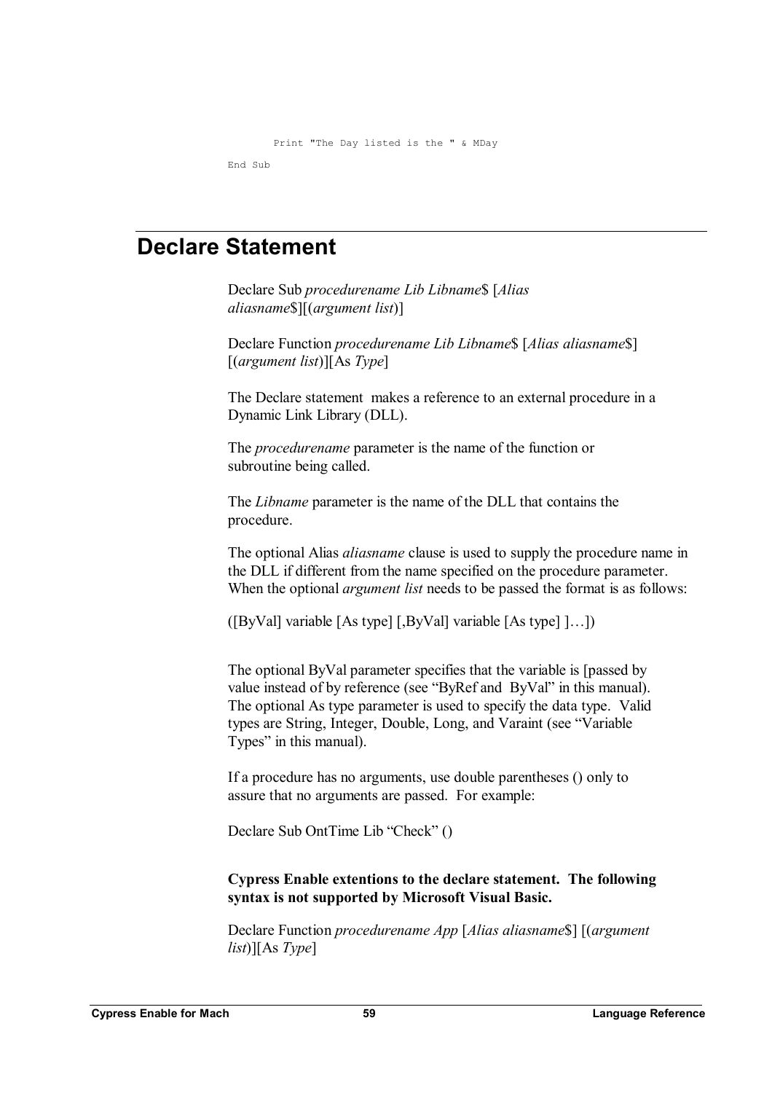```
Print "The Day listed is the " & MDay
```

```
End Sub
```
### **Declare Statement**

Declare Sub *procedurename Lib Libname*\$ [*Alias aliasname*\$][(*argument list*)]

Declare Function *procedurename Lib Libname*\$ [*Alias aliasname*\$] [(*argument list*)][As *Type*]

The Declare statement makes a reference to an external procedure in a Dynamic Link Library (DLL).

The *procedurename* parameter is the name of the function or subroutine being called.

The *Libname* parameter is the name of the DLL that contains the procedure.

The optional Alias *aliasname* clause is used to supply the procedure name in the DLL if different from the name specified on the procedure parameter. When the optional *argument list* needs to be passed the format is as follows:

([ByVal] variable [As type] [,ByVal] variable [As type] ]…])

The optional ByVal parameter specifies that the variable is [passed by value instead of by reference (see "ByRef and ByVal" in this manual). The optional As type parameter is used to specify the data type. Valid types are String, Integer, Double, Long, and Varaint (see "Variable Types" in this manual).

If a procedure has no arguments, use double parentheses () only to assure that no arguments are passed. For example:

Declare Sub OntTime Lib "Check" ()

### **Cypress Enable extentions to the declare statement. The following syntax is not supported by Microsoft Visual Basic.**

Declare Function *procedurename App* [*Alias aliasname*\$] [(*argument list*)][As *Type*]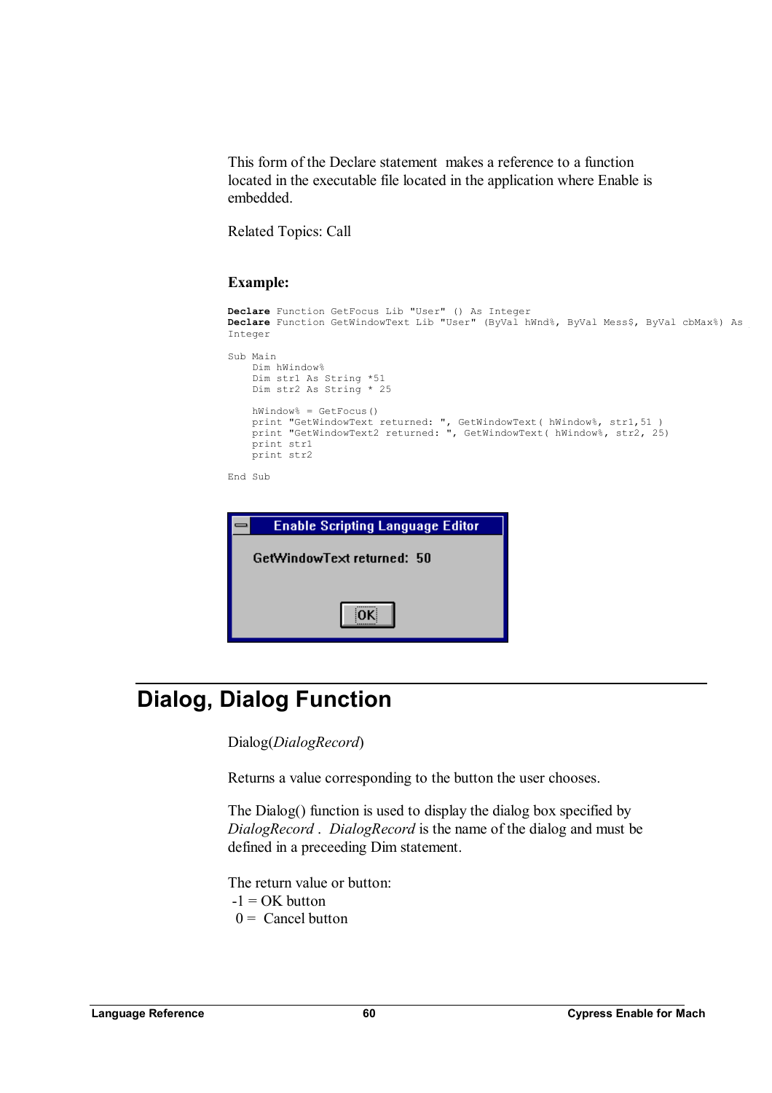This form of the Declare statement makes a reference to a function located in the executable file located in the application where Enable is embedded.

Related Topics: Call

### **Example:**

```
Declare Function GetFocus Lib "User" () As Integer 
Declare Function GetWindowText Lib "User" (ByVal hWnd%, ByVal Mess$, ByVal cbMax%) As _ 
Integer 
Sub Main 
    Dim hWindow% 
    Dim str1 As String *51 
    Dim str2 As String * 25 
    hWindow% = GetFocus() 
    print "GetWindowText returned: ", GetWindowText( hWindow%, str1,51 ) 
    print "GetWindowText2 returned: ", GetWindowText( hWindow%, str2, 25) 
    print str1 
    print str2 
End Sub
```


## **Dialog, Dialog Function**

Dialog(*DialogRecord*)

Returns a value corresponding to the button the user chooses.

The Dialog() function is used to display the dialog box specified by *DialogRecord* . *DialogRecord* is the name of the dialog and must be defined in a preceeding Dim statement.

The return value or button:

 $-1 = OK$  button

 $0 =$  Cancel button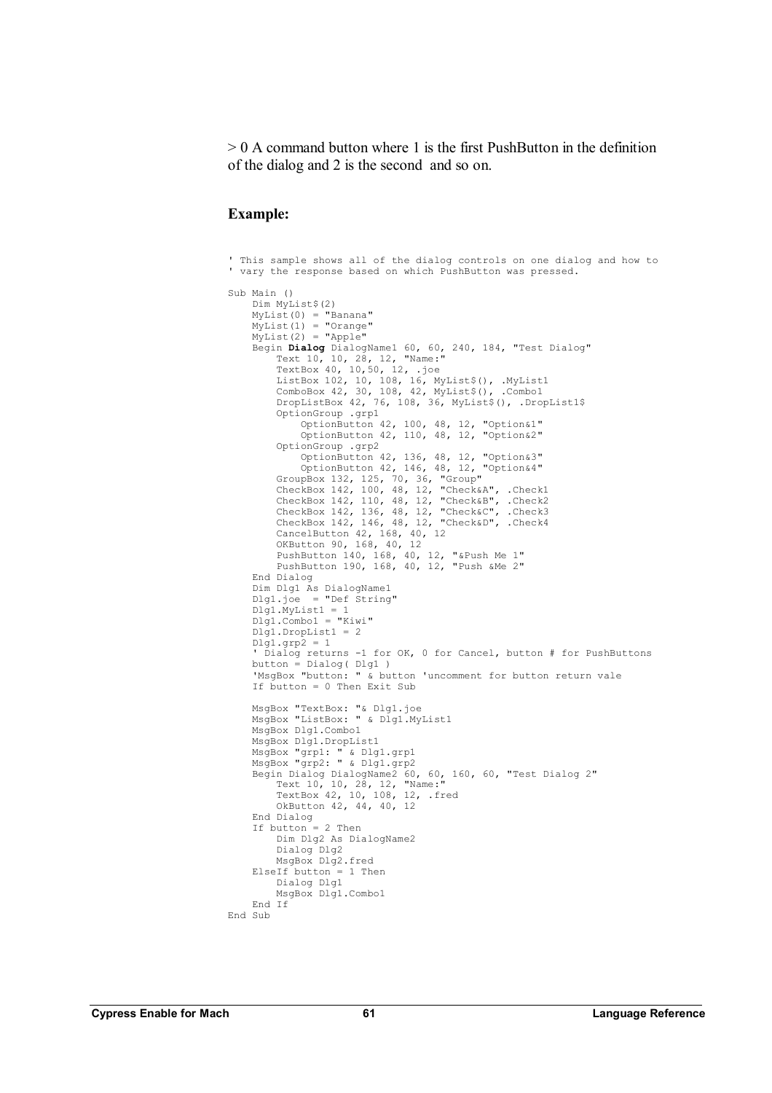$> 0$  A command button where 1 is the first PushButton in the definition of the dialog and 2 is the second and so on.

```
' This sample shows all of the dialog controls on one dialog and how to 
' vary the response based on which PushButton was pressed. 
Sub Main () 
   Dim MyList$(2) 
    MyList(0) = "Banana" 
    MyList(1) = "Orange" 
    MyLizU(2) = "Apple"Begin Dialog DialogName1 60, 60, 240, 184, "Test Dialog" 
        Text 10, 10, 28, 12, "Name:" 
        TextBox 40, 10,50, 12, .joe 
        ListBox 102, 10, 108, 16, MyList$(), .MyList1 
        ComboBox 42, 30, 108, 42, MyList$(), .Combo1 
        DropListBox 42, 76, 108, 36, MyList$(), .DropList1$ 
        OptionGroup .grp1 
            OptionButton 42, 100, 48, 12, "Option&1" 
            OptionButton 42, 110, 48, 12, "Option&2" 
        OptionGroup .grp2 
            OptionButton 42, 136, 48, 12, "Option&3" 
            OptionButton 42, 146, 48, 12, "Option&4" 
        GroupBox 132, 125, 70, 36, "Group" 
        CheckBox 142, 100, 48, 12, "Check&A", .Check1 
        CheckBox 142, 110, 48, 12, "Check&B", .Check2 
        CheckBox 142, 136, 48, 12, "Check&C", .Check3 
        CheckBox 142, 146, 48, 12, "Check&D", .Check4 
        CancelButton 42, 168, 40, 12 
        OKButton 90, 168, 40, 12 
        PushButton 140, 168, 40, 12, "&Push Me 1" 
        PushButton 190, 168, 40, 12, "Push &Me 2" 
    End Dialog 
    Dim Dlg1 As DialogName1 
    Dlg1.joe = "Def String" 
    Dlg1.MyList1 = 1 
    \text{Dlg1.Combol} = "Kiwi"Di \alpha1. DropList1 = 2
    D1a1.arn2 = 1' Dialog returns -1 for OK, 0 for Cancel, button # for PushButtons 
    button = Dialog( Dlg1 ) 
    'MsgBox "button: " & button 'uncomment for button return vale 
    If button = 0 Then Exit Sub
    MsgBox "TextBox: "& Dlg1.joe 
    MsgBox "ListBox: " & Dlg1.MyList1 
    MsgBox Dlg1.Combo1 
    MsgBox Dlg1.DropList1 
    MsgBox "grp1: " & Dlg1.grp1 
    MsgBox "grp2: " & Dlg1.grp2 
    Begin Dialog DialogName2 60, 60, 160, 60, "Test Dialog 2" 
        Text 10, 10, 28, 12, "Name:" 
        TextBox 42, 10, 108, 12, .fred 
        OkButton 42, 44, 40, 12 
    End Dialog 
    If button = 2 Then 
        Dim Dlg2 As DialogName2 
        Dialog Dlg2 
        MsgBox Dlg2.fred 
    ElseIf button = 1 Then
        Dialog Dlg1 
        MsgBox Dlg1.Combo1 
    End If 
End Sub
```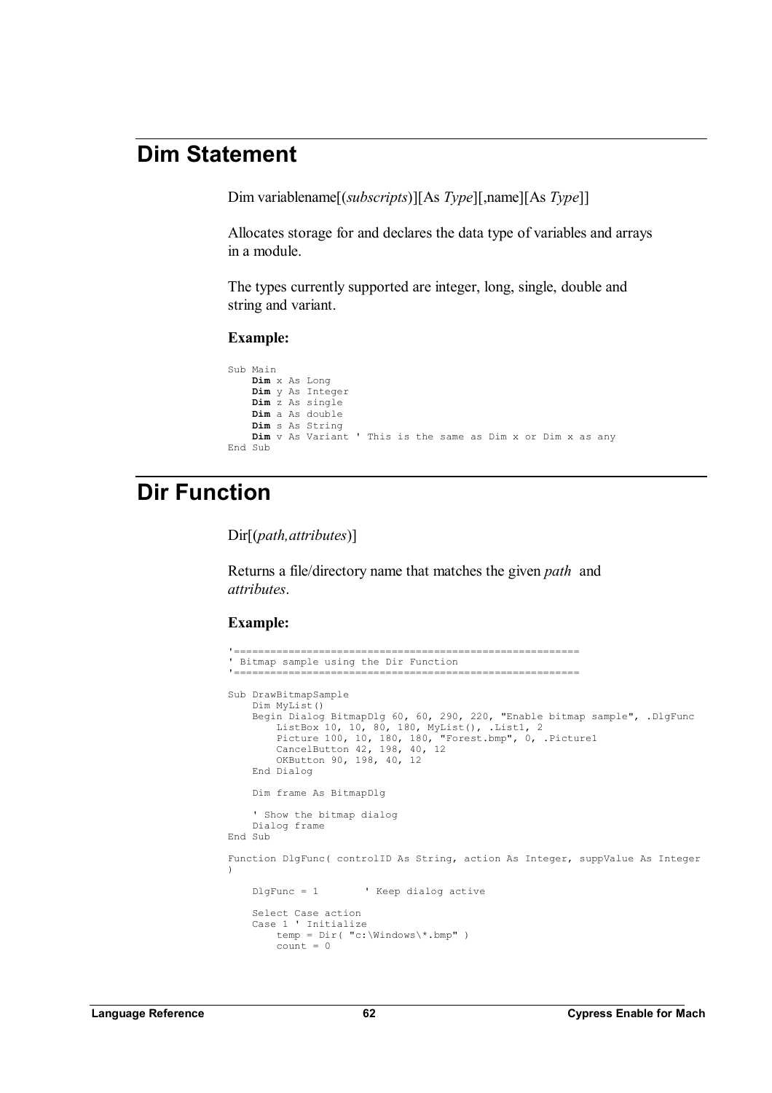### **Dim Statement**

Dim variablename[(*subscripts*)][As *Type*][,name][As *Type*]]

Allocates storage for and declares the data type of variables and arrays in a module.

The types currently supported are integer, long, single, double and string and variant.

#### **Example:**

```
Sub Main 
     Dim x As Long 
     Dim y As Integer 
     Dim z As single 
    Dim a As double 
     Dim s As String 
     Dim v As Variant ' This is the same as Dim x or Dim x as any 
 End Sub
```
### **Dir Function**

Dir[(*path,attributes*)]

Returns a file/directory name that matches the given *path* and *attributes*.

```
'========================================================= 
' Bitmap sample using the Dir Function 
'========================================================= 
Sub DrawBitmapSample 
    Dim MyList() 
    Begin Dialog BitmapDlg 60, 60, 290, 220, "Enable bitmap sample", .DlgFunc 
        ListBox 10, 10, 80, 180, MyList(), .List1, 2 
        Picture 100, 10, 180, 180, "Forest.bmp", 0, .Picture1 
        CancelButton 42, 198, 40, 12 
        OKButton 90, 198, 40, 12 
    End Dialog 
    Dim frame As BitmapDlg 
     ' Show the bitmap dialog 
    Dialog frame 
End Sub 
Function DlgFunc( controlID As String, action As Integer, suppValue As Integer 
\lambdaDlgFunc = 1 ' Keep dialog active 
    Select Case action 
    Case 1 ' Initialize 
        temp = Dir( "c:\Windows\*.bmp" ) 
        count = 0
```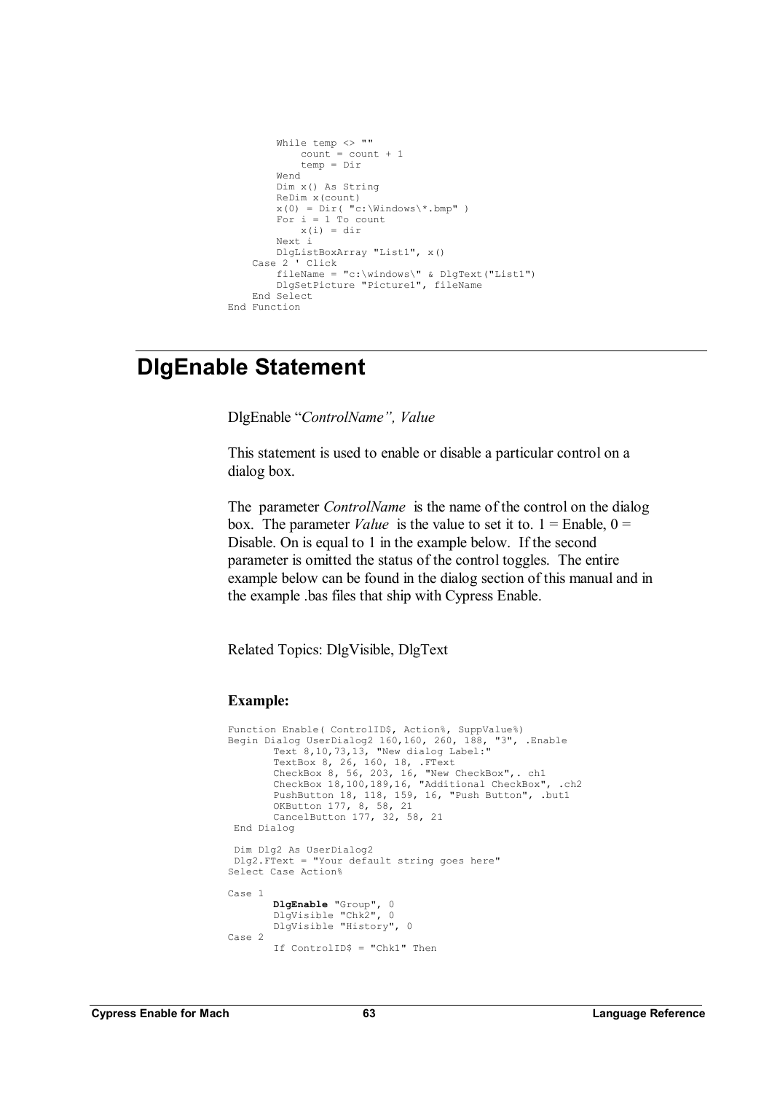```
While temp \langle \rangle ""
             count = count + 1temp = Dir 
        Wend 
        Dim x() As String 
        ReDim x(count) 
        x(0) = Dir( "c:\Windows\* . bmo" )For i = 1 To count
             x(i) = dir 
        Next i 
        DlgListBoxArray "List1", x() 
    Case 2 ' Click 
         fileName = "c:\windows\" & DlgText("List1") 
         DlgSetPicture "Picture1", fileName 
    End Select 
End Function
```
### **DlgEnable Statement**

DlgEnable "*ControlName", Value* 

This statement is used to enable or disable a particular control on a dialog box.

The parameter *ControlName* is the name of the control on the dialog box. The parameter *Value* is the value to set it to.  $1 =$  Enable,  $0 =$ Disable. On is equal to 1 in the example below. If the second parameter is omitted the status of the control toggles. The entire example below can be found in the dialog section of this manual and in the example .bas files that ship with Cypress Enable.

Related Topics: DlgVisible, DlgText

```
Function Enable( ControlID$, Action%, SuppValue%) 
Begin Dialog UserDialog2 160,160, 260, 188, "3", .Enable 
        Text 8,10,73,13, "New dialog Label:" 
       TextBox 8, 26, 160, 18, .FText 
        CheckBox 8, 56, 203, 16, "New CheckBox",. ch1 
        CheckBox 18,100,189,16, "Additional CheckBox", .ch2 
        PushButton 18, 118, 159, 16, "Push Button", .but1 
        OKButton 177, 8, 58, 21 
       CancelButton 177, 32, 58, 21 
End Dialog 
Dim Dlg2 As UserDialog2 
Dlg2.FText = "Your default string goes here" 
Select Case Action% 
Case 1 
       DlgEnable "Group", 0 
       DlgVisible "Chk2", 0 
       DlgVisible "History", 0 
Case 2 
       If ControlID$ = "Chk1" Then
```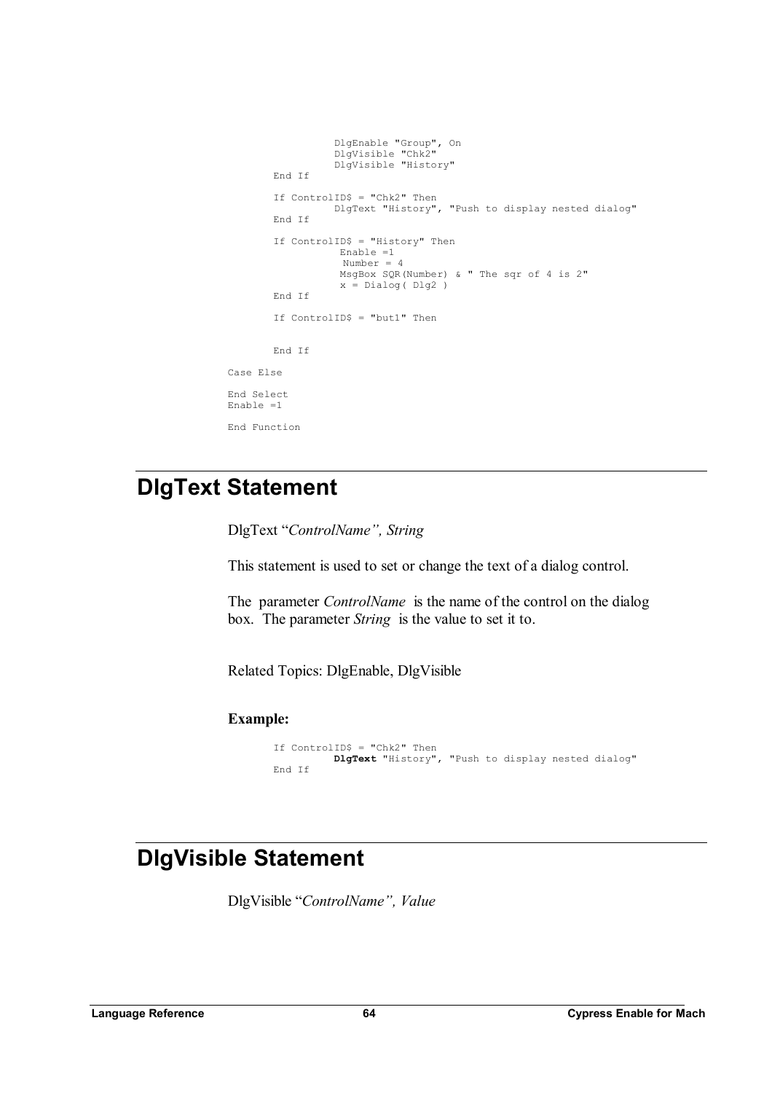```
DlgEnable "Group", On 
                   DlgVisible "Chk2" 
                   DlgVisible "History" 
        End If 
        If ControlID$ = "Chk2" Then 
                   DlgText "History", "Push to display nested dialog" 
        End If 
        If ControlID$ = "History" Then 
                   Enable =1 
                    Number = 4 
                   MsgBox SQR(Number) & " The sqr of 4 is 2" 
                   x = Dialog( Dlg2)End If 
        If ControlID$ = "but1" Then 
       End If 
Case Else 
End Select 
Enable =1 
End Function
```
## **DlgText Statement**

DlgText "*ControlName", String* 

This statement is used to set or change the text of a dialog control.

The parameter *ControlName* is the name of the control on the dialog box. The parameter *String* is the value to set it to.

Related Topics: DlgEnable, DlgVisible

### **Example:**

```
If ControlID$ = "Chk2" Then 
           DlgText "History", "Push to display nested dialog" 
End If
```
### **DlgVisible Statement**

DlgVisible "*ControlName", Value*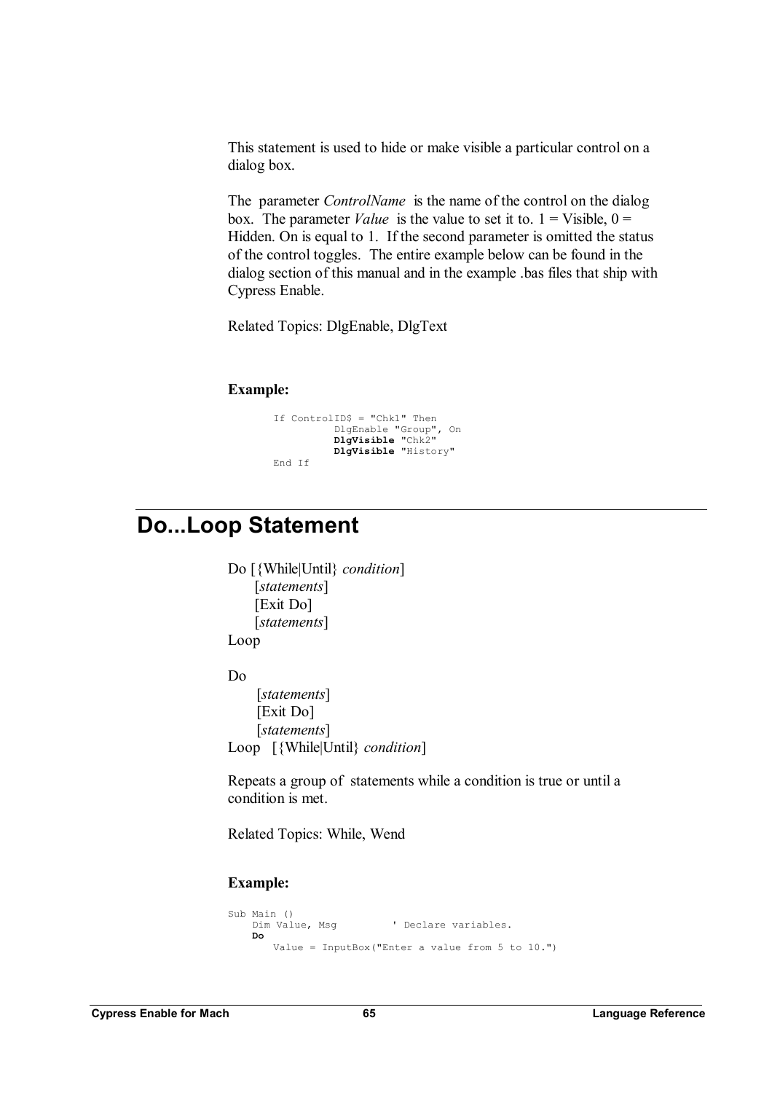This statement is used to hide or make visible a particular control on a dialog box.

The parameter *ControlName* is the name of the control on the dialog box. The parameter *Value* is the value to set it to.  $1 =$  Visible,  $0 =$ Hidden. On is equal to 1. If the second parameter is omitted the status of the control toggles. The entire example below can be found in the dialog section of this manual and in the example .bas files that ship with Cypress Enable.

Related Topics: DlgEnable, DlgText

#### **Example:**

If ControlID\$ = "Chk1" Then DlgEnable "Group", On **DlgVisible** "Chk2" **DlgVisible** "History" End If

### **Do...Loop Statement**

Do [{While|Until} *condition*] [*statements*] [Exit Do] [*statements*] Loop

Do

[*statements*] [Exit Do] [*statements*] Loop [{While|Until} *condition*]

Repeats a group of statements while a condition is true or until a condition is met.

Related Topics: While, Wend

```
Sub Main ()<br>Dim Value, Msg
                               ' Declare variables.
     Do 
        Value = InputBox("Enter a value from 5 to 10.")
```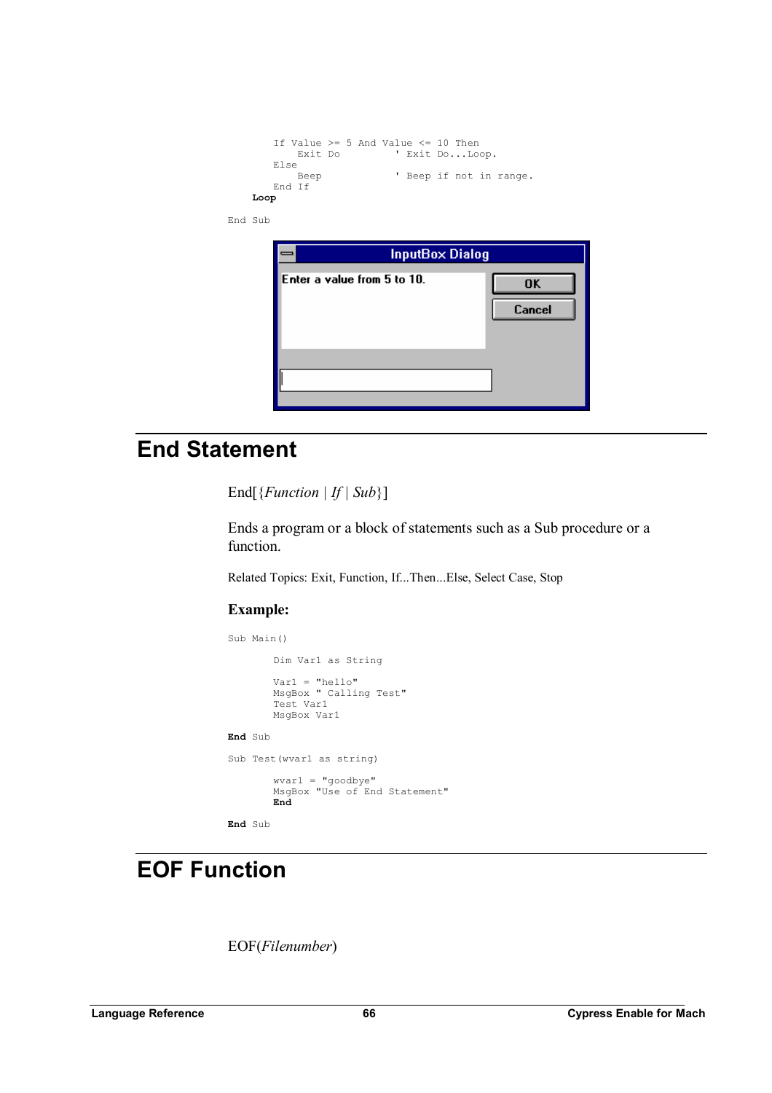```
If Value >= 5 And Value <= 10 Then
          Exit Do ' Exit Do...Loop.
      Else 
                         ' Beep if not in range.
      End If 
    Loop
End Sub
```

|                             | <b>InputBox Dialog</b> |              |
|-----------------------------|------------------------|--------------|
| Enter a value from 5 to 10. |                        | OK<br>Cancel |
|                             |                        |              |

## **End Statement**

End $\left[ \{Function \mid If \mid Sub \} \right]$ 

Ends a program or a block of statements such as a Sub procedure or a function.

Related Topics: Exit, Function, If...Then...Else, Select Case, Stop

### **Example:**

```
Sub Main() 
       Dim Var1 as String 
        Var1 = "hello" 
        MsgBox " Calling Test" 
       Test Var1 
       MsgBox Var1 
End Sub 
Sub Test(wvar1 as string) 
        wvar1 = "goodbye" 
        MsgBox "Use of End Statement" 
        End 
End Sub
```
## **EOF Function**

EOF(*Filenumber*)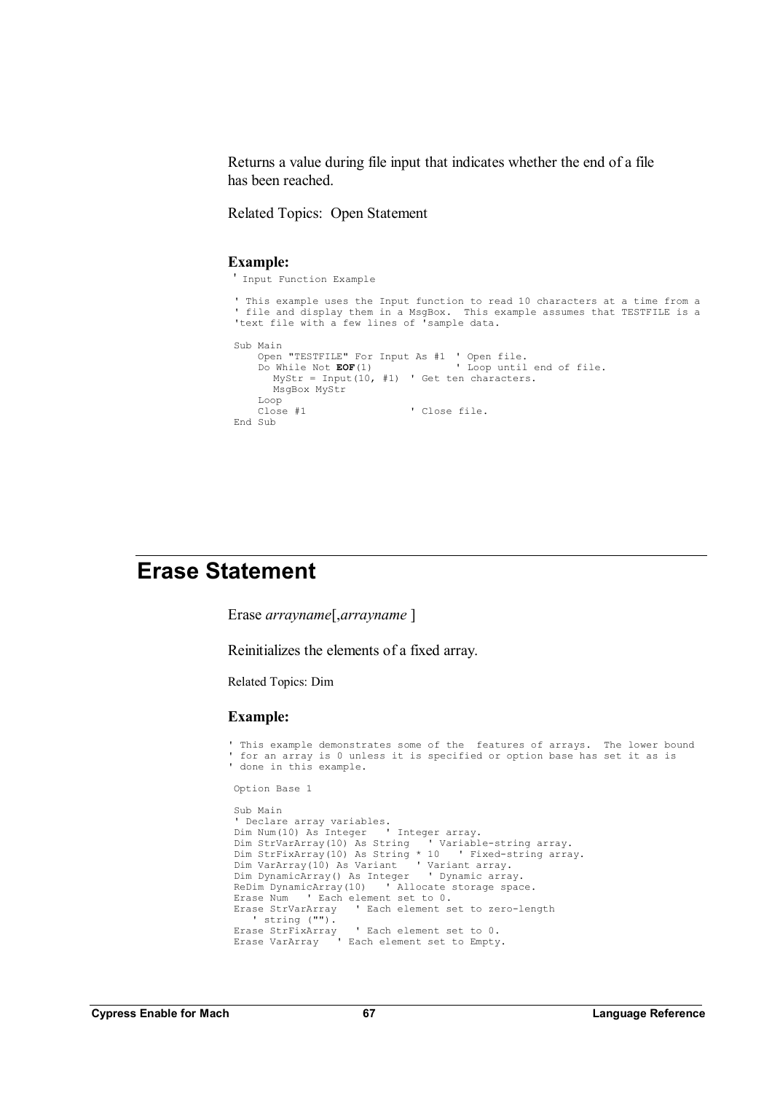Returns a value during file input that indicates whether the end of a file has been reached.

Related Topics: Open Statement

#### **Example:**

' Input Function Example

```
' This example uses the Input function to read 10 characters at a time from a 
' file and display them in a MsgBox. This example assumes that TESTFILE is a 
'text file with a few lines of 'sample data. 
Sub Main 
 Open "TESTFILE" For Input As #1 ' Open file. 
 Do While Not EOF(1) ' Loop until end of file. 
     MyStr = Input(10, #1) ' Get ten characters.
     MsgBox MyStr 
   Loop<br>Close #1
                           ' Close file.
End Sub
```
### **Erase Statement**

Erase *arrayname*[,*arrayname* ]

Reinitializes the elements of a fixed array.

Related Topics: Dim

```
' This example demonstrates some of the features of arrays. The lower bound 
' for an array is 0 unless it is specified or option base has set it as is 
' done in this example. 
Option Base 1 
Sub Main 
 ' Declare array variables. 
Dim Num(10) As Integer ' Integer array. 
Dim StrVarArray(10) As String ' Variable-string array. 
Dim StrFixArray(10) As String * 10 ' Fixed-string array. 
Dim VarArray(10) As Variant ' Variant array. 
Dim DynamicArray() As Integer ' Dynamic array. 
ReDim DynamicArray(10) ' Allocate storage space. 
Erase Num ' Each element set to 0. 
Erase StrVarArray ' Each element set to zero-length 
 ' string (""). 
Erase StrFixArray ' Each element set to 0. 
Erase VarArray ' Each element set to Empty.
```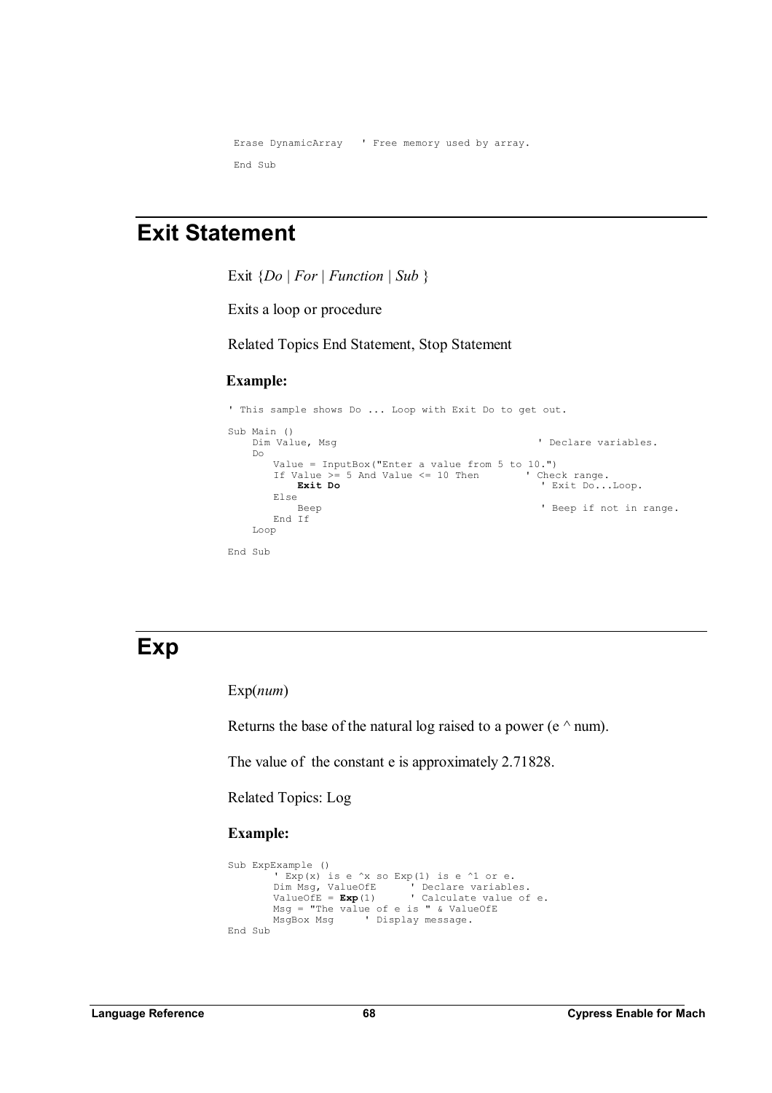```
Erase DynamicArray ' Free memory used by array. 
End Sub
```
### **Exit Statement**

Exit  ${Do | For | Function | Sub }$ 

Exits a loop or procedure

Related Topics End Statement, Stop Statement

#### **Example:**

 ' This sample shows Do ... Loop with Exit Do to get out. Sub Main ()<br>Dim Value, Msg ' Declare variables. Do Value = InputBox("Enter a value from 5 to 10.")<br>If Value >= 5 And Value <= 10 Then ' Check range. If Value >= 5 And Value <= 10 Then ' Check range. **Exit Do** ' Exit Do...Loop. Else ' Beep if not in range. End If Loop End Sub

### **Exp**

Exp(*num*)

Returns the base of the natural log raised to a power ( $e^{\wedge}$  num).

The value of the constant e is approximately 2.71828.

Related Topics: Log

```
Sub ExpExample () 
' Exp(x) is e ^x so Exp(1) is e ^1 or e. 
       Dim Msg, ValueOfE ' Declare variables. 
       ValueOfE = Exp(1) ' Calculate value of e. 
       Msg = "The value of e is " & ValueOfE 
       MsgBox Msg ' Display message. 
End Sub
```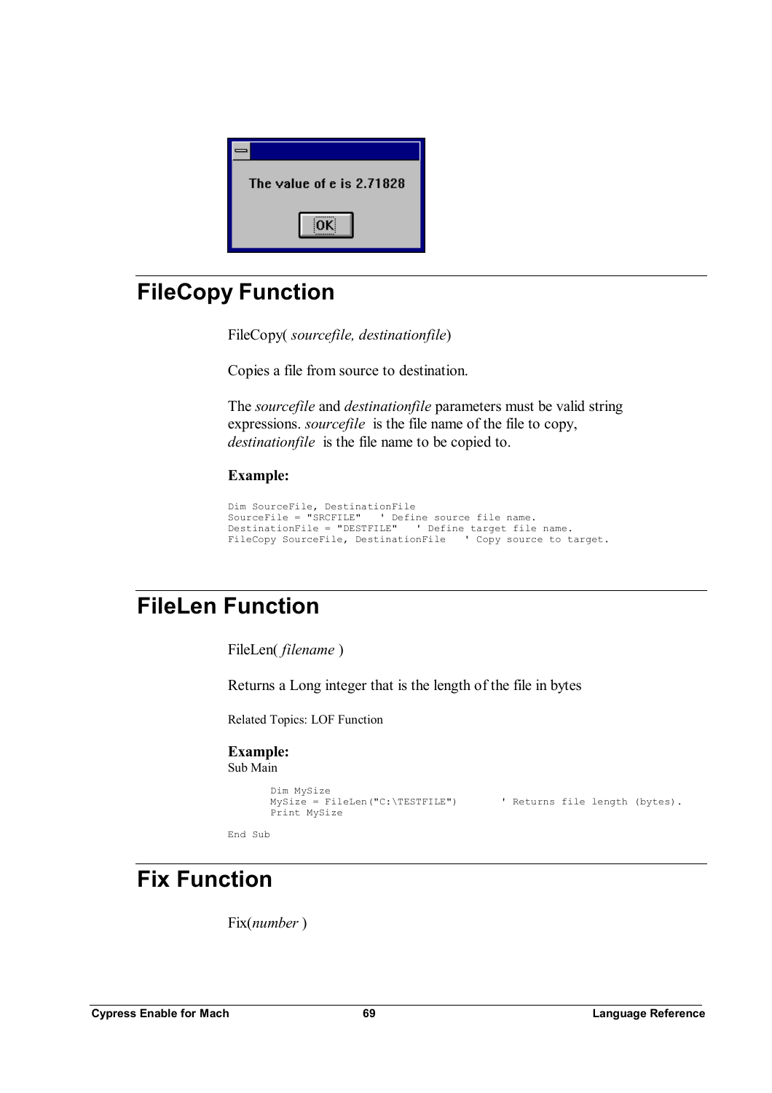

## **FileCopy Function**

FileCopy( *sourcefile, destinationfile*)

Copies a file from source to destination.

The *sourcefile* and *destinationfile* parameters must be valid string expressions. *sourcefile* is the file name of the file to copy, *destinationfile* is the file name to be copied to.

### **Example:**

```
Dim SourceFile, DestinationFile<br>SourceFile = "SRCFILE" ' Define source file name.
SourceFile = "SRCFILE" ' Define source file name. 
DestinationFile = "DESTFILE" ' Define target file name. 
FileCopy SourceFile, DestinationFile ' Copy source to target.
```
### **FileLen Function**

FileLen( *filename* )

Returns a Long integer that is the length of the file in bytes

Related Topics: LOF Function

**Example:**  Sub Main

```
Dim MySize 
MySize = FileLen("C:\TESTFILE") ' Returns file length (bytes). 
Print MySize
```

```
End Sub
```
## **Fix Function**

Fix(*number* )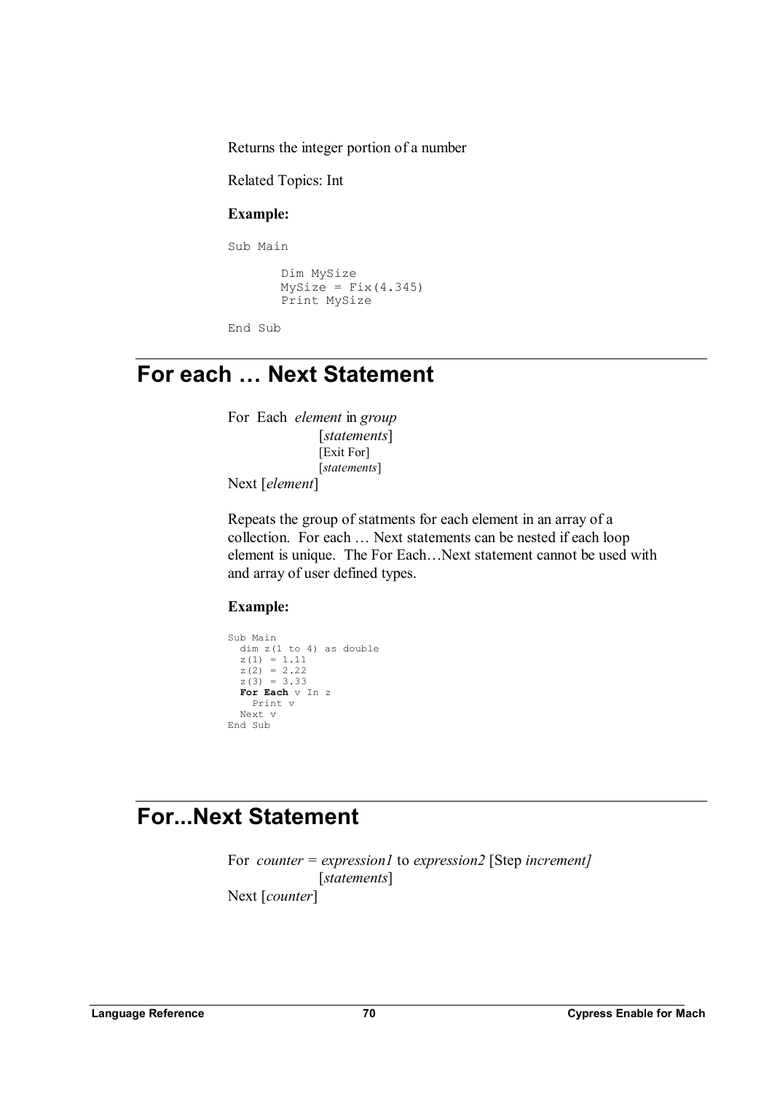Returns the integer portion of a number

Related Topics: Int

#### **Example:**

Sub Main

```
 Dim MySize 
MySize = Fix(4.345) Print MySize
```
End Sub

### **For each … Next Statement**

For Each *element* in *group* [*statements*] [Exit For] [*statements*]

Next [*element*]

Repeats the group of statments for each element in an array of a collection. For each … Next statements can be nested if each loop element is unique. The For Each…Next statement cannot be used with and array of user defined types.

#### **Example:**

```
Sub Main 
  dim z(1 to 4) as double 
  z(1) = 1.11 
  z(2) = 2.22z(3) = 3.33 
   For Each v In z 
   Print v 
  Next v 
End Sub
```
## **For...Next Statement**

For *counter = expression1* to *expression2* [Step *increment]* [*statements*] Next [*counter*]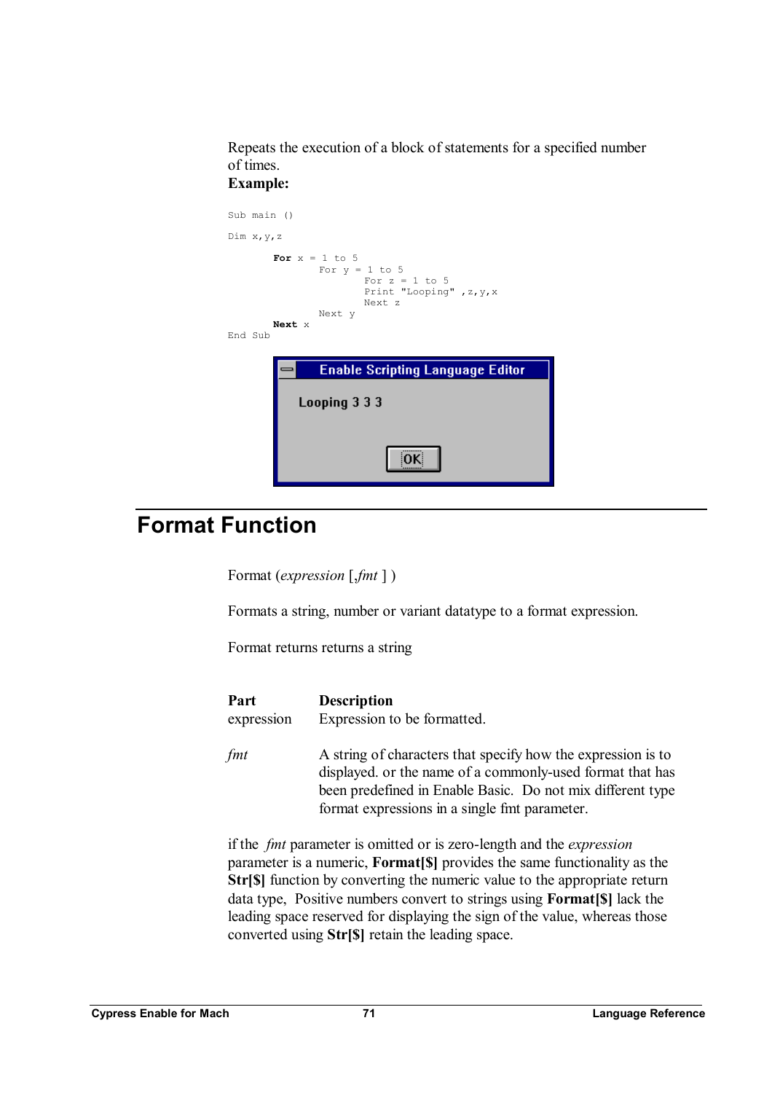Repeats the execution of a block of statements for a specified number of times.

### **Example:**



## **Format Function**

Format (*expression* [,*fmt* ] )

Formats a string, number or variant datatype to a format expression.

Format returns returns a string

| Part       | <b>Description</b>                                                                                                                                                                                                                        |
|------------|-------------------------------------------------------------------------------------------------------------------------------------------------------------------------------------------------------------------------------------------|
| expression | Expression to be formatted.                                                                                                                                                                                                               |
| fmt        | A string of characters that specify how the expression is to<br>displayed. or the name of a commonly-used format that has<br>been predefined in Enable Basic. Do not mix different type<br>format expressions in a single fint parameter. |

if the *fmt* parameter is omitted or is zero-length and the *expression*  parameter is a numeric, **Format[\$]** provides the same functionality as the **Str[\$]** function by converting the numeric value to the appropriate return data type, Positive numbers convert to strings using **Format[\$]** lack the leading space reserved for displaying the sign of the value, whereas those converted using **Str[\$]** retain the leading space.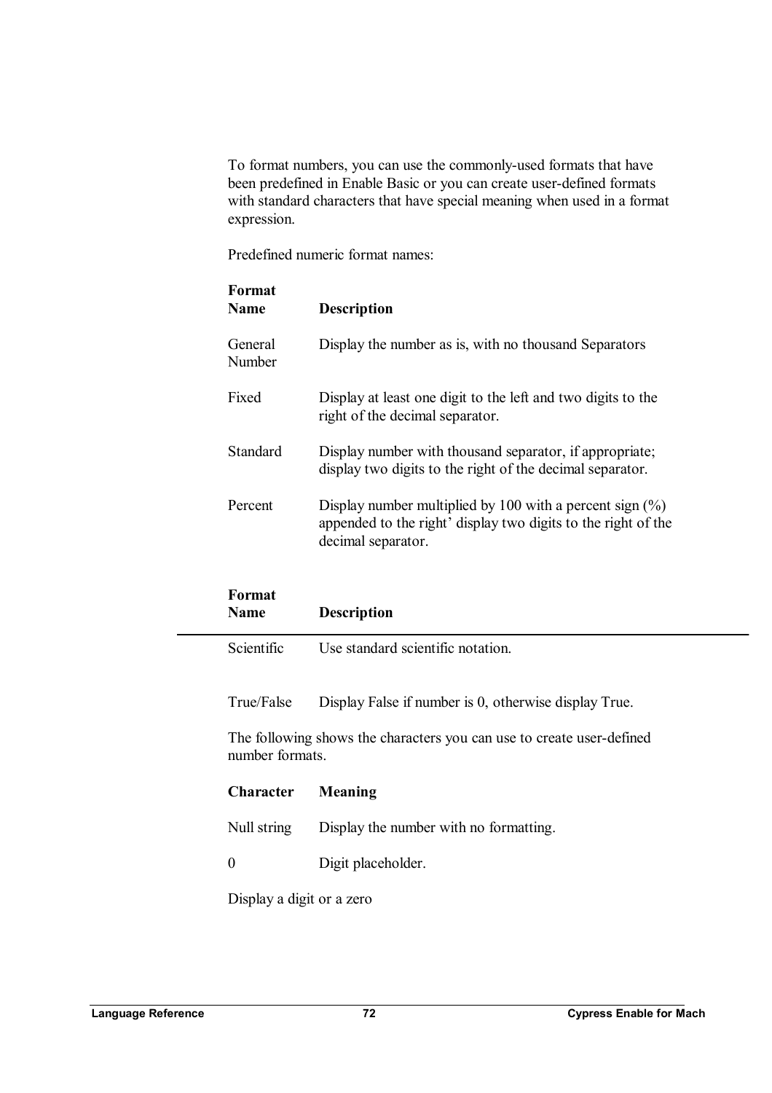To format numbers, you can use the commonly-used formats that have been predefined in Enable Basic or you can create user-defined formats with standard characters that have special meaning when used in a format expression.

Predefined numeric format names:

| Format<br><b>Name</b> | <b>Description</b>                                                                                                                                 |
|-----------------------|----------------------------------------------------------------------------------------------------------------------------------------------------|
| General<br>Number     | Display the number as is, with no thousand Separators                                                                                              |
| Fixed                 | Display at least one digit to the left and two digits to the<br>right of the decimal separator.                                                    |
| <b>Standard</b>       | Display number with thousand separator, if appropriate;<br>display two digits to the right of the decimal separator.                               |
| Percent               | Display number multiplied by 100 with a percent sign $(\%)$<br>appended to the right' display two digits to the right of the<br>decimal separator. |

| Format<br>Name                                                                           | <b>Description</b>                                    |
|------------------------------------------------------------------------------------------|-------------------------------------------------------|
| Scientific                                                                               | Use standard scientific notation.                     |
| True/False                                                                               | Display False if number is 0, otherwise display True. |
| The following shows the characters you can use to create user-defined<br>number formats. |                                                       |
| <b>Character</b>                                                                         | Meaning                                               |
| Null string                                                                              | Display the number with no formatting.                |
| 0                                                                                        | Digit placeholder.                                    |

Display a digit or a zero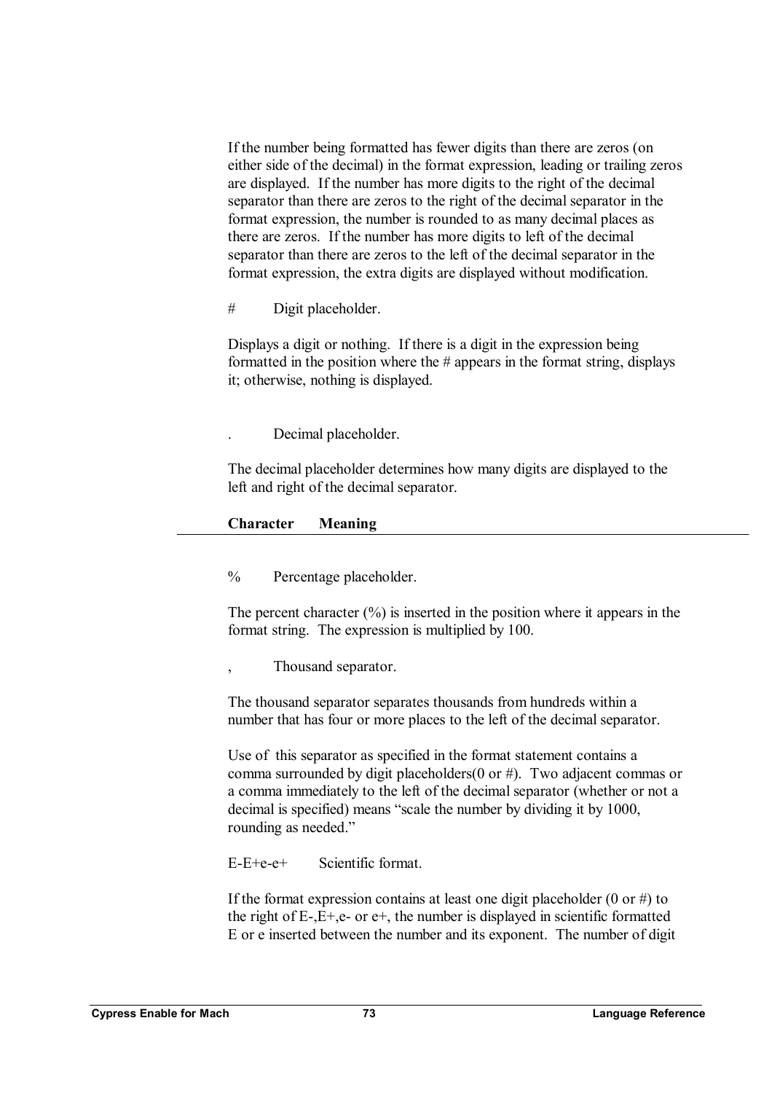If the number being formatted has fewer digits than there are zeros (on either side of the decimal) in the format expression, leading or trailing zeros are displayed. If the number has more digits to the right of the decimal separator than there are zeros to the right of the decimal separator in the format expression, the number is rounded to as many decimal places as there are zeros. If the number has more digits to left of the decimal separator than there are zeros to the left of the decimal separator in the format expression, the extra digits are displayed without modification.

# Digit placeholder.

Displays a digit or nothing. If there is a digit in the expression being formatted in the position where the  $\#$  appears in the format string, displays it; otherwise, nothing is displayed.

. Decimal placeholder.

The decimal placeholder determines how many digits are displayed to the left and right of the decimal separator.

| <b>Character</b> | Meaning |  |  |
|------------------|---------|--|--|
|                  |         |  |  |

% Percentage placeholder.

The percent character  $(\%)$  is inserted in the position where it appears in the format string. The expression is multiplied by 100.

, Thousand separator.

The thousand separator separates thousands from hundreds within a number that has four or more places to the left of the decimal separator.

Use of this separator as specified in the format statement contains a comma surrounded by digit placeholders( $0$  or  $#$ ). Two adjacent commas or a comma immediately to the left of the decimal separator (whether or not a decimal is specified) means "scale the number by dividing it by 1000, rounding as needed."

E-E+e-e+ Scientific format.

If the format expression contains at least one digit placeholder (0 or  $\#$ ) to the right of  $E$ -, $E$ +, $e$ - or  $e$ +, the number is displayed in scientific formatted E or e inserted between the number and its exponent. The number of digit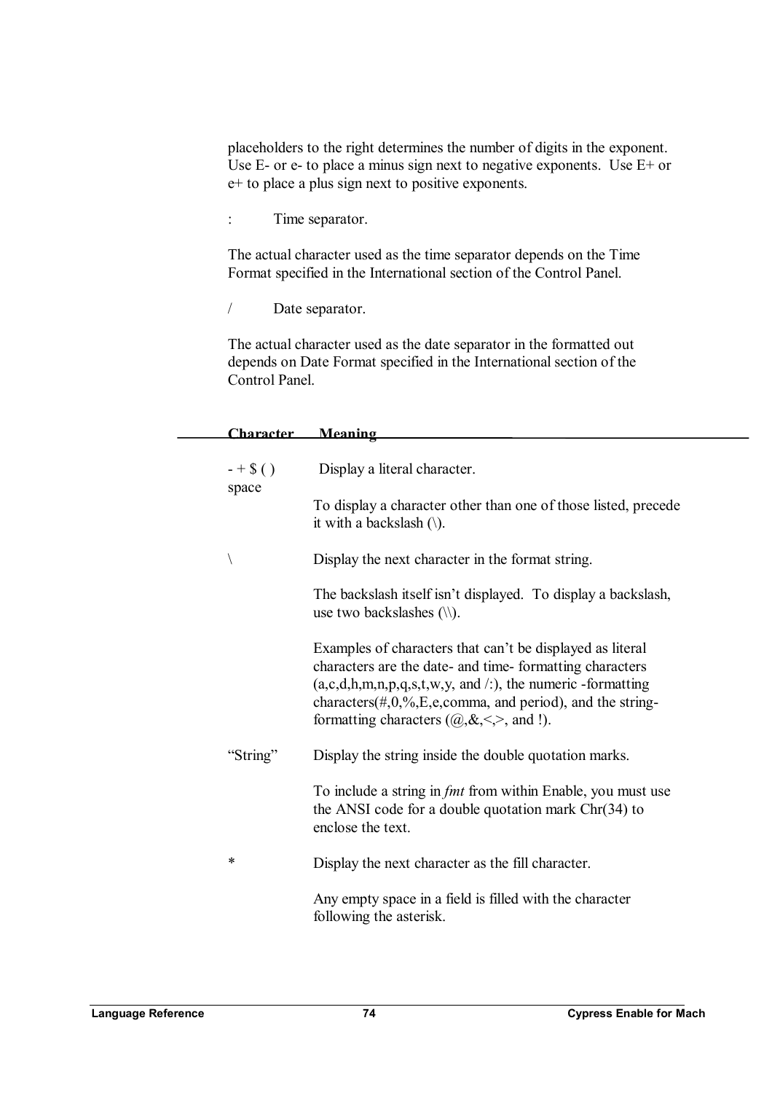placeholders to the right determines the number of digits in the exponent. Use E- or e- to place a minus sign next to negative exponents. Use  $E+$  or e+ to place a plus sign next to positive exponents.

: Time separator.

The actual character used as the time separator depends on the Time Format specified in the International section of the Control Panel.

/ Date separator.

The actual character used as the date separator in the formatted out depends on Date Format specified in the International section of the Control Panel.

| <b>Character</b>   | <u>Meaning</u>                                                                                                                                                                                                                                                                                                                |
|--------------------|-------------------------------------------------------------------------------------------------------------------------------------------------------------------------------------------------------------------------------------------------------------------------------------------------------------------------------|
| $- + $()$<br>space | Display a literal character.<br>To display a character other than one of those listed, precede                                                                                                                                                                                                                                |
|                    | it with a backslash $(\cdot)$ .                                                                                                                                                                                                                                                                                               |
|                    | Display the next character in the format string.                                                                                                                                                                                                                                                                              |
|                    | The backslash itself isn't displayed. To display a backslash,<br>use two backslashes (\\).                                                                                                                                                                                                                                    |
|                    | Examples of characters that can't be displayed as literal<br>characters are the date- and time- formatting characters<br>$(a, c, d, h, m, n, p, q, s, t, w, y, and \n\therefore\),$ the numeric -formatting<br>characters $(\#,0,\%E,\)$ e, comma, and period), and the string-<br>formatting characters $(@,\&,<>~$ , and!). |
| "String"           | Display the string inside the double quotation marks.                                                                                                                                                                                                                                                                         |
|                    | To include a string in <i>fmt</i> from within Enable, you must use<br>the ANSI code for a double quotation mark $Chr(34)$ to<br>enclose the text.                                                                                                                                                                             |
| ∗                  | Display the next character as the fill character.                                                                                                                                                                                                                                                                             |
|                    | Any empty space in a field is filled with the character<br>following the asterisk.                                                                                                                                                                                                                                            |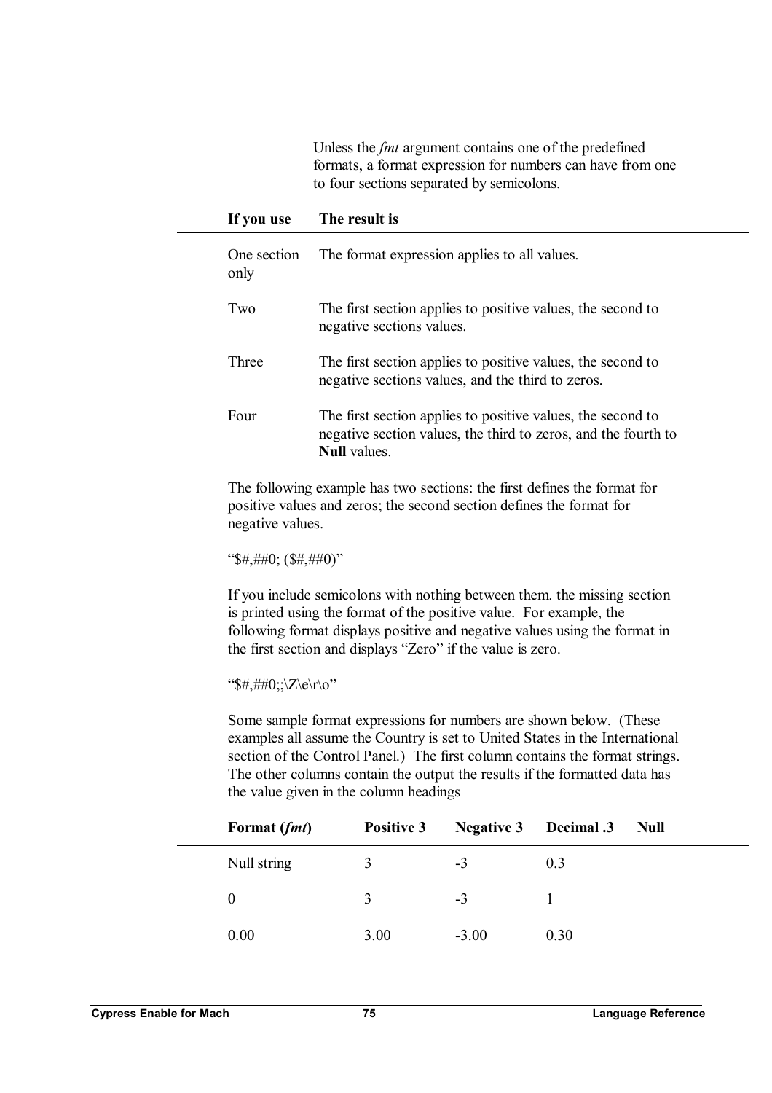Unless the *fmt* argument contains one of the predefined formats, a format expression for numbers can have from one to four sections separated by semicolons.

| If you use          | The result is                                                                                                                                        |  |  |
|---------------------|------------------------------------------------------------------------------------------------------------------------------------------------------|--|--|
| One section<br>only | The format expression applies to all values.                                                                                                         |  |  |
| Two                 | The first section applies to positive values, the second to<br>negative sections values.                                                             |  |  |
| Three               | The first section applies to positive values, the second to<br>negative sections values, and the third to zeros.                                     |  |  |
| Four                | The first section applies to positive values, the second to<br>negative section values, the third to zeros, and the fourth to<br><b>Null</b> values. |  |  |

The following example has two sections: the first defines the format for positive values and zeros; the second section defines the format for negative values.

" $\frac{4}{5}\frac{4}{10}$ ;  $\frac{4}{10}$ ;  $\frac{4}{10}$   $\frac{4}{10}$ 

If you include semicolons with nothing between them. the missing section is printed using the format of the positive value. For example, the following format displays positive and negative values using the format in the first section and displays "Zero" if the value is zero.

"\$#,##0;;\Z\e\r\o"

Some sample format expressions for numbers are shown below. (These examples all assume the Country is set to United States in the International section of the Control Panel.) The first column contains the format strings. The other columns contain the output the results if the formatted data has the value given in the column headings

| Format (fmt) | Positive 3 | <b>Negative 3</b> Decimal .3 |      | <b>Null</b> |
|--------------|------------|------------------------------|------|-------------|
| Null string  | 3          | $-3$                         | 0.3  |             |
| $\theta$     | 3          | $-3$                         |      |             |
| 0.00         | 3.00       | $-3.00$                      | 0.30 |             |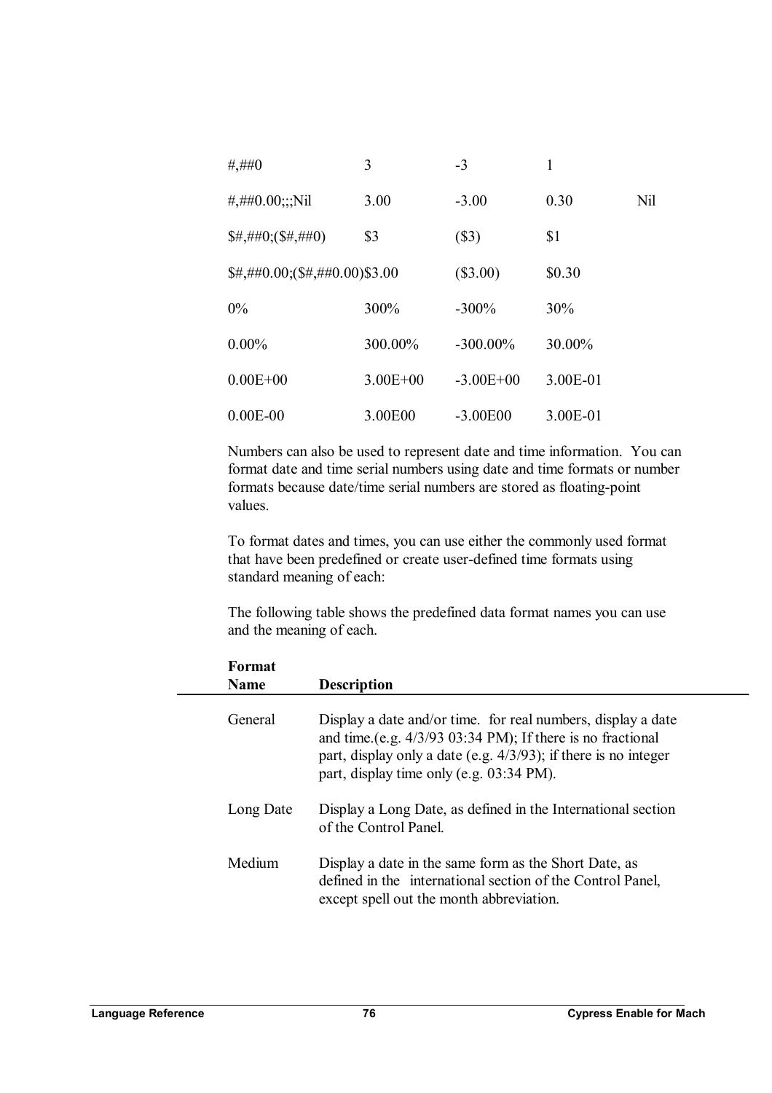| $\#$ , $\#$ $\#$ $\hbox{O}$                                                                                                                                                                                                                                                                                         | 3            | $-3$          | 1        |     |
|---------------------------------------------------------------------------------------------------------------------------------------------------------------------------------------------------------------------------------------------------------------------------------------------------------------------|--------------|---------------|----------|-----|
| #,##0.00;;;Nil                                                                                                                                                                                                                                                                                                      | 3.00         | $-3.00$       | 0.30     | Nil |
| $$#, \##0; ($\#,\##0)$                                                                                                                                                                                                                                                                                              | \$3          | (S3)          | \$1      |     |
| $\frac{1}{2}$ $\frac{1}{2}$ $\frac{1}{2}$ $\frac{1}{2}$ $\frac{1}{2}$ $\frac{1}{2}$ $\frac{1}{2}$ $\frac{1}{2}$ $\frac{1}{2}$ $\frac{1}{2}$ $\frac{1}{2}$ $\frac{1}{2}$ $\frac{1}{2}$ $\frac{1}{2}$ $\frac{1}{2}$ $\frac{1}{2}$ $\frac{1}{2}$ $\frac{1}{2}$ $\frac{1}{2}$ $\frac{1}{2}$ $\frac{1}{2}$ $\frac{1}{2}$ |              | $(\$3.00)$    | \$0.30   |     |
| $0\%$                                                                                                                                                                                                                                                                                                               | 300%         | $-300\%$      | 30%      |     |
| $0.00\%$                                                                                                                                                                                                                                                                                                            | 300.00%      | $-300.00\%$   | 30.00%   |     |
| $0.00E + 00$                                                                                                                                                                                                                                                                                                        | $3.00E + 00$ | $-3.00E + 00$ | 3.00E-01 |     |
| $0.00E - 00$                                                                                                                                                                                                                                                                                                        | 3.00E00      | $-3.00E00$    | 3.00E-01 |     |

Numbers can also be used to represent date and time information. You can format date and time serial numbers using date and time formats or number formats because date/time serial numbers are stored as floating-point values.

To format dates and times, you can use either the commonly used format that have been predefined or create user-defined time formats using standard meaning of each:

The following table shows the predefined data format names you can use and the meaning of each.

| Format<br>Name | <b>Description</b>                                                                                                                                                                                                                             |
|----------------|------------------------------------------------------------------------------------------------------------------------------------------------------------------------------------------------------------------------------------------------|
| General        | Display a date and/or time. for real numbers, display a date<br>and time.(e.g. $4/3/93$ 03:34 PM); If there is no fractional<br>part, display only a date (e.g. $4/3/93$ ); if there is no integer<br>part, display time only (e.g. 03:34 PM). |
| Long Date      | Display a Long Date, as defined in the International section<br>of the Control Panel.                                                                                                                                                          |
| Medium         | Display a date in the same form as the Short Date, as<br>defined in the international section of the Control Panel,<br>except spell out the month abbreviation.                                                                                |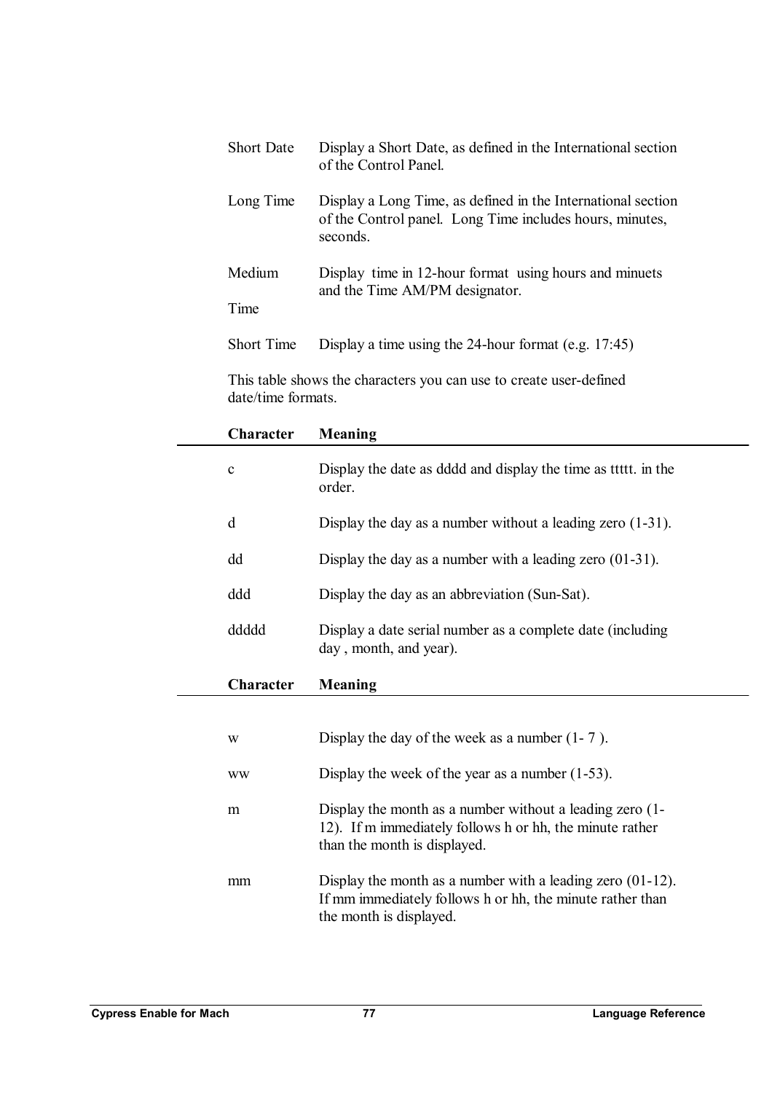| <b>Short Date</b> | Display a Short Date, as defined in the International section<br>of the Control Panel                                                |
|-------------------|--------------------------------------------------------------------------------------------------------------------------------------|
| Long Time         | Display a Long Time, as defined in the International section<br>of the Control panel. Long Time includes hours, minutes,<br>seconds. |
| Medium<br>Time    | Display time in 12-hour format using hours and minuets<br>and the Time AM/PM designator.                                             |
| <b>Short Time</b> | Display a time using the 24-hour format (e.g. $17:45$ )                                                                              |

This table shows the characters you can use to create user-defined date/time formats.

| Character   | <b>Meaning</b>                                                                                                                                       |
|-------------|------------------------------------------------------------------------------------------------------------------------------------------------------|
| $\mathbf c$ | Display the date as dddd and display the time as titter in the<br>order.                                                                             |
| d           | Display the day as a number without a leading zero $(1-31)$ .                                                                                        |
| dd          | Display the day as a number with a leading zero $(01-31)$ .                                                                                          |
| ddd         | Display the day as an abbreviation (Sun-Sat).                                                                                                        |
| ddddd       | Display a date serial number as a complete date (including<br>day, month, and year).                                                                 |
| Character   | <b>Meaning</b>                                                                                                                                       |
|             |                                                                                                                                                      |
|             |                                                                                                                                                      |
| W           | Display the day of the week as a number $(1 - 7)$ .                                                                                                  |
| <b>WW</b>   | Display the week of the year as a number $(1-53)$ .                                                                                                  |
| m           | Display the month as a number without a leading zero (1-<br>12). If m immediately follows h or hh, the minute rather<br>than the month is displayed. |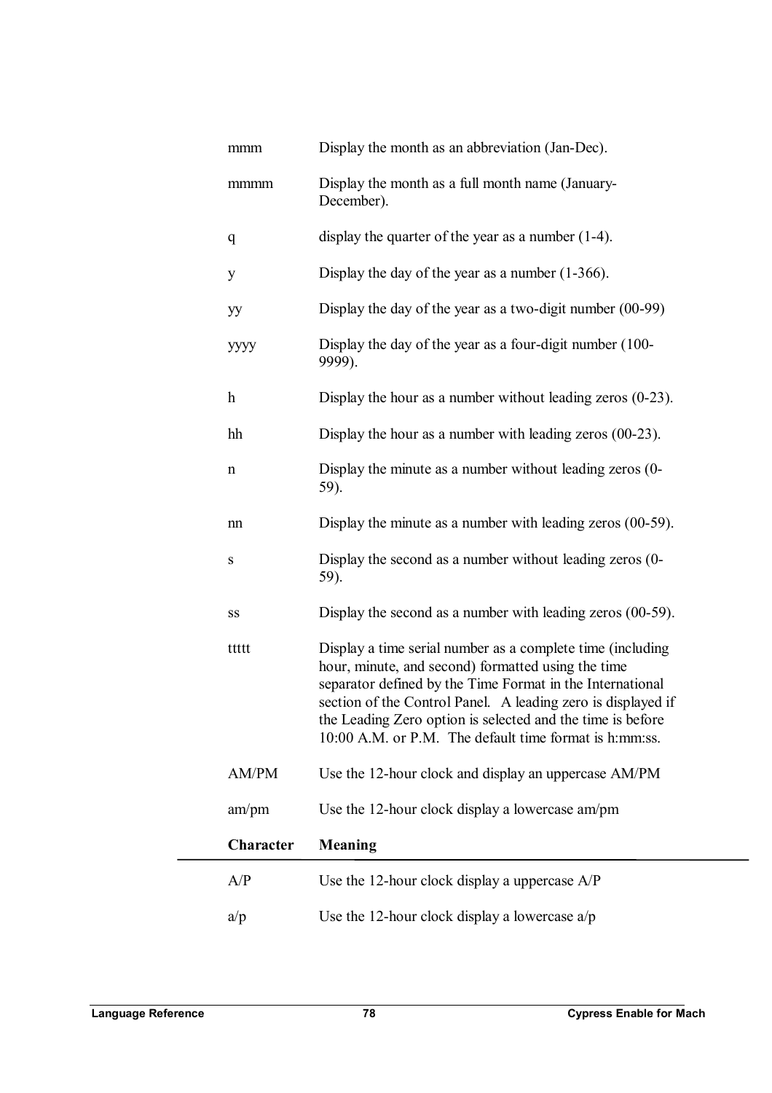| mmm          | Display the month as an abbreviation (Jan-Dec).                                                                                                                                                                                                                                                                                                                       |
|--------------|-----------------------------------------------------------------------------------------------------------------------------------------------------------------------------------------------------------------------------------------------------------------------------------------------------------------------------------------------------------------------|
| mmmm         | Display the month as a full month name (January-<br>December).                                                                                                                                                                                                                                                                                                        |
| q            | display the quarter of the year as a number $(1-4)$ .                                                                                                                                                                                                                                                                                                                 |
| y            | Display the day of the year as a number $(1-366)$ .                                                                                                                                                                                                                                                                                                                   |
| yy           | Display the day of the year as a two-digit number $(00-99)$                                                                                                                                                                                                                                                                                                           |
| уууу         | Display the day of the year as a four-digit number (100-<br>9999).                                                                                                                                                                                                                                                                                                    |
| $\mathbf{h}$ | Display the hour as a number without leading zeros $(0-23)$ .                                                                                                                                                                                                                                                                                                         |
| hh           | Display the hour as a number with leading zeros $(00-23)$ .                                                                                                                                                                                                                                                                                                           |
| $\mathbf n$  | Display the minute as a number without leading zeros (0-<br>59).                                                                                                                                                                                                                                                                                                      |
| nn           | Display the minute as a number with leading zeros (00-59).                                                                                                                                                                                                                                                                                                            |
| ${\bf S}$    | Display the second as a number without leading zeros (0-<br>59).                                                                                                                                                                                                                                                                                                      |
| SS           | Display the second as a number with leading zeros (00-59).                                                                                                                                                                                                                                                                                                            |
| ttttt        | Display a time serial number as a complete time (including<br>hour, minute, and second) formatted using the time<br>separator defined by the Time Format in the International<br>section of the Control Panel. A leading zero is displayed if<br>the Leading Zero option is selected and the time is before<br>10:00 A.M. or P.M. The default time format is h:mm:ss. |
| AM/PM        | Use the 12-hour clock and display an uppercase AM/PM                                                                                                                                                                                                                                                                                                                  |
| am/pm        | Use the 12-hour clock display a lowercase am/pm                                                                                                                                                                                                                                                                                                                       |
| Character    | <b>Meaning</b>                                                                                                                                                                                                                                                                                                                                                        |
| A/P          | Use the 12-hour clock display a uppercase A/P                                                                                                                                                                                                                                                                                                                         |
| a/p          | Use the 12-hour clock display a lowercase $a/p$                                                                                                                                                                                                                                                                                                                       |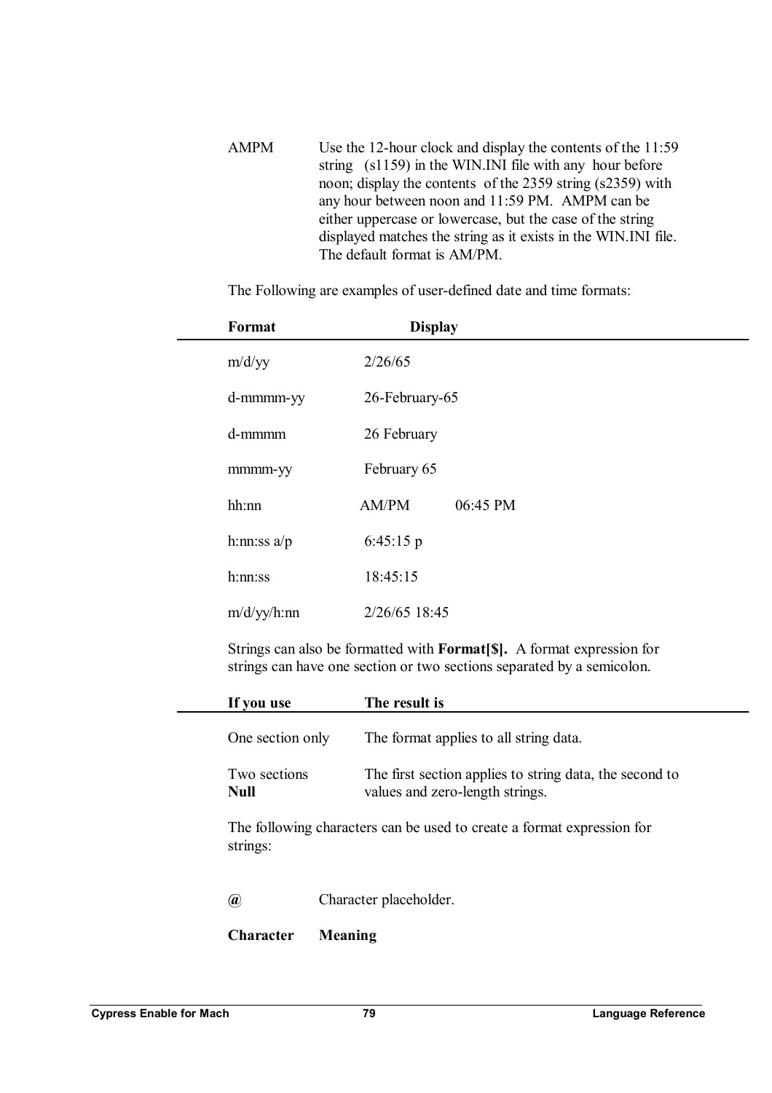AMPM Use the 12-hour clock and display the contents of the 11:59 string (s1159) in the WIN.INI file with any hour before noon; display the contents of the 2359 string (s2359) with any hour between noon and 11:59 PM. AMPM can be either uppercase or lowercase, but the case of the string displayed matches the string as it exists in the WIN.INI file. The default format is AM/PM.

| Format         | <b>Display</b>    |  |
|----------------|-------------------|--|
| m/d/yy         | 2/26/65           |  |
| d-mmmm-yy      | 26-February-65    |  |
| d-mmmm         | 26 February       |  |
| mmm-yy         | February 65       |  |
| hh:nn          | AM/PM<br>06:45 PM |  |
| h:nn:ss $a/p$  | 6:45:15 $p$       |  |
| h:nn:ss        | 18:45:15          |  |
| $m/d/yy/h$ :nn | 2/26/65 18:45     |  |

The Following are examples of user-defined date and time formats:

Strings can also be formatted with **Format[\$].** A format expression for strings can have one section or two sections separated by a semicolon.

| If you use                    |         | The result is                                                                              |  |
|-------------------------------|---------|--------------------------------------------------------------------------------------------|--|
| One section only              |         | The format applies to all string data.                                                     |  |
| Two sections<br>Null          |         | The first section applies to string data, the second to<br>values and zero-length strings. |  |
| strings:                      |         | The following characters can be used to create a format expression for                     |  |
| $\left(\boldsymbol{a}\right)$ |         | Character placeholder.                                                                     |  |
| <b>Character</b>              | Meaning |                                                                                            |  |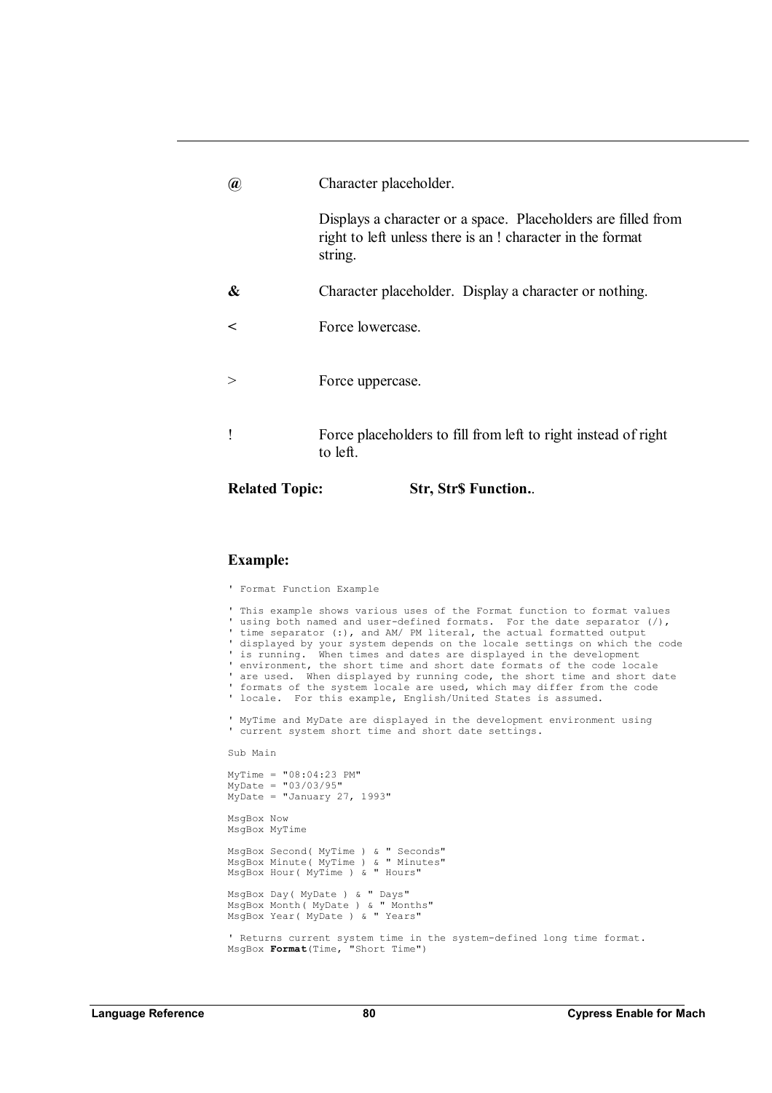|          | Character placeholder.                                                                                                                 |
|----------|----------------------------------------------------------------------------------------------------------------------------------------|
|          | Displays a character or a space. Placeholders are filled from<br>right to left unless there is an ! character in the format<br>string. |
| &        | Character placeholder. Display a character or nothing.                                                                                 |
| <        | Force lowercase                                                                                                                        |
| $\rm{>}$ | Force uppercase.                                                                                                                       |
|          | Force placeholders to fill from left to right instead of right<br>to left.                                                             |

#### **Related Topic: Str, Str\$ Function.**.

#### **Example:**

' Format Function Example

' This example shows various uses of the Format function to format values ' using both named and user-defined formats. For the date separator (/), ' time separator (:), and AM/ PM literal, the actual formatted output ' displayed by your system depends on the locale settings on which the code ' is running. When times and dates are displayed in the development ' environment, the short time and short date formats of the code locale ' are used. When displayed by running code, the short time and short date ' formats of the system locale are used, which may differ from the code ' locale. For this example, English/United States is assumed. ' MyTime and MyDate are displayed in the development environment using ' current system short time and short date settings. Sub Main MyTime = "08:04:23 PM" MyDate = "03/03/95"  $MyDate = 03763733$ <br>MyDate = "January 27, 1993" MsgBox Now MsgBox MyTime

MsgBox Second( MyTime ) & " Seconds" MsgBox Minute( MyTime ) & " Minutes" MsgBox Hour( MyTime ) & " Hours" MsgBox Day( MyDate ) & " Days"

MsgBox Month( MyDate ) & " Months" MsgBox Year( MyDate ) & " Years"

' Returns current system time in the system-defined long time format. MsgBox **Format**(Time, "Short Time")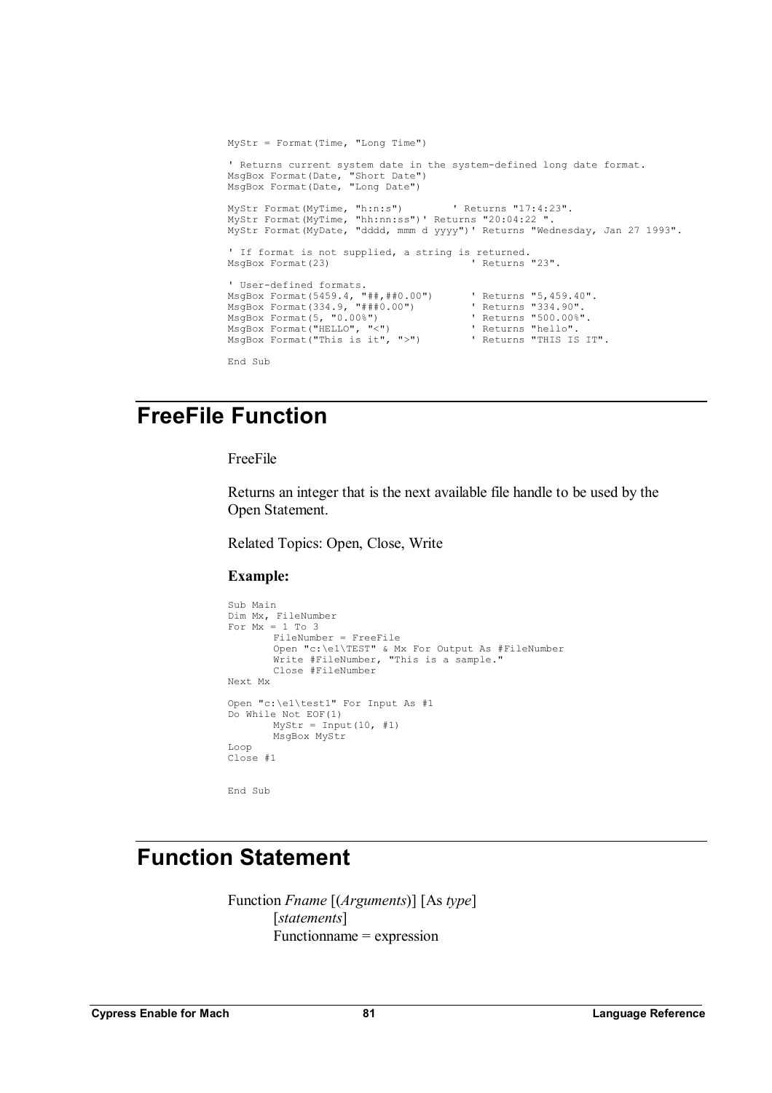```
MyStr = Format (Time, "Long Time")' Returns current system date in the system-defined long date format. 
MsgBox Format(Date, "Short Date") 
MsgBox Format(Date, "Long Date") 
MyStr Format(MyTime, "h:n:s") ' Returns "17:4:23". 
MyStr Format(MyTime, "hh:nn:ss")' Returns "20:04:22 ". 
MyStr Format(MyDate, "dddd, mmm d yyyy")' Returns "Wednesday, Jan 27 1993". 
' If format is not supplied, a string is returned. 
MsgBox Format(23) \overline{a} \overline{b} \overline{c} Returns "23".
' User-defined formats. 
MsgBox Format(5459.4, "##,##0.00") ' Returns "5,459.40". 
MsgBox Format(334.9, "###0.00") ' Returns "334.90". 
MsgBox Format(5, "0.00%") ' Returns "500.00%". 
MsgBox Format("HELLO", "<") ' Returns "hello". 
MsqBox Format("This is it", ">")
End Sub
```
# **FreeFile Function**

FreeFile

Returns an integer that is the next available file handle to be used by the Open Statement.

Related Topics: Open, Close, Write

#### **Example:**

```
Sub Main 
Dim Mx, FileNumber 
For Mx = 1 To 3
       FileNumber = FreeFile 
        Open "c:\e1\TEST" & Mx For Output As #FileNumber 
        Write #FileNumber, "This is a sample." 
       Close #FileNumber 
Next Mx 
Open "c:\e1\test1" For Input As #1 
Do While Not EOF(1) 
      MyStr = Input(10, #1)MsgBox MyStr 
Loop 
Close #1
```
End Sub

# **Function Statement**

Function *Fname* [(*Arguments*)] [As *type*] [*statements*] Functionname = expression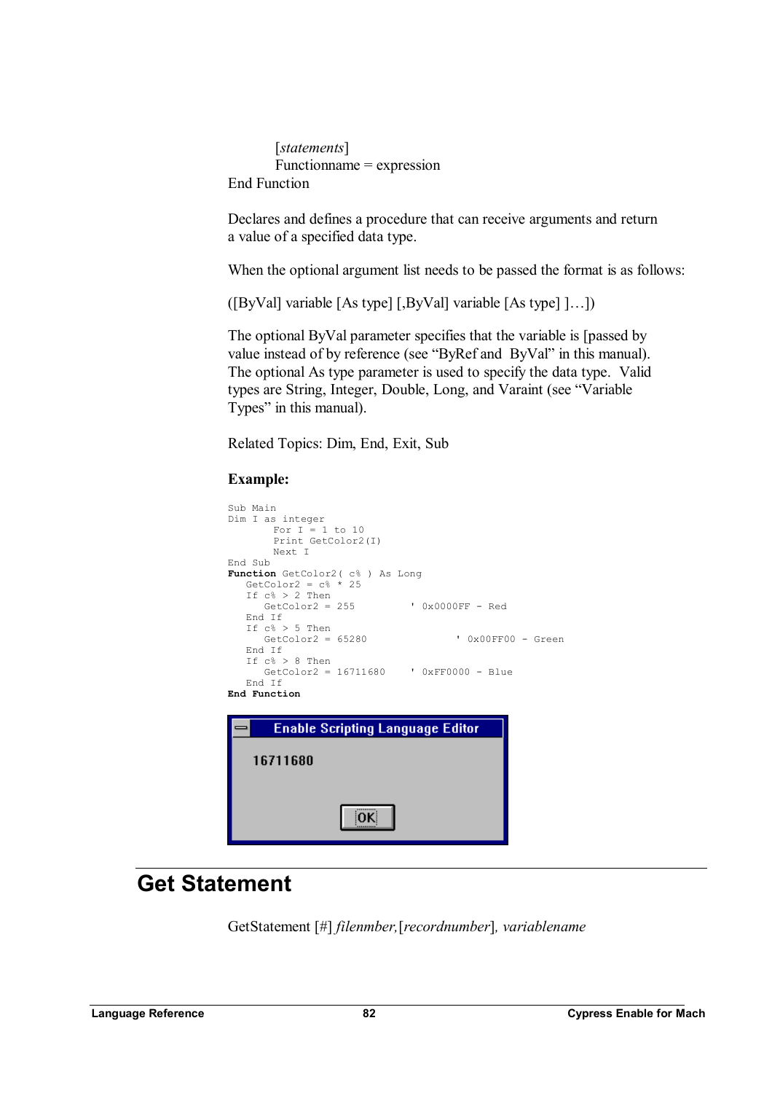[*statements*] Functionname = expression End Function

Declares and defines a procedure that can receive arguments and return a value of a specified data type.

When the optional argument list needs to be passed the format is as follows:

([ByVal] variable [As type] [,ByVal] variable [As type] ]…])

The optional ByVal parameter specifies that the variable is [passed by value instead of by reference (see "ByRef and ByVal" in this manual). The optional As type parameter is used to specify the data type. Valid types are String, Integer, Double, Long, and Varaint (see "Variable Types" in this manual).

Related Topics: Dim, End, Exit, Sub

### **Example:**

```
Sub Main 
 Dim I as integer
       For I = 1 to 10
        Print GetColor2(I) 
       Next I 
 End Sub 
Function GetColor2( c% ) As Long 
   GetColor2 = c * 25
   If c% > 2 Then 
     GetColor2 = 255 ' 0x0000FF - Red 
  End If 
  If c\% > 5 Then
     GetColor2 = 65280 ' 0x00FF00 - Green
  End If 
  If c% > 8 Then 
     GetColor2 = 16711680 ' 0xFF0000 - Blue 
  End If 
End Function 
       Enable Scripting Language Editor
    16711680
                    OK.
```
# **Get Statement**

GetStatement [#] *filenmber,*[*recordnumber*]*, variablename*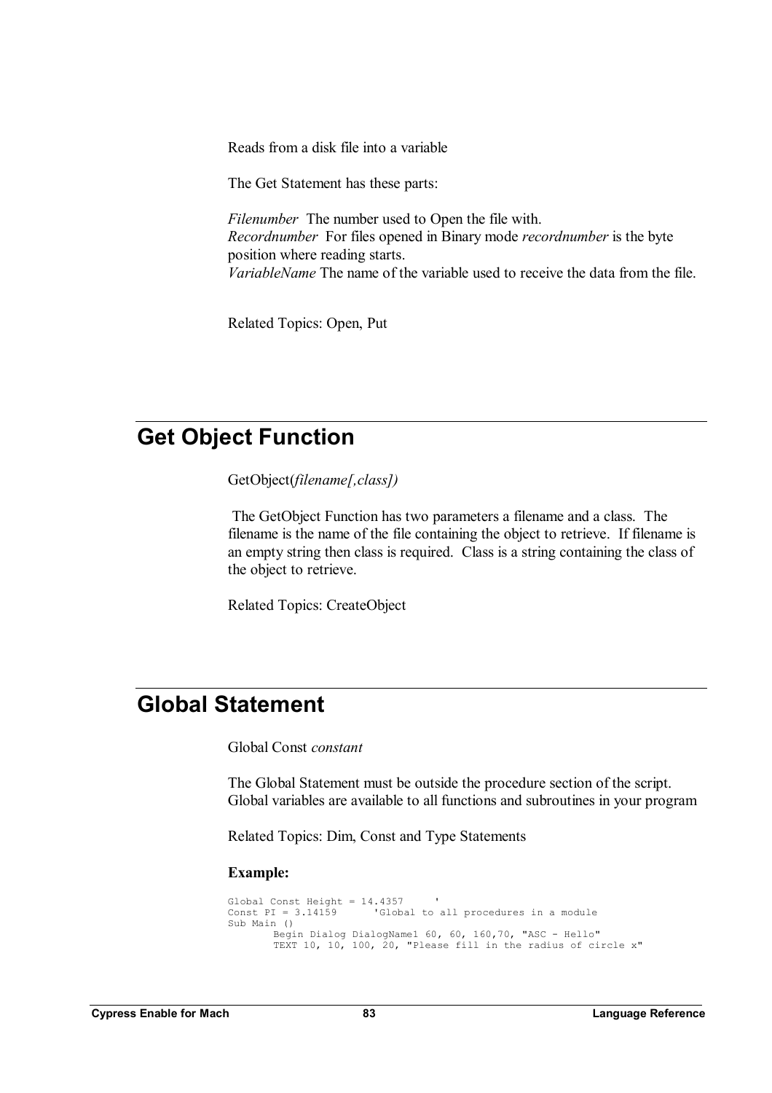Reads from a disk file into a variable

The Get Statement has these parts:

*Filenumber* The number used to Open the file with. *Recordnumber* For files opened in Binary mode *recordnumber* is the byte position where reading starts. *VariableName* The name of the variable used to receive the data from the file.

Related Topics: Open, Put

# **Get Object Function**

GetObject(*filename[,class])*

The GetObject Function has two parameters a filename and a class. The filename is the name of the file containing the object to retrieve. If filename is an empty string then class is required. Class is a string containing the class of the object to retrieve.

Related Topics: CreateObject

## **Global Statement**

Global Const *constant* 

The Global Statement must be outside the procedure section of the script. Global variables are available to all functions and subroutines in your program

Related Topics: Dim, Const and Type Statements

```
Global Const Height = 14.4357
                           'Global to all procedures in a module
Const PI = 3.141\overline{5}9<br>Sub Main ()
         Begin Dialog DialogName1 60, 60, 160,70, "ASC - Hello" 
         TEXT 10, 10, 100, 20, "Please fill in the radius of circle x"
```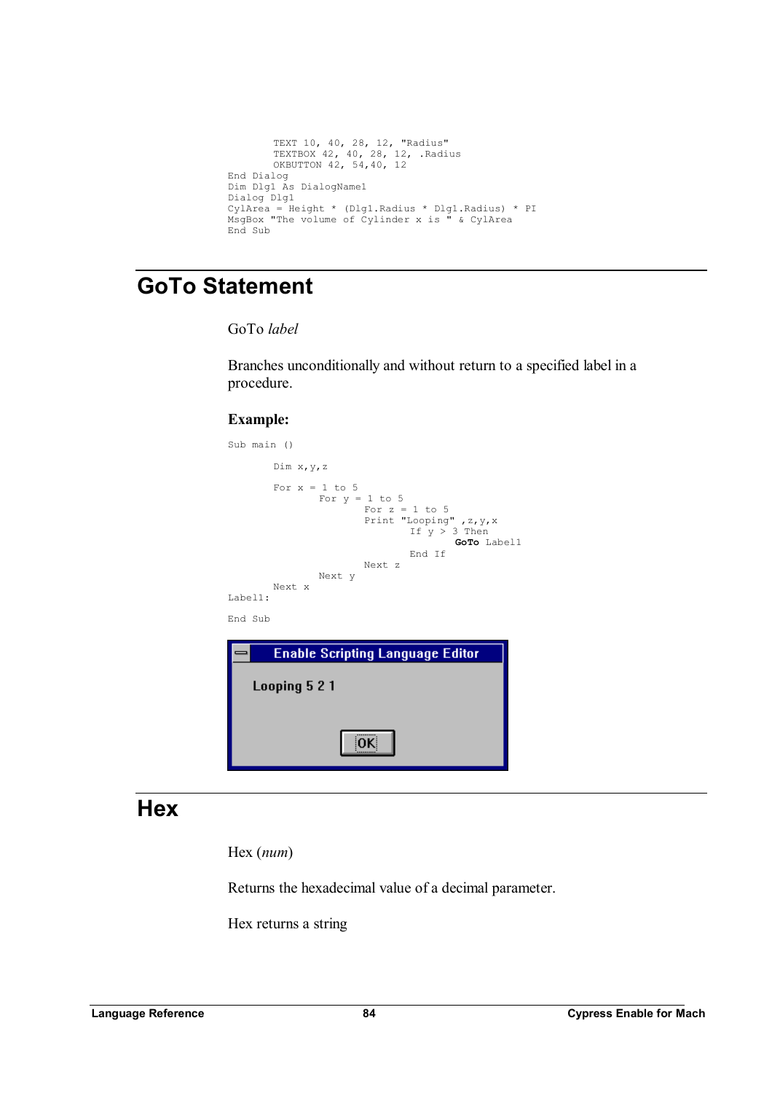```
TEXT 10, 40, 28, 12, "Radius" 
        TEXTBOX 42, 40, 28, 12, .Radius 
        OKBUTTON 42, 54,40, 12 
End Dialog 
Dim Dlg1 As DialogName1 
Dialog Dlg1 
CylArea = Height * (Dlg1.Radius * Dlg1.Radius) * PI 
MsgBox "The volume of Cylinder x is " & CylArea 
End Sub
```
# **GoTo Statement**

GoTo *label*

Branches unconditionally and without return to a specified label in a procedure.

### **Example:**



## **Hex**

Hex (*num*)

Returns the hexadecimal value of a decimal parameter.

Hex returns a string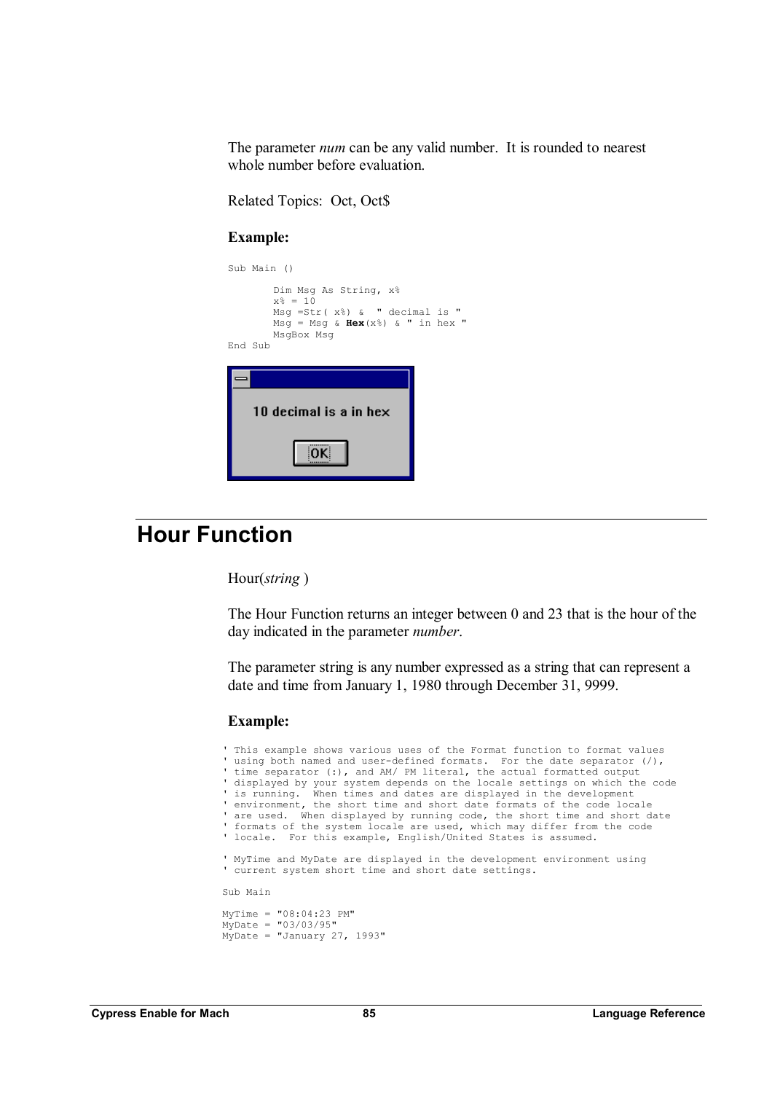The parameter *num* can be any valid number. It is rounded to nearest whole number before evaluation.

Related Topics: Oct, Oct\$

#### **Example:**

```
Sub Main () 
       Dim Msg As String, x% 
       x\% = 10Msg =Str( x%) & " decimal is " 
       Msg = Msg \& Hex(x%) & " in hex "
       MsgBox Msg 
End Sub
```

| 10 decimal is a in hex |  |
|------------------------|--|
|                        |  |

# **Hour Function**

Hour(*string* )

The Hour Function returns an integer between 0 and 23 that is the hour of the day indicated in the parameter *number*.

The parameter string is any number expressed as a string that can represent a date and time from January 1, 1980 through December 31, 9999.

```
' This example shows various uses of the Format function to format values 
' using both named and user-defined formats. For the date separator (/), 
' time separator (:), and AM/ PM literal, the actual formatted output
' displayed by your system depends on the locale settings on which the code 
' is running. When times and dates are displayed in the development 
' environment, the short time and short date formats of the code locale 
' are used. When displayed by running code, the short time and short date
' formats of the system locale are used, which may differ from the code 
' locale. For this example, English/United States is assumed. 
' MyTime and MyDate are displayed in the development environment using 
' current system short time and short date settings. 
Sub Main 
MyTime = "08:04:23 PM" 
MyDate = "03/03/95" 
MyDate = "January 27, 1993"
```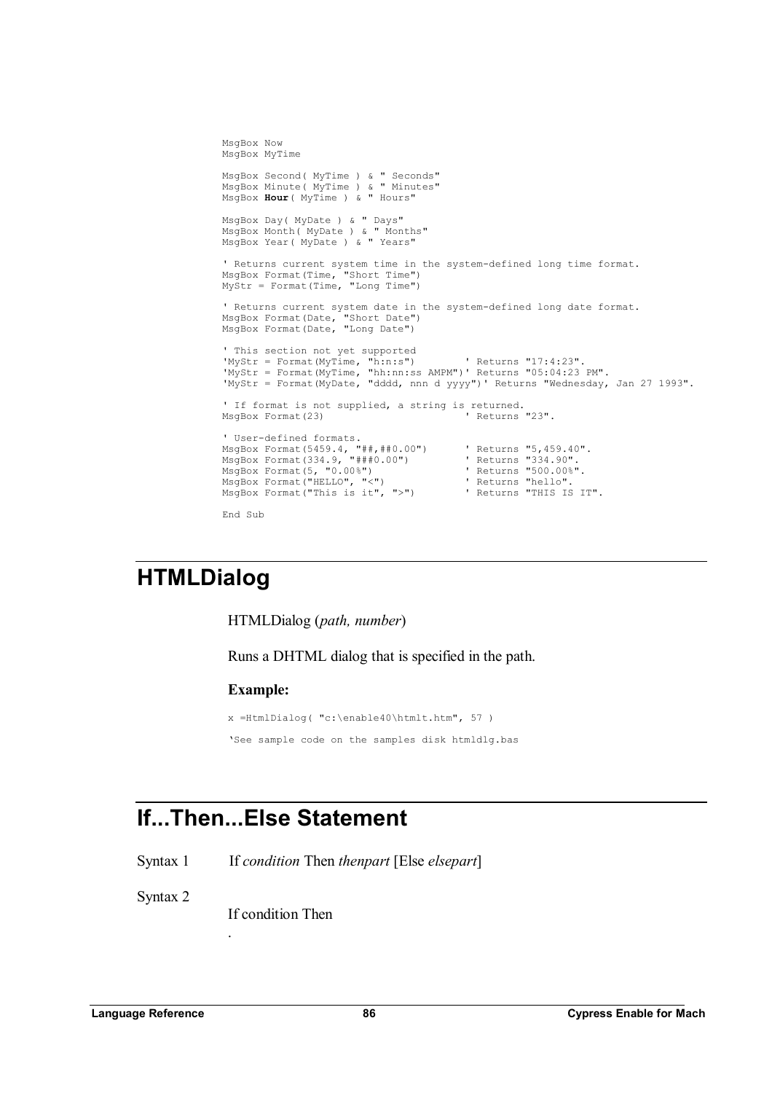```
MsgBox Now 
MsgBox MyTime
MsgBox Second( MyTime ) & " Seconds" 
MsgBox Minute( MyTime ) & " Minutes" 
MsgBox Hour( MyTime ) & " Hours" 
MsgBox Day( MyDate ) & " Days" 
MsgBox Month( MyDate ) & " Months" 
MsgBox Year( MyDate ) & " Years" 
' Returns current system time in the system-defined long time format. 
MsgBox Format(Time, "Short Time") 
MyStr = Format(Time, "Long Time") 
' Returns current system date in the system-defined long date format. 
MsgBox Format(Date, "Short Date") 
MsgBox Format(Date, "Long Date") 
' This section not yet supported 
'MyStr = Format(MyTime, "h:n:s") ' Returns "17:4:23". 
'MyStr = Format(MyTime, "hh:nn:ss AMPM")' Returns "05:04:23 PM". 
'MyStr = Format(MyDate, "dddd, nnn d yyyy")' Returns "Wednesday, Jan 27 1993". 
' If format is not supplied, a string is returned. 
MsgBox Format (23)
' User-defined formats. 
MsgBox Format(5459.4, "##,##0.00") ' Returns "5,459.40". 
MsgBox Format(334.9, "###0.00") ' Returns "334.90". 
MsgBox Format(5, "0.00%") ' Returns "500.00%". 
MsgBox Format("HELLO", "<") ' Returns "hello". 
MsgBox Format("This is it", ">")
End Sub
```
# **HTMLDialog**

HTMLDialog (*path, number*)

Runs a DHTML dialog that is specified in the path.

### **Example:**

```
x =HtmlDialog( "c:\enable40\htmlt.htm", 57 ) 
'See sample code on the samples disk htmldlg.bas
```
## **If...Then...Else Statement**

Syntax 1 If *condition* Then *thenpart* [Else *elsepart*]

Syntax 2

If condition Then

.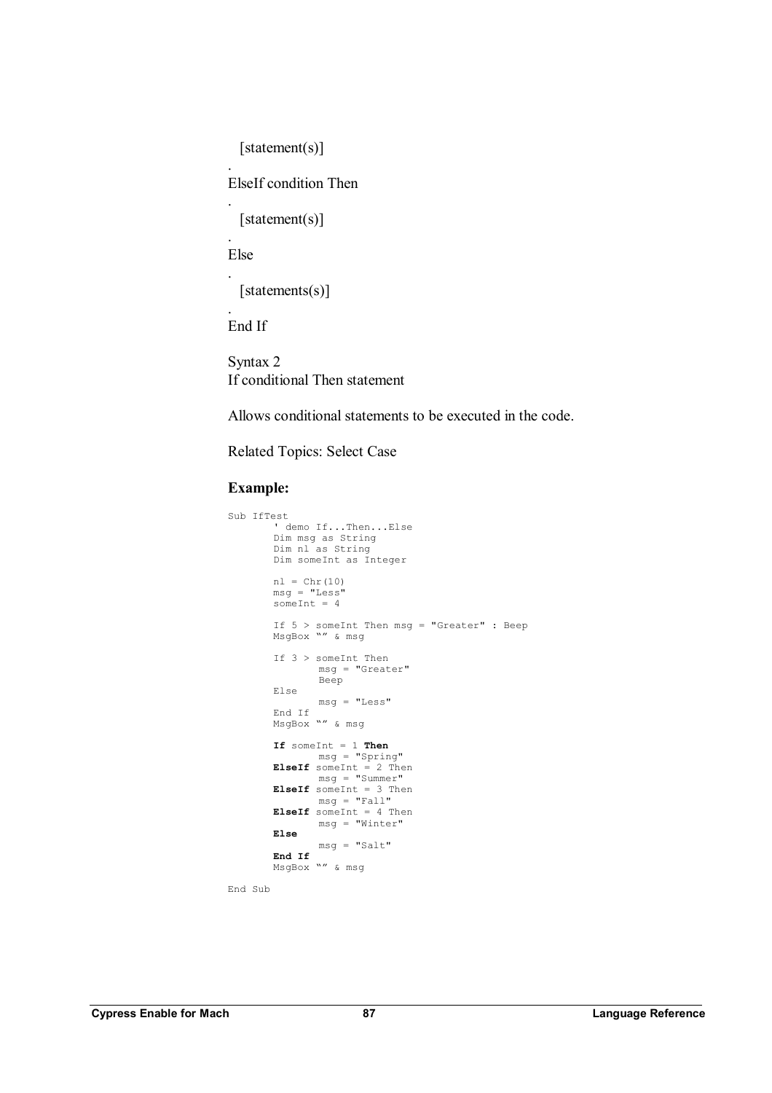```
[statement(s)]
```
ElseIf condition Then

[statement(s)]

Else

.

.

.

.

[statements(s)]

. End If

Syntax 2 If conditional Then statement

Allows conditional statements to be executed in the code.

Related Topics: Select Case

### **Example:**

```
Sub IfTest 
        ' demo If...Then...Else 
       Dim msg as String 
       Dim nl as String 
       Dim someInt as Integer 
       nl = Chr(10)msg = "Less" 
       someInt = 4If 5 > someInt Then msg = "Greater" : Beep 
       MsgBox "" & msg 
       If 3 > someInt Then 
 msg = "Greater" 
               Beep 
       Else 
               msg = "Less" 
       End If 
       MsgBox "" & msg 
       If someInt = 1 Then
 msg = "Spring" 
       ElseIf someInt = 2 Then 
 msg = "Summer" 
       ElseIf someInt = 3 Then
              msg = "Fall"ElseIf someInt = 4 Then 
               msg = "Winter" 
       Else
               msg = "Salt" 
       End If
       MsgBox "" & msg
```
End Sub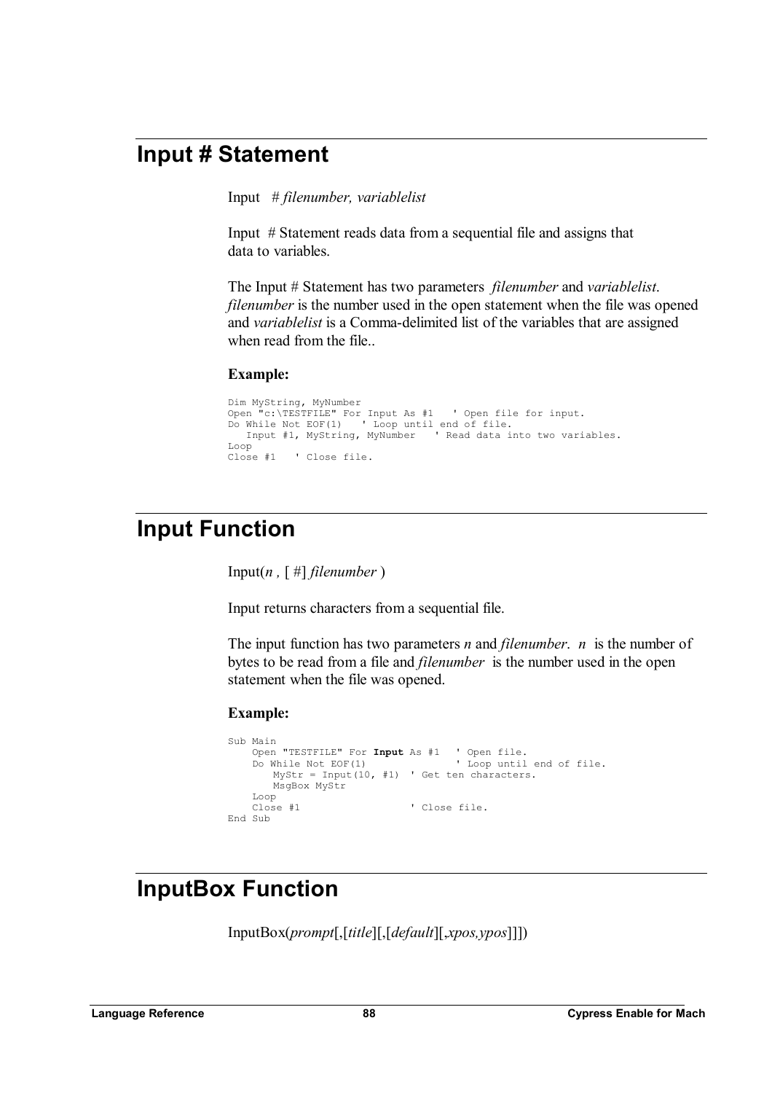## **Input # Statement**

Input # *filenumber, variablelist*

Input # Statement reads data from a sequential file and assigns that data to variables.

The Input # Statement has two parameters *filenumber* and *variablelist*. *filenumber* is the number used in the open statement when the file was opened and *variablelist* is a Comma-delimited list of the variables that are assigned when read from the file..

#### **Example:**

```
Dim MyString, MyNumber 
Open "c:\TESTFILE" For Input As #1 ' Open file for input. 
Do While Not EOF(1) ' Loop until end of file. 
   Input #1, MyString, MyNumber ' Read data into two variables. 
Loop 
Close #1 ' Close file.
```
## **Input Function**

Input(*n*,  $\lceil # \rceil$  *filenumber* )

Input returns characters from a sequential file.

The input function has two parameters *n* and *filenumber*. *n* is the number of bytes to be read from a file and *filenumber* is the number used in the open statement when the file was opened.

#### **Example:**

```
Sub Main 
   Open "TESTFILE" For Input As #1 ' Open file. 
    Do While Not EOF(1) \qquad \qquad ' Loop until end of file.
       MyStr = Input(10, #1) ' Get ten characters. 
      MsgBox MyStr 
   Loop<br>Close #1
                             ' Close file.
End Sub
```
## **InputBox Function**

InputBox(*prompt*[,[*title*][,[*default*][,*xpos,ypos*]]])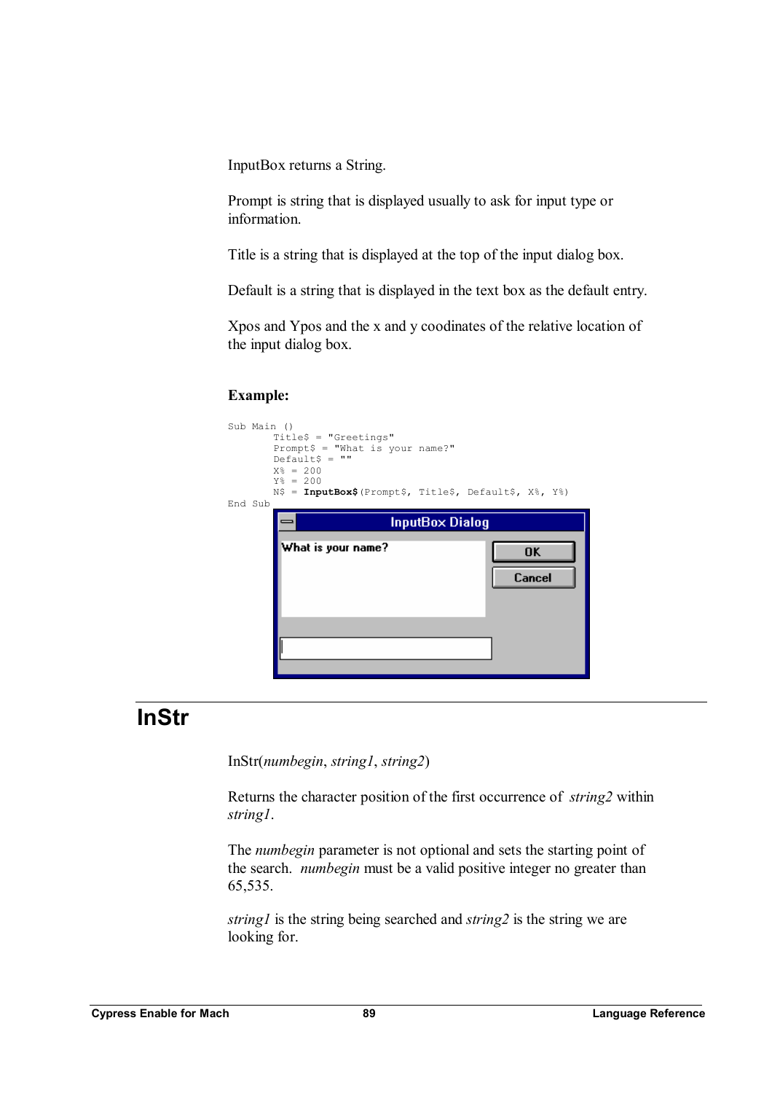InputBox returns a String.

Prompt is string that is displayed usually to ask for input type or information.

Title is a string that is displayed at the top of the input dialog box.

Default is a string that is displayed in the text box as the default entry.

Xpos and Ypos and the x and y coodinates of the relative location of the input dialog box.

## **Example:**



## **InStr**

InStr(*numbegin*, *string1*, *string2*)

Returns the character position of the first occurrence of *string2* within *string1*.

The *numbegin* parameter is not optional and sets the starting point of the search. *numbegin* must be a valid positive integer no greater than 65,535.

*string1* is the string being searched and *string2* is the string we are looking for.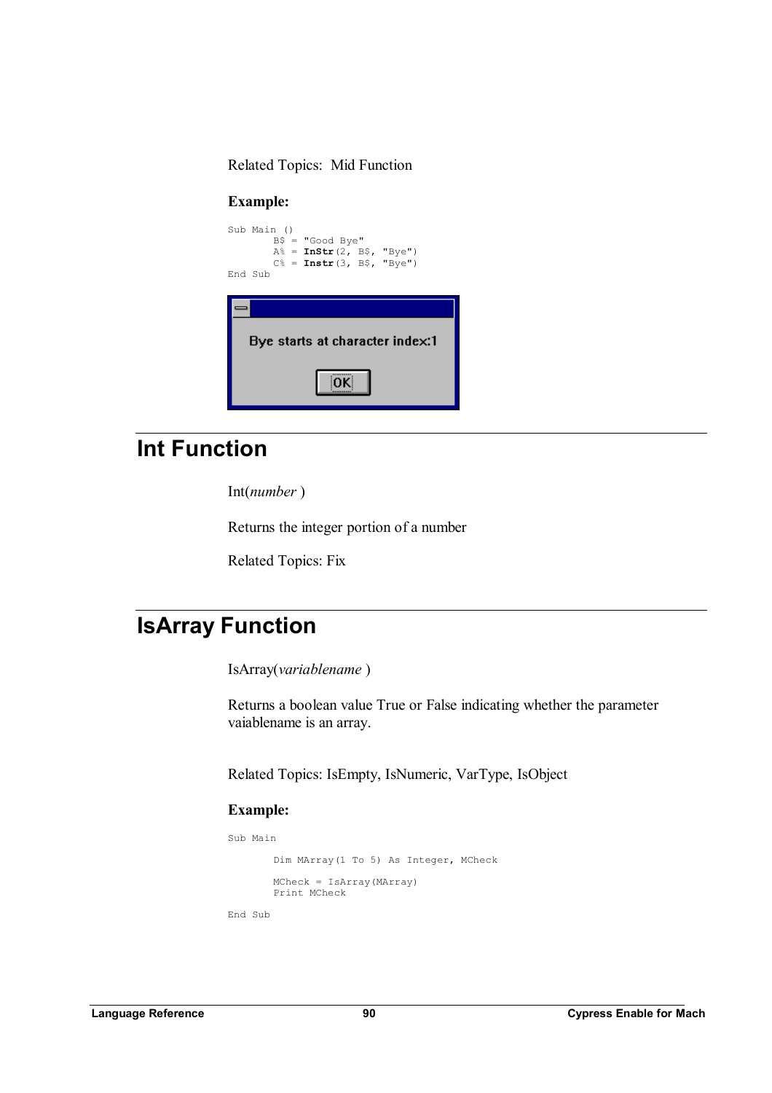Related Topics: Mid Function

### **Example:**

| Sub Main ()<br>$B\$ = "Good Bye"<br>$A^* = \text{InStr}(2, B^* , "Bye")$<br>$C^*$ = Instr(3, B\$, "Bye")<br>End Sub |  |
|---------------------------------------------------------------------------------------------------------------------|--|
| Bye starts at character index:1                                                                                     |  |

# **Int Function**

Int(*number* )

Returns the integer portion of a number

Related Topics: Fix

# **IsArray Function**

IsArray(*variablename* )

Returns a boolean value True or False indicating whether the parameter vaiablename is an array.

Related Topics: IsEmpty, IsNumeric, VarType, IsObject

```
Sub Main 
        Dim MArray(1 To 5) As Integer, MCheck 
       MCheck = IsArray(MArray) 
       Print MCheck 
End Sub
```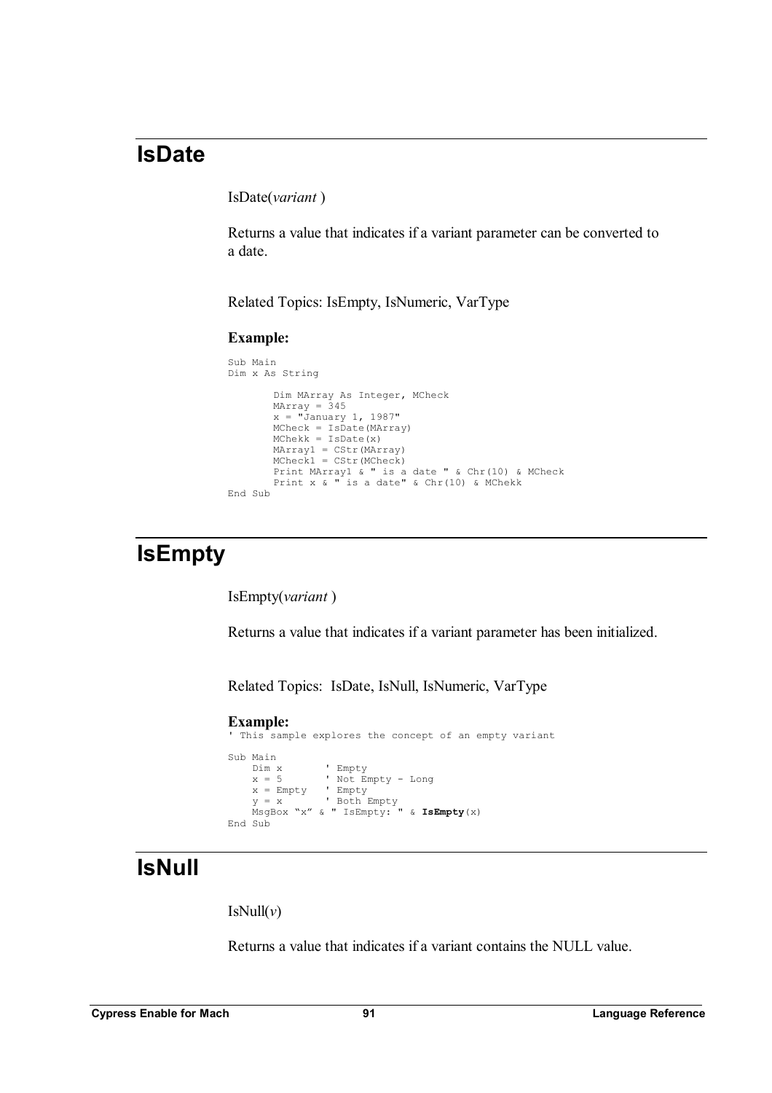## **IsDate**

IsDate(*variant* )

Returns a value that indicates if a variant parameter can be converted to a date.

Related Topics: IsEmpty, IsNumeric, VarType

### **Example:**

```
Sub Main 
Dim x As String 
        Dim MArray As Integer, MCheck 
        MArray = 345 
       x = "January 1, 1987"
        MCheck = IsDate(MArray) 
        MChekk = IsDate(x) 
        MArray1 = CStr(MArray) 
        MCheck1 = CStr(MCheck) 
        Print MArray1 & " is a date " & Chr(10) & MCheck 
        Print x & " is a date" & Chr(10) & MChekk 
End Sub
```
# **IsEmpty**

IsEmpty(*variant* )

Returns a value that indicates if a variant parameter has been initialized.

Related Topics: IsDate, IsNull, IsNumeric, VarType

### **Example:**

```
' This sample explores the concept of an empty variant 
Sub Main 
    Dim x ' Empty 
    x = 5 ' Not Empty - Long 
    x = Empty ' Empty 
    y = x ' Both Empty 
    MsgBox "x" & " IsEmpty: " & IsEmpty(x) 
End Sub
```
## **IsNull**

 $IsNull(v)$ 

Returns a value that indicates if a variant contains the NULL value.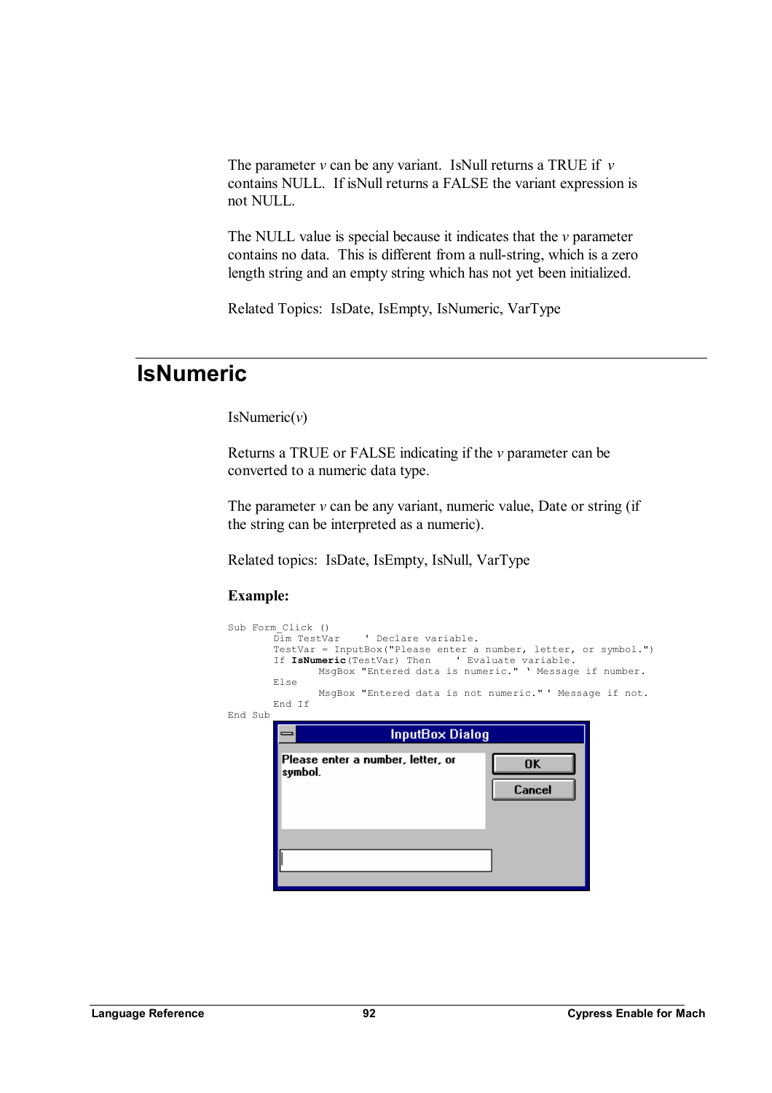The parameter *v* can be any variant. IsNull returns a TRUE if *v*  contains NULL. If isNull returns a FALSE the variant expression is not NULL.

The NULL value is special because it indicates that the *v* parameter contains no data. This is different from a null-string, which is a zero length string and an empty string which has not yet been initialized.

Related Topics: IsDate, IsEmpty, IsNumeric, VarType

## **IsNumeric**

IsNumeric(*v*)

Returns a TRUE or FALSE indicating if the *v* parameter can be converted to a numeric data type.

The parameter *v* can be any variant, numeric value, Date or string (if the string can be interpreted as a numeric).

Related topics: IsDate, IsEmpty, IsNull, VarType

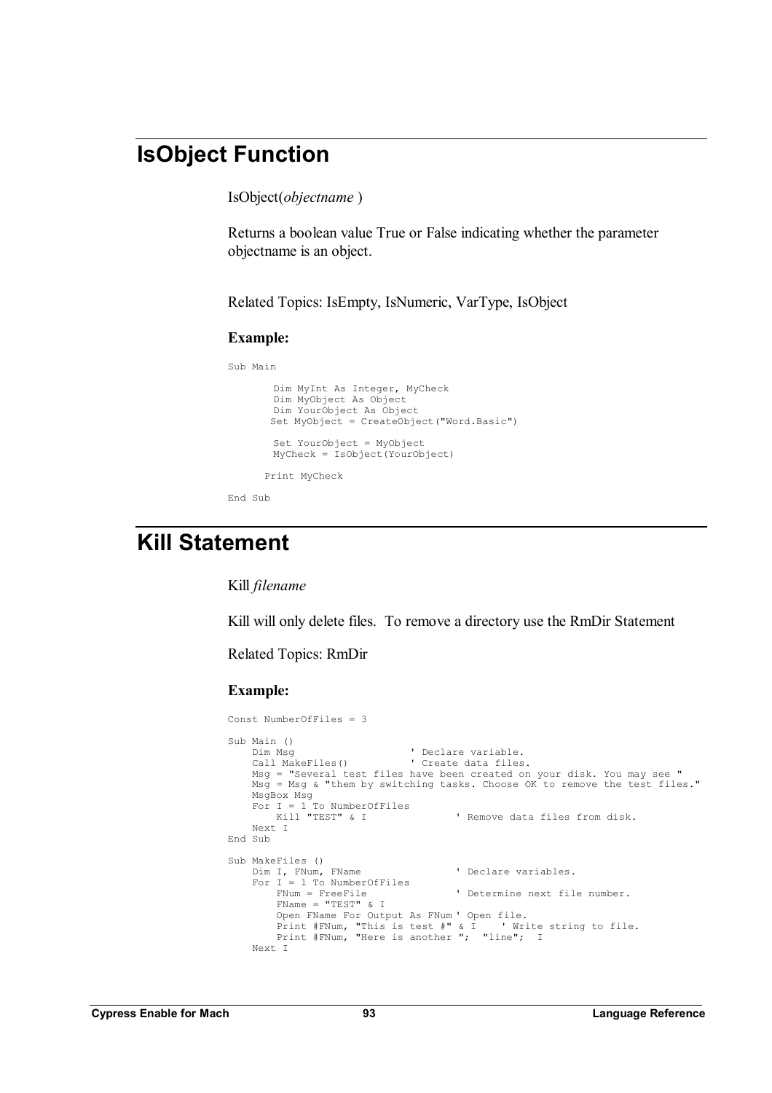# **IsObject Function**

IsObject(*objectname* )

Returns a boolean value True or False indicating whether the parameter objectname is an object.

Related Topics: IsEmpty, IsNumeric, VarType, IsObject

#### **Example:**

Sub Main

```
Dim MyInt As Integer, MyCheck 
 Dim MyObject As Object 
 Dim YourObject As Object 
 Set MyObject = CreateObject("Word.Basic") 
 Set YourObject = MyObject 
 MyCheck = IsObject(YourObject) 
Print MyCheck
```
End Sub

## **Kill Statement**

Kill *filename*

Kill will only delete files. To remove a directory use the RmDir Statement

Related Topics: RmDir

```
Const NumberOfFiles = 3 
Sub Main () 
    Dim Msg ' Declare variable.<br>Call MakeFiles() ' Create data files
                             ' Create data files.
    Msg = "Several test files have been created on your disk. You may see " 
    Msg = Msg & "them by switching tasks. Choose OK to remove the test files." 
    MsgBox Msg 
    For I = 1 To NumberOfFiles
                                      ' Remove data files from disk.
   Next I 
End Sub 
Sub MakeFiles () 
    Dim I, FNum, FName \qquad \qquad Declare variables.
    For I = 1 To NumberOfFiles
        FNum = FreeFile ' Determine next file number. 
        FName = "TEST" & I 
        Open FName For Output As FNum ' Open file. 
        Print #FNum, "This is test #" & I ' Write string to file. 
        Print #FNum, "Here is another "; "line"; I 
   Next I
```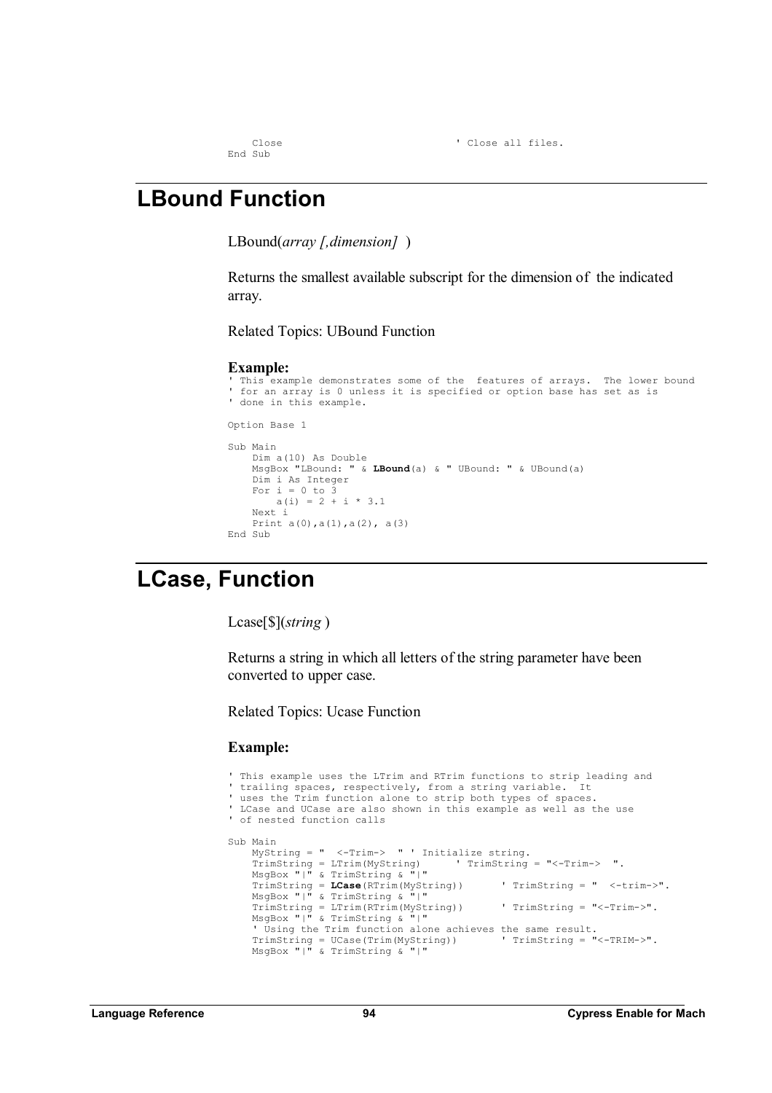End Sub

Close ' Close all files.

# **LBound Function**

LBound(*array [,dimension]* )

Returns the smallest available subscript for the dimension of the indicated array.

Related Topics: UBound Function

#### **Example:**

```
'This example demonstrates some of the features of arrays. The lower bound
' for an array is 0 unless it is specified or option base has set as is 
' done in this example. 
Option Base 1 
Sub Main 
    Dim a(10) As Double<br>MsqBox "LBound: " &
                        MsgBox "LBound: " & LBound(a) & " UBound: " & UBound(a) 
    Dim i As Integer 
     For i = 0 to 3
         a(i) = 2 + i * 3.1Next i 
    Print a(0),a(1),a(2), a(3) 
End Sub
```
# **LCase, Function**

Lcase[\$](*string* )

Returns a string in which all letters of the string parameter have been converted to upper case.

Related Topics: Ucase Function

```
' This example uses the LTrim and RTrim functions to strip leading and 
' trailing spaces, respectively, from a string variable. It 
' uses the Trim function alone to strip both types of spaces. 
' LCase and UCase are also shown in this example as well as the use 
' of nested function calls 
Sub Main 
   MyString = " <-Trim-> " ' Initialize string.<br>TrimString = LTrim(MyString) ' TrimString = "<-Trim-> ".
    TrimString = LTrim(MyString) ' TrimString = "<-Trim-> ". 
    MsgBox "|" & TrimString & "|" 
    TrimString = LCase(RTrim(MyString)) ' TrimString = " <-trim->". 
    MsgBox "|" & TrimString & "|" 
   TrimString = LTrim(RTrim(MyString)) ' TrimString = "<-Trim->". 
   MsgBox "|" & TrimString & "|" 
    ' Using the Trim function alone achieves the same result. 
    TrimString = UCase(Trim(MyString)) ' TrimString = "<-TRIM->". 
    MsgBox "|" & TrimString & "|"
```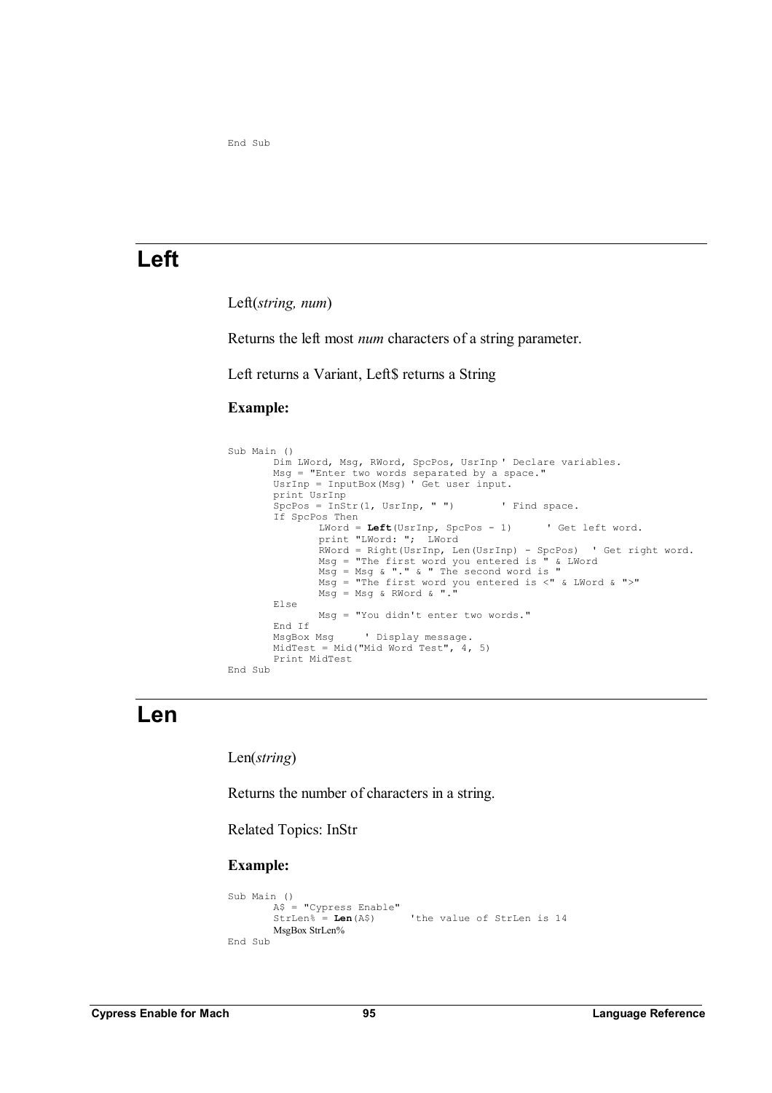```
End Sub
```
## **Left**

Left(*string, num*)

Returns the left most *num* characters of a string parameter.

Left returns a Variant, Left\$ returns a String

### **Example:**

```
Sub Main () 
       Dim LWord, Msg, RWord, SpcPos, UsrInp ' Declare variables. 
       Msg = "Enter two words separated by a space." 
       UsrInp = InputBox(Msg) ' Get user input. 
       print UsrInp 
       SpcPos = InStr(1, UsrInp, "") ' Find space.
       If SpcPos Then 
              LWord = Left(UsrInp, SpcPos - 1) ' Get left word. 
 print "LWord: "; LWord 
 RWord = Right(UsrInp, Len(UsrInp) - SpcPos) ' Get right word. 
 Msg = "The first word you entered is " & LWord 
             Msg = Msg & "." & " The second word is "
 Msg = "The first word you entered is <" & LWord & ">" 
Msg = Msg & RWord & "."
       Else 
              Msg = "You didn't enter two words." 
       End If<br>MsgBox Msg
                    ' Display message.
      MidTest = Mid("Mid Word Test", 4, 5) 
      Print MidTest 
End Sub
```
## **Len**

Len(*string*)

Returns the number of characters in a string.

Related Topics: InStr

```
Sub Main () 
           A\hat{S} = "Cypress \text{ Enable"}<br>StrLen% = Len(A$)
                                            'the value of StrLen is 14
          MsgBox StrLen%
End Sub
```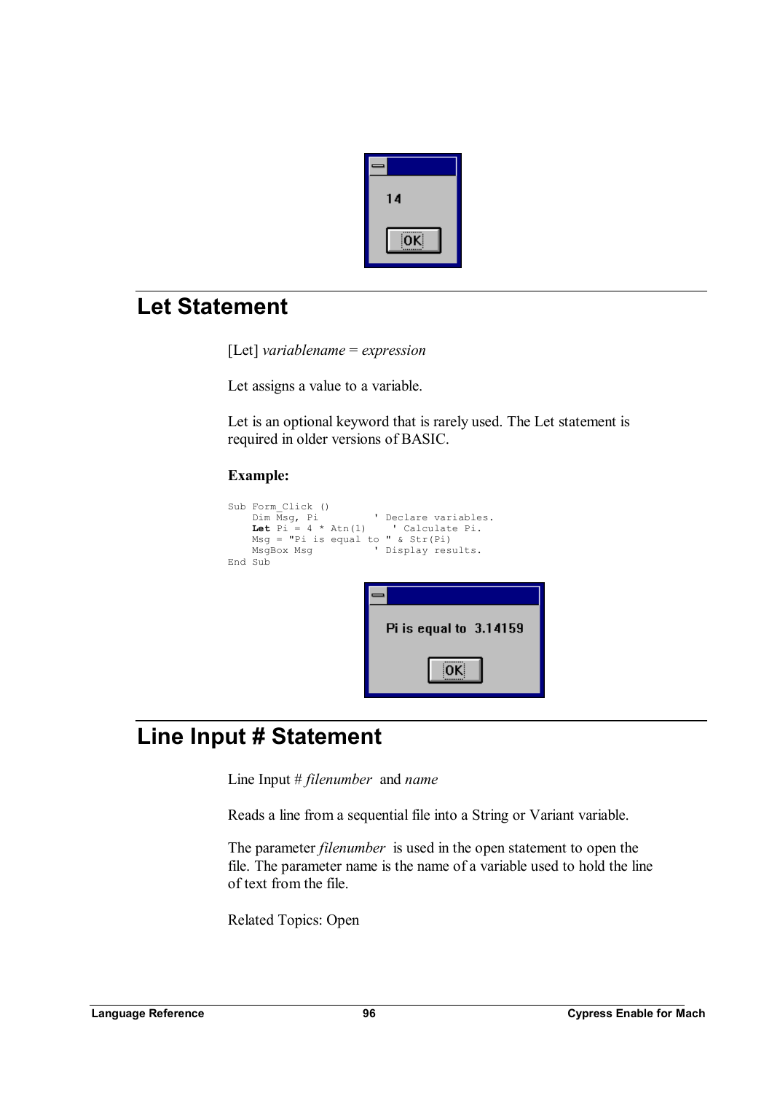

# **Let Statement**

[Let] *variablename* = *expression* 

Let assigns a value to a variable.

Let is an optional keyword that is rarely used. The Let statement is required in older versions of BASIC.

## **Example:**



# **Line Input # Statement**

Line Input # *filenumber* and *name*

Reads a line from a sequential file into a String or Variant variable.

The parameter *filenumber* is used in the open statement to open the file. The parameter name is the name of a variable used to hold the line of text from the file.

Related Topics: Open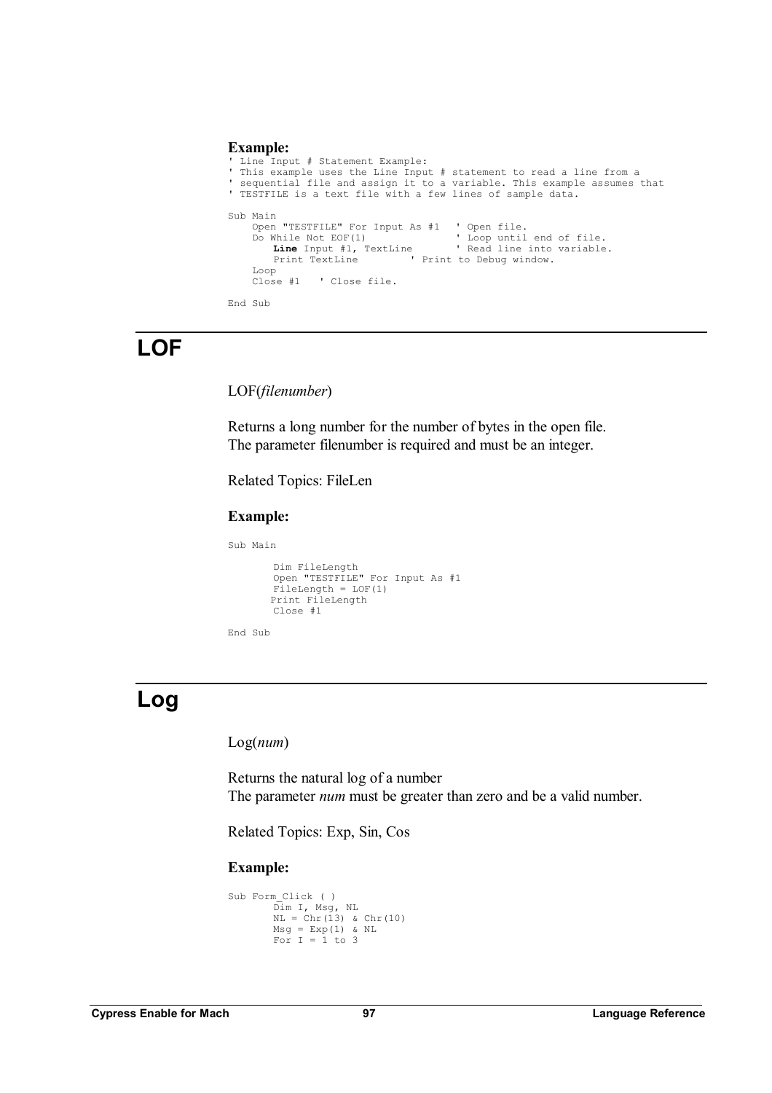#### **Example:**

```
' Line Input # Statement Example: 
' This example uses the Line Input # statement to read a line from a 
' sequential file and assign it to a variable. This example assumes that 
 ' TESTFILE is a text file with a few lines of sample data. 
Sub Main 
     nain<br>Open "TESTFILE" For Input As #1 ' Open file.<br>Do While Not EOF(1) ' Loop until end of file.
     Do While Not EOF(1) \qquad \qquad ' Loop until end of file.
          Line Input #1, TextLine ' Read line into variable. 
         Print TextLine ' Print to Debug window.
     Loop 
     Close #1 ' Close file. 
End Sub
```
## **LOF**

LOF(*filenumber*)

Returns a long number for the number of bytes in the open file. The parameter filenumber is required and must be an integer.

Related Topics: FileLen

#### **Example:**

```
 Sub Main 
        Dim FileLength 
        Open "TESTFILE" For Input As #1 
       FileLength = LOF(1)Print FileLength 
       Close #1 
End Sub
```
# **Log**

Log(*num*)

Returns the natural log of a number The parameter *num* must be greater than zero and be a valid number.

Related Topics: Exp, Sin, Cos

```
 Sub Form_Click ( ) 
                   Dim I, Msg, NL 
                  NL = Chr(13) & Chr(10)Msg = Exp(1) & NL
For I = 1 to 3
```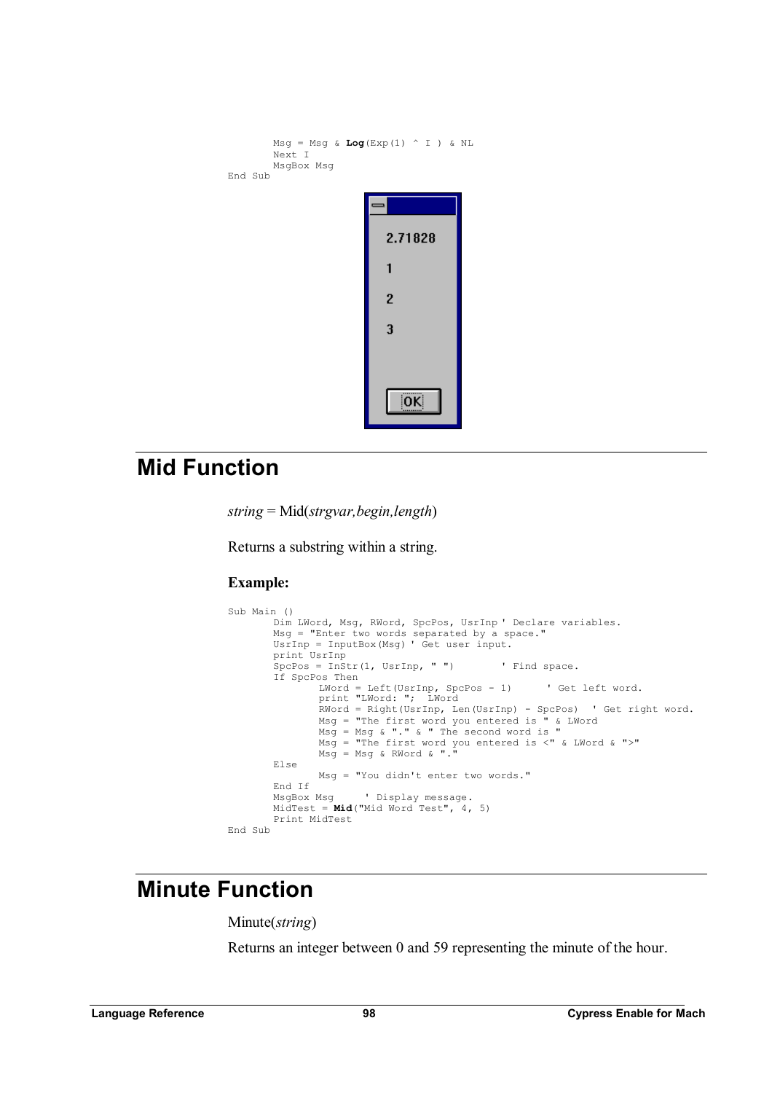```
Msg = Msg \& \text{Log}(Exp(1) \wedge I) \& NLN \approx + T MsgBox Msg 
 End Sub 
                                      2.71828
                                      1
                                      \overline{2}3
                                          OK
```
# **Mid Function**

*string* = Mid(*strgvar,begin,length*)

Returns a substring within a string.

### **Example:**

```
Sub Main () 
      Dim LWord, Msg, RWord, SpcPos, UsrInp ' Declare variables. 
       Msg = "Enter two words separated by a space." 
       UsrInp = InputBox(Msg) ' Get user input. 
       print UsrInp 
       SpcPos = InStr(1, UsrInp, " ") ' Find space. 
       If SpcPos Then 
 LWord = Left(UsrInp, SpcPos - 1) ' Get left word. 
 print "LWord: "; LWord 
               RWord = Right(UsrInp, Len(UsrInp) - SpcPos) ' Get right word. 
               Msg = "The first word you entered is " & LWord 
              Msg = Msg \& \dots " \& " The second word is "
 Msg = "The first word you entered is <" & LWord & ">" 
 Msg = Msg & RWord & "." 
       Else 
              Msg = "You didn't enter two words." 
       End If 
       MsgBox Msg ' Display message. 
       MidTest = Mid("Mid Word Test", 4, 5) 
      Print MidTest 
End Sub
```
# **Minute Function**

Minute(*string*)

Returns an integer between 0 and 59 representing the minute of the hour.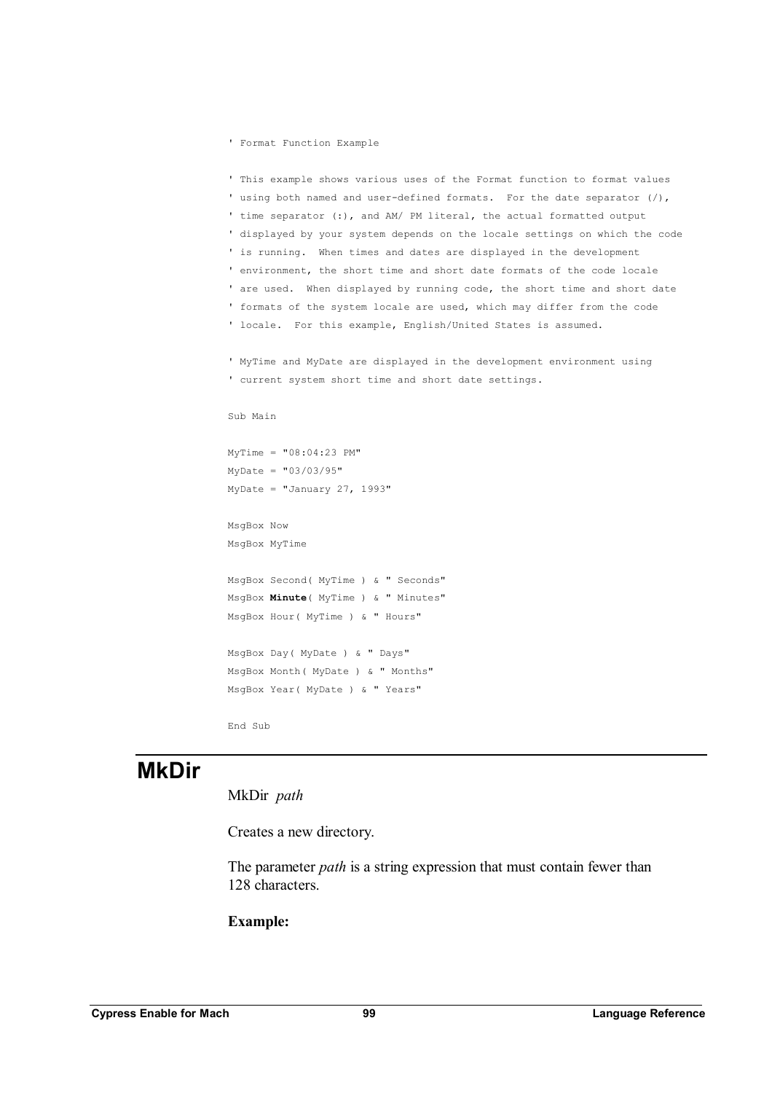' Format Function Example

' This example shows various uses of the Format function to format values ' using both named and user-defined formats. For the date separator  $\langle \cdot \rangle$ , ' time separator (:), and AM/ PM literal, the actual formatted output ' displayed by your system depends on the locale settings on which the code ' is running. When times and dates are displayed in the development ' environment, the short time and short date formats of the code locale ' are used. When displayed by running code, the short time and short date ' formats of the system locale are used, which may differ from the code ' locale. For this example, English/United States is assumed.

' MyTime and MyDate are displayed in the development environment using ' current system short time and short date settings.

Sub Main

```
MyTime = "08:04:23 PM" 
MyDate = "03/03/95" 
MyDate = "January 27, 1993"
```
MsgBox Now MsgBox MyTime

MsgBox Second( MyTime ) & " Seconds" MsgBox **Minute**( MyTime ) & " Minutes" MsgBox Hour( MyTime ) & " Hours"

MsgBox Day( MyDate ) & " Days" MsgBox Month( MyDate ) & " Months" MsgBox Year( MyDate ) & " Years"

End Sub

## **MkDir**

MkDir *path* 

Creates a new directory.

The parameter *path* is a string expression that must contain fewer than 128 characters.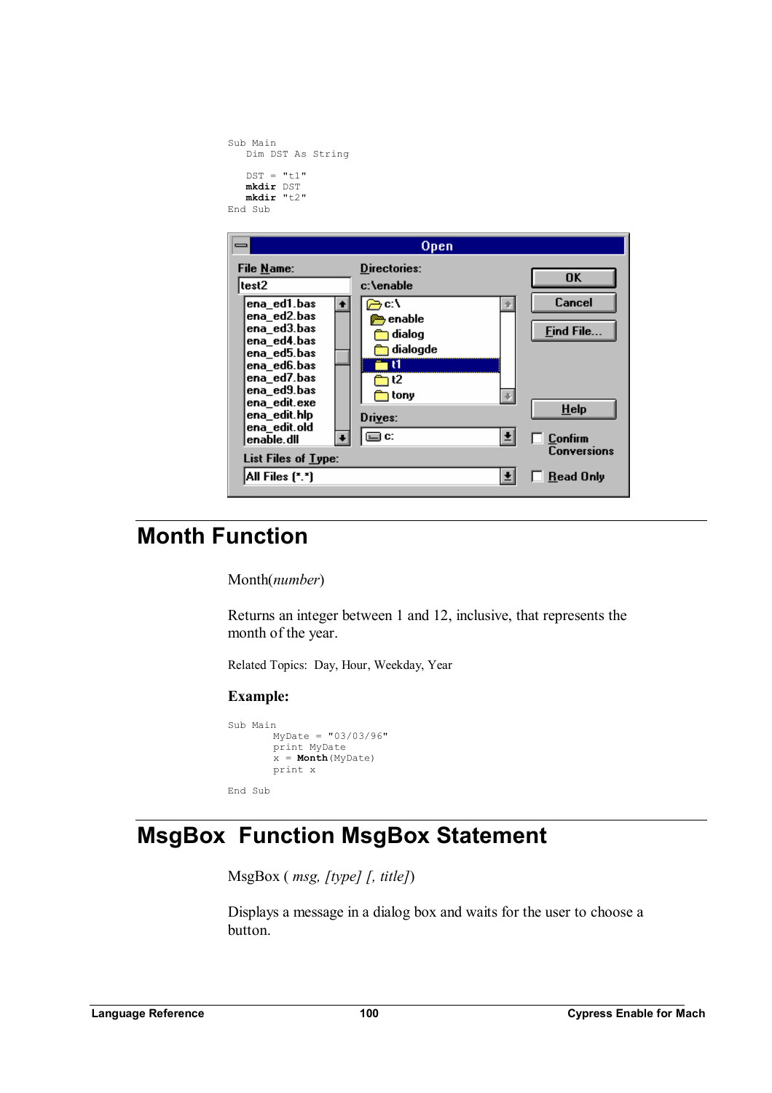```
Sub Main 
   Dim DST As String 
   DST = "t1" mkdir DST 
    mkdir "t2" 
End Sub
```


# **Month Function**

Month(*number*)

Returns an integer between 1 and 12, inclusive, that represents the month of the year.

Related Topics: Day, Hour, Weekday, Year

### **Example:**

```
Sub Main 
         MyDate = "03/03/96" 
         print MyDate 
         x = \text{Month}(\text{MyDate})print x 
End Sub
```
# **MsgBox Function MsgBox Statement**

MsgBox ( *msg, [type] [, title]*)

Displays a message in a dialog box and waits for the user to choose a button.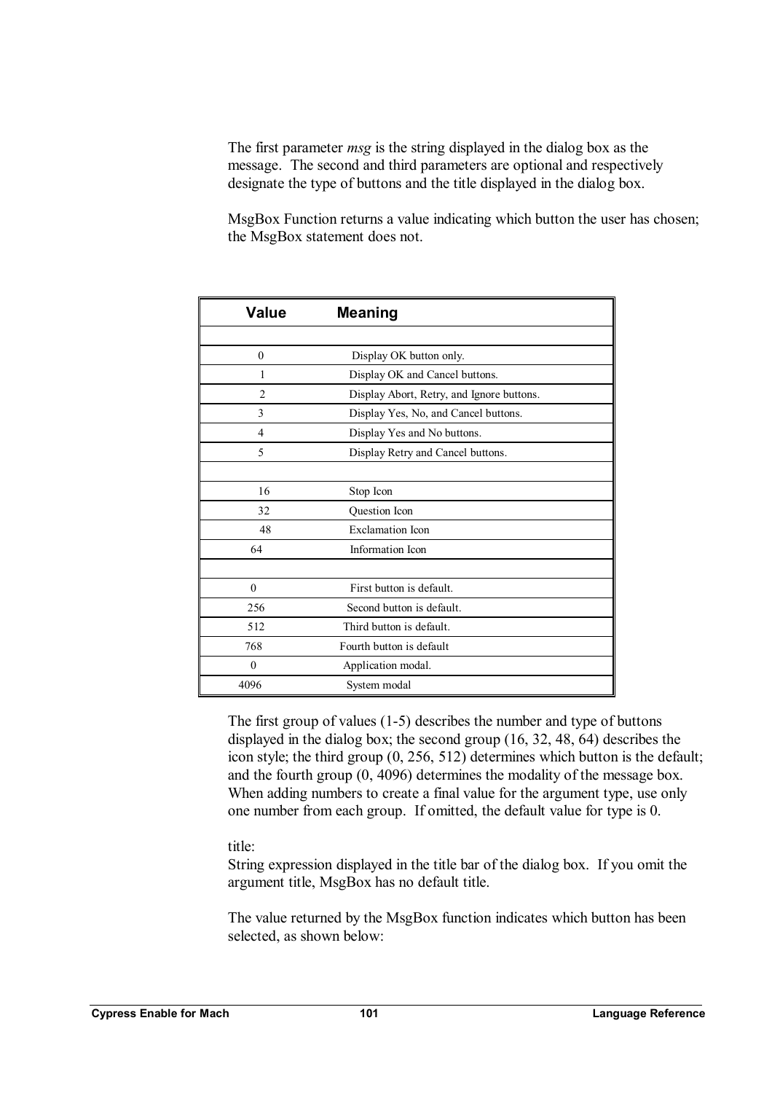The first parameter *msg* is the string displayed in the dialog box as the message. The second and third parameters are optional and respectively designate the type of buttons and the title displayed in the dialog box.

MsgBox Function returns a value indicating which button the user has chosen; the MsgBox statement does not.

| <b>Value</b>   | <b>Meaning</b>                            |
|----------------|-------------------------------------------|
|                |                                           |
| $\theta$       | Display OK button only.                   |
| 1              | Display OK and Cancel buttons.            |
| $\overline{2}$ | Display Abort, Retry, and Ignore buttons. |
| 3              | Display Yes, No, and Cancel buttons.      |
| 4              | Display Yes and No buttons.               |
| 5              | Display Retry and Cancel buttons.         |
|                |                                           |
| 16             | Stop Icon                                 |
| 32             | Question Icon                             |
| 48             | <b>Exclamation</b> Icon                   |
| 64             | Information Icon                          |
|                |                                           |
| $\Omega$       | First button is default.                  |
| 256            | Second button is default.                 |
| 512            | Third button is default.                  |
| 768            | Fourth button is default                  |
| $\theta$       | Application modal.                        |
| 4096           | System modal                              |

The first group of values (1-5) describes the number and type of buttons displayed in the dialog box; the second group (16, 32, 48, 64) describes the icon style; the third group (0, 256, 512) determines which button is the default; and the fourth group (0, 4096) determines the modality of the message box. When adding numbers to create a final value for the argument type, use only one number from each group. If omitted, the default value for type is 0.

### title:

String expression displayed in the title bar of the dialog box. If you omit the argument title, MsgBox has no default title.

The value returned by the MsgBox function indicates which button has been selected, as shown below: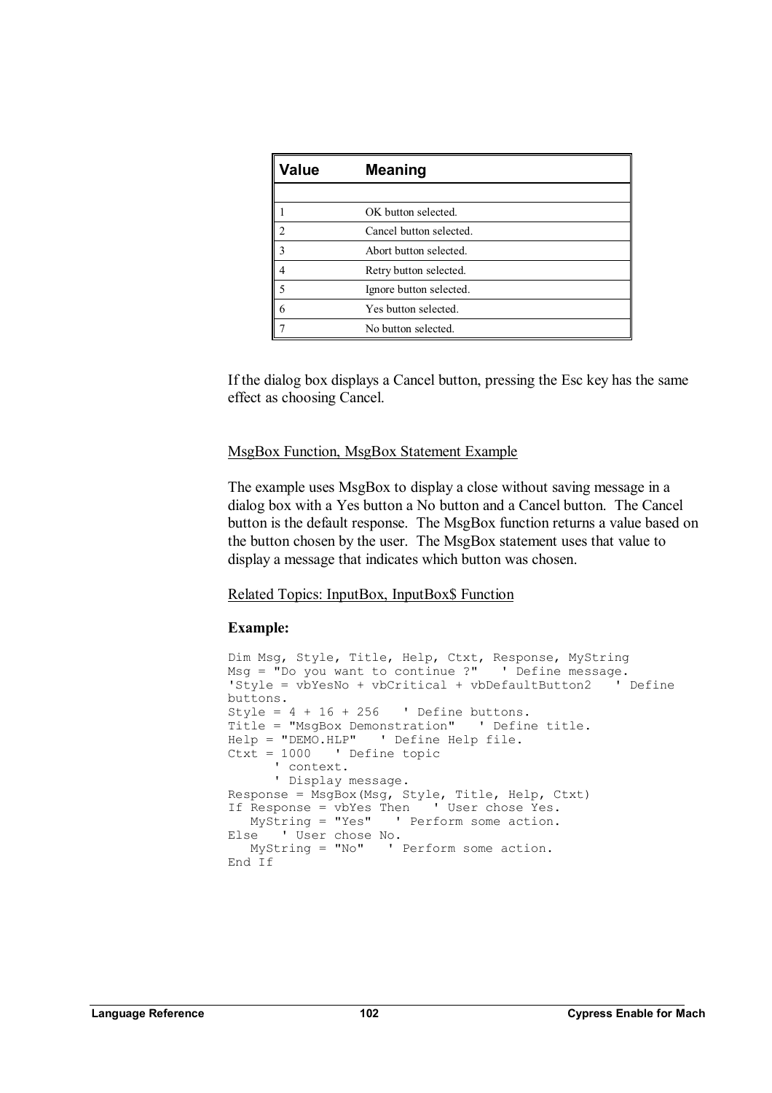| Value | <b>Meaning</b>          |
|-------|-------------------------|
|       |                         |
|       | OK button selected.     |
|       | Cancel button selected. |
| 3     | Abort button selected.  |
|       | Retry button selected.  |
|       | Ignore button selected. |
| 6     | Yes button selected.    |
|       | No button selected.     |

If the dialog box displays a Cancel button, pressing the Esc key has the same effect as choosing Cancel.

### MsgBox Function, MsgBox Statement Example

The example uses MsgBox to display a close without saving message in a dialog box with a Yes button a No button and a Cancel button. The Cancel button is the default response. The MsgBox function returns a value based on the button chosen by the user. The MsgBox statement uses that value to display a message that indicates which button was chosen.

### Related Topics: InputBox, InputBox\$ Function

```
Dim Msg, Style, Title, Help, Ctxt, Response, MyString 
Msg = "Do you want to continue ?" ' Define message. 
'Style = vbYesNo + vbCritical + vbDefaultButton2 ' Define 
buttons. 
Style = 4 + 16 + 256 ' Define buttons.
Title = "MsgBox Demonstration" ' Define title. 
Help = "DEMO.HLP" ' Define Help file. 
Ctxt = 1000 ' Define topic 
       ' context. 
       ' Display message. 
Response = MsgBox(Msg, Style, Title, Help, Ctxt) 
If Response = vbYes Then ' User chose Yes. 
   MyString = "Yes" ' Perform some action. 
Else ' User chose No. 
   MyString = "No" ' Perform some action. 
End If
```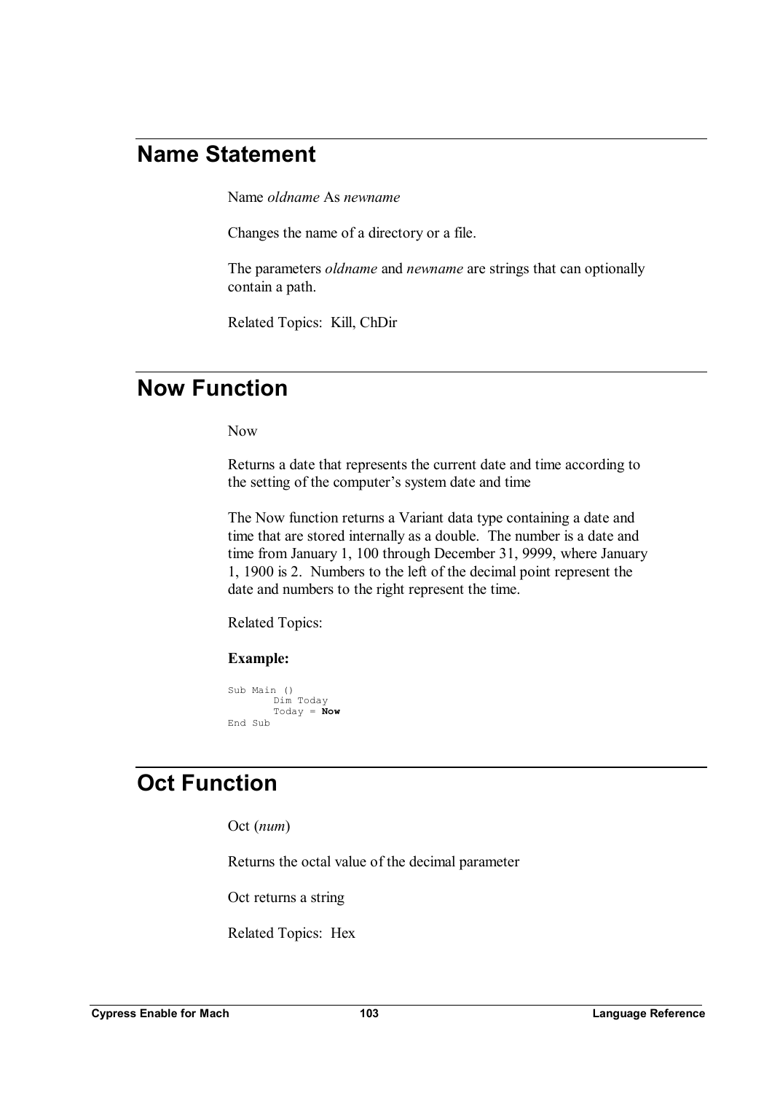## **Name Statement**

Name *oldname* As *newname* 

Changes the name of a directory or a file.

The parameters *oldname* and *newname* are strings that can optionally contain a path.

Related Topics: Kill, ChDir

## **Now Function**

Now

Returns a date that represents the current date and time according to the setting of the computer's system date and time

The Now function returns a Variant data type containing a date and time that are stored internally as a double. The number is a date and time from January 1, 100 through December 31, 9999, where January 1, 1900 is 2. Numbers to the left of the decimal point represent the date and numbers to the right represent the time.

Related Topics:

### **Example:**

```
Sub Main () 
           Dim Today 
          \text{Today} = \text{Now}End Sub
```
## **Oct Function**

Oct (*num*)

Returns the octal value of the decimal parameter

Oct returns a string

Related Topics: Hex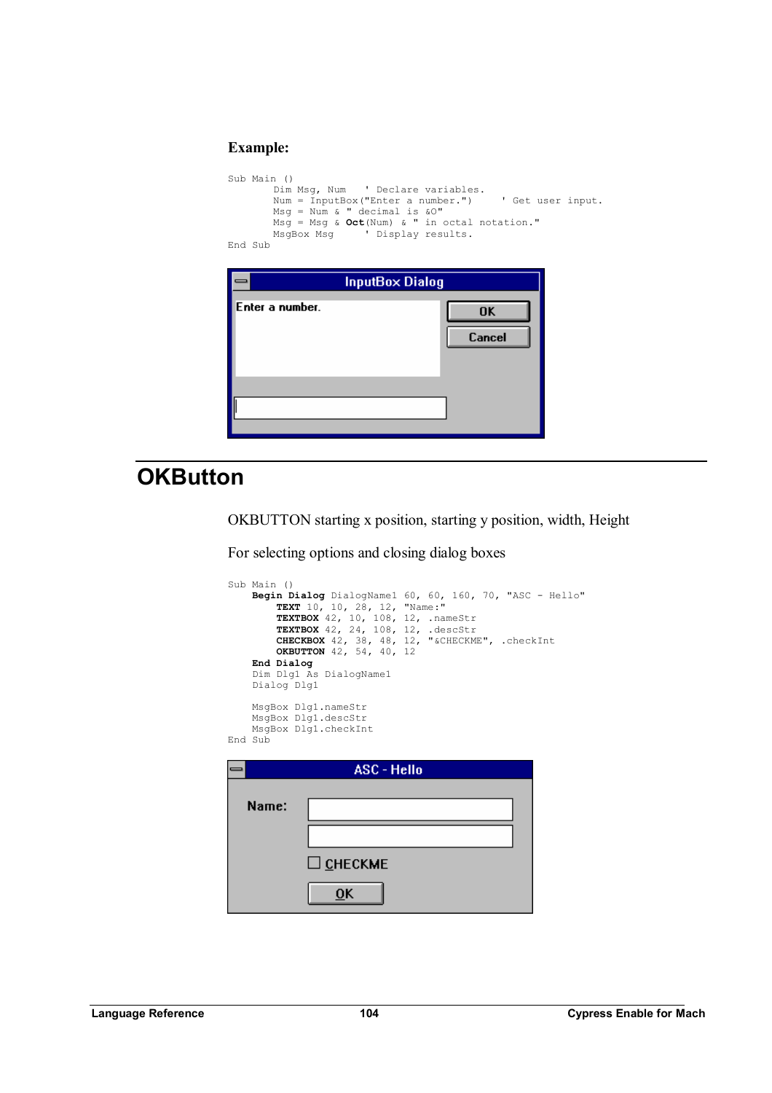### **Example:**

```
Sub Main ()<br>Dim Msg, Num
                     ' Declare variables.
       Num = InputBox("Enter a number.") ' Get user input. 
        Msg = Num & " decimal is &O" 
        Msg = Msg & Oct(Num) & " in octal notation." 
       MsgBox Msg ' Display results.
End Sub 
                   InputBox Dialog
 Enter a number.
                                          0K
                                        Cancel
```
# **OKButton**

OKBUTTON starting x position, starting y position, width, Height

For selecting options and closing dialog boxes

```
Sub Main () 
   Begin Dialog DialogName1 60, 60, 160, 70, "ASC - Hello" 
        TEXT 10, 10, 28, 12, "Name:" 
        TEXTBOX 42, 10, 108, 12, .nameStr 
        TEXTBOX 42, 24, 108, 12, .descStr 
        CHECKBOX 42, 38, 48, 12, "&CHECKME", .checkInt 
         OKBUTTON 42, 54, 40, 12 
     End Dialog
    Dim Dlg1 As DialogName1 
    Dialog Dlg1 
    MsgBox Dlg1.nameStr 
    MsgBox Dlg1.descStr 
    MsgBox Dlg1.checkInt 
End Sub ASC - Hello
 ⇒
   Name:
               \square \underline{\mathsf{C}}HECKME
                    \overline{0}K
```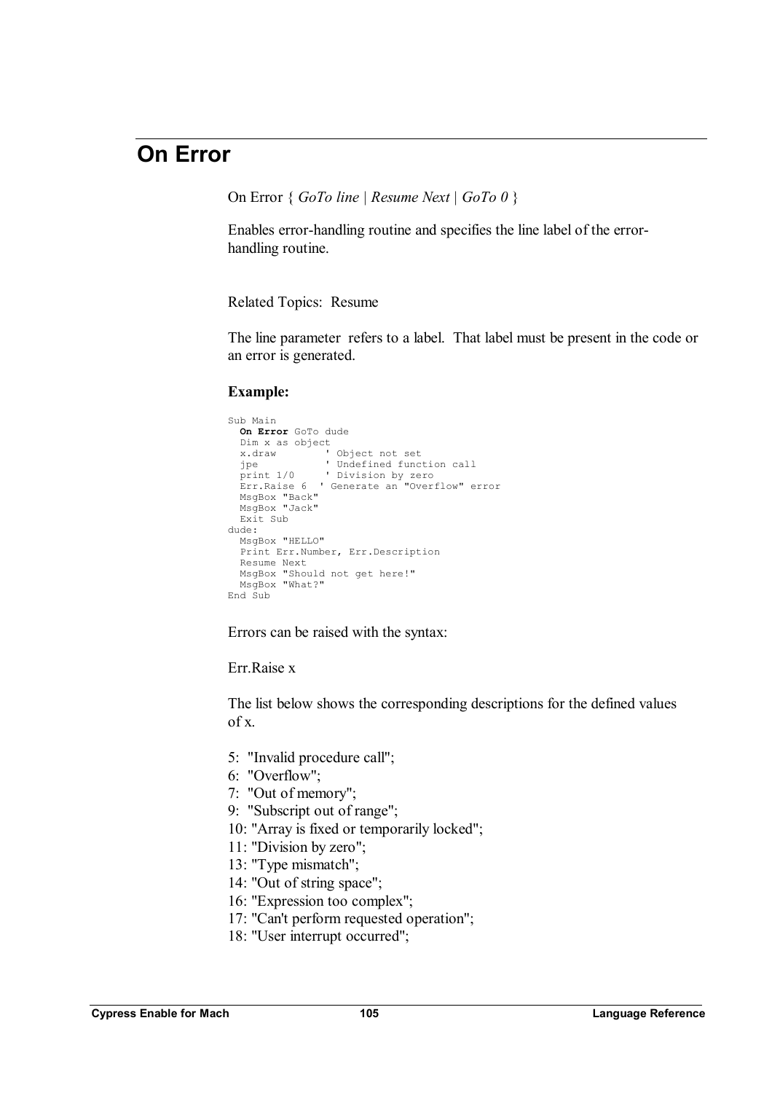## **On Error**

On Error { *GoTo line | Resume Next | GoTo 0* }

Enables error-handling routine and specifies the line label of the errorhandling routine.

Related Topics: Resume

The line parameter refers to a label. That label must be present in the code or an error is generated.

## **Example:**

```
Sub Main 
   On Error GoTo dude 
 On Ellow Source<br>Dim x as object<br>x.draw '0bject not set
  x.draw ' Object not set 
  jpe ' Undefined function call 
  print 1/0 ' Division by zero 
  Err.Raise 6 ' Generate an "Overflow" error 
  MsgBox "Back" 
  MsgBox "Jack" 
  Exit Sub 
dude: 
  MsgBox "HELLO" 
  Print Err.Number, Err.Description 
  Resume Next 
 MsgBox "Should not get here!" 
 MsgBox "What?" 
End Sub
```
Errors can be raised with the syntax:

Err.Raise x

The list below shows the corresponding descriptions for the defined values of x.

- 5: "Invalid procedure call";
- 6: "Overflow";
- 7: "Out of memory";
- 9: "Subscript out of range";
- 10: "Array is fixed or temporarily locked";
- 11: "Division by zero";
- 13: "Type mismatch";
- 14: "Out of string space";
- 16: "Expression too complex";
- 17: "Can't perform requested operation";
- 18: "User interrupt occurred";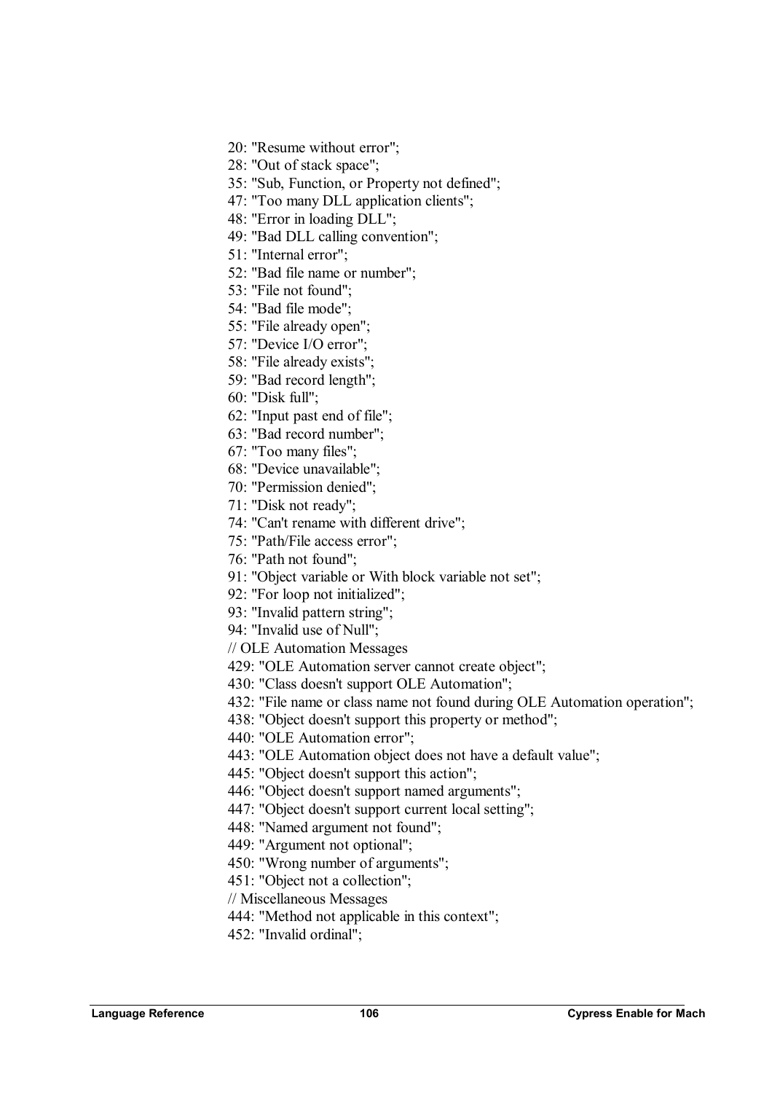20: "Resume without error";

28: "Out of stack space";

35: "Sub, Function, or Property not defined";

47: "Too many DLL application clients";

48: "Error in loading DLL";

49: "Bad DLL calling convention";

51: "Internal error";

52: "Bad file name or number";

53: "File not found";

54: "Bad file mode";

55: "File already open";

57: "Device I/O error";

58: "File already exists";

59: "Bad record length";

60: "Disk full";

62: "Input past end of file";

63: "Bad record number";

67: "Too many files";

68: "Device unavailable";

70: "Permission denied";

71: "Disk not ready";

74: "Can't rename with different drive";

75: "Path/File access error";

76: "Path not found";

91: "Object variable or With block variable not set";

92: "For loop not initialized";

93: "Invalid pattern string";

94: "Invalid use of Null";

// OLE Automation Messages

429: "OLE Automation server cannot create object";

430: "Class doesn't support OLE Automation";

432: "File name or class name not found during OLE Automation operation";

438: "Object doesn't support this property or method";

440: "OLE Automation error";

443: "OLE Automation object does not have a default value";

445: "Object doesn't support this action";

446: "Object doesn't support named arguments";

447: "Object doesn't support current local setting";

448: "Named argument not found";

449: "Argument not optional";

450: "Wrong number of arguments";

451: "Object not a collection";

// Miscellaneous Messages

444: "Method not applicable in this context";

452: "Invalid ordinal";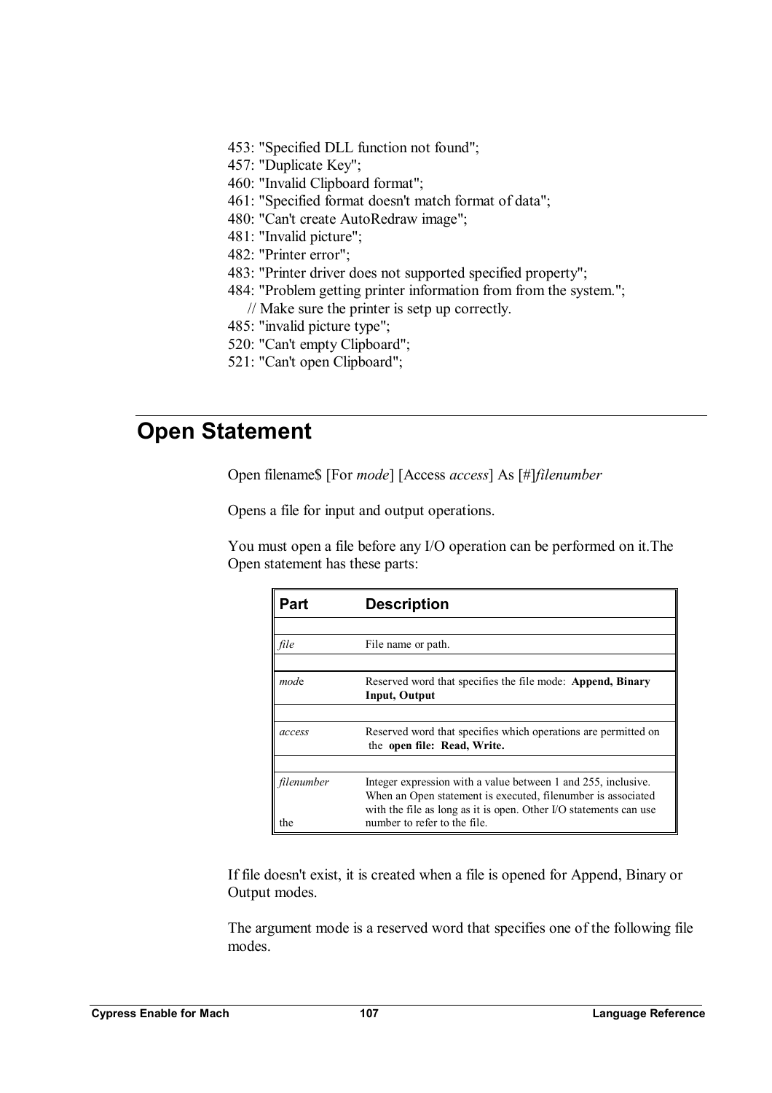- 453: "Specified DLL function not found";
- 457: "Duplicate Key";
- 460: "Invalid Clipboard format";
- 461: "Specified format doesn't match format of data";
- 480: "Can't create AutoRedraw image";
- 481: "Invalid picture";
- 482: "Printer error";
- 483: "Printer driver does not supported specified property";
- 484: "Problem getting printer information from from the system.";
	- // Make sure the printer is setp up correctly.
- 485: "invalid picture type";
- 520: "Can't empty Clipboard";
- 521: "Can't open Clipboard";

# **Open Statement**

Open filename\$ [For *mode*] [Access *access*] As [#]*filenumber*

Opens a file for input and output operations.

You must open a file before any I/O operation can be performed on it.The Open statement has these parts:

| Part       | <b>Description</b>                                                                                                                |
|------------|-----------------------------------------------------------------------------------------------------------------------------------|
|            |                                                                                                                                   |
| file       | File name or path.                                                                                                                |
|            |                                                                                                                                   |
| mode       | Reserved word that specifies the file mode: Append, Binary                                                                        |
|            | <b>Input, Output</b>                                                                                                              |
|            |                                                                                                                                   |
| access     | Reserved word that specifies which operations are permitted on<br>the open file: Read, Write.                                     |
|            |                                                                                                                                   |
| filenumber | Integer expression with a value between 1 and 255, inclusive.                                                                     |
|            | When an Open statement is executed, filenumber is associated<br>with the file as long as it is open. Other I/O statements can use |
| the        | number to refer to the file.                                                                                                      |

If file doesn't exist, it is created when a file is opened for Append, Binary or Output modes.

The argument mode is a reserved word that specifies one of the following file modes.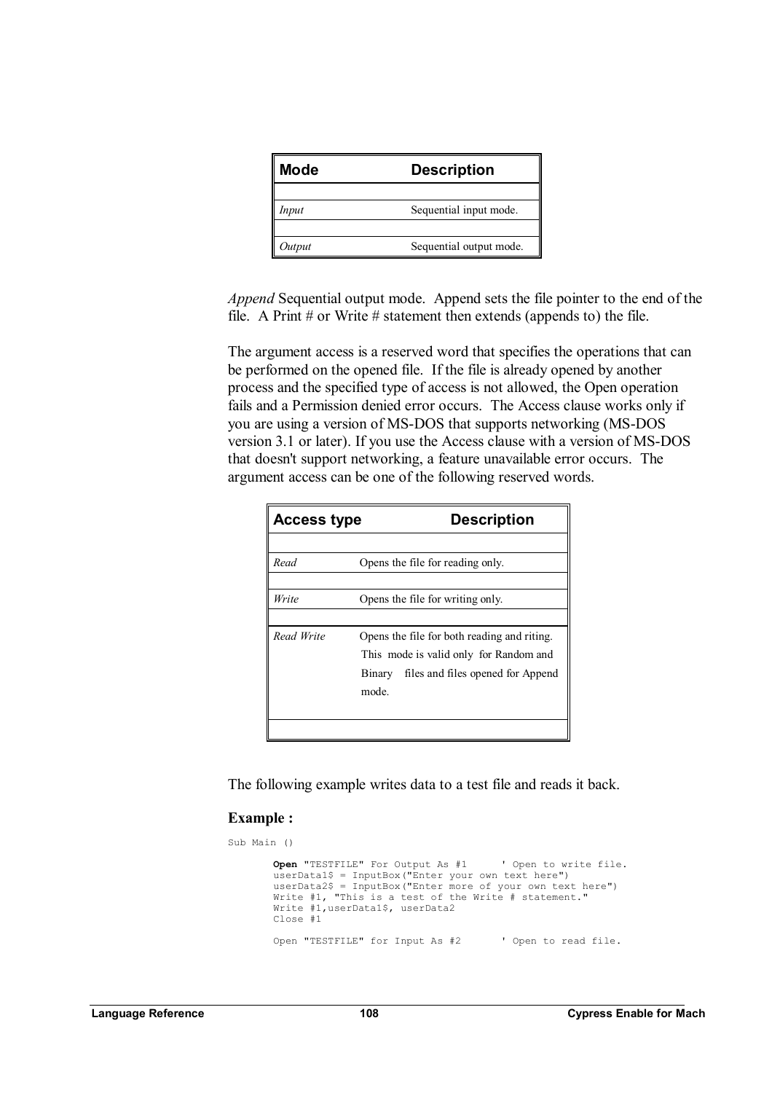| Sequential input mode.  |
|-------------------------|
| Sequential output mode. |
|                         |

*Append* Sequential output mode. Append sets the file pointer to the end of the file. A Print  $\#$  or Write  $\#$  statement then extends (appends to) the file.

The argument access is a reserved word that specifies the operations that can be performed on the opened file. If the file is already opened by another process and the specified type of access is not allowed, the Open operation fails and a Permission denied error occurs. The Access clause works only if you are using a version of MS-DOS that supports networking (MS-DOS version 3.1 or later). If you use the Access clause with a version of MS-DOS that doesn't support networking, a feature unavailable error occurs. The argument access can be one of the following reserved words.

| <b>Access type</b> | <b>Description</b>                          |
|--------------------|---------------------------------------------|
|                    |                                             |
| Read               | Opens the file for reading only.            |
|                    |                                             |
| Write              | Opens the file for writing only.            |
|                    |                                             |
| Read Write         | Opens the file for both reading and riting. |
|                    | This mode is valid only for Random and      |
|                    | Binary files and files opened for Append    |
|                    | mode.                                       |
|                    |                                             |
|                    |                                             |

The following example writes data to a test file and reads it back.

### **Example :**

Sub Main () **Open** "TESTFILE" For Output As #1 ' Open to write file. userData1\$ = InputBox("Enter your own text here") userData2\$ = InputBox("Enter more of your own text here") Write #1, "This is a test of the Write # statement." Write #1,userData1\$, userData2 Close #1 Open "TESTFILE" for Input As #2 ' Open to read file.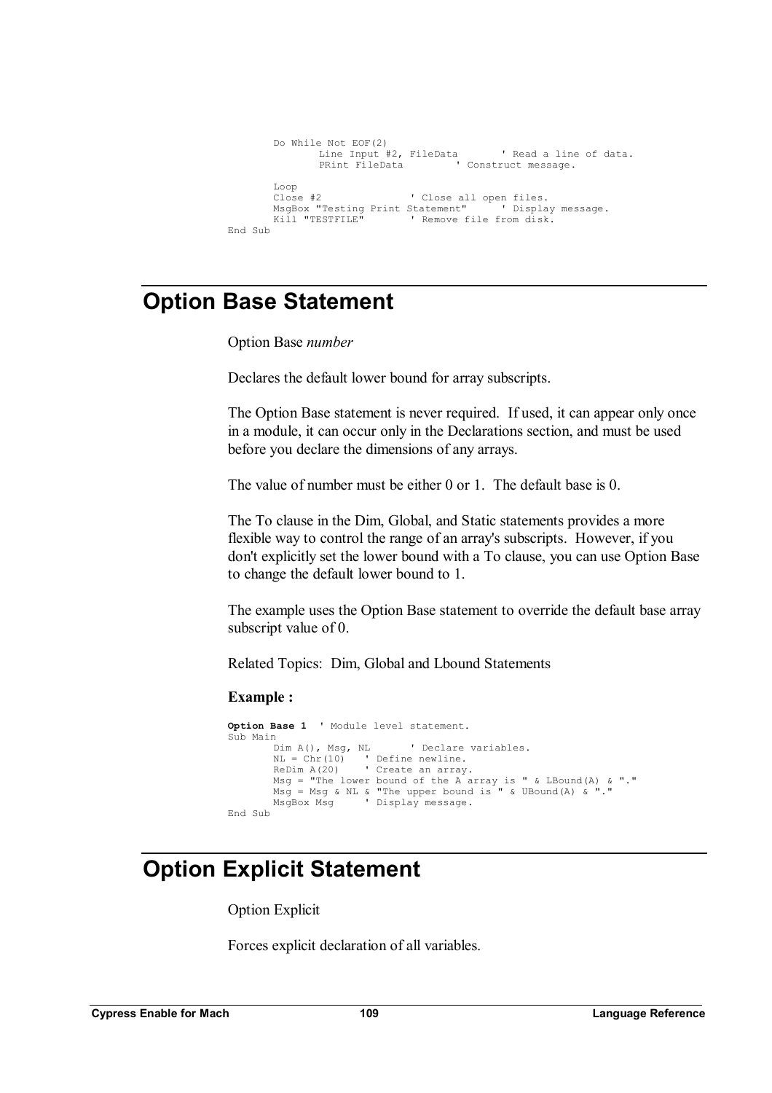```
Do While Not EOF(2) 
                 Line Input #2, FileData ' Read a line of data. 
               PRint FileData ' Construct message.
        Loop 
        Close #2 ' Close all open files. 
        MsgBox "Testing Print Statement" ' Display message. 
       CHOSE #2<br>MsgBox "Testing Print Statement" bisplay<br>Kill "TESTFILE" ' Remove file from disk.
End Sub
```
## **Option Base Statement**

Option Base *number* 

Declares the default lower bound for array subscripts.

The Option Base statement is never required. If used, it can appear only once in a module, it can occur only in the Declarations section, and must be used before you declare the dimensions of any arrays.

The value of number must be either 0 or 1. The default base is 0.

The To clause in the Dim, Global, and Static statements provides a more flexible way to control the range of an array's subscripts. However, if you don't explicitly set the lower bound with a To clause, you can use Option Base to change the default lower bound to 1.

The example uses the Option Base statement to override the default base array subscript value of 0.

Related Topics: Dim, Global and Lbound Statements

### **Example :**

```
Option Base 1 ' Module level statement. 
Sub Main<br>Dim A(), Msg, NL
       Dim A(), Msg, NL ' Declare variables. 
       NL = Chr(10) ' Define newline. 
       ReDim A(20) ' Create an array. 
       Msg = "The lower bound of the A array is " & LBound(A) & "." 
       Msg = Msg & NL & "The upper bound is " & UBound(A) & "." 
      MsgBox Msg ' Display message.
End Sub
```
## **Option Explicit Statement**

Option Explicit

Forces explicit declaration of all variables.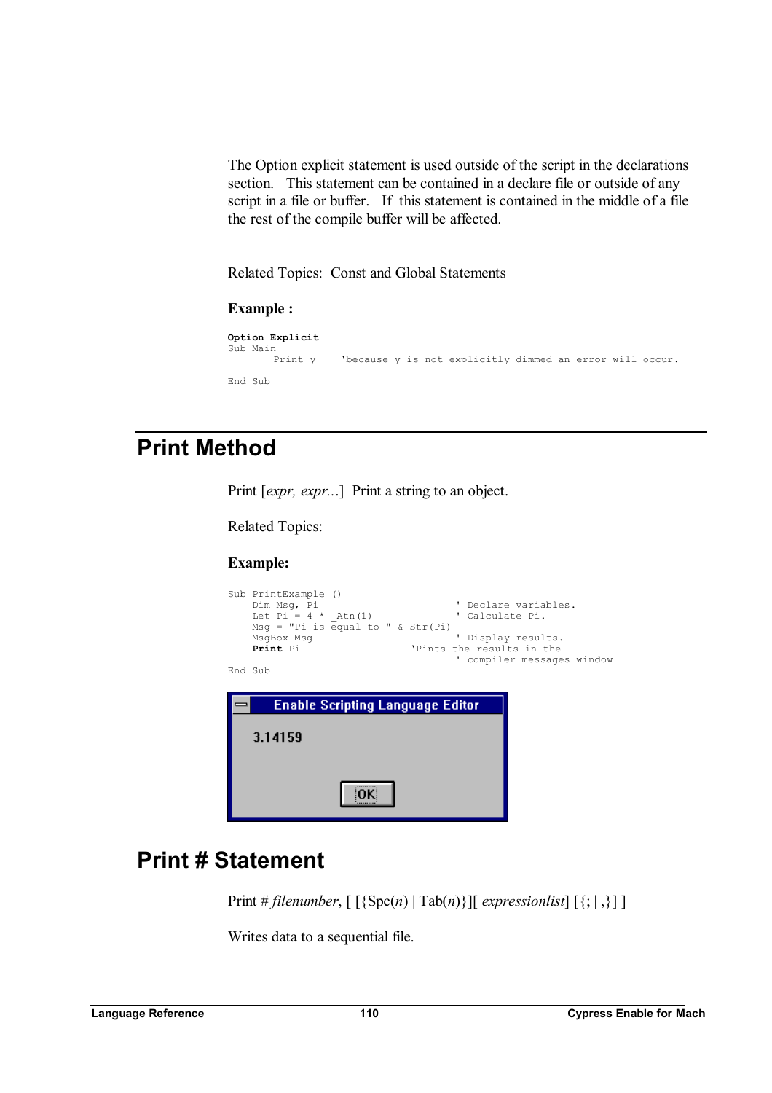The Option explicit statement is used outside of the script in the declarations section. This statement can be contained in a declare file or outside of any script in a file or buffer. If this statement is contained in the middle of a file the rest of the compile buffer will be affected.

Related Topics: Const and Global Statements

### **Example :**

```
Option Explicit 
Sub Main<br>Print y
                 'because y is not explicitly dimmed an error will occur.
End Sub
```
# **Print Method**

Print [*expr, expr..*.]Print a string to an object.

Related Topics:

### **Example:**

| Sub PrintExample ()<br>Dim Msq, Pi<br>Let Pi = $4 * \text{Atn}(1)$<br>Msq = "Pi is equal to " & Str(Pi)<br>MsqBox Msq<br>Print Pi<br>End Sub | ' Declare variables.<br>' Calculate Pi.<br>Display results.<br>'Pints the results in the<br>' compiler messages window |  |
|----------------------------------------------------------------------------------------------------------------------------------------------|------------------------------------------------------------------------------------------------------------------------|--|
| <b>Enable Scripting Language Editor</b><br>3.14159                                                                                           |                                                                                                                        |  |

# **Print # Statement**

Print # *filenumber*,  $\lceil \{\text{Spec}(n) | \text{Tab}(n)\} \rceil$  *expressionlist* $\lceil \{\cdot, \cdot\} \rceil$ 

Writes data to a sequential file.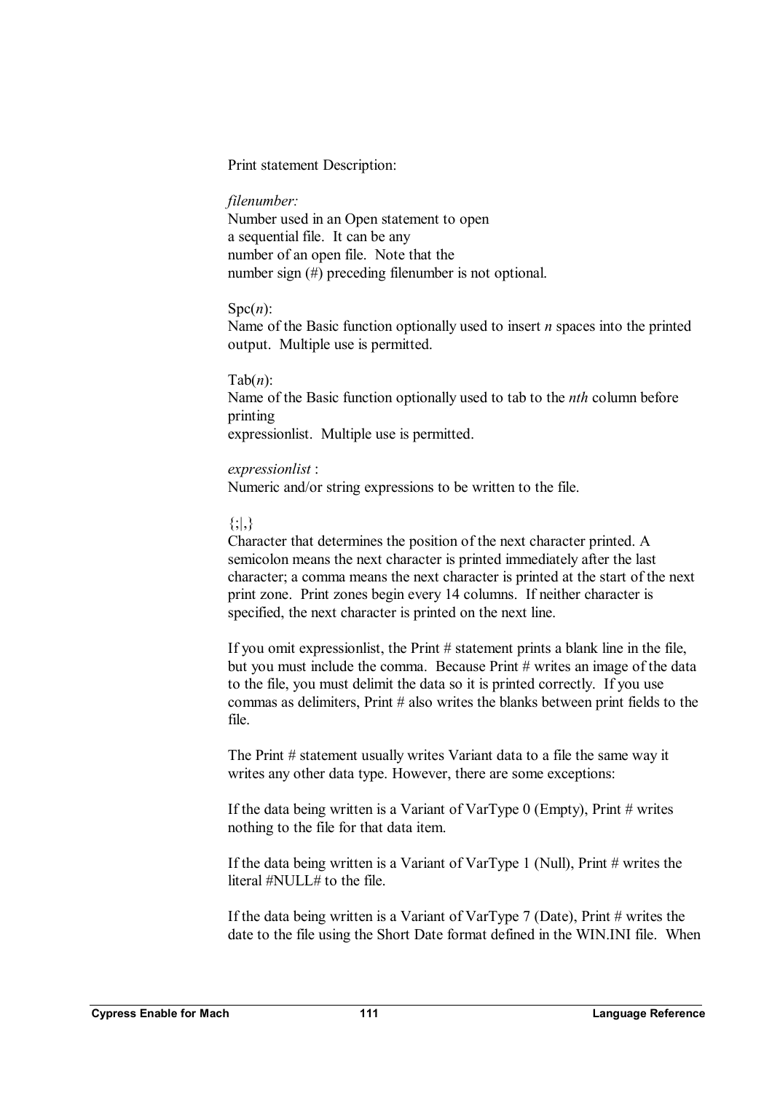Print statement Description:

*filenumber:* 

Number used in an Open statement to open a sequential file. It can be any number of an open file. Note that the number sign (#) preceding filenumber is not optional.

### $Snc(n)$ :

Name of the Basic function optionally used to insert *n* spaces into the printed output. Multiple use is permitted.

Tab(*n*):

Name of the Basic function optionally used to tab to the *nth* column before printing expressionlist. Multiple use is permitted.

*expressionlist* :

Numeric and/or string expressions to be written to the file.

### {;*|*,}

Character that determines the position of the next character printed. A semicolon means the next character is printed immediately after the last character; a comma means the next character is printed at the start of the next print zone. Print zones begin every 14 columns. If neither character is specified, the next character is printed on the next line.

If you omit expressionlist, the Print # statement prints a blank line in the file, but you must include the comma. Because Print # writes an image of the data to the file, you must delimit the data so it is printed correctly. If you use commas as delimiters, Print # also writes the blanks between print fields to the file.

The Print # statement usually writes Variant data to a file the same way it writes any other data type. However, there are some exceptions:

If the data being written is a Variant of VarType  $0$  (Empty), Print # writes nothing to the file for that data item.

If the data being written is a Variant of VarType 1 (Null), Print # writes the literal #NULL# to the file.

If the data being written is a Variant of VarType 7 (Date), Print # writes the date to the file using the Short Date format defined in the WIN.INI file. When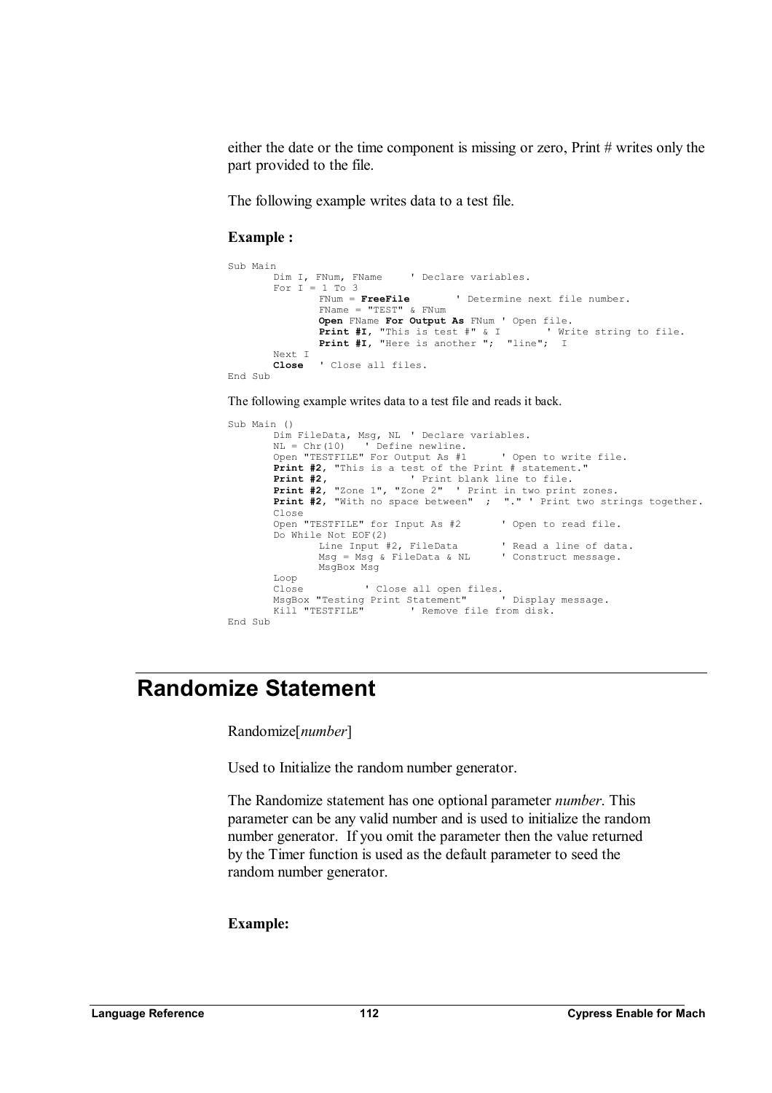either the date or the time component is missing or zero, Print # writes only the part provided to the file.

The following example writes data to a test file.

#### **Example :**

```
Sub Main<br>Dim I, FNum, FName
                           ' Declare variables.
      For I = 1 To 3<br>FNum = FreeFile
                                  ' Determine next file number.
              FName = "TEST" & FNum 
 Open FName For Output As FNum ' Open file. 
 Print #I, "This is test #" & I ' Write string to file. 
 Print #I, "Here is another "; "line"; I 
      Next I 
      Close ' Close all files. 
End Sub
```
The following example writes data to a test file and reads it back.

```
Sub Main () 
        Dim FileData, Msg, NL ' Declare variables. 
        NL = Chr(10) ' Define newline. 
        Open "TESTFILE" For Output As #1 ' Open to write file. 
        Print #2, "This is a test of the Print # statement." 
        Print #2, ' Print blank line to file. 
        Print #2, "Zone 1", "Zone 2" ' Print in two print zones. 
        Print #2, "With no space between" ; "." ' Print two strings together. 
        Close 
        Open "TESTFILE" for Input As #2 ' Open to read file. 
        Do While Not EOF(2)<br>Line Input #2, FileData
                                               ' Read a line of data.<br>' Construct message.
                Msg = Msg & FileData & NL MsgBox Msg 
        Loop<br>Close
        Close ' Close all open files. 
        MsgBox "Testing Print Statement" ' Display message. 
       MsgBox "Testing Print Statement" ' Display<br>Kill "TESTFILE" ' Remove file from disk.
End Sub
```
# **Randomize Statement**

Randomize[*number*]

Used to Initialize the random number generator.

The Randomize statement has one optional parameter *number*. This parameter can be any valid number and is used to initialize the random number generator. If you omit the parameter then the value returned by the Timer function is used as the default parameter to seed the random number generator.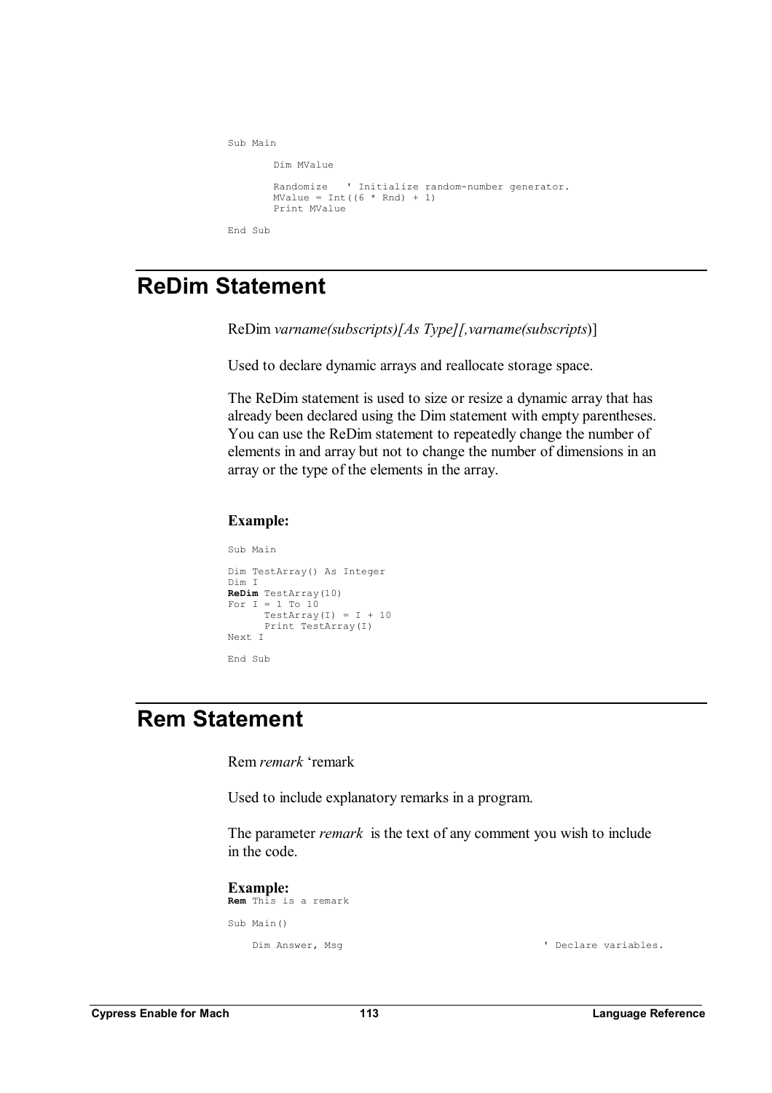```
Sub Main 
       Dim MValue 
       Randomize ' Initialize random-number generator. 
       MValue = Int((6 * Rnd) + 1)Print MValue 
End Sub
```
# **ReDim Statement**

ReDim *varname(subscripts)[As Type][,varname(subscripts*)]

Used to declare dynamic arrays and reallocate storage space.

The ReDim statement is used to size or resize a dynamic array that has already been declared using the Dim statement with empty parentheses. You can use the ReDim statement to repeatedly change the number of elements in and array but not to change the number of dimensions in an array or the type of the elements in the array.

### **Example:**

```
Sub Main 
Dim TestArray() As Integer 
Dim I 
ReDim TestArray(10) 
For I = 1 To 10TestArray(I) = I + 10Print TestArray(I) 
Next I 
End Sub
```
## **Rem Statement**

Rem *remark* 'remark

Used to include explanatory remarks in a program.

The parameter *remark* is the text of any comment you wish to include in the code.

**Example: Rem** This is a remark Sub Main()

Dim Answer, Msg ' Declare variables.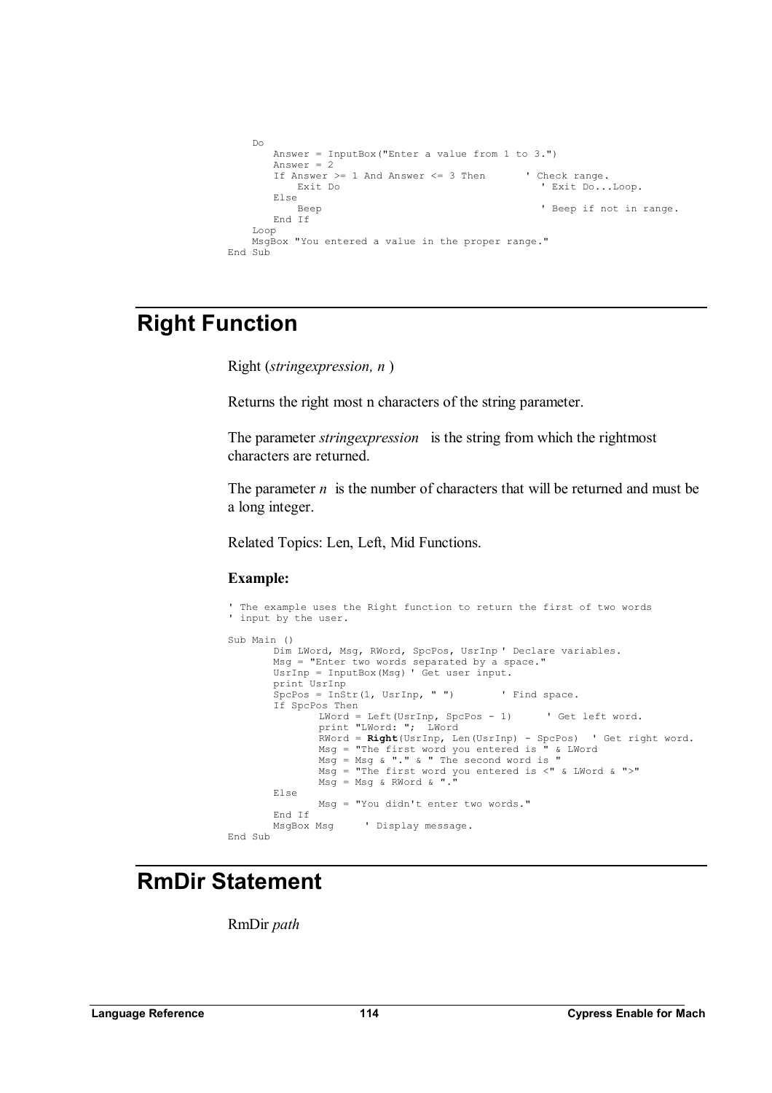```
Do 
       Answer = InputBox("Enter a value from 1 to 3.") 
       Answer = 2
       If Answer >= 1 And Answer <= 3 Then ' Check range.<br>Exit Do ' Exit Do ...
                                                    ' Exit Do...Loop.
       Else 
           -<br>Beep 'n Beep if not in range.
       End If 
    Loop 
    MsgBox "You entered a value in the proper range." 
End Sub
```
# **Right Function**

Right (*stringexpression, n* )

Returns the right most n characters of the string parameter.

The parameter *stringexpression* is the string from which the rightmost characters are returned.

The parameter  $n$  is the number of characters that will be returned and must be a long integer.

Related Topics: Len, Left, Mid Functions.

### **Example:**

```
' The example uses the Right function to return the first of two words 
' input by the user. 
Sub Main () 
       Dim LWord, Msg, RWord, SpcPos, UsrInp ' Declare variables. 
       Msg = "Enter two words separated by a space." 
       UsrInp = InputBox(Msg) ' Get user input. 
      print UsrInp 
      SpcPos = InStr(1, UsrInp, " ") ' Find space. 
      If SpcPos Then 
 LWord = Left(UsrInp, SpcPos - 1) ' Get left word. 
 print "LWord: "; LWord 
 RWord = Right(UsrInp, Len(UsrInp) - SpcPos) ' Get right word. 
 Msg = "The first word you entered is " & LWord 
 Msg = Msg & "." & " The second word is " 
 Msg = "The first word you entered is <" & LWord & ">" 
Msg = Msg & RWord & "."
      Else 
              Msg = "You didn't enter two words." 
      End If<br>MsgBox Msg
                    ' Display message.
End Sub
```
# **RmDir Statement**

RmDir *path*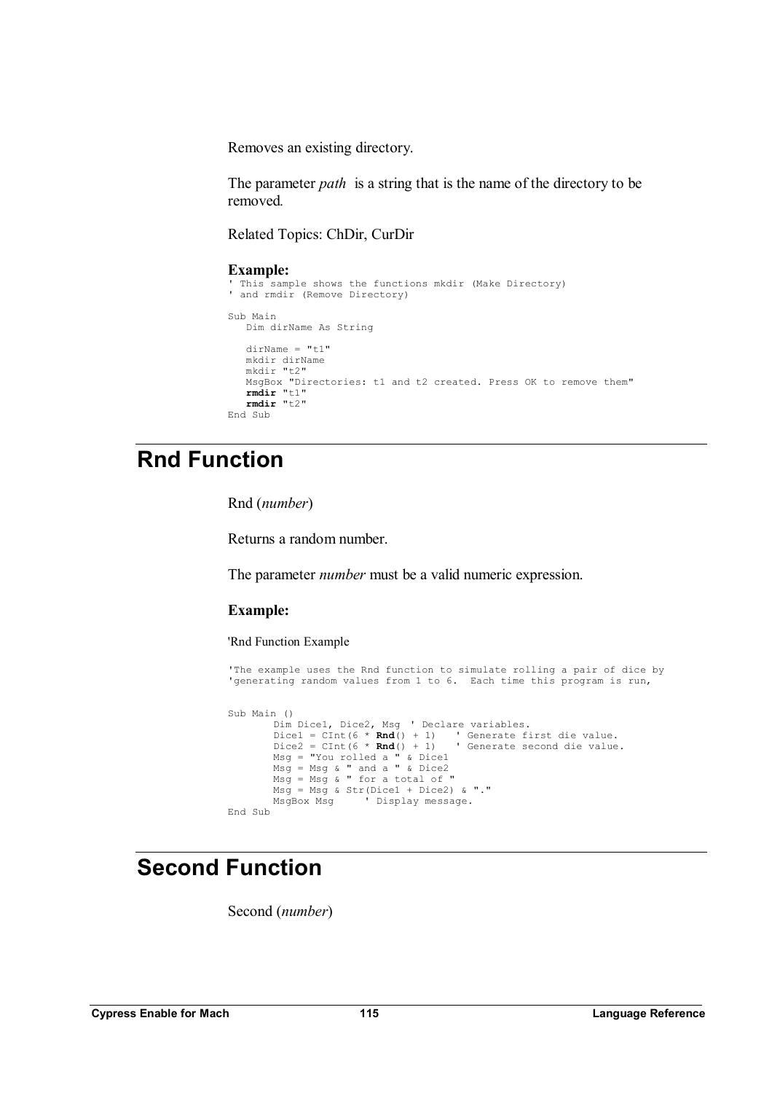Removes an existing directory.

The parameter *path* is a string that is the name of the directory to be removed*.*

Related Topics: ChDir, CurDir

#### **Example:**

```
' This sample shows the functions mkdir (Make Directory) 
' and rmdir (Remove Directory) 
Sub Main 
   Dim dirName As String 
   dirName = "t1"mkdir dirName 
   mkdir "t2" 
   MsgBox "Directories: t1 and t2 created. Press OK to remove them" 
    rmdir "t1" 
    rmdir "t2" 
End Sub
```
# **Rnd Function**

Rnd (*number*)

Returns a random number.

The parameter *number* must be a valid numeric expression.

### **Example:**

'Rnd Function Example

```
'The example uses the Rnd function to simulate rolling a pair of dice by 
'generating random values from 1 to 6. Each time this program is run, 
Sub Main () 
       Dim Dice1, Dice2, Msg ' Declare variables. 
       Dice1 = CInt(6 * Rnd() + 1) ' Generate first die value. 
       Dice2 = CInt(6 * Rnd() + 1) ' Generate second die value. 
       Msg = "You rolled a " & Dice1 
       Msg = Msg & " and a " & Dice2 
       Msg = Msg & " for a total of " 
       Msg = Msg & Str(Dice1 + Dice2) & "." 
       MsgBox Msg ' Display message.
End Sub
```
# **Second Function**

Second (*number*)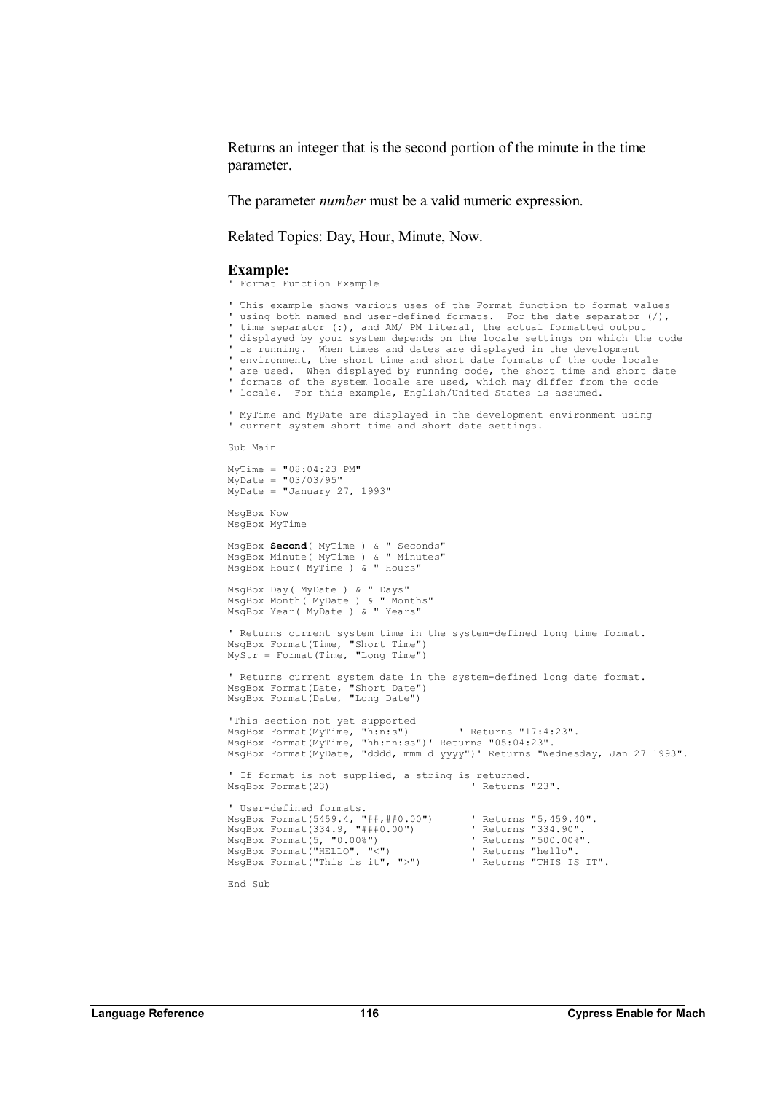Returns an integer that is the second portion of the minute in the time parameter.

The parameter *number* must be a valid numeric expression.

Related Topics: Day, Hour, Minute, Now.

#### **Example:**

' Format Function Example

' This example shows various uses of the Format function to format values ' using both named and user-defined formats. For the date separator  $\langle \cdot \rangle$ , ' time separator (:), and AM/ PM literal, the actual formatted output ' displayed by your system depends on the locale settings on which the code ' is running. When times and dates are displayed in the development ' environment, the short time and short date formats of the code locale ' are used. When displayed by running code, the short time and short date ' formats of the system locale are used, which may differ from the code ' locale. For this example, English/United States is assumed. ' MyTime and MyDate are displayed in the development environment using ' current system short time and short date settings. Sub Main MyTime = "08:04:23 PM"  $MyDate = "03/03/95"$  $MyDate = "January 27, 1993"$ MsgBox Now MsgBox MyTime MsgBox **Second**( MyTime ) & " Seconds" MsgBox **Become** (  $MyTime$  ) a becomes<br>MsgBox Minute ( MyTime ) & " Minutes" MsgBox Hour( MyTime ) & " Hours" MsgBox Day( MyDate ) & " Days" MsgBox Month( MyDate ) & " Months" MsgBox Year( MyDate ) & " Years" ' Returns current system time in the system-defined long time format. MsgBox Format(Time, "Short Time") MyStr = Format(Time, "Long Time") ' Returns current system date in the system-defined long date format. MsgBox Format(Date, "Short Date") MsgBox Format(Date, "Long Date") 'This section not yet supported MsgBox Format(MyTime, "h:n:s") ' Returns "17:4:23". MsgBox Format(MyTime, "hh:nn:ss")' Returns "05:04:23". MsgBox Format(MyDate, "dddd, mmm d yyyy")' Returns "Wednesday, Jan 27 1993". ' If format is not supplied, a string is returned. MsgBox Format(23)  $\overline{1}$   $\overline{2}$   $\overline{3}$  Returns "23". ' User-defined formats. MsgBox Format(5459.4, "##,##0.00") ' Returns "5,459.40". MsgBox Format(334.9, "###0.00") ' Returns "334.90". MsgBox Format(5, "0.00%") ' Returns "500.00%". MsgBox Format("HELLO", "<") ' Returns "hello". MsgBox Format("This is it", ">") ' Returns "THIS IS IT".

```
End Sub
```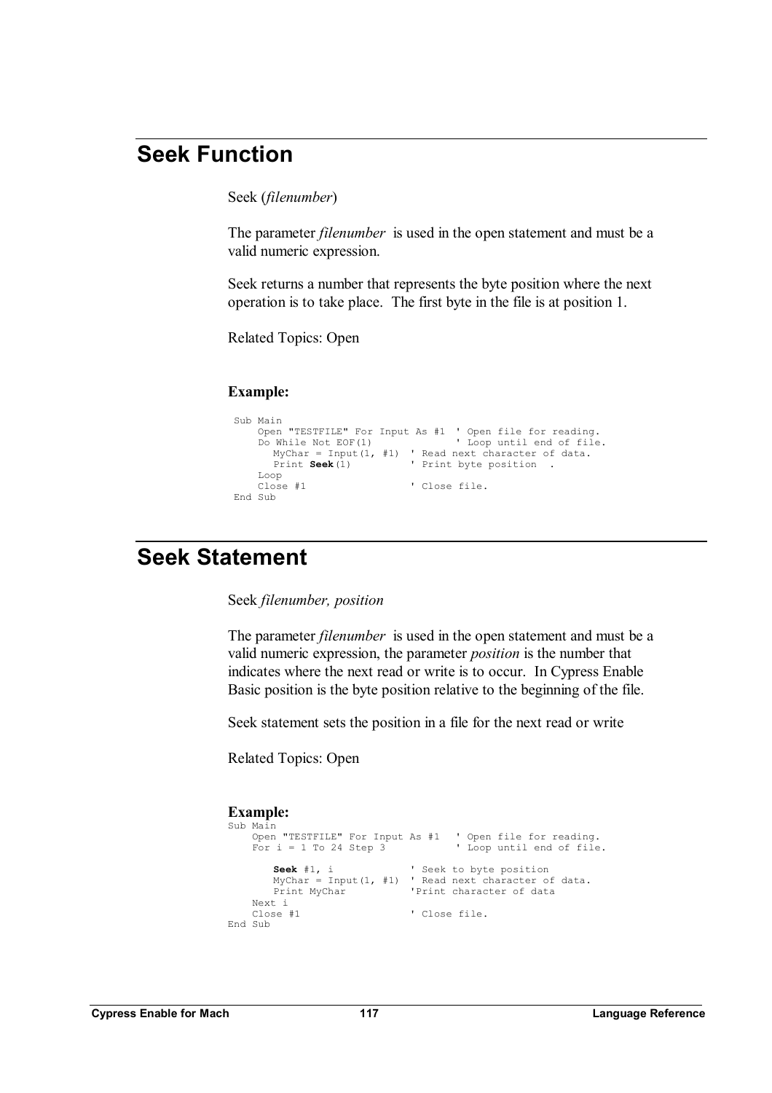## **Seek Function**

Seek (*filenumber*)

The parameter *filenumber* is used in the open statement and must be a valid numeric expression.

Seek returns a number that represents the byte position where the next operation is to take place. The first byte in the file is at position 1.

Related Topics: Open

### **Example:**

```
Sub Main 
 Open "TESTFILE" For Input As #1 ' Open file for reading. 
Do While Not EOF(1) \qquad \qquad ' Loop until end of file.
       MyChar = Input(1, #1) ' Read next character of data. 
       Print Seek(1) \qquad \qquad ' Print byte position .
   Loop<br>Close #1
                             ' Close file.
End Sub
```
# **Seek Statement**

Seek *filenumber, position*

The parameter *filenumber* is used in the open statement and must be a valid numeric expression, the parameter *position* is the number that indicates where the next read or write is to occur. In Cypress Enable Basic position is the byte position relative to the beginning of the file.

Seek statement sets the position in a file for the next read or write

Related Topics: Open

```
 Sub Main 
    Open "TESTFILE" For Input As #1 ' Open file for reading. 
    For i = 1 To 24 Step 3 ' Loop until end of file.
       Seek #1, i \qquad ' Seek to byte position
       MyChar = Input(1, #1) ' Read next character of data. 
       Print MyChar 'Print character of data 
   Next i<br>Close #1
                             ' Close file.
End Sub
```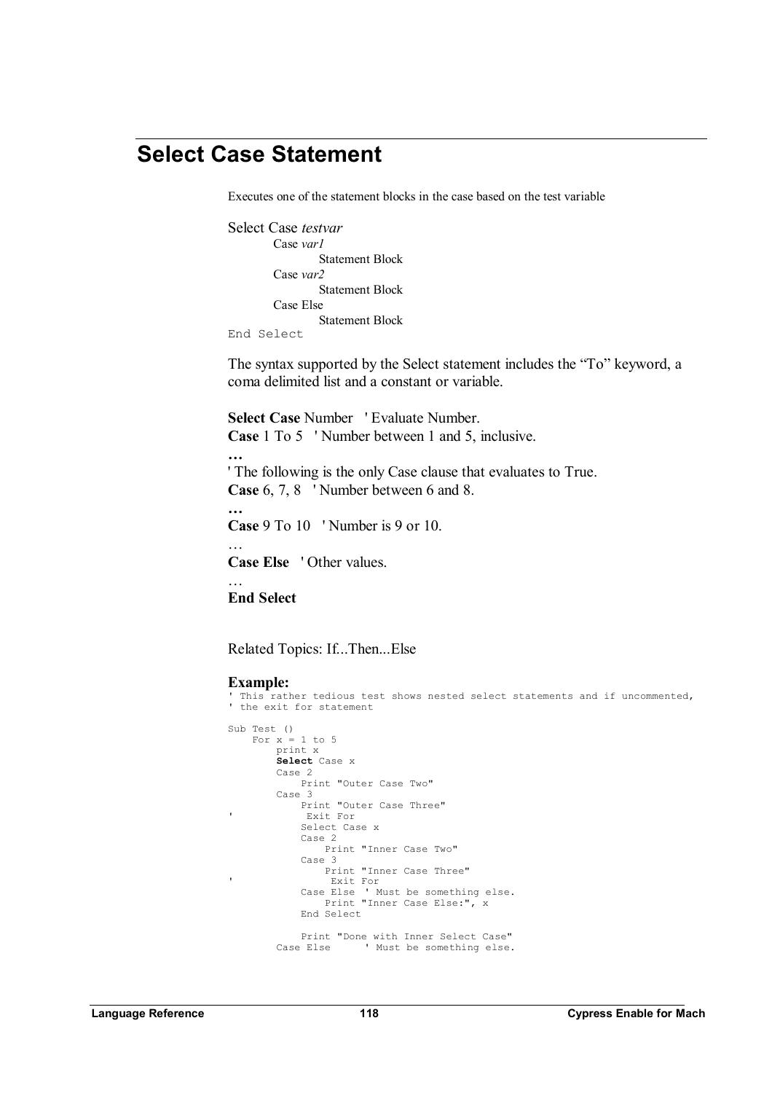## **Select Case Statement**

Executes one of the statement blocks in the case based on the test variable

```
Select Case testvar 
        Case var1 
                  Statement Block 
        Case var2 
                  Statement Block 
        Case Else 
                  Statement Block 
End Select
```
The syntax supported by the Select statement includes the "To" keyword, a coma delimited list and a constant or variable.

```
Select Case Number ' Evaluate Number. 
Case 1 To 5 ' Number between 1 and 5, inclusive.
```
**…** ' The following is the only Case clause that evaluates to True. **Case** 6, 7, 8 ' Number between 6 and 8.

**… Case** 9 To 10 ' Number is 9 or 10.

**Case Else** ' Other values.

…

**End Select**

Related Topics: If...Then...Else

```
' This rather tedious test shows nested select statements and if uncommented, 
' the exit for statement 
Sub Test () 
    For x = 1 to 5
        print x 
         Select Case x 
        Case 2 
            Print "Outer Case Two" 
        Case 3 
            Print "Outer Case Three" 
' Exit For 
             Select Case x 
             Case 2 
                  Print "Inner Case Two" 
             Case 3 
                  Print "Inner Case Three" 
                  Exit For
             Case Else ' Must be something else. 
                 Print "Inner Case Else:", x 
             End Select 
             Print "Done with Inner Select Case" 
         Case Else ' Must be something else.
```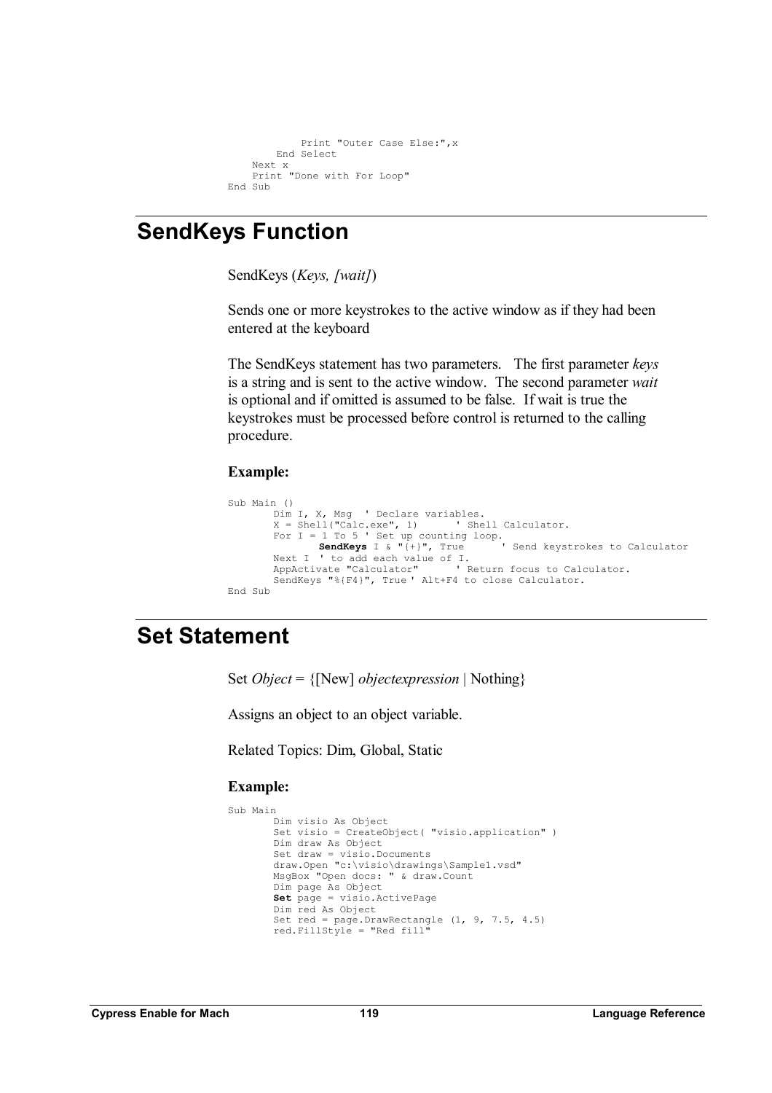```
Print "Outer Case Else:",x 
        End Select 
    Next x 
    Print "Done with For Loop" 
End Sub
```
## **SendKeys Function**

SendKeys (*Keys, [wait]*)

Sends one or more keystrokes to the active window as if they had been entered at the keyboard

The SendKeys statement has two parameters. The first parameter *keys* is a string and is sent to the active window. The second parameter *wait* is optional and if omitted is assumed to be false. If wait is true the keystrokes must be processed before control is returned to the calling procedure.

### **Example:**

```
Sub Main () 
       Dim I, X, Msg ' Declare variables.<br>X = Shell("Calc.exe", 1) ' Shell Calculator.
        X = Shell("Calc.exe", 1) ' Shell Calculator. 
        For I = 1 To 5 ' Set up counting loop.
 SendKeys I & "{+}", True ' Send keystrokes to Calculator 
        Next I ' to add each value of I. 
        AppActivate "Calculator" ' Return focus to Calculator. 
        SendKeys "%{F4}", True ' Alt+F4 to close Calculator. 
End Sub
```
## **Set Statement**

Set *Object* = {[New] *objectexpression* | Nothing}

Assigns an object to an object variable.

Related Topics: Dim, Global, Static

```
 Sub Main 
                         Dim visio As Object 
                         Set visio = CreateObject( "visio.application" ) 
                         Dim draw As Object 
       Set draw = visio.Documents 
       draw.Open "c:\visio\drawings\Sample1.vsd" 
                         MsgBox "Open docs: " & draw.Count 
                         Dim page As Object 
                         Set page = visio.ActivePage 
                         Dim red As Object 
 Set red = page.DrawRectangle (1, 9, 7.5, 4.5) 
 red.FillStyle = "Red fill"
```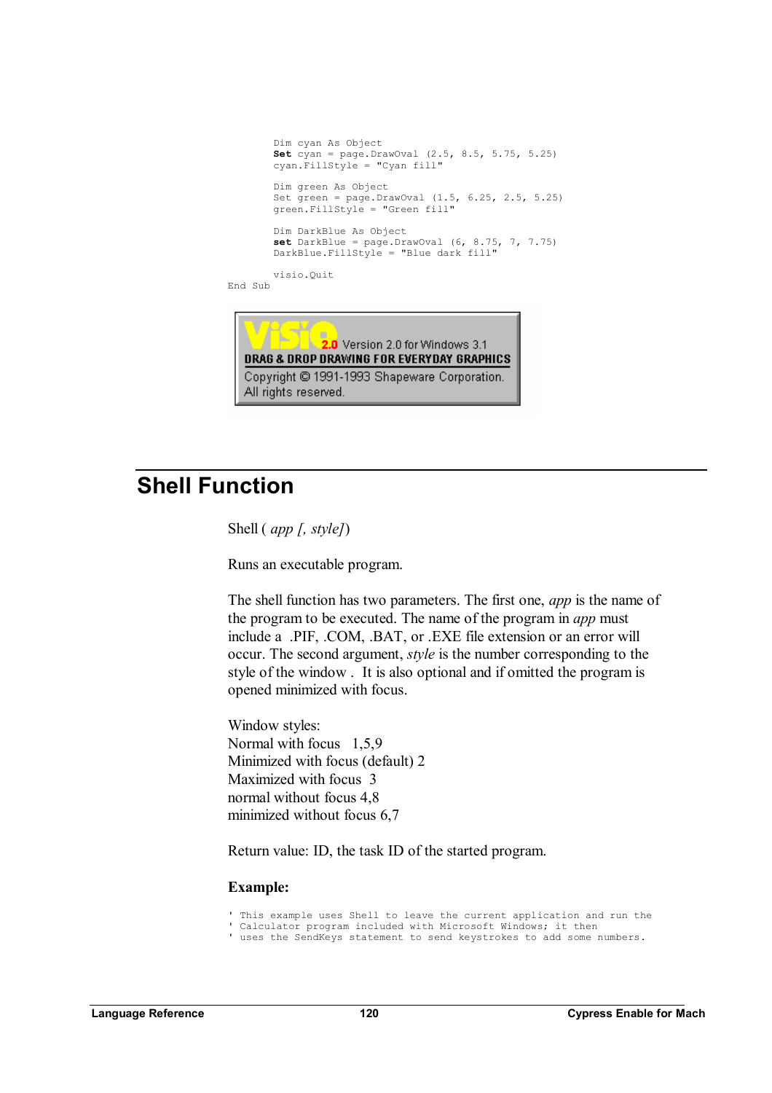```
 Dim cyan As Object 
                        Set cyan = page.DrawOval (2.5, 8.5, 5.75, 5.25) 
                        cyan.FillStyle = "Cyan fill" 
                        Dim green As Object 
 Set green = page.DrawOval (1.5, 6.25, 2.5, 5.25) 
 green.FillStyle = "Green fill" 
                        Dim DarkBlue As Object 
 set DarkBlue = page.DrawOval (6, 8.75, 7, 7.75) 
 DarkBlue.FillStyle = "Blue dark fill" 
                        visio.Quit 
                  End Sub
```


## **Shell Function**

Shell ( *app [, style]*)

Runs an executable program.

The shell function has two parameters. The first one, *app* is the name of the program to be executed. The name of the program in *app* must include a .PIF, .COM, .BAT, or .EXE file extension or an error will occur. The second argument, *style* is the number corresponding to the style of the window . It is also optional and if omitted the program is opened minimized with focus.

Window styles: Normal with focus 1,5,9 Minimized with focus (default) 2 Maximized with focus 3 normal without focus 4,8 minimized without focus 6,7

Return value: ID, the task ID of the started program.

- ' This example uses Shell to leave the current application and run the
- ' Calculator program included with Microsoft Windows; it then ' uses the SendKeys statement to send keystrokes to add some numbers.
-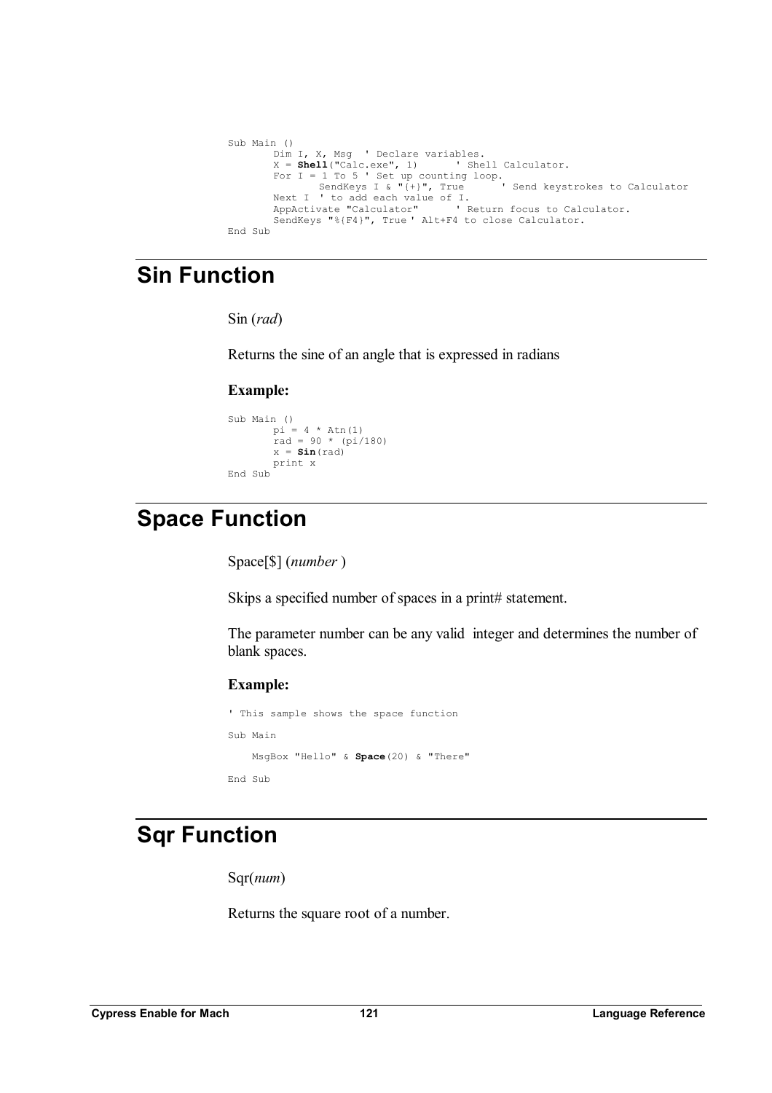```
Sub Main () 
       ....,<br>Dim I, X, Msa ' Declare variables.
       X = Shell("Calc.exe", 1) ' Shell Calculator. 
       For I = 1 To 5 ' Set up counting loop. 
 SendKeys I & "{+}", True ' Send keystrokes to Calculator 
       Next I ' to add each value of I. 
       AppActivate "Calculator" ' Return focus to Calculator. 
      SendKeys "%{F4}", True ' Alt+F4 to close Calculator. 
End Sub
```
# **Sin Function**

Sin (*rad*)

Returns the sine of an angle that is expressed in radians

### **Example:**

```
Sub Main () 
         pi = 4 * Atn(1) 
         rad = 90 * (pi/180) 
        x = \sin(\text{rad})print x 
End Sub
```
# **Space Function**

Space[\$] (*number* )

Skips a specified number of spaces in a print# statement.

The parameter number can be any valid integer and determines the number of blank spaces.

### **Example:**

```
' This sample shows the space function 
Sub Main 
    MsgBox "Hello" & Space(20) & "There" 
End Sub
```
# **Sqr Function**

Sqr(*num*)

Returns the square root of a number.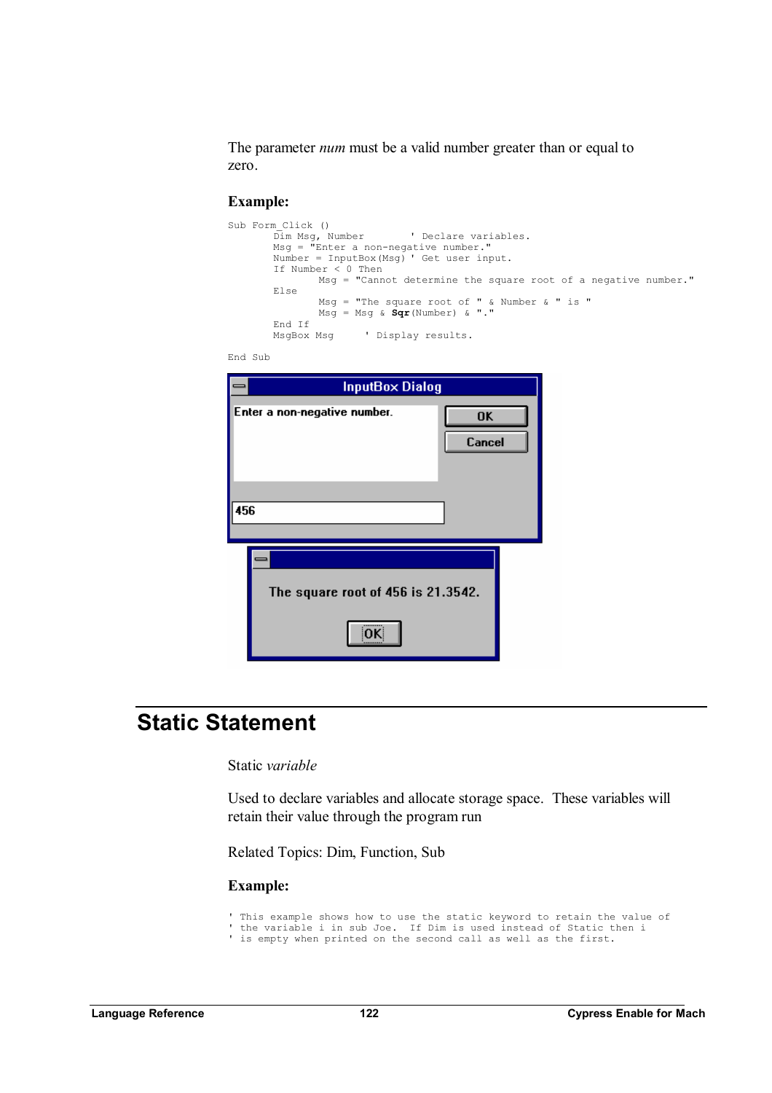The parameter *num* must be a valid number greater than or equal to zero.

#### **Example:**

```
Sub Form_Click ()<br>Dim Msq, Number
                                 ' Declare variables.
                    Msg = "Enter a non-negative number." 
                    Number = InputBox(Msg) ' Get user input. 
 If Number < 0 Then 
Msg = "Cannot determine the square root of a negative number."
Else
 Msg = "The square root of " & Number & " is " 
 Msg = Msg & Sqr(Number) & "." 
 End If 
                   MsgBox Msg ' Display results.
```
End Sub

| <b>InputBox Dialog</b>                   |                     |
|------------------------------------------|---------------------|
| Enter a non-negative number.             | <b>OK</b><br>Cancel |
| 456                                      |                     |
| The square root of 456 is 21.3542.<br>nĸ |                     |

# **Static Statement**

#### Static *variable*

Used to declare variables and allocate storage space. These variables will retain their value through the program run

Related Topics: Dim, Function, Sub

- ' This example shows how to use the static keyword to retain the value of
- ' the variable i in sub Joe. If Dim is used instead of Static then i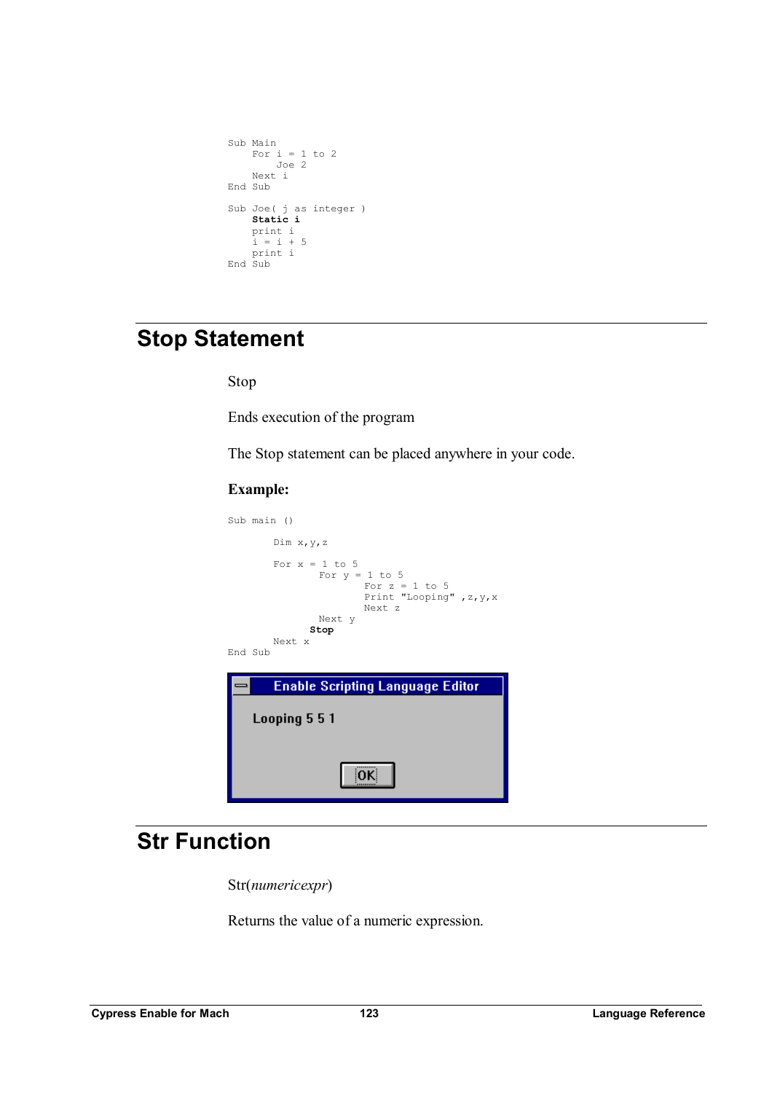```
Sub Main 
   For i = 1 to 2Joe 2 
   Next i 
End Sub 
Sub Joe( j as integer ) 
   Static i 
   print i 
    i = i + 5print i 
End Sub
```
# **Stop Statement**

### Stop

Ends execution of the program

The Stop statement can be placed anywhere in your code.

### **Example:**



# **Str Function**

Str(*numericexpr*)

Returns the value of a numeric expression.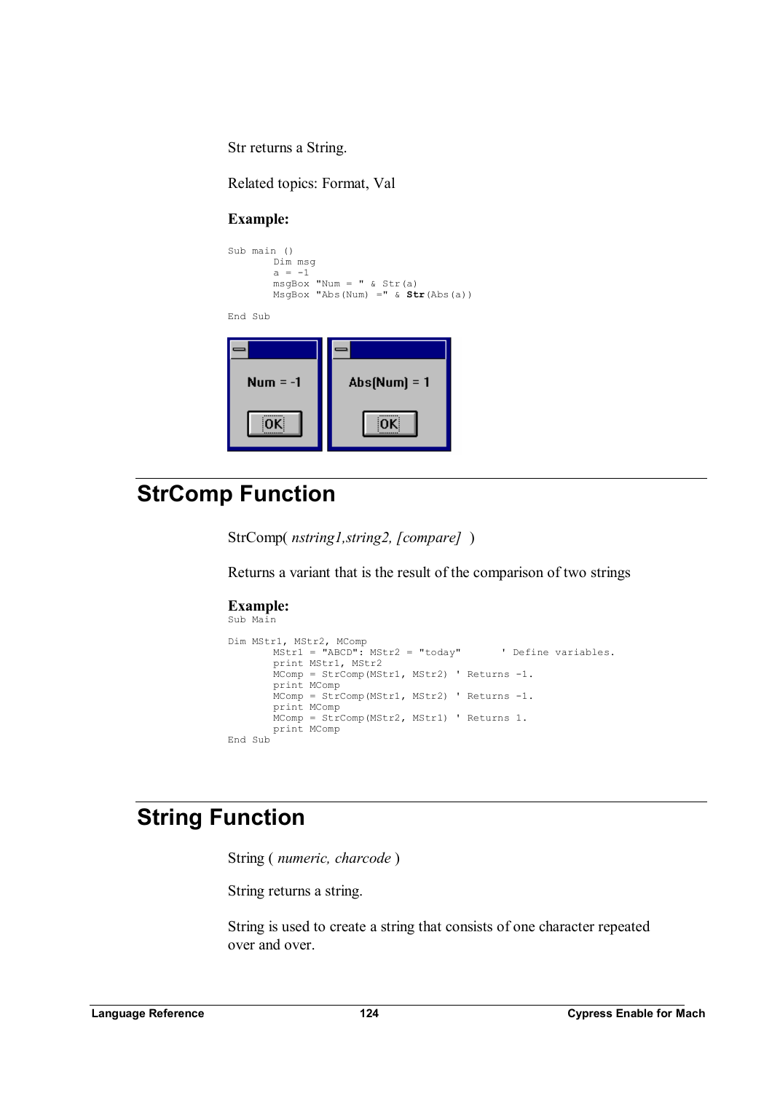Str returns a String.

Related topics: Format, Val

### **Example:**

```
Sub main () 
       Dim msg 
       a = -1msgBox "Num = " & Str(a) 
        MsgBox "Abs(Num) =" & Str(Abs(a))
```
End Sub



# **StrComp Function**

StrComp( *nstring1,string2, [compare]* )

Returns a variant that is the result of the comparison of two strings

### **Example:**

Sub Main

```
Dim MStr1, MStr2, MComp 
       MStr1 = "ABCD": MStr2 = "today" | Define variables.
       print MStr1, MStr2 
       MComp = StrComp(MStr1, MStr2) ' Returns -1.
       print MComp 
       MComp = StrComp(MStr1, MStr2) ' Returns -1.
       print MComp 
       MComp = StrComp(MStr2, MStr1) ' Returns 1.
       print MComp 
End Sub
```
# **String Function**

String ( *numeric, charcode* )

String returns a string.

String is used to create a string that consists of one character repeated over and over.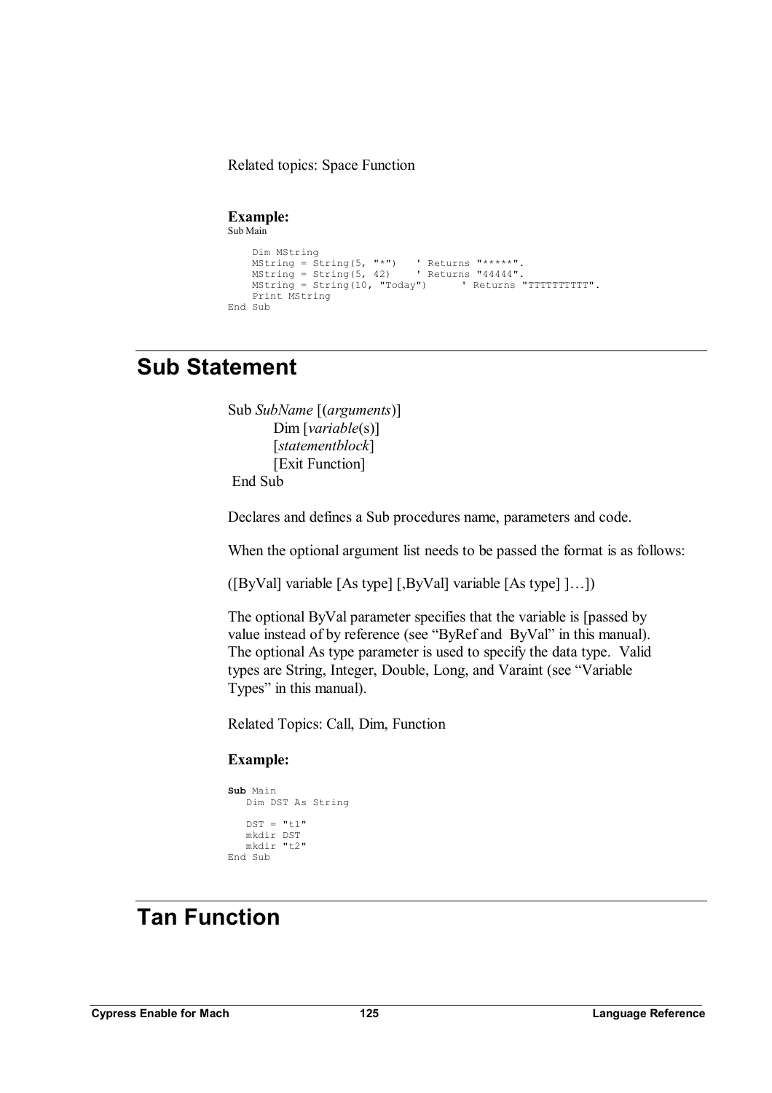Related topics: Space Function

```
Example: 
Sub Main 
    Dim MString 
    MString = String(5, "*") ' Returns "*****". 
    MString = String(5, 42) ' Returns "44444". 
    MString = String(10, "Today") ' Returns "TTTTTTTTTT". 
   Print MString 
End Sub
```
## **Sub Statement**

```
Sub SubName [(arguments)] 
       Dim [variable(s)] 
        [statementblock] 
       [Exit Function]
End Sub
```
Declares and defines a Sub procedures name, parameters and code.

When the optional argument list needs to be passed the format is as follows:

([ByVal] variable [As type] [,ByVal] variable [As type] ]…])

The optional ByVal parameter specifies that the variable is [passed by value instead of by reference (see "ByRef and ByVal" in this manual). The optional As type parameter is used to specify the data type. Valid types are String, Integer, Double, Long, and Varaint (see "Variable Types" in this manual).

Related Topics: Call, Dim, Function

### **Example:**

```
Sub Main 
  Dim DST As String 
   DST = "t1"mkdir DST 
   mkdir "t2" 
End Sub
```
# **Tan Function**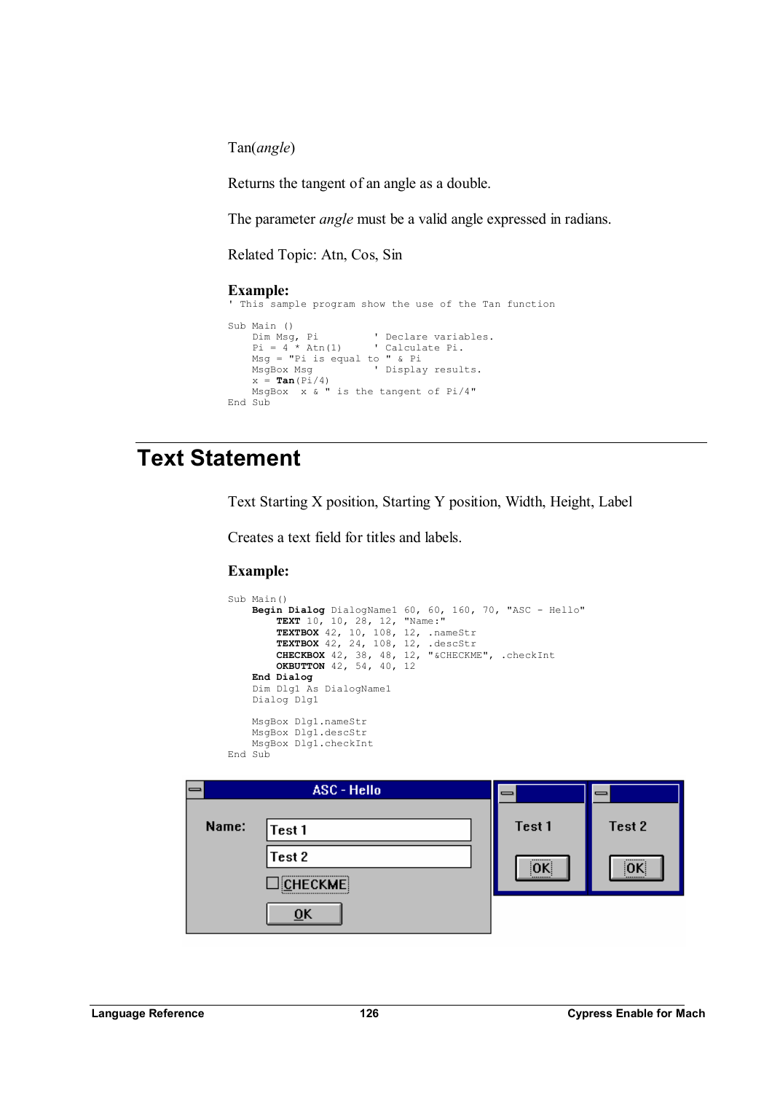Tan(*angle*)

Returns the tangent of an angle as a double.

The parameter *angle* must be a valid angle expressed in radians.

Related Topic: Atn, Cos, Sin

#### **Example:**

```
' This sample program show the use of the Tan function 
Sub Main () 
    Dim Msg, Pi ' Declare variables. 
    Pi = 4 * Atn(1) ' Calculate Pi.
    Msg = "Pi is equal to " & Pi 
    MsgBox Msg \qquad \qquad ' Display results.
   MsgBox Msg<br>x = Tan(Pi/4)MsgBox x & " is the tangent of Pi/4" 
End Sub
```
# **Text Statement**

Text Starting X position, Starting Y position, Width, Height, Label

Creates a text field for titles and labels.

```
Sub Main() 
    Begin Dialog DialogName1 60, 60, 160, 70, "ASC - Hello" 
       TEXT 10, 10, 28, 12, "Name:" 
       TEXTBOX 42, 10, 108, 12, .nameStr 
       TEXTBOX 42, 24, 108, 12, .descStr 
       CHECKBOX 42, 38, 48, 12, "&CHECKME", .checkInt 
       OKBUTTON 42, 54, 40, 12 
    End Dialog
   Dim Dlg1 As DialogName1 
   Dialog Dlg1 
   MsgBox Dlg1.nameStr 
   MsgBox Dlg1.descStr 
   MsgBox Dlg1.checkInt 
End Sub
```

| <b>ASC - Hello</b><br>— |                  |            |            |
|-------------------------|------------------|------------|------------|
| Name:                   | Test 1           | Test 1     | Test 2     |
|                         | Test 2           | <br>OK.    | <br>OK.    |
|                         | <b>CHECKME</b>   | ********** | ********** |
|                         | $\overline{0}$ K |            |            |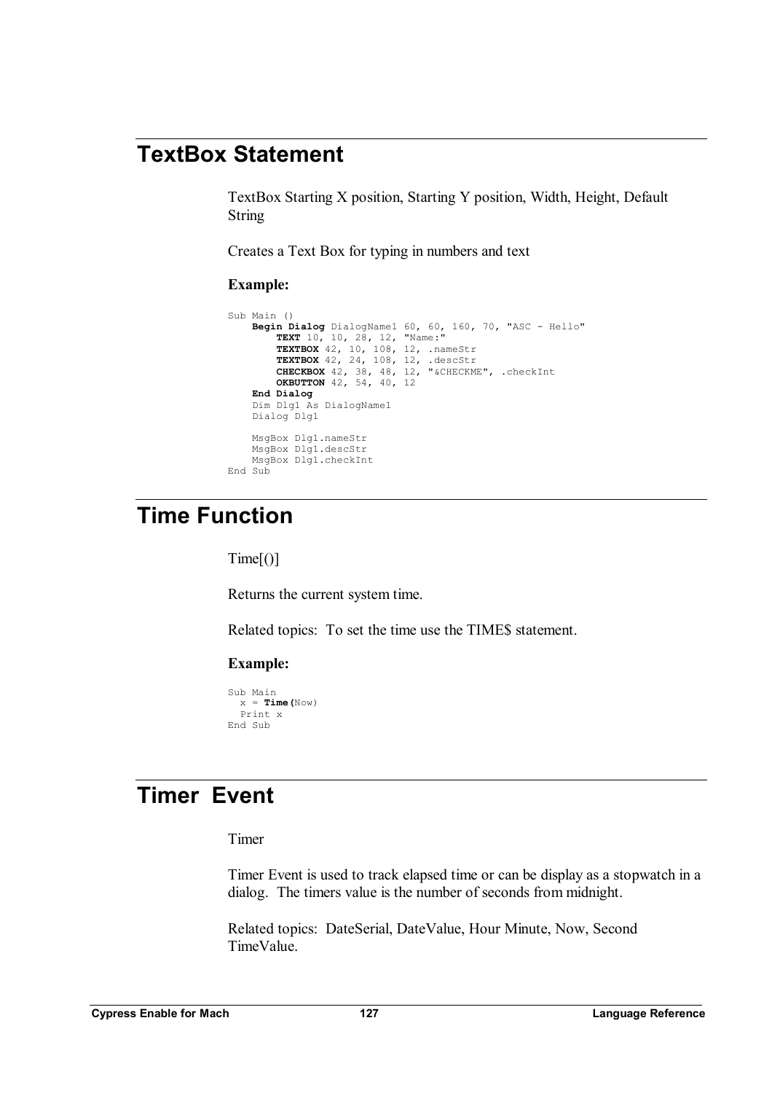## **TextBox Statement**

TextBox Starting X position, Starting Y position, Width, Height, Default String

Creates a Text Box for typing in numbers and text

#### **Example:**

```
Sub Main () 
   Begin Dialog DialogName1 60, 60, 160, 70, "ASC - Hello" 
       TEXT 10, 10, 28, 12, "Name:" 
       TEXTBOX 42, 10, 108, 12, .nameStr 
       TEXTBOX 42, 24, 108, 12, .descStr 
       CHECKBOX 42, 38, 48, 12, "&CHECKME", .checkInt 
       OKBUTTON 42, 54, 40, 12 
     End Dialog
    Dim Dlg1 As DialogName1 
   Dialog Dlg1 
   MsgBox Dlg1.nameStr 
   MsgBox Dlg1.descStr 
    MsgBox Dlg1.checkInt 
End Sub
```
# **Time Function**

 $Time[()]$ 

Returns the current system time.

Related topics: To set the time use the TIME\$ statement.

### **Example:**

```
Sub Main 
  x = Time(Now) 
  Print x 
End Sub
```
# **Timer Event**

Timer

Timer Event is used to track elapsed time or can be display as a stopwatch in a dialog. The timers value is the number of seconds from midnight.

Related topics: DateSerial, DateValue, Hour Minute, Now, Second TimeValue.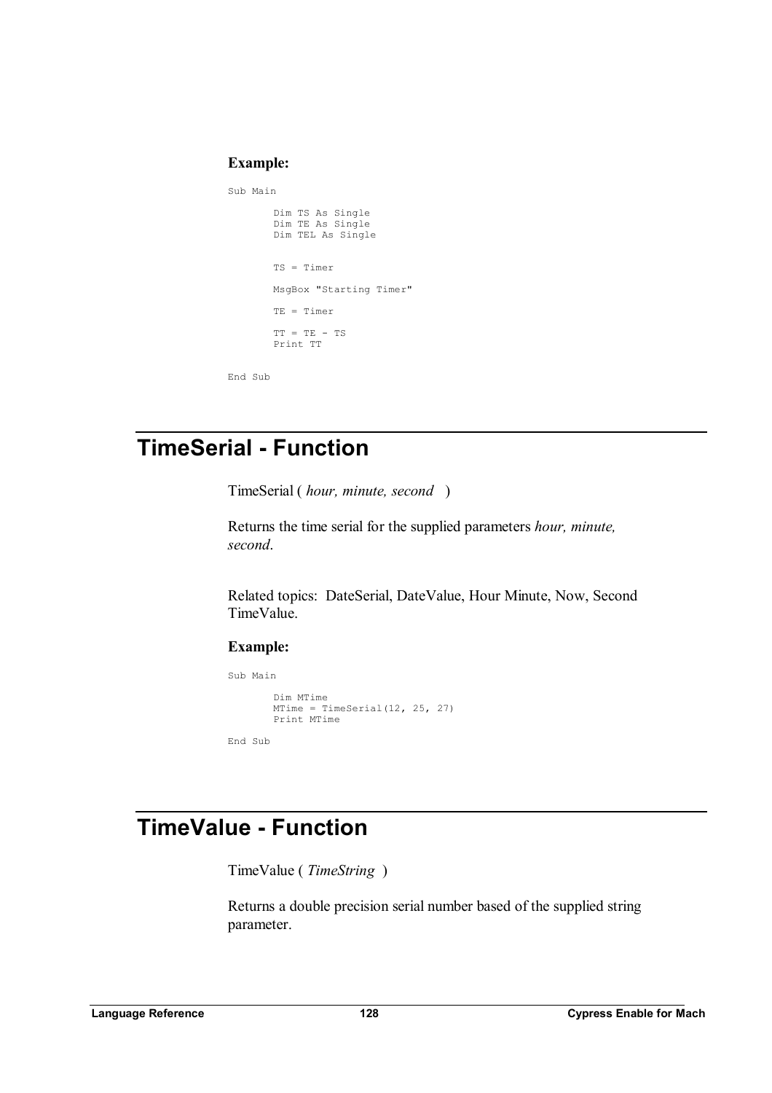#### **Example:**

Sub Main

```
Dim TS As Single 
Dim TE As Single 
Dim TEL As Single 
TS = Timer 
MsgBox "Starting Timer" 
TE = Timer 
TT = TE - TSPrint TT
```
End Sub

# **TimeSerial - Function**

TimeSerial ( *hour, minute, second* )

Returns the time serial for the supplied parameters *hour, minute, second*.

Related topics: DateSerial, DateValue, Hour Minute, Now, Second TimeValue.

### **Example:**

```
 Sub Main 
        Dim MTime 
        MTime = TimeSerial(12, 25, 27) 
        Print MTime 
End Sub
```
# **TimeValue - Function**

TimeValue ( *TimeString* )

Returns a double precision serial number based of the supplied string parameter.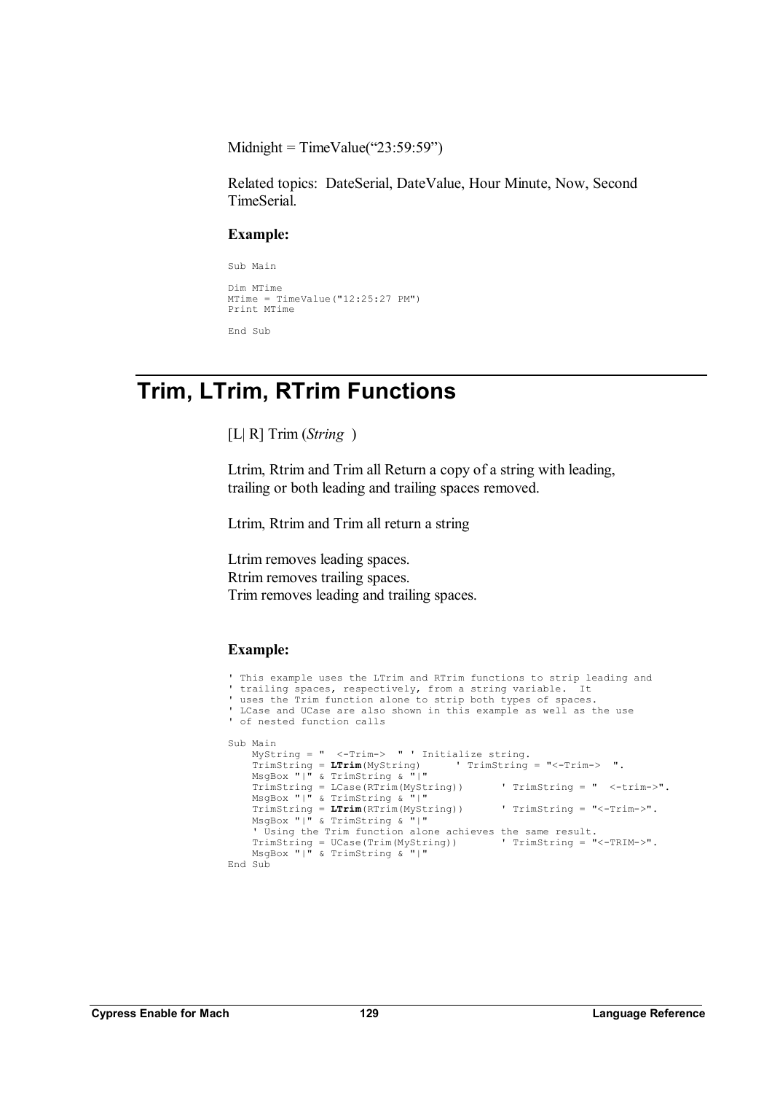$Midnight = TimeValue("23:59:59")$ 

Related topics: DateSerial, DateValue, Hour Minute, Now, Second TimeSerial.

#### **Example:**

```
 Sub Main 
                  Dim MTime 
                  MTime = TimeValue("12:25:27 PM") 
                  Print MTime 
                   End Sub
```
# **Trim, LTrim, RTrim Functions**

[L| R] Trim (*String* )

Ltrim, Rtrim and Trim all Return a copy of a string with leading, trailing or both leading and trailing spaces removed.

Ltrim, Rtrim and Trim all return a string

Ltrim removes leading spaces. Rtrim removes trailing spaces. Trim removes leading and trailing spaces.

| ' This example uses the LTrim and RTrim functions to strip leading and   |  |  |  |  |
|--------------------------------------------------------------------------|--|--|--|--|
| ' trailing spaces, respectively, from a string variable. It              |  |  |  |  |
| ' uses the Trim function alone to strip both types of spaces.            |  |  |  |  |
| ' LCase and UCase are also shown in this example as well as the use      |  |  |  |  |
| ' of nested function calls                                               |  |  |  |  |
|                                                                          |  |  |  |  |
| Sub Main                                                                 |  |  |  |  |
| MyString = " $\langle$ -Trim-> " ' Initialize string.                    |  |  |  |  |
| TrimString = $LTrim(MyString)$ ' TrimString = "<-Trim-> ".               |  |  |  |  |
| MsqBox " " & TrimString & " "                                            |  |  |  |  |
| $TrimString = LCase(RTrim(MyString))$<br>$'$ TrimString = " <-trim->".   |  |  |  |  |
| MsqBox " " & TrimString & " "                                            |  |  |  |  |
| $TrimString = LTrim(RTrim(MvString))$<br>$'$ TrimString = "<-Trim->".    |  |  |  |  |
| MsqBox " " & TrimString & " "                                            |  |  |  |  |
| ' Using the Trim function alone achieves the same result.                |  |  |  |  |
| $TrimString = UCase(Trim(MyString))$ $\qquad$ $TrimString = "<-TRIM->".$ |  |  |  |  |
| MsqBox " " & TrimString & " "                                            |  |  |  |  |
| End Sub                                                                  |  |  |  |  |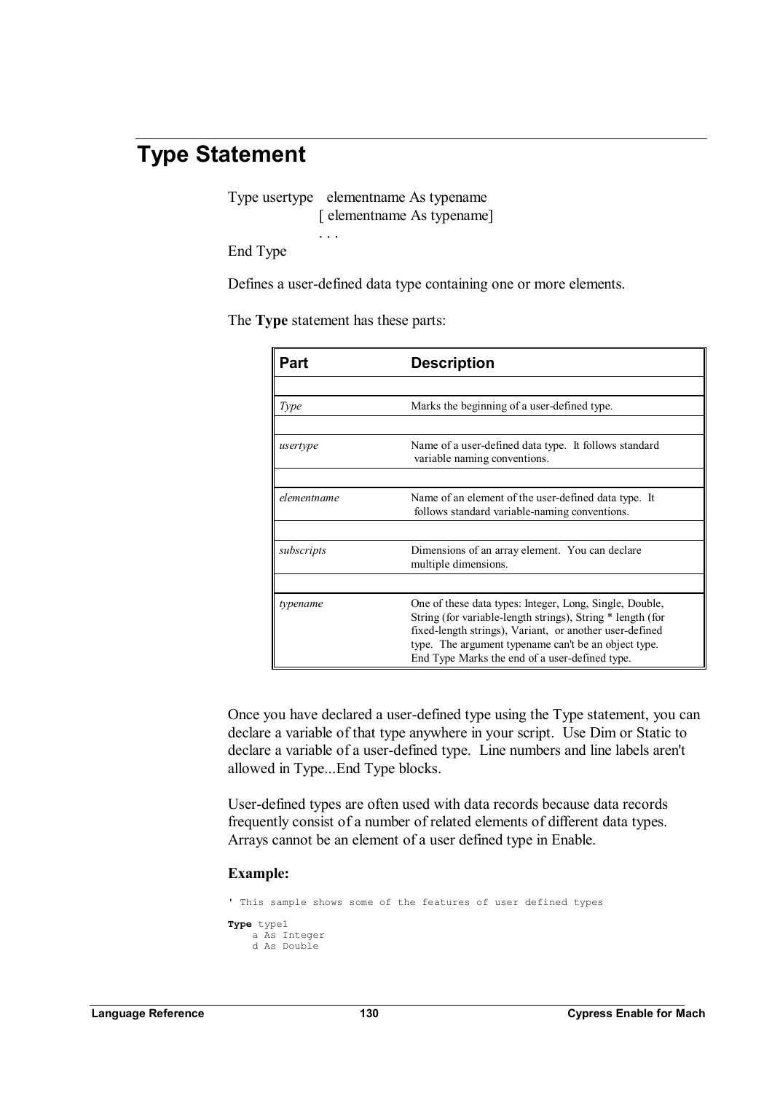## **Type Statement**

Type usertype elementname As typename [ elementname As typename]

End Type

Defines a user-defined data type containing one or more elements.

The **Type** statement has these parts:

. . .

| Part        | <b>Description</b>                                                                                                                                                                                                                                                                         |
|-------------|--------------------------------------------------------------------------------------------------------------------------------------------------------------------------------------------------------------------------------------------------------------------------------------------|
|             |                                                                                                                                                                                                                                                                                            |
| Type        | Marks the beginning of a user-defined type.                                                                                                                                                                                                                                                |
|             |                                                                                                                                                                                                                                                                                            |
| usertype    | Name of a user-defined data type. It follows standard<br>variable naming conventions.                                                                                                                                                                                                      |
|             |                                                                                                                                                                                                                                                                                            |
| elementname | Name of an element of the user-defined data type. It<br>follows standard variable-naming conventions.                                                                                                                                                                                      |
|             |                                                                                                                                                                                                                                                                                            |
| subscripts  | Dimensions of an array element. You can declare<br>multiple dimensions.                                                                                                                                                                                                                    |
|             |                                                                                                                                                                                                                                                                                            |
| typename    | One of these data types: Integer, Long, Single, Double,<br>String (for variable-length strings), String * length (for<br>fixed-length strings), Variant, or another user-defined<br>type. The argument typename can't be an object type.<br>End Type Marks the end of a user-defined type. |

Once you have declared a user-defined type using the Type statement, you can declare a variable of that type anywhere in your script. Use Dim or Static to declare a variable of a user-defined type. Line numbers and line labels aren't allowed in Type...End Type blocks.

User-defined types are often used with data records because data records frequently consist of a number of related elements of different data types. Arrays cannot be an element of a user defined type in Enable.

```
' This sample shows some of the features of user defined types 
Type type1 
    a As Integer 
    d As Double
```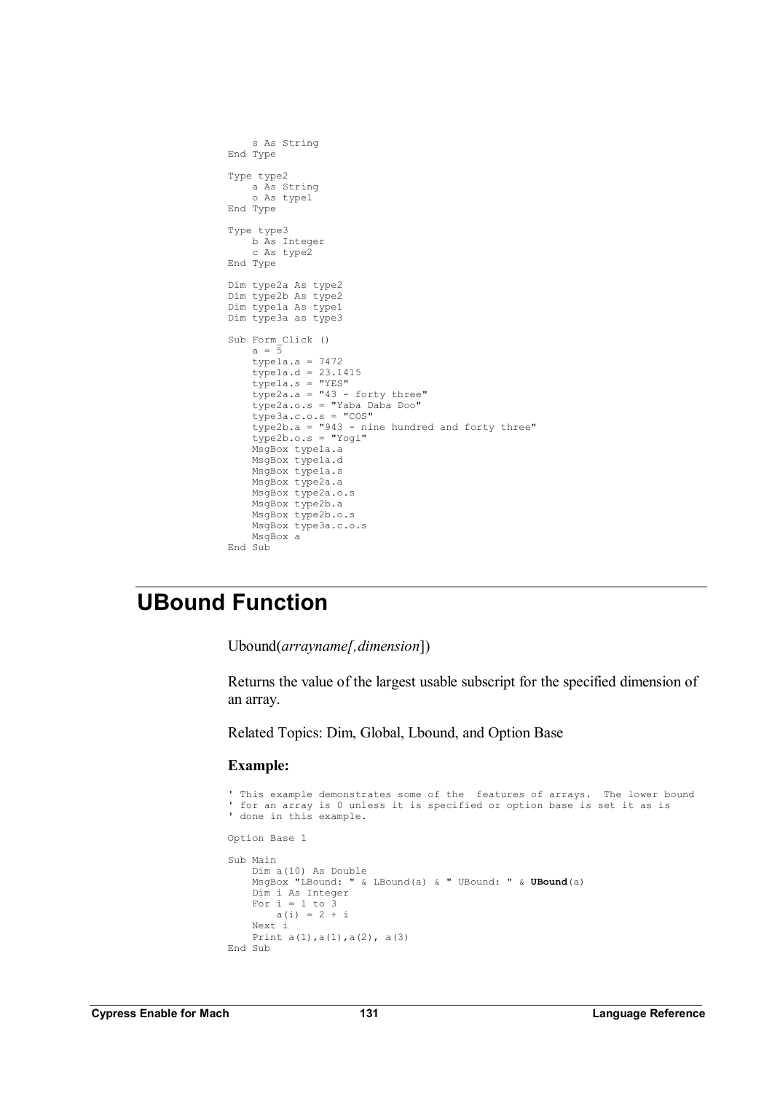```
s As String 
End Type 
Type type2 
   a As String 
    o As type1 
End Type 
Type type3 
   b As Integer 
   c As type2 
End Type 
Dim type2a As type2 
Dim type2b As type2 
Dim type1a As type1 
Dim type3a as type3 
Sub Form_Click () 
   a = 5type1a.a = 7472 
    type1a.d = 23.1415 
    type1a.s = "YES" 
    type2a.a = "43 - forty three"type2a.o.s = "Yaba Daba Doo" 
    type3a.c.o.s = "COS"type2b.a = "943 - nine hundred and forty three" 
    type2b.o.s = "Yogi" 
    MsgBox type1a.a 
    MsgBox type1a.d 
    MsgBox type1a.s 
    MsgBox type2a.a 
    MsgBox type2a.o.s
    MsgBox type2b.a 
    MsgBox type2b.o.s 
    MsgBox type3a.c.o.s 
    MsgBox a 
End Sub
```
# **UBound Function**

Ubound(*arrayname[,dimension*])

Returns the value of the largest usable subscript for the specified dimension of an array.

Related Topics: Dim, Global, Lbound, and Option Base

```
' This example demonstrates some of the features of arrays. The lower bound 
' for an array is 0 unless it is specified or option base is set it as is 
' done in this example. 
Option Base 1 
Sub Main 
    Dim a(10) As Double 
    MsgBox "LBound: " & LBound(a) & " UBound: " & UBound(a) 
    Dim i As Integer 
   For i = 1 to 3a(i) = 2 + iNext i 
    Print a(1), a(1), a(2), a(3)
End Sub
```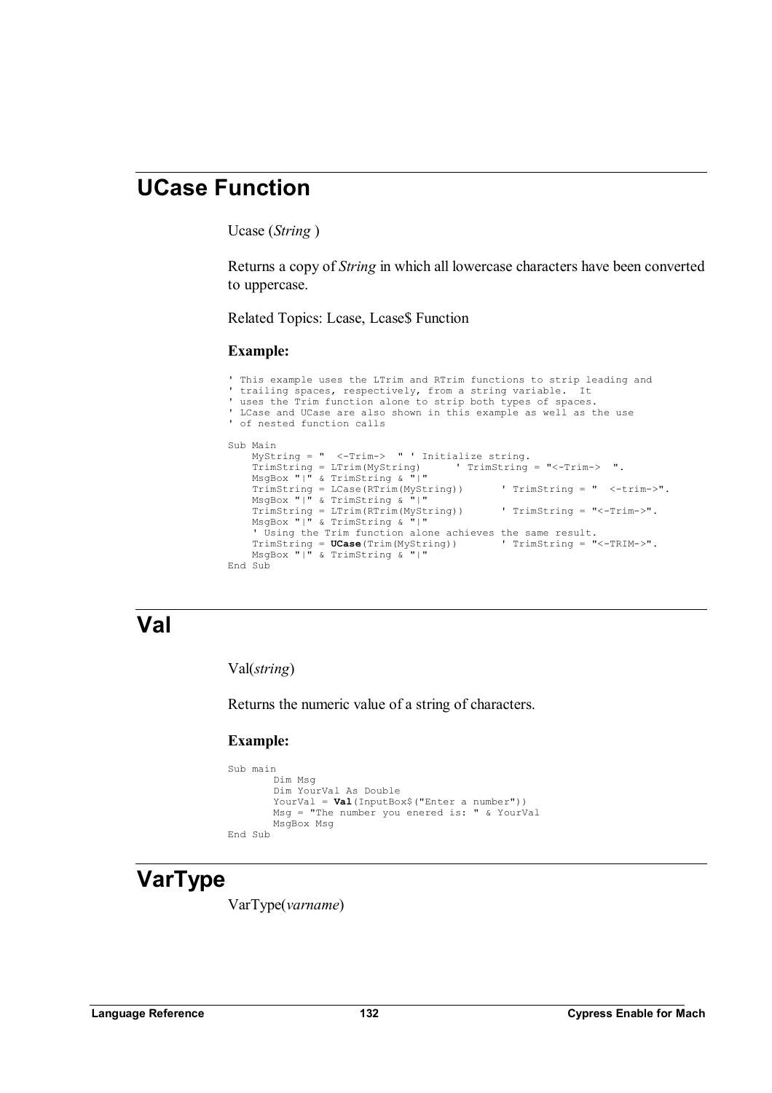## **UCase Function**

Ucase (*String* )

Returns a copy of *String* in which all lowercase characters have been converted to uppercase.

Related Topics: Lcase, Lcase\$ Function

#### **Example:**

```
' This example uses the LTrim and RTrim functions to strip leading and 
' trailing spaces, respectively, from a string variable. It 
' uses the Trim function alone to strip both types of spaces. 
' LCase and UCase are also shown in this example as well as the use 
' of nested function calls 
Sub Main 
    MyString = " <-Trim-> " ' Initialize string.<br>TrimString = LTrim(MyString) ' TrimString = "<-Trim-> ".
    TrimString = LTrim(MyString) ' TrimString = "<-Trim-> ". 
    MsgBox "|" & TrimString & "|" 
    TrimString = LCase(RTrim(MyString)) ' TrimString = " <-trim->". 
    MsgBox "|" & TrimString & "|" 
    TrimString = LTrim(RTrim(MyString)) ' TrimString = "<-Trim->". 
    MsgBox "|" & TrimString & "|" 
     ' Using the Trim function alone achieves the same result. 
    TrimString = UCase(Trim(MyString)) ' TrimString = "<-TRIM->". 
    MsgBox "|" & TrimString & "|" 
End Sub
```
## **Val**

Val(*string*)

Returns the numeric value of a string of characters.

#### **Example:**

```
Sub main 
        Dim Msg 
        Dim YourVal As Double 
        YourVal = Val(InputBox$("Enter a number")) 
       Msg = "The number you enered is: " & YourVal
       MsgBox Msg 
End Sub
```
## **VarType**

VarType(*varname*)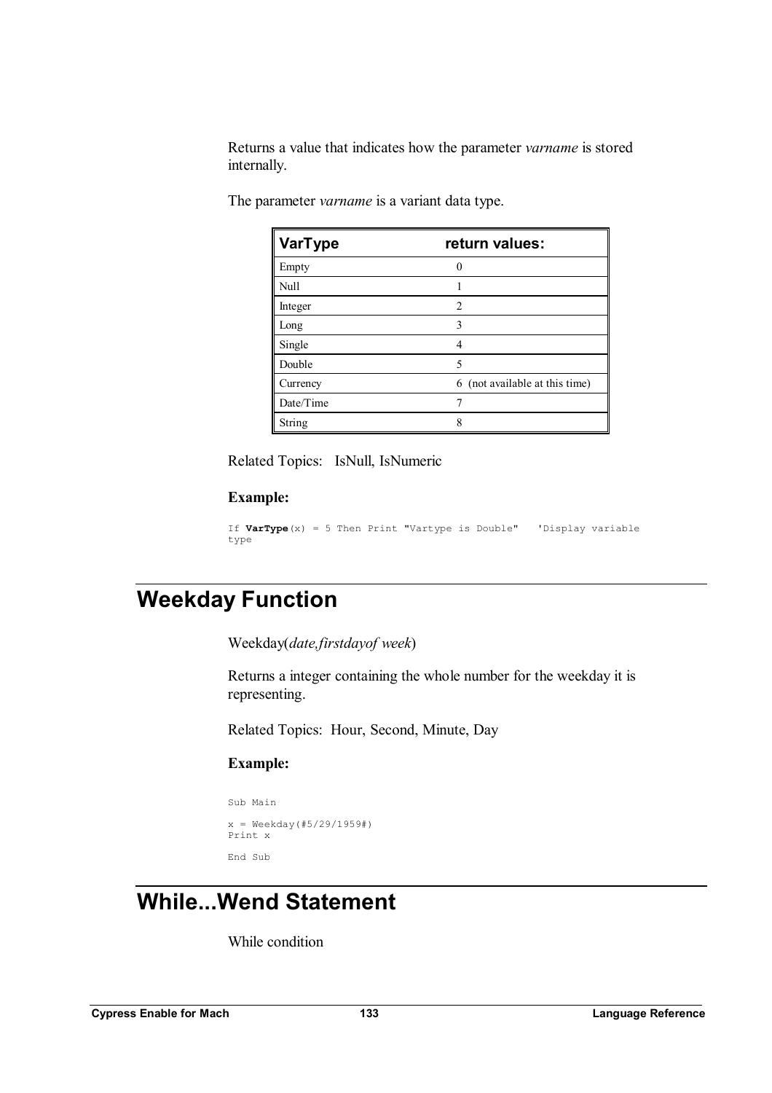Returns a value that indicates how the parameter *varname* is stored internally.

The parameter *varname* is a variant data type.

| VarType   | return values:                 |
|-----------|--------------------------------|
| Empty     |                                |
| Null      |                                |
| Integer   | $\overline{2}$                 |
| Long      | 3                              |
| Single    | 4                              |
| Double    | 5                              |
| Currency  | 6 (not available at this time) |
| Date/Time |                                |
| String    | 8                              |

Related Topics: IsNull, IsNumeric

#### **Example:**

```
If VarType(x) = 5 Then Print "Vartype is Double" 'Display variable 
type
```
# **Weekday Function**

Weekday(*date,firstdayof week*)

Returns a integer containing the whole number for the weekday it is representing.

Related Topics: Hour, Second, Minute, Day

#### **Example:**

```
Sub Main 
x = \text{Weakday}(\#5/29/1959\#)Print x 
End Sub
```
# **While...Wend Statement**

While condition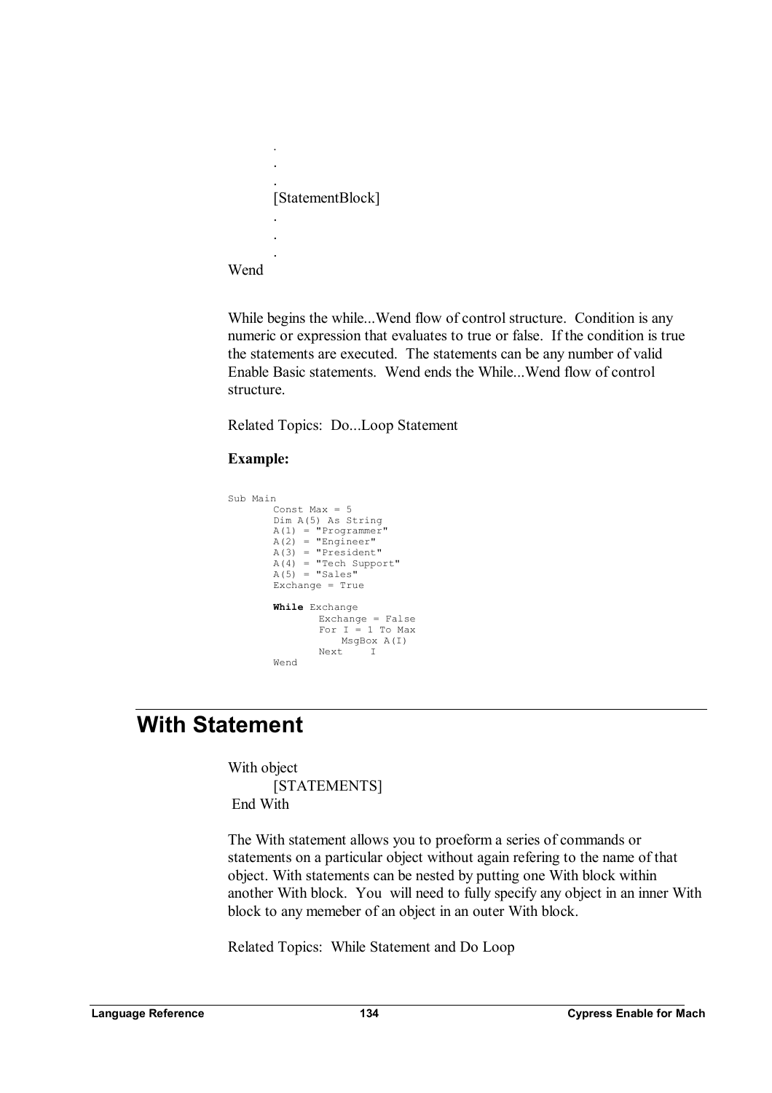

.

While begins the while...Wend flow of control structure. Condition is any numeric or expression that evaluates to true or false. If the condition is true the statements are executed. The statements can be any number of valid Enable Basic statements. Wend ends the While...Wend flow of control structure.

Related Topics: Do...Loop Statement

### **Example:**

```
Sub Main 
        Const Max = 5Dim A(5) As String 
        A(1) = "Programmer" 
        A(2) = "Engineer" 
        A(3) = "President"A(4) = "Tech Support"
        A(5) = "Sales"Exchange = True 
        While Exchange 
                Exchange = False 
               For I = 1 To Max
                   MsgBox A(I)<br>t I
               Next
        Wend
```
# **With Statement**

With object [STATEMENTS] End With

The With statement allows you to proeform a series of commands or statements on a particular object without again refering to the name of that object. With statements can be nested by putting one With block within another With block. You will need to fully specify any object in an inner With block to any memeber of an object in an outer With block.

Related Topics: While Statement and Do Loop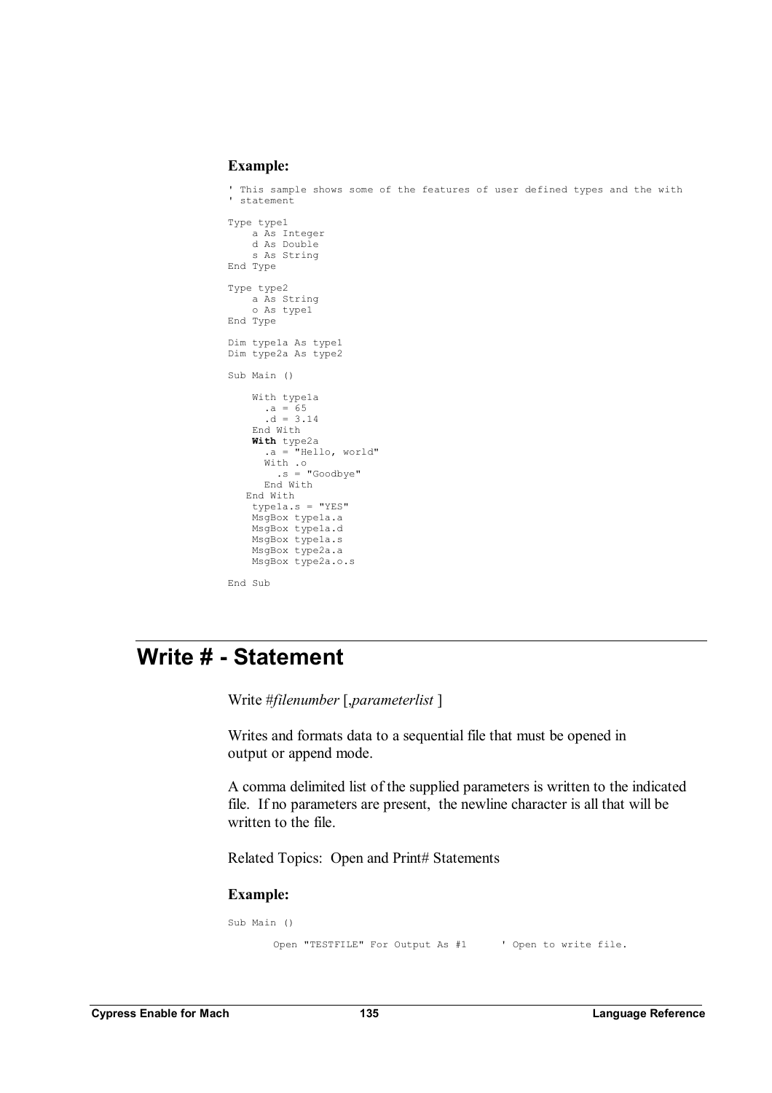#### **Example:**

```
' This sample shows some of the features of user defined types and the with 
' statement 
Type type1 
   a As Integer 
    d As Double 
    s As String 
End Type 
Type type2 
   a As String 
   o As type1 
End Type 
Dim type1a As type1 
Dim type2a As type2
Sub Main () 
    With type1a 
      .a = 65.d = 3.14End With 
     With type2a 
      .a = "Hello, world"
      With .o 
        .s = "Goodbye" 
     End With 
   End With 
    type1a.s = "YES"MsgBox type1a.a 
    MsgBox type1a.d 
    MsgBox type1a.s 
    MsgBox type2a.a 
    MsgBox type2a.o.s
End Sub
```
## **Write # - Statement**

Write #*filenumber* [,*parameterlist* ]

Writes and formats data to a sequential file that must be opened in output or append mode.

A comma delimited list of the supplied parameters is written to the indicated file. If no parameters are present, the newline character is all that will be written to the file.

Related Topics: Open and Print# Statements

```
Sub Main () 
       Open "TESTFILE" For Output As #1 ' Open to write file.
```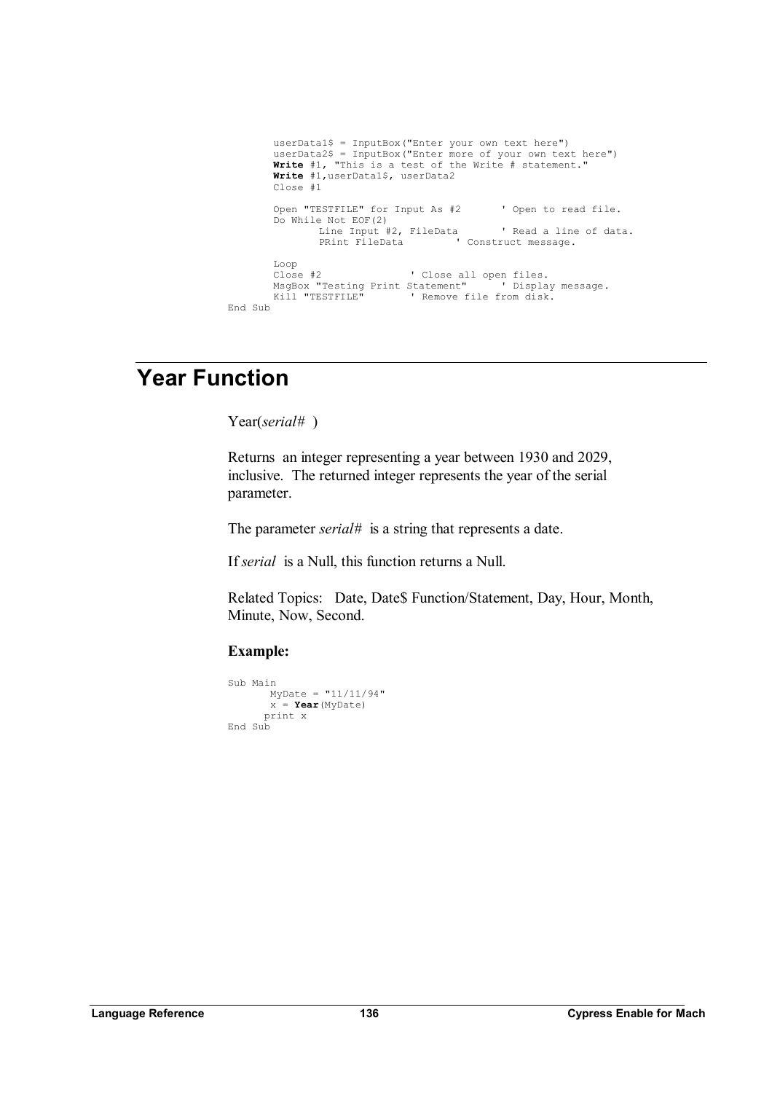```
userData1$ = InputBox("Enter your own text here") 
       userData2$ = InputBox("Enter more of your own text here") 
      Write #1, "This is a test of the Write # statement." 
       Write #1,userData1$, userData2 
      Close #1 
       Open "TESTFILE" for Input As #2 ' Open to read file. 
       Do While Not EOF(2) 
Line Input #2, FileData ' Read a line of data.
PRint FileData ' Construct message.
       Loop<br>Close #2
                            ' Close all open files.<br>Statement" ' Display message.
       MsgBox "Testing Print Statement" ' Display message. 
       Kill "TESTFILE" ' Remove file from disk. 
End Sub
```
## **Year Function**

Year(*serial#* )

Returns an integer representing a year between 1930 and 2029, inclusive. The returned integer represents the year of the serial parameter.

The parameter *serial#* is a string that represents a date.

If *serial* is a Null, this function returns a Null.

Related Topics: Date, Date\$ Function/Statement, Day, Hour, Month, Minute, Now, Second.

```
Sub Main 
       MyDate = "11/11/94"x = \text{Year}(\text{MyDate})print x 
End Sub
```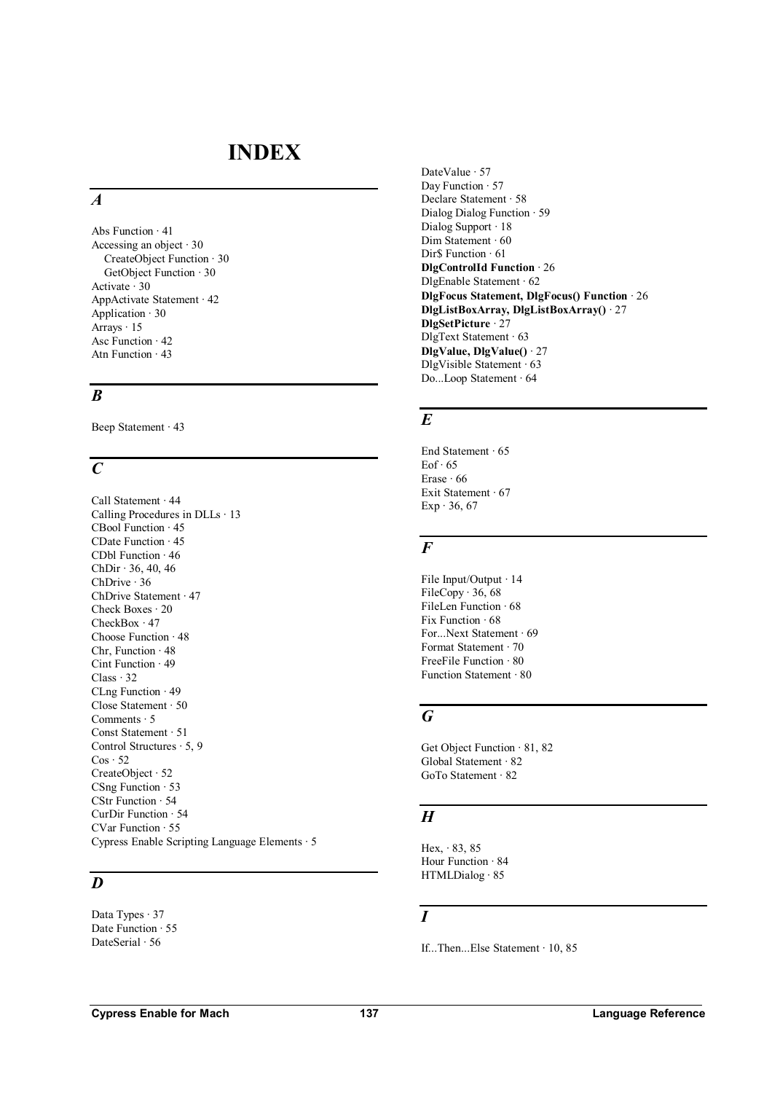## **INDEX**

#### *A*

Abs Function · 41 Accessing an object  $\cdot$  30 CreateObject Function · 30 GetObject Function · 30 Activate · 30 AppActivate Statement · 42 Application · 30 Arrays · 15 Asc Function · 42 Atn Function · 43

### *B*

Beep Statement · 43

### *C*

Call Statement · 44 Calling Procedures in DLLs · 13 CBool Function · 45 CDate Function · 45 CDbl Function · 46 ChDir  $\cdot$  36, 40, 46 ChDrive · 36 ChDrive Statement · 47 Check Boxes · 20 CheckBox · 47 Choose Function · 48 Chr, Function  $\cdot$  48 Cint Function · 49 Class · 32 CLng Function · 49 Close Statement · 50 Comments · 5 Const Statement · 51 Control Structures · 5, 9  $Cos \cdot 52$ CreateObject · 52 CSng Function · 53 CStr Function · 54 CurDir Function · 54 CVar Function · 55 Cypress Enable Scripting Language Elements · 5

### *D*

Data Types · 37 Date Function · 55 DateSerial · 56

DateValue · 57 Day Function · 57 Declare Statement · 58 Dialog Dialog Function · 59 Dialog Support · 18 Dim Statement · 60 Dir\$ Function · 61 **DlgControlId Function** · 26 DlgEnable Statement · 62 **DlgFocus Statement, DlgFocus() Function** · 26 **DlgListBoxArray, DlgListBoxArray()** · 27 **DlgSetPicture** · 27 DlgText Statement · 63 **DlgValue, DlgValue()** · 27 DlgVisible Statement · 63 Do...Loop Statement · 64

### *E*

End Statement · 65  $E$ of · 65 Erase · 66 Exit Statement · 67  $Exp \cdot 36, 67$ 

### *F*

File Input/Output · 14 FileCopy  $\cdot$  36, 68 FileLen Function  $\cdot$  68 Fix Function  $\cdot$  68 For...Next Statement · 69 Format Statement · 70 FreeFile Function · 80 Function Statement · 80

### *G*

Get Object Function · 81, 82 Global Statement · 82 GoTo Statement · 82

### *H*

Hex, · 83, 85 Hour Function · 84 HTMLDialog · 85

### *I*

If...Then...Else Statement · 10, 85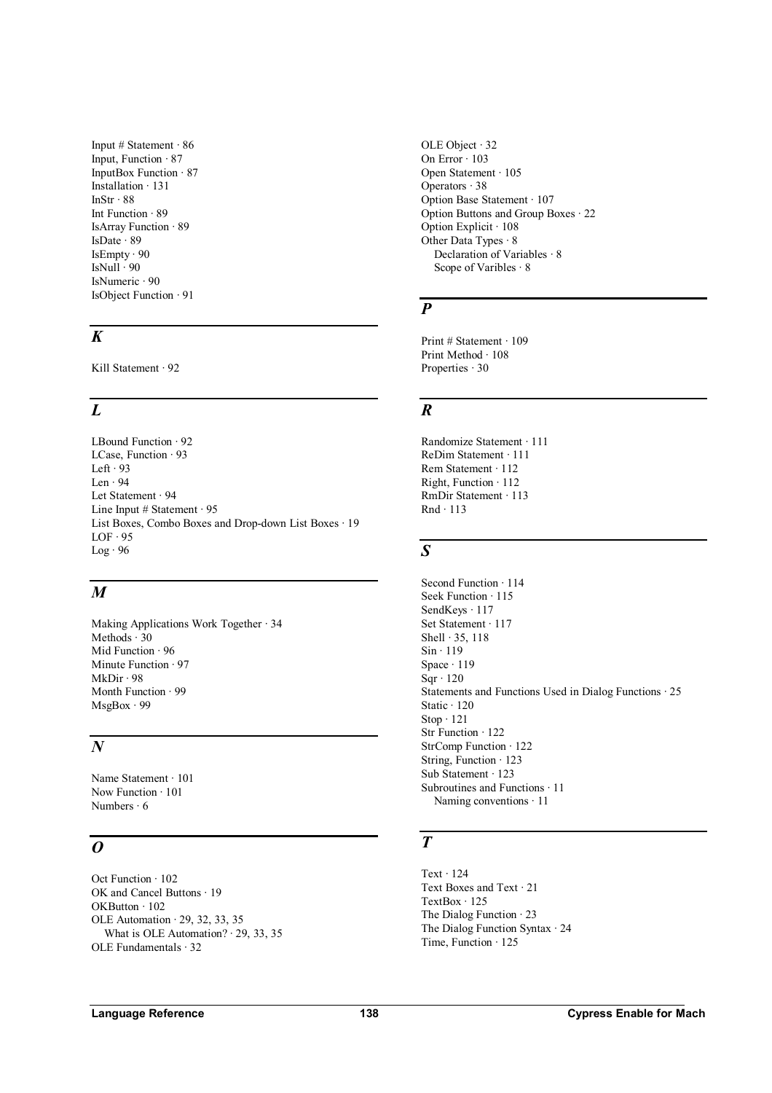Input # Statement  $\cdot$  86 Input, Function  $\cdot$  87 InputBox Function · 87 Installation · 131  $InStr \cdot 88$ Int Function · 89 IsArray Function · 89 IsDate  $\cdot$  89 IsEmpty · 90  $IsNull \cdot 90$ IsNumeric · 90 IsObject Function · 91

## *K*

Kill Statement · 92

### *L*

LBound Function · 92 LCase, Function · 93 Left · 93  $Len \cdot 94$ Let Statement · 94 Line Input  $#$  Statement  $·$  95 List Boxes, Combo Boxes and Drop-down List Boxes · 19  $LOF \cdot 95$  $Log \cdot 96$ 

### *M*

Making Applications Work Together · 34 Methods · 30 Mid Function · 96 Minute Function · 97 MkDir · 98 Month Function · 99 MsgBox · 99

### *N*

Name Statement · 101 Now Function · 101 Numbers · 6

### *O*

Oct Function · 102 OK and Cancel Buttons · 19 OKButton · 102 OLE Automation · 29, 32, 33, 35 What is OLE Automation? · 29, 33, 35 OLE Fundamentals · 32

OLE Object · 32 On Error · 103 Open Statement · 105 Operators · 38 Option Base Statement · 107 Option Buttons and Group Boxes · 22 Option Explicit · 108 Other Data Types · 8 Declaration of Variables · 8 Scope of Varibles · 8

### *P*

Print # Statement · 109 Print Method · 108 Properties · 30

### *R*

Randomize Statement · 111 ReDim Statement · 111 Rem Statement · 112 Right, Function · 112 RmDir Statement · 113 Rnd · 113

### *S*

Second Function · 114 Seek Function · 115 SendKeys · 117 Set Statement · 117 Shell  $\cdot$  35, 118  $Sin \cdot 119$ Space · 119  $Sqr \cdot 120$ Statements and Functions Used in Dialog Functions · 25 Static · 120 Stop  $\cdot$  121 Str Function · 122 StrComp Function · 122 String, Function · 123 Sub Statement · 123 Subroutines and Functions · 11 Naming conventions · 11

### *T*

Text · 124 Text Boxes and Text · 21 TextBox · 125 The Dialog Function · 23 The Dialog Function Syntax · 24 Time, Function · 125